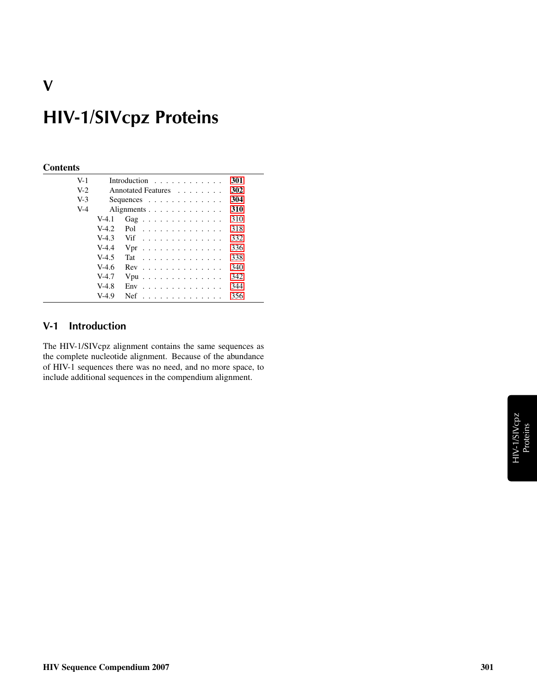# HIV-1/SIVcpz Proteins

#### **Contents**

V

| $V-1$ |         | Introduction $\ldots$ ,                       | 301 |
|-------|---------|-----------------------------------------------|-----|
| $V-2$ |         | Annotated Features                            | 302 |
| $V-3$ |         | Sequences $\ldots$ $\ldots$ $\ldots$ $\ldots$ | 304 |
| $V-4$ |         | Alignments                                    | 310 |
|       | $V-4.1$ | Gag                                           | 310 |
|       | $V-4.2$ | Pol $\ldots \ldots \ldots \ldots \ldots$      | 318 |
|       | $V-4.3$ | Vif                                           | 332 |
|       | $V-4.4$ | $Vpr$                                         | 336 |
|       | $V-4.5$ | $\text{Tat}$                                  | 338 |
|       | $V-4.6$ | $Rev$                                         | 340 |
|       | $V-4.7$ | $Vpu$                                         | 342 |
|       | $V-4.8$ | $Env$                                         | 344 |
|       | $V-4.9$ | $Nef$                                         | 356 |

#### <span id="page-0-0"></span>V-1 Introduction

The HIV-1/SIVcpz alignment contains the same sequences as the complete nucleotide alignment. Because of the abundance of HIV-1 sequences there was no need, and no more space, to include additional sequences in the compendium alignment.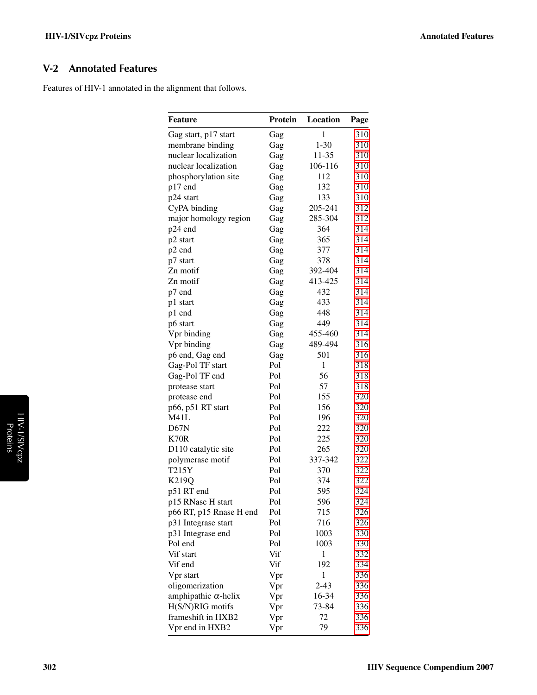#### <span id="page-1-0"></span>V-2 Annotated Features

Features of HIV-1 annotated in the alignment that follows.

| <b>Feature</b>              | Protein | Location     | Page |
|-----------------------------|---------|--------------|------|
| Gag start, p17 start        | Gag     | 1            | 310  |
| membrane binding            | Gag     | $1 - 30$     | 310  |
| nuclear localization        | Gag     | 11-35        | 310  |
| nuclear localization        | Gag     | 106-116      | 310  |
| phosphorylation site        | Gag     | 112          | 310  |
| p17 end                     | Gag     | 132          | 310  |
| p24 start                   | Gag     | 133          | 310  |
| CyPA binding                | Gag     | 205-241      | 312  |
| major homology region       | Gag     | 285-304      | 312  |
| p24 end                     | Gag     | 364          | 314  |
| p2 start                    | Gag     | 365          | 314  |
| p2 end                      | Gag     | 377          | 314  |
| p7 start                    | Gag     | 378          | 314  |
| Zn motif                    | Gag     | 392-404      | 314  |
| Zn motif                    | Gag     | 413-425      | 314  |
| p7 end                      | Gag     | 432          | 314  |
| p1 start                    | Gag     | 433          | 314  |
| p1 end                      | Gag     | 448          | 314  |
| p6 start                    | Gag     | 449          | 314  |
| Vpr binding                 | Gag     | 455-460      | 314  |
| Vpr binding                 | Gag     | 489-494      | 316  |
| p6 end, Gag end             | Gag     | 501          | 316  |
| Gag-Pol TF start            | Pol     | $\mathbf{1}$ | 318  |
| Gag-Pol TF end              | Pol     | 56           | 318  |
| protease start              | Pol     | 57           | 318  |
| protease end                | Pol     | 155          | 320  |
| p66, p51 RT start           | Pol     | 156          | 320  |
| M41L                        | Pol     | 196          | 320  |
| D67N                        | Pol     | 222          | 320  |
| K70R                        | Pol     | 225          | 320  |
| D110 catalytic site         | Pol     | 265          | 320  |
| polymerase motif            | Pol     | 337-342      | 322  |
| T215Y                       | Pol     | 370          | 322  |
| K219Q                       | Pol     | 374          | 322  |
| p51 RT end                  | Pol     | 595          | 324  |
| p15 RNase H start           | Pol     | 596          | 324  |
| p66 RT, p15 Rnase H end     | Pol     | 715          | 326  |
| p31 Integrase start         | Pol     | 716          | 326  |
| p31 Integrase end           | Pol     | 1003         | 330  |
| Pol end                     | Pol     | 1003         | 330  |
| Vif start                   | Vif     | 1            | 332  |
| Vif end                     | Vif     | 192          | 334  |
| Vpr start                   | Vpr     | 1            | 336  |
| oligomerization             | Vpr     | $2 - 43$     | 336  |
| amphipathic $\alpha$ -helix | Vpr     | 16-34        | 336  |
| H(S/N)RIG motifs            | Vpr     | 73-84        | 336  |
| frameshift in HXB2          | Vpr     | 72           | 336  |
| Vpr end in HXB2             | Vpr     | 79           | 336  |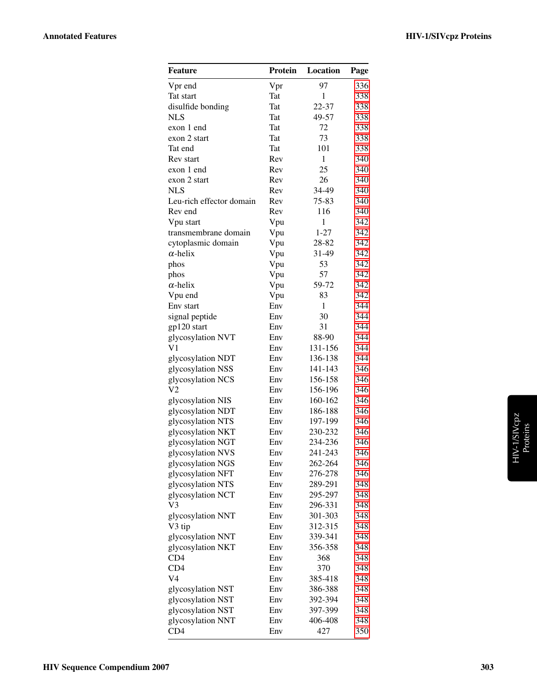| <b>Feature</b>           | Protein    | Location     | Page       |
|--------------------------|------------|--------------|------------|
| Vpr end                  | Vpr        | 97           | 336        |
| Tat start                | Tat        | 1            | 338        |
| disulfide bonding        | <b>Tat</b> | 22-37        | 338        |
| <b>NLS</b>               | Tat        | 49-57        | 338        |
| exon 1 end               | Tat        | 72           | 338        |
| exon 2 start             | <b>Tat</b> | 73           | 338        |
| Tat end                  | Tat        | 101          | 338        |
| Rev start                | Rev        | 1            | 340        |
| exon 1 end               | Rev        | 25           | 340        |
| exon 2 start             | Rev        | 26           | 340        |
| <b>NLS</b>               | Rev        | 34-49        | 340        |
| Leu-rich effector domain | Rev        | 75-83        | 340        |
| Rev end                  | Rev        | 116          | 340        |
| Vpu start                | Vpu        | $\mathbf{1}$ | 342        |
| transmembrane domain     | Vpu        | $1 - 27$     | 342        |
| cytoplasmic domain       | Vpu        | 28-82        | 342        |
| $\alpha$ -helix          | Vpu        | 31-49        | 342        |
| phos                     | Vpu        | 53           | 342        |
| phos                     | Vpu        | 57           | 342        |
| $\alpha$ -helix          | Vpu        | 59-72        | 342        |
| Vpu end                  | Vpu        | 83           | 342        |
| Env start                | Env        | $\mathbf{1}$ | 344        |
| signal peptide           | Env        | 30           | 344        |
| gp120 start              | Env        | 31           | 344        |
| glycosylation NVT        | Env        | 88-90        | 344        |
| V1                       | Env        | 131-156      | 344        |
| glycosylation NDT        | Env        | 136-138      | 344        |
| glycosylation NSS        | Env        | 141-143      | 346        |
| glycosylation NCS        | Env        | 156-158      | 346        |
| V2                       | Env        | 156-196      | 346        |
| glycosylation NIS        | Env        | 160-162      | 346        |
| glycosylation NDT        | Env        | 186-188      | 346        |
| glycosylation NTS        | Env        | 197-199      | 346        |
| glycosylation NKT        | Env        | 230-232      | 346        |
| glycosylation NGT        | Env        | 234-236      | 346        |
| glycosylation NVS        | Env        | 241-243      | 346        |
| glycosylation NGS        | Env        | 262-264      | 346        |
| glycosylation NFT        | Env        | 276-278      | 346        |
| glycosylation NTS        | Env        | 289-291      | 348        |
| glycosylation NCT        | Env        | 295-297      | 348        |
| V3                       | Env        | 296-331      | 348        |
| glycosylation NNT        | Env        | 301-303      | 348        |
| V3 tip                   | Env        | 312-315      | 348        |
| glycosylation NNT        | Env        | 339-341      | 348        |
| glycosylation NKT        | Env        | 356-358      | 348        |
|                          | Env        | 368          |            |
| CD4                      |            |              | 348        |
| CD4<br>V4                | Env<br>Env | 370          | 348<br>348 |
|                          |            | 385-418      |            |
| glycosylation NST        | Env        | 386-388      | 348        |
| glycosylation NST        | Env        | 392-394      | 348        |
| glycosylation NST        | Env        | 397-399      | 348        |
| glycosylation NNT        | Env        | 406-408      | 348        |
| CD <sub>4</sub>          | Env        | 427          | 350        |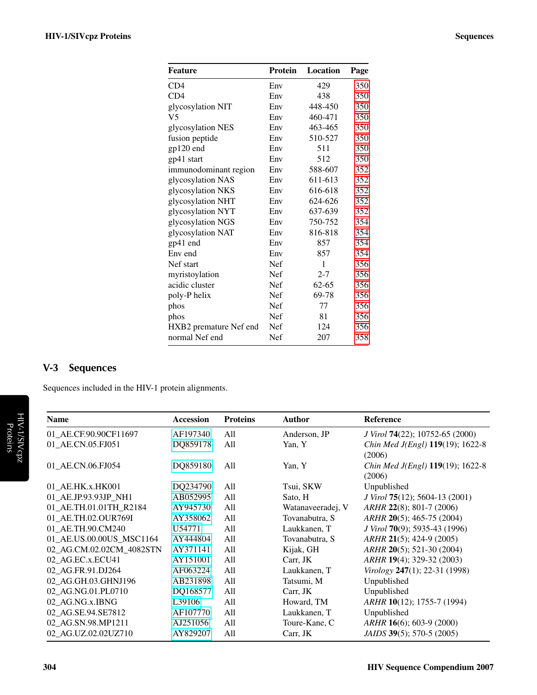| Feature                | <b>Protein</b> | Location  | Page |
|------------------------|----------------|-----------|------|
| CD4                    | Env            | 429       | 350  |
| CD4                    | Env            | 438       | 350  |
| glycosylation NIT      | Env            | 448-450   | 350  |
| V <sub>5</sub>         | Env            | 460-471   | 350  |
| glycosylation NES      | Env            | 463-465   | 350  |
| fusion peptide         | Env            | 510-527   | 350  |
| $gp120$ end            | Env            | 511       | 350  |
| gp41 start             | Env            | 512       | 350  |
| immunodominant region  | Env            | 588-607   | 352  |
| glycosylation NAS      | Env            | 611-613   | 352  |
| glycosylation NKS      | Env            | 616-618   | 352  |
| glycosylation NHT      | Env            | 624-626   | 352  |
| glycosylation NYT      | Env            | 637-639   | 352  |
| glycosylation NGS      | Env            | 750-752   | 354  |
| glycosylation NAT      | Env            | 816-818   | 354  |
| gp41 end               | Env            | 857       | 354  |
| Env end                | Env            | 857       | 354  |
| Nef start              | Nef            | 1         | 356  |
| myristoylation         | <b>Nef</b>     | $2 - 7$   | 356  |
| acidic cluster         | Nef            | $62 - 65$ | 356  |
| poly-P helix           | <b>Nef</b>     | 69-78     | 356  |
| phos                   | Nef            | 77        | 356  |
| phos                   | <b>Nef</b>     | 81        | 356  |
| HXB2 premature Nef end | Nef            | 124       | 356  |
| normal Nef end         | Nef            | 207       | 358  |

### <span id="page-3-0"></span>V-3 Sequences

Sequences included in the HIV-1 protein alignments.

| <b>Name</b>              | <b>Accession</b> | <b>Proteins</b> | <b>Author</b>     | <b>Reference</b>                 |
|--------------------------|------------------|-----------------|-------------------|----------------------------------|
| 01_AE.CF.90.90CF11697    | AF197340         | A11             | Anderson, JP      | J Virol 74(22); 10752-65 (2000)  |
| 01_AE.CN.05.FJ051        | DQ859178         | All             | Yan, Y            | Chin Med J(Engl) 119(19); 1622-8 |
|                          |                  |                 |                   | (2006)                           |
| 01_AE.CN.06.FJ054        | DQ859180         | All             | Yan, Y            | Chin Med J(Engl) 119(19); 1622-8 |
|                          |                  |                 |                   | (2006)                           |
| 01_AE.HK.x.HK001         | DQ234790         | All             | Tsui, SKW         | Unpublished                      |
| 01 AE.JP.93.93JP NH1     | AB052995         | All             | Sato, H           | J Virol 75(12); 5604-13 (2001)   |
| 01 AE.TH.01.01TH R2184   | AY945730         | All             | Watanaveeradej, V | ARHR 22(8); 801-7 (2006)         |
| 01 AE.TH.02.OUR769I      | AY358062         | All             | Tovanabutra, S    | ARHR 20(5); 465-75 (2004)        |
| 01 AE.TH.90.CM240        | U54771           | All             | Laukkanen, T      | J Virol 70(9); 5935-43 (1996)    |
| 01 AE.US.00.00US MSC1164 | AY444804         | All             | Tovanabutra, S    | ARHR 21(5); 424-9 (2005)         |
| 02_AG.CM.02.02CM_4082STN | AY371141         | All             | Kijak, GH         | ARHR 20(5); 521-30 (2004)        |
| 02 AG.EC.x.ECU41         | AY151001         | All             | Carr, JK          | ARHR 19(4); 329-32 (2003)        |
| 02 AG.FR.91.DJ264        | AF063224         | All             | Laukkanen, T      | Virology 247(1); 22-31 (1998)    |
| 02 AG.GH.03.GHNJ196      | AB231898         | All             | Tatsumi, M        | Unpublished                      |
| 02 AG.NG.01.PL0710       | DQ168577         | All             | Carr, JK          | Unpublished                      |
| 02 AG.NG.x.IBNG          | L39106           | All             | Howard, TM        | ARHR 10(12); 1755-7 (1994)       |
| 02_AG.SE.94.SE7812       | AF107770         | All             | Laukkanen, T      | Unpublished                      |
| 02_AG.SN.98.MP1211       | AJ251056         | All             | Toure-Kane, C     | $ARHR$ 16(6); 603-9 (2000)       |
| 02_AG.UZ.02.02UZ710      | AY829207         | All             | Carr, JK          | JAIDS 39(5); 570-5 (2005)        |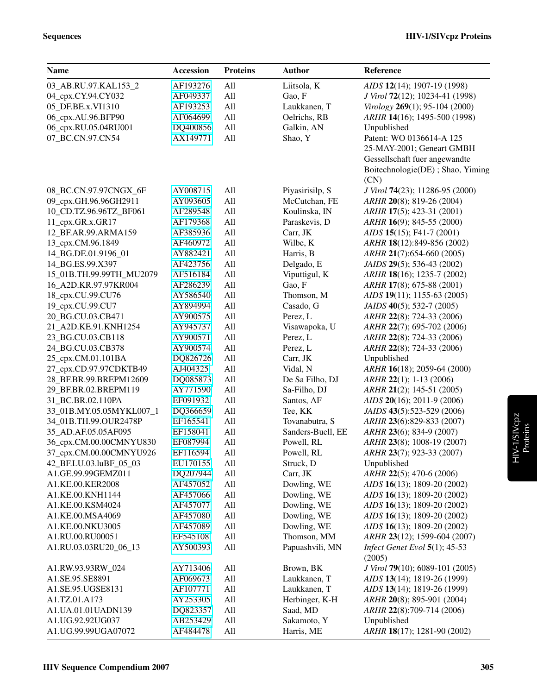| <b>Name</b>                          | <b>Accession</b>     | <b>Proteins</b> | <b>Author</b>              | Reference                                                  |
|--------------------------------------|----------------------|-----------------|----------------------------|------------------------------------------------------------|
| 03_AB.RU.97.KAL153_2                 | AF193276             | All             | Liitsola, K                | AIDS 12(14); 1907-19 (1998)                                |
| 04_cpx.CY.94.CY032                   | AF049337             | All             | Gao, F                     | J Virol 72(12); 10234-41 (1998)                            |
| 05_DF.BE.x.VI1310                    | AF193253             | All             | Laukkanen, T               | Virology 269(1); 95-104 (2000)                             |
| 06_cpx.AU.96.BFP90                   | AF064699             | All             | Oelrichs, RB               | ARHR 14(16); 1495-500 (1998)                               |
| 06 cpx.RU.05.04RU001                 | DQ400856             | All             | Galkin, AN                 | Unpublished                                                |
| 07_BC.CN.97.CN54                     | AX149771             | All             | Shao, Y                    | Patent: WO 0136614-A 125                                   |
|                                      |                      |                 |                            | 25-MAY-2001; Geneart GMBH                                  |
|                                      |                      |                 |                            | Gessellschaft fuer angewandte                              |
|                                      |                      |                 |                            | Boitechnologie(DE); Shao, Yiming                           |
|                                      |                      |                 |                            | (CN)                                                       |
| 08_BC.CN.97.97CNGX_6F                | AY008715             | All             | Piyasirisilp, S            | J Virol 74(23); 11286-95 (2000)                            |
| 09_cpx.GH.96.96GH2911                | AY093605             | All             | McCutchan, FE              | ARHR 20(8); 819-26 (2004)                                  |
| 10_CD.TZ.96.96TZ_BF061               | AF289548             | All             | Koulinska, IN              | ARHR 17(5); 423-31 (2001)                                  |
| 11_cpx.GR.x.GR17                     | AF179368             | All             | Paraskevis, D              | ARHR 16(9); 845-55 (2000)                                  |
| 12_BF.AR.99.ARMA159                  | AF385936             | All             | Carr, JK                   | $AIDS$ 15(15); F41-7 (2001)                                |
| 13_cpx.CM.96.1849                    | AF460972             | All             | Wilbe, K                   | ARHR 18(12):849-856 (2002)                                 |
| 14_BG.DE.01.9196_01                  | AY882421             | All             | Harris, B                  | ARHR 21(7):654-660 (2005)                                  |
| 14 BG.ES.99.X397                     | AF423756             | All             | Delgado, E                 | JAIDS 29(5); 536-43 (2002)                                 |
| 15_01B.TH.99.99TH_MU2079             | AF516184             | All             | Viputtigul, K              | ARHR 18(16); 1235-7 (2002)                                 |
| 16 A2D.KR.97.97KR004                 | AF286239             | All             | Gao, F                     | ARHR 17(8); 675-88 (2001)                                  |
| 18_cpx.CU.99.CU76                    | AY586540             | All             | Thomson, M                 | AIDS 19(11); 1155-63 (2005)                                |
| 19_cpx.CU.99.CU7                     | AY894994             | All             | Casado, G                  | JAIDS 40(5); 532-7 (2005)                                  |
| 20_BG.CU.03.CB471                    | AY900575             | All             | Perez, L                   | ARHR 22(8); 724-33 (2006)                                  |
| 21_A2D.KE.91.KNH1254                 | AY945737             | All             | Visawapoka, U              | ARHR 22(7); 695-702 (2006)                                 |
| 23_BG.CU.03.CB118                    | AY900571             | All             | Perez, L                   | ARHR 22(8); 724-33 (2006)                                  |
| 24_BG.CU.03.CB378                    | AY900574             | All             | Perez, L                   | ARHR 22(8); 724-33 (2006)                                  |
| 25_cpx.CM.01.101BA                   | DQ826726             | All             | Carr, JK                   | Unpublished                                                |
| 27_cpx.CD.97.97CDKTB49               | AJ404325             | All             | Vidal, N                   | ARHR 16(18); 2059-64 (2000)                                |
| 28_BF.BR.99.BREPM12609               | DQ085873             | All             | De Sa Filho, DJ            | ARHR 22(1); 1-13 (2006)                                    |
| 29_BF.BR.02.BREPM119                 | AY771590             | All             | Sa-Filho, DJ               | ARHR 21(2); 145-51 (2005)                                  |
| 31_BC.BR.02.110PA                    | EF091932             | All             | Santos, AF                 | $AIDS$ 20(16); 2011-9 (2006)                               |
| 33_01B.MY.05.05MYKL007_1             | DQ366659             | All             | Tee, KK                    | JAIDS 43(5):523-529 (2006)                                 |
| 34_01B.TH.99.OUR2478P                | EF165541             | All             | Tovanabutra, S             | ARHR 23(6):829-833 (2007)                                  |
| 35_AD.AF.05.05AF095                  | EF158041             | All             | Sanders-Buell, EE          | ARHR 23(6); 834-9 (2007)                                   |
| 36_cpx.CM.00.00CMNYU830              | EF087994             | All             | Powell, RL                 | ARHR 23(8); 1008-19 (2007)                                 |
| 37_cpx.CM.00.00CMNYU926              | EF116594             | All             | Powell, RL                 | ARHR 23(7); 923-33 (2007)                                  |
| 42_BF.LU.03.luBF_05_03               | EU170155             | All             | Struck, D                  | Unpublished                                                |
| A1.GE.99.99GEMZ011                   | DQ207944             | All             | Carr, JK                   | ARHR 22(5); 470-6 (2006)                                   |
| A1.KE.00.KER2008<br>A1.KE.00.KNH1144 | AF457052<br>AF457066 | All<br>All      | Dowling, WE<br>Dowling, WE | AIDS 16(13); 1809-20 (2002)<br>AIDS 16(13); 1809-20 (2002) |
| A1.KE.00.KSM4024                     | AF457077             | All             | Dowling, WE                | AIDS 16(13); 1809-20 (2002)                                |
| A1.KE.00.MSA4069                     | AF457080             | All             | Dowling, WE                | AIDS 16(13); 1809-20 (2002)                                |
| A1.KE.00.NKU3005                     | AF457089             | All             | Dowling, WE                | AIDS 16(13); 1809-20 (2002)                                |
| A1.RU.00.RU00051                     | EF545108             | All             | Thomson, MM                | ARHR 23(12); 1599-604 (2007)                               |
| A1.RU.03.03RU20_06_13                | AY500393             | All             | Papuashvili, MN            | Infect Genet Evol $5(1)$ ; 45-53                           |
|                                      |                      |                 |                            | (2005)                                                     |
| A1.RW.93.93RW_024                    | AY713406             | All             | Brown, BK                  | J Virol 79(10); 6089-101 (2005)                            |
| A1.SE.95.SE8891                      | AF069673             | All             | Laukkanen, T               | AIDS 13(14); 1819-26 (1999)                                |
| A1.SE.95.UGSE8131                    | AF107771             | All             | Laukkanen, T               | AIDS 13(14); 1819-26 (1999)                                |
| A1.TZ.01.A173                        | AY253305             | All             | Herbinger, K-H             | ARHR 20(8); 895-901 (2004)                                 |
| A1.UA.01.01UADN139                   | DQ823357             | All             | Saad, MD                   | ARHR 22(8):709-714 (2006)                                  |
| A1.UG.92.92UG037                     | AB253429             | All             | Sakamoto, Y                | Unpublished                                                |
| A1.UG.99.99UGA07072                  | AF484478             | All             | Harris, ME                 | ARHR 18(17); 1281-90 (2002)                                |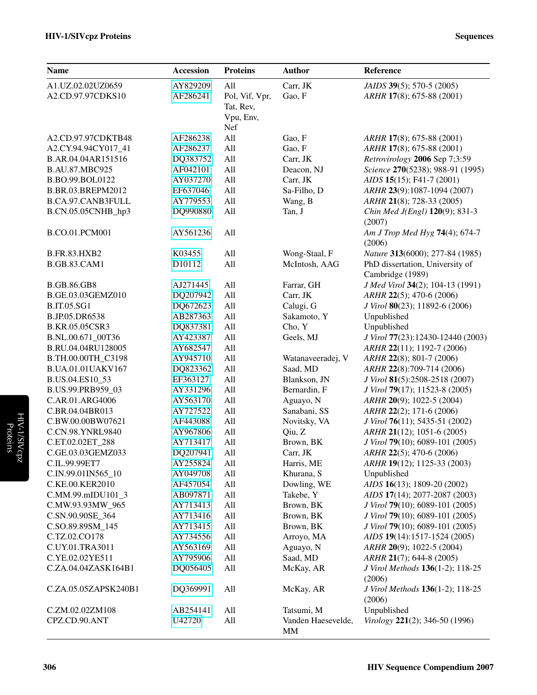| <b>Name</b>           | <b>Accession</b> | <b>Proteins</b> | <b>Author</b>            | Reference                                  |
|-----------------------|------------------|-----------------|--------------------------|--------------------------------------------|
| A1.UZ.02.02UZ0659     | AY829209         | All             | Carr, JK                 | <i>JAIDS</i> 39(5); 570-5 (2005)           |
| A2.CD.97.97CDKS10     | AF286241         | Pol, Vif, Vpr,  | Gao, F                   | ARHR 17(8); 675-88 (2001)                  |
|                       |                  | Tat, Rev,       |                          |                                            |
|                       |                  | Vpu, Env,       |                          |                                            |
|                       |                  | Nef             |                          |                                            |
| A2.CD.97.97CDKTB48    | AF286238         | All             | Gao, F                   | ARHR 17(8); 675-88 (2001)                  |
| A2.CY.94.94CY017_41   | AF286237         | All             | Gao, F                   | ARHR 17(8); 675-88 (2001)                  |
| B.AR.04.04AR151516    | DQ383752         | All             | Carr, JK                 | Retrovirology 2006 Sep 7;3:59              |
| <b>B.AU.87.MBC925</b> | AF042101         | All             | Deacon, NJ               | Science 270(5238); 988-91 (1995)           |
| B.BO.99.BOL0122       | AY037270         | All             | Carr, JK                 | AIDS 15(15); F41-7 (2001)                  |
| B.BR.03.BREPM2012     | EF637046         | All             | Sa-Filho, D              | ARHR 23(9):1087-1094 (2007)                |
| B.CA.97.CANB3FULL     | AY779553         | All             | Wang, B                  | ARHR 21(8); 728-33 (2005)                  |
| B.CN.05.05CNHB_hp3    | DQ990880         | All             | Tan, J                   | Chin Med J(Engl) 120(9); 831-3<br>(2007)   |
| B.CO.01.PCM001        | AY561236         | All             |                          | Am J Trop Med Hyg 74(4); 674-7<br>(2006)   |
| <b>B.FR.83.HXB2</b>   | K03455           | All             | Wong-Staal, F            | Nature 313(6000); 277-84 (1985)            |
| <b>B.GB.83.CAM1</b>   | D10112           | All             | McIntosh, AAG            | PhD dissertation, University of            |
|                       |                  |                 |                          | Cambridge (1989)                           |
| <b>B.GB.86.GB8</b>    | AJ271445         | All             | Farrar, GH               | J Med Virol 34(2); 104-13 (1991)           |
| B.GE.03.03GEMZ010     | DQ207942         | All             | Carr, JK                 | ARHR 22(5); 470-6 (2006)                   |
| <b>B.IT.05.SG1</b>    | DQ672623         | All             | Calugi, G                | J Virol 80(23); 11892-6 (2006)             |
| B.JP.05.DR6538        | AB287363         | All             | Sakamoto, Y              | Unpublished                                |
| B.KR.05.05CSR3        | DQ837381         | All             | Cho, Y                   | Unpublished                                |
| B.NL.00.671_00T36     | AY423387         | All             | Geels, MJ                | J Virol 77(23):12430-12440 (2003)          |
| B.RU.04.04RU128005    | AY682547         | All             |                          | ARHR 22(11); 1192-7 (2006)                 |
| B.TH.00.00TH_C3198    | AY945710         | All             | Watanaveeradej, V        | ARHR 22(8); 801-7 (2006)                   |
| B.UA.01.01UAKV167     | DQ823362         | All             | Saad, MD                 | ARHR 22(8):709-714 (2006)                  |
| B.US.04.ES10_53       | EF363127         | All             | Blankson, JN             | J Virol 81(5):2508-2518 (2007)             |
| B.US.99.PRB959_03     | AY331296         | All             | Bernardin, F             | J Virol 79(17); 11523-8 (2005)             |
| C.AR.01.ARG4006       | AY563170         | All             | Aguayo, N                | ARHR 20(9); 1022-5 (2004)                  |
| C.BR.04.04BR013       | AY727522         | All             | Sanabani, SS             | ARHR 22(2); 171-6 (2006)                   |
| C.BW.00.00BW07621     | AF443088         | All             | Novitsky, VA             | J Virol 76(11); 5435-51 (2002)             |
| C.CN.98.YNRL9840      | AY967806         | All             | Qiu, Z                   | ARHR 21(12); 1051-6 (2005)                 |
| C.ET.02.02ET_288      | AY713417         | All             | Brown, BK                | J Virol 79(10); 6089-101 (2005)            |
| C.GE.03.03GEMZ033     | DQ207941         | All             | Carr, JK                 | ARHR 22(5); 470-6 (2006)                   |
| C.IL.99.99ET7         | AY255824         | All             | Harris, ME               | ARHR 19(12); 1125-33 (2003)                |
| C.IN.99.01IN565_10    | AY049708         | All             | Khurana, S               | Unpublished                                |
| C.KE.00.KER2010       | AF457054         | All             | Dowling, WE              | AIDS 16(13); 1809-20 (2002)                |
| C.MM.99.mIDU101_3     | AB097871         | All             | Takebe, Y                | AIDS 17(14); 2077-2087 (2003)              |
| C.MW.93.93MW_965      | AY713413         | All             | Brown, BK                | J Virol 79(10); 6089-101 (2005)            |
| C.SN.90.90SE 364      | AY713416         | All             | Brown, BK                | J Virol 79(10); 6089-101 (2005)            |
| C.SO.89.89SM_145      | AY713415         | All             | Brown, BK                | J Virol 79(10); 6089-101 (2005)            |
| C.TZ.02.CO178         | AY734556         | All             | Arroyo, MA               | AIDS 19(14):1517-1524 (2005)               |
| C.UY.01.TRA3011       | AY563169         | All             | Aguayo, N                | ARHR 20(9); 1022-5 (2004)                  |
| C.YE.02.02YE511       | AY795906         | All             | Saad, MD                 | ARHR 21(7); 644-8 (2005)                   |
| C.ZA.04.04ZASK164B1   | DQ056405         | All             | McKay, AR                | J Virol Methods 136(1-2); 118-25<br>(2006) |
| C.ZA.05.05ZAPSK240B1  | DQ369991         | All             | McKay, AR                | J Virol Methods 136(1-2); 118-25<br>(2006) |
| C.ZM.02.02ZM108       | AB254141         | All             | Tatsumi, M               | Unpublished                                |
| CPZ.CD.90.ANT         | U42720           | All             | Vanden Haesevelde,<br>MM | Virology 221(2); 346-50 (1996)             |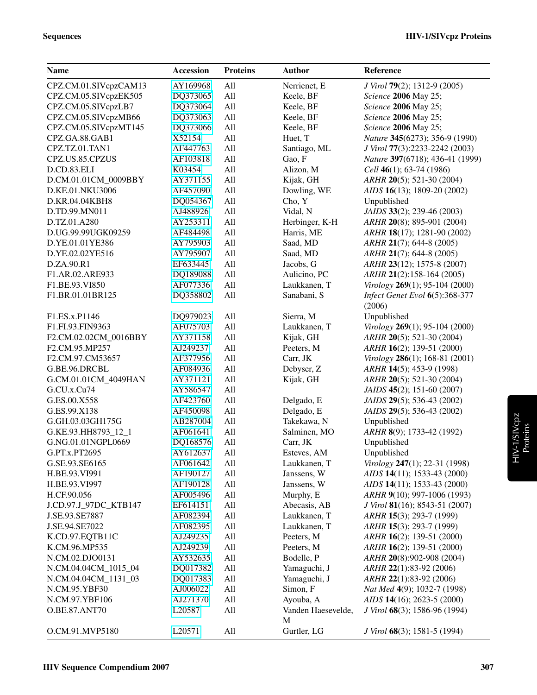| CPZ.CM.01.SIVcpzCAM13<br>AY169968<br>All<br>Nerrienet, E<br>J Virol 79(2); 1312-9 (2005)<br>CPZ.CM.05.SIVcpzEK505<br>DQ373065<br>All<br>Keele, BF<br>Science 2006 May 25;<br>CPZ.CM.05.SIVcpzLB7<br>DQ373064<br>All<br>Science 2006 May 25;<br>Keele, BF<br>CPZ.CM.05.SIVcpzMB66<br>DQ373063<br>All<br>Science 2006 May 25;<br>Keele, BF<br>DQ373066<br>CPZ.CM.05.SIVcpzMT145<br>All<br>Science 2006 May 25;<br>Keele, BF<br>All<br>X52154<br>CPZ.GA.88.GAB1<br>Huet, T<br>Nature 345(6273); 356-9 (1990)<br>CPZ.TZ.01.TAN1<br>All<br>AF447763<br>Santiago, ML<br>J Virol 77(3):2233-2242 (2003)<br>All<br>CPZ.US.85.CPZUS<br>AF103818<br>Gao, F<br>Nature 397(6718); 436-41 (1999)<br>All<br>Alizon, M<br>D.CD.83.ELI<br>K03454<br>Cell $46(1)$ ; 63-74 (1986)<br>D.CM.01.01CM_0009BBY<br>All<br>Kijak, GH<br>ARHR 20(5); 521-30 (2004)<br>AY371155<br>All<br>Dowling, WE<br>D.KE.01.NKU3006<br>AF457090<br>AIDS 16(13); 1809-20 (2002)<br>All<br>D.KR.04.04KBH8<br>DQ054367<br>Cho, Y<br>Unpublished<br>All<br>AJ488926<br>Vidal, N<br>JAIDS 33(2); 239-46 (2003)<br>D.TD.99.MN011<br>All<br>AY253311<br>D.TZ.01.A280<br>Herbinger, K-H<br>ARHR 20(8); 895-901 (2004) |  |
|-------------------------------------------------------------------------------------------------------------------------------------------------------------------------------------------------------------------------------------------------------------------------------------------------------------------------------------------------------------------------------------------------------------------------------------------------------------------------------------------------------------------------------------------------------------------------------------------------------------------------------------------------------------------------------------------------------------------------------------------------------------------------------------------------------------------------------------------------------------------------------------------------------------------------------------------------------------------------------------------------------------------------------------------------------------------------------------------------------------------------------------------------------------------------|--|
|                                                                                                                                                                                                                                                                                                                                                                                                                                                                                                                                                                                                                                                                                                                                                                                                                                                                                                                                                                                                                                                                                                                                                                         |  |
|                                                                                                                                                                                                                                                                                                                                                                                                                                                                                                                                                                                                                                                                                                                                                                                                                                                                                                                                                                                                                                                                                                                                                                         |  |
|                                                                                                                                                                                                                                                                                                                                                                                                                                                                                                                                                                                                                                                                                                                                                                                                                                                                                                                                                                                                                                                                                                                                                                         |  |
|                                                                                                                                                                                                                                                                                                                                                                                                                                                                                                                                                                                                                                                                                                                                                                                                                                                                                                                                                                                                                                                                                                                                                                         |  |
|                                                                                                                                                                                                                                                                                                                                                                                                                                                                                                                                                                                                                                                                                                                                                                                                                                                                                                                                                                                                                                                                                                                                                                         |  |
|                                                                                                                                                                                                                                                                                                                                                                                                                                                                                                                                                                                                                                                                                                                                                                                                                                                                                                                                                                                                                                                                                                                                                                         |  |
|                                                                                                                                                                                                                                                                                                                                                                                                                                                                                                                                                                                                                                                                                                                                                                                                                                                                                                                                                                                                                                                                                                                                                                         |  |
|                                                                                                                                                                                                                                                                                                                                                                                                                                                                                                                                                                                                                                                                                                                                                                                                                                                                                                                                                                                                                                                                                                                                                                         |  |
|                                                                                                                                                                                                                                                                                                                                                                                                                                                                                                                                                                                                                                                                                                                                                                                                                                                                                                                                                                                                                                                                                                                                                                         |  |
|                                                                                                                                                                                                                                                                                                                                                                                                                                                                                                                                                                                                                                                                                                                                                                                                                                                                                                                                                                                                                                                                                                                                                                         |  |
|                                                                                                                                                                                                                                                                                                                                                                                                                                                                                                                                                                                                                                                                                                                                                                                                                                                                                                                                                                                                                                                                                                                                                                         |  |
|                                                                                                                                                                                                                                                                                                                                                                                                                                                                                                                                                                                                                                                                                                                                                                                                                                                                                                                                                                                                                                                                                                                                                                         |  |
|                                                                                                                                                                                                                                                                                                                                                                                                                                                                                                                                                                                                                                                                                                                                                                                                                                                                                                                                                                                                                                                                                                                                                                         |  |
|                                                                                                                                                                                                                                                                                                                                                                                                                                                                                                                                                                                                                                                                                                                                                                                                                                                                                                                                                                                                                                                                                                                                                                         |  |
| D.UG.99.99UGK09259<br>All<br>AF484498<br>Harris, ME<br>ARHR 18(17); 1281-90 (2002)                                                                                                                                                                                                                                                                                                                                                                                                                                                                                                                                                                                                                                                                                                                                                                                                                                                                                                                                                                                                                                                                                      |  |
| All<br>D.YE.01.01YE386<br>AY795903<br>Saad, MD<br>$ARHR$ 21(7); 644-8 (2005)                                                                                                                                                                                                                                                                                                                                                                                                                                                                                                                                                                                                                                                                                                                                                                                                                                                                                                                                                                                                                                                                                            |  |
| All<br>D.YE.02.02YE516<br>AY795907<br>Saad, MD<br>$ARHR$ 21(7); 644-8 (2005)                                                                                                                                                                                                                                                                                                                                                                                                                                                                                                                                                                                                                                                                                                                                                                                                                                                                                                                                                                                                                                                                                            |  |
| All<br>D.ZA.90.R1<br>EF633445<br>ARHR 23(12); 1575-8 (2007)<br>Jacobs, G                                                                                                                                                                                                                                                                                                                                                                                                                                                                                                                                                                                                                                                                                                                                                                                                                                                                                                                                                                                                                                                                                                |  |
| F1.AR.02.ARE933<br>DQ189088<br>All<br>Aulicino, PC<br>ARHR 21(2):158-164 (2005)                                                                                                                                                                                                                                                                                                                                                                                                                                                                                                                                                                                                                                                                                                                                                                                                                                                                                                                                                                                                                                                                                         |  |
| F1.BE.93.VI850<br>AF077336<br>All<br>Laukkanen, T<br>Virology 269(1); 95-104 (2000)                                                                                                                                                                                                                                                                                                                                                                                                                                                                                                                                                                                                                                                                                                                                                                                                                                                                                                                                                                                                                                                                                     |  |
| F1.BR.01.01BR125<br>DQ358802<br>All<br>Sanabani, S<br>Infect Genet Evol 6(5):368-377                                                                                                                                                                                                                                                                                                                                                                                                                                                                                                                                                                                                                                                                                                                                                                                                                                                                                                                                                                                                                                                                                    |  |
| (2006)                                                                                                                                                                                                                                                                                                                                                                                                                                                                                                                                                                                                                                                                                                                                                                                                                                                                                                                                                                                                                                                                                                                                                                  |  |
| F1.ES.x.P1146<br>DQ979023<br>All<br>Sierra, M<br>Unpublished                                                                                                                                                                                                                                                                                                                                                                                                                                                                                                                                                                                                                                                                                                                                                                                                                                                                                                                                                                                                                                                                                                            |  |
| All<br>F1.FI.93.FIN9363<br>AF075703<br>Virology 269(1); 95-104 (2000)<br>Laukkanen, T                                                                                                                                                                                                                                                                                                                                                                                                                                                                                                                                                                                                                                                                                                                                                                                                                                                                                                                                                                                                                                                                                   |  |
| All<br>Kijak, GH<br>F2.CM.02.02CM_0016BBY<br>AY371158<br>ARHR 20(5); 521-30 (2004)                                                                                                                                                                                                                                                                                                                                                                                                                                                                                                                                                                                                                                                                                                                                                                                                                                                                                                                                                                                                                                                                                      |  |
| All<br>Peeters, M<br>F2.CM.95.MP257<br>AJ249237<br>ARHR 16(2); 139-51 (2000)                                                                                                                                                                                                                                                                                                                                                                                                                                                                                                                                                                                                                                                                                                                                                                                                                                                                                                                                                                                                                                                                                            |  |
| All<br>F2.CM.97.CM53657<br>AF377956<br>Carr, JK<br>Virology 286(1); 168-81 (2001)                                                                                                                                                                                                                                                                                                                                                                                                                                                                                                                                                                                                                                                                                                                                                                                                                                                                                                                                                                                                                                                                                       |  |
| All<br>Debyser, Z<br>G.BE.96.DRCBL<br>AF084936<br>ARHR 14(5); 453-9 (1998)                                                                                                                                                                                                                                                                                                                                                                                                                                                                                                                                                                                                                                                                                                                                                                                                                                                                                                                                                                                                                                                                                              |  |
| All<br>Kijak, GH<br>ARHR 20(5); 521-30 (2004)<br>G.CM.01.01CM_4049HAN<br>AY371121                                                                                                                                                                                                                                                                                                                                                                                                                                                                                                                                                                                                                                                                                                                                                                                                                                                                                                                                                                                                                                                                                       |  |
| All<br>G.CU.x.Cu74<br>AY586547<br>JAIDS 45(2); 151-60 (2007)                                                                                                                                                                                                                                                                                                                                                                                                                                                                                                                                                                                                                                                                                                                                                                                                                                                                                                                                                                                                                                                                                                            |  |
| All<br>G.ES.00.X558<br>AF423760<br>Delgado, E<br>JAIDS 29(5); 536-43 (2002)                                                                                                                                                                                                                                                                                                                                                                                                                                                                                                                                                                                                                                                                                                                                                                                                                                                                                                                                                                                                                                                                                             |  |
| All<br>Delgado, E<br>G.ES.99.X138<br>AF450098<br>JAIDS 29(5); 536-43 (2002)                                                                                                                                                                                                                                                                                                                                                                                                                                                                                                                                                                                                                                                                                                                                                                                                                                                                                                                                                                                                                                                                                             |  |
| All<br>Takekawa, N<br>G.GH.03.03GH175G<br>AB287004<br>Unpublished                                                                                                                                                                                                                                                                                                                                                                                                                                                                                                                                                                                                                                                                                                                                                                                                                                                                                                                                                                                                                                                                                                       |  |
| All<br>Salminen, MO<br>G.KE.93.HH8793 12 1<br>AF061641<br>ARHR 8(9); 1733-42 (1992)                                                                                                                                                                                                                                                                                                                                                                                                                                                                                                                                                                                                                                                                                                                                                                                                                                                                                                                                                                                                                                                                                     |  |
| All<br>Unpublished<br>G.NG.01.01NGPL0669<br>DQ168576<br>Carr, JK                                                                                                                                                                                                                                                                                                                                                                                                                                                                                                                                                                                                                                                                                                                                                                                                                                                                                                                                                                                                                                                                                                        |  |
| G.PT.x.PT2695<br>AY612637<br>All<br>Unpublished<br>Esteves, AM                                                                                                                                                                                                                                                                                                                                                                                                                                                                                                                                                                                                                                                                                                                                                                                                                                                                                                                                                                                                                                                                                                          |  |
| Virology 247(1); 22-31 (1998)<br>G.SE.93.SE6165<br>AF061642<br>All<br>Laukkanen, T                                                                                                                                                                                                                                                                                                                                                                                                                                                                                                                                                                                                                                                                                                                                                                                                                                                                                                                                                                                                                                                                                      |  |
| Janssens, W<br>H.BE.93.VI991<br>AF190127<br>All<br>AIDS 14(11); 1533-43 (2000)                                                                                                                                                                                                                                                                                                                                                                                                                                                                                                                                                                                                                                                                                                                                                                                                                                                                                                                                                                                                                                                                                          |  |
| All<br>Janssens, W<br>AIDS 14(11); 1533-43 (2000)<br>H.BE.93.VI997<br>AF190128                                                                                                                                                                                                                                                                                                                                                                                                                                                                                                                                                                                                                                                                                                                                                                                                                                                                                                                                                                                                                                                                                          |  |
| All<br>Murphy, E<br>H.CF.90.056<br>ARHR 9(10); 997-1006 (1993)<br>AF005496                                                                                                                                                                                                                                                                                                                                                                                                                                                                                                                                                                                                                                                                                                                                                                                                                                                                                                                                                                                                                                                                                              |  |
| All<br>Abecasis, AB<br>J.CD.97.J_97DC_KTB147<br>EF614151<br>J Virol 81(16); 8543-51 (2007)                                                                                                                                                                                                                                                                                                                                                                                                                                                                                                                                                                                                                                                                                                                                                                                                                                                                                                                                                                                                                                                                              |  |
| All<br>Laukkanen, T<br>J.SE.93.SE7887<br>AF082394<br>ARHR 15(3); 293-7 (1999)                                                                                                                                                                                                                                                                                                                                                                                                                                                                                                                                                                                                                                                                                                                                                                                                                                                                                                                                                                                                                                                                                           |  |
| J.SE.94.SE7022<br>All<br>Laukkanen, T<br>AF082395<br>ARHR 15(3); 293-7 (1999)                                                                                                                                                                                                                                                                                                                                                                                                                                                                                                                                                                                                                                                                                                                                                                                                                                                                                                                                                                                                                                                                                           |  |
| All<br>Peeters, M<br>K.CD.97.EQTB11C<br>ARHR 16(2); 139-51 (2000)<br>AJ249235                                                                                                                                                                                                                                                                                                                                                                                                                                                                                                                                                                                                                                                                                                                                                                                                                                                                                                                                                                                                                                                                                           |  |
| All<br>Peeters, M<br>K.CM.96.MP535<br>ARHR 16(2); 139-51 (2000)<br>AJ249239                                                                                                                                                                                                                                                                                                                                                                                                                                                                                                                                                                                                                                                                                                                                                                                                                                                                                                                                                                                                                                                                                             |  |
| N.CM.02.DJO0131<br>All<br>Bodelle, P<br>ARHR 20(8):902-908 (2004)<br>AY532635                                                                                                                                                                                                                                                                                                                                                                                                                                                                                                                                                                                                                                                                                                                                                                                                                                                                                                                                                                                                                                                                                           |  |
| DQ017382<br>All<br>Yamaguchi, J<br>ARHR 22(1):83-92 (2006)<br>N.CM.04.04CM_1015_04                                                                                                                                                                                                                                                                                                                                                                                                                                                                                                                                                                                                                                                                                                                                                                                                                                                                                                                                                                                                                                                                                      |  |
| Yamaguchi, J<br>N.CM.04.04CM_1131_03<br>DQ017383<br>All<br>ARHR 22(1):83-92 (2006)                                                                                                                                                                                                                                                                                                                                                                                                                                                                                                                                                                                                                                                                                                                                                                                                                                                                                                                                                                                                                                                                                      |  |
| All<br>Simon, F<br>N.CM.95.YBF30<br>AJ006022<br>Nat Med 4(9); 1032-7 (1998)                                                                                                                                                                                                                                                                                                                                                                                                                                                                                                                                                                                                                                                                                                                                                                                                                                                                                                                                                                                                                                                                                             |  |
| All<br>Ayouba, A<br>AIDS 14(16); 2623-5 (2000)<br>N.CM.97.YBF106<br>AJ271370                                                                                                                                                                                                                                                                                                                                                                                                                                                                                                                                                                                                                                                                                                                                                                                                                                                                                                                                                                                                                                                                                            |  |
| All<br>Vanden Haesevelde,<br>J Virol 68(3); 1586-96 (1994)<br>O.BE.87.ANT70<br>L20587                                                                                                                                                                                                                                                                                                                                                                                                                                                                                                                                                                                                                                                                                                                                                                                                                                                                                                                                                                                                                                                                                   |  |
| M                                                                                                                                                                                                                                                                                                                                                                                                                                                                                                                                                                                                                                                                                                                                                                                                                                                                                                                                                                                                                                                                                                                                                                       |  |
| O.CM.91.MVP5180<br>All<br>Gurtler, LG<br>J Virol 68(3); 1581-5 (1994)<br>L20571                                                                                                                                                                                                                                                                                                                                                                                                                                                                                                                                                                                                                                                                                                                                                                                                                                                                                                                                                                                                                                                                                         |  |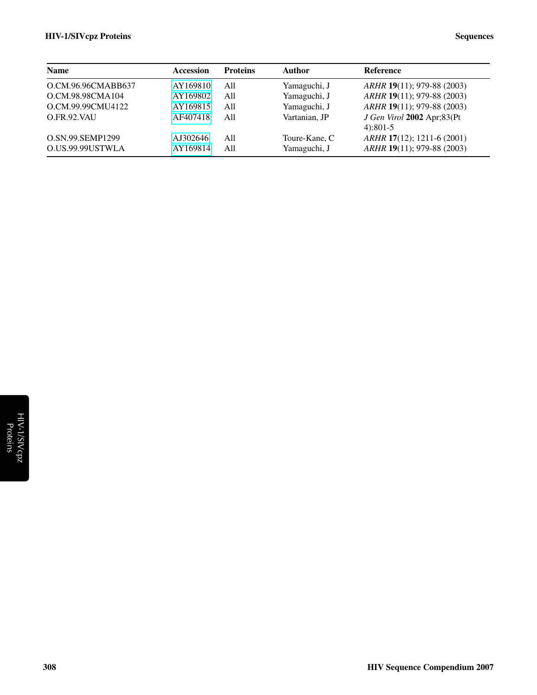#### HIV-1/SIVcpz Proteins Sequences

| <b>Name</b>        | <b>Accession</b> | <b>Proteins</b> | <b>Author</b> | <b>Reference</b>                         |
|--------------------|------------------|-----------------|---------------|------------------------------------------|
| O.CM.96.96CMABB637 | AY169810         | A11             | Yamaguchi, J  | ARHR 19(11); 979-88 (2003)               |
| O.CM.98.98CMA104   | AY169802         | All             | Yamaguchi, J  | ARHR 19(11); 979-88 (2003)               |
| O.CM.99.99CMU4122  | AY169815         | All             | Yamaguchi, J  | ARHR 19(11); 979-88 (2003)               |
| O.FR.92.VAU        | AF407418         | A11             | Vartanian, JP | J Gen Virol 2002 Apr;83(Pt<br>$4):801-5$ |
| O.SN.99.SEMP1299   | AJ302646         | A11             | Toure-Kane, C | ARHR 17(12); 1211-6 (2001)               |
| O.US.99.99USTWLA   | AY169814         | A11             | Yamaguchi, J  | ARHR 19(11); 979-88 (2003)               |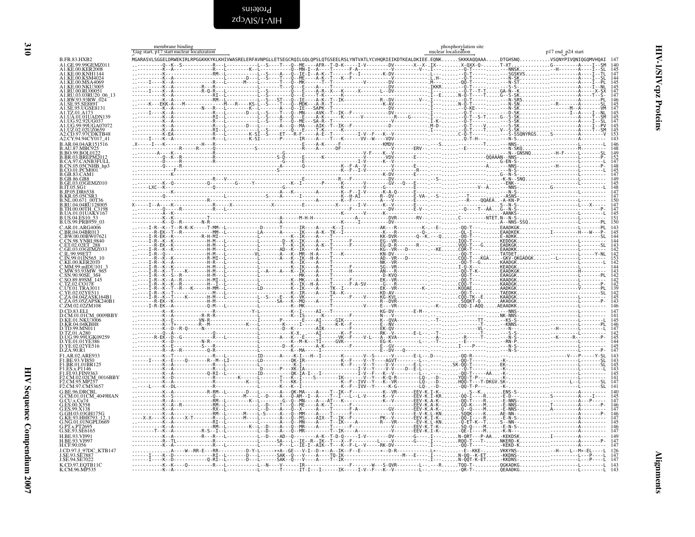<span id="page-9-2"></span>Proteins<br>HIV-1\SIVcpz

<span id="page-9-1"></span><span id="page-9-0"></span>

|                                                       | membrane binding<br>Gag start, p17 start nuclear localization | phosphorylation site<br>nuclear localization                                                                                                                                                                                                                                                                                                                                                                                                                                               | p17 end_p24 start     |
|-------------------------------------------------------|---------------------------------------------------------------|--------------------------------------------------------------------------------------------------------------------------------------------------------------------------------------------------------------------------------------------------------------------------------------------------------------------------------------------------------------------------------------------------------------------------------------------------------------------------------------------|-----------------------|
| <b>B.FR.83.HXB2</b>                                   |                                                               | ${\tt MGAASVLSGGELDRWEKIRLREGKKKYKLKHTVWASRELERFAVNPGLLETSEGCRQILGQLQPSLQTSSELRSLYNTYATLYCVHQRTEIKDTKEALDKITEE. EQNK.SKKAAQAAA. DTGHSNQ VGQNYPIVQNIQGQMVHQAT$                                                                                                                                                                                                                                                                                                                              |                       |
| A1.GE.99.99GEMZ011<br><b>A1 KE 00 KER2008</b>         |                                                               |                                                                                                                                                                                                                                                                                                                                                                                                                                                                                            |                       |
| A1.KE.00.KNH114<br>A1.KE.00.KSM4024                   |                                                               |                                                                                                                                                                                                                                                                                                                                                                                                                                                                                            |                       |
| KE.00.MSA4069.<br>A1.KE.00.NKU3005                    |                                                               |                                                                                                                                                                                                                                                                                                                                                                                                                                                                                            |                       |
| A1.RU.00.RU00051<br>A1.RU.03.03RU20 06 13             |                                                               |                                                                                                                                                                                                                                                                                                                                                                                                                                                                                            |                       |
|                                                       |                                                               |                                                                                                                                                                                                                                                                                                                                                                                                                                                                                            |                       |
| A1.SE.95.SE889T<br>SE.95.UGSE8131.                    |                                                               |                                                                                                                                                                                                                                                                                                                                                                                                                                                                                            |                       |
| A1.TZ.01.A173                                         |                                                               |                                                                                                                                                                                                                                                                                                                                                                                                                                                                                            |                       |
|                                                       |                                                               |                                                                                                                                                                                                                                                                                                                                                                                                                                                                                            |                       |
| A? CD.97.97CDKTB48                                    |                                                               |                                                                                                                                                                                                                                                                                                                                                                                                                                                                                            |                       |
| A2.CY.94.94CY017 41<br>B.AR.04.04AR151516             |                                                               |                                                                                                                                                                                                                                                                                                                                                                                                                                                                                            |                       |
| <b>B.AU.87.MBC925</b><br><b>B.BO.99.BOL0122</b>       |                                                               |                                                                                                                                                                                                                                                                                                                                                                                                                                                                                            |                       |
| B.BR.03.BREPM20                                       |                                                               |                                                                                                                                                                                                                                                                                                                                                                                                                                                                                            |                       |
| B.CA.97.CANB3FULI<br>.CN.05.05CNHB_hp3                |                                                               |                                                                                                                                                                                                                                                                                                                                                                                                                                                                                            |                       |
| CO.01.PCM001<br>GB.83.CAM1.                           |                                                               |                                                                                                                                                                                                                                                                                                                                                                                                                                                                                            |                       |
| GB.86.GB8<br>E.03.03GEMZ010                           |                                                               |                                                                                                                                                                                                                                                                                                                                                                                                                                                                                            |                       |
|                                                       |                                                               |                                                                                                                                                                                                                                                                                                                                                                                                                                                                                            |                       |
|                                                       |                                                               |                                                                                                                                                                                                                                                                                                                                                                                                                                                                                            |                       |
| .RU.04.04RU128005                                     |                                                               |                                                                                                                                                                                                                                                                                                                                                                                                                                                                                            |                       |
| UA.01.01UAKV167                                       |                                                               |                                                                                                                                                                                                                                                                                                                                                                                                                                                                                            |                       |
| B.US.99.PRB959 03                                     |                                                               |                                                                                                                                                                                                                                                                                                                                                                                                                                                                                            |                       |
| C AR 01 ARG4006                                       |                                                               |                                                                                                                                                                                                                                                                                                                                                                                                                                                                                            |                       |
| C.BW.00.00BW07621<br>CN.98.YNRL9840                   |                                                               |                                                                                                                                                                                                                                                                                                                                                                                                                                                                                            |                       |
|                                                       |                                                               |                                                                                                                                                                                                                                                                                                                                                                                                                                                                                            |                       |
| ' IN 99 01IN565                                       |                                                               |                                                                                                                                                                                                                                                                                                                                                                                                                                                                                            |                       |
| KE.00 KER2010                                         |                                                               |                                                                                                                                                                                                                                                                                                                                                                                                                                                                                            |                       |
| MW.93.93MW-965<br>37 SN 909 SN 909                    |                                                               |                                                                                                                                                                                                                                                                                                                                                                                                                                                                                            |                       |
|                                                       |                                                               |                                                                                                                                                                                                                                                                                                                                                                                                                                                                                            |                       |
| C.UY.01.TRA3011                                       |                                                               |                                                                                                                                                                                                                                                                                                                                                                                                                                                                                            |                       |
| YE.02.02YF51                                          |                                                               |                                                                                                                                                                                                                                                                                                                                                                                                                                                                                            |                       |
| C.ZM.02.02ZM108                                       |                                                               |                                                                                                                                                                                                                                                                                                                                                                                                                                                                                            |                       |
| D.CD.83.ELI<br>D.CM.01.01CM 0009BBY                   |                                                               |                                                                                                                                                                                                                                                                                                                                                                                                                                                                                            |                       |
| KE.01.NKU3006                                         |                                                               |                                                                                                                                                                                                                                                                                                                                                                                                                                                                                            |                       |
| D.KR.04.04KBH8<br>D.TD.99.MN011                       |                                                               |                                                                                                                                                                                                                                                                                                                                                                                                                                                                                            |                       |
| Ď.ŤŽ.01.A280<br>D.UG.99.99UGK09259<br>D.YE.01.01YE386 |                                                               |                                                                                                                                                                                                                                                                                                                                                                                                                                                                                            |                       |
| D.YE.02.02YE516<br>D.ZA.90.R1                         |                                                               |                                                                                                                                                                                                                                                                                                                                                                                                                                                                                            |                       |
| F1.AR.02.ARE933                                       |                                                               |                                                                                                                                                                                                                                                                                                                                                                                                                                                                                            |                       |
| .BE.93.VI850<br>F1.BR.01.01BR125                      |                                                               |                                                                                                                                                                                                                                                                                                                                                                                                                                                                                            |                       |
| F1.ES.x.P1146<br>F1.FI.93.FIN936                      |                                                               |                                                                                                                                                                                                                                                                                                                                                                                                                                                                                            |                       |
| F2.CM.02.02CM 0016BBY                                 |                                                               |                                                                                                                                                                                                                                                                                                                                                                                                                                                                                            |                       |
| F2.CM.97.CM53657<br>G.BE.96.DRCBL                     |                                                               |                                                                                                                                                                                                                                                                                                                                                                                                                                                                                            |                       |
| G.CM.01.01CM 4049HAN                                  |                                                               |                                                                                                                                                                                                                                                                                                                                                                                                                                                                                            |                       |
|                                                       |                                                               |                                                                                                                                                                                                                                                                                                                                                                                                                                                                                            |                       |
| .GH.03.03GH175G                                       |                                                               |                                                                                                                                                                                                                                                                                                                                                                                                                                                                                            |                       |
| KE.93.HH8793 12<br>G.NG.01.01NGPL0669                 |                                                               |                                                                                                                                                                                                                                                                                                                                                                                                                                                                                            | - NN - -              |
| <b>PTx PT2695</b><br>G.SE.93.SE6165                   |                                                               |                                                                                                                                                                                                                                                                                                                                                                                                                                                                                            |                       |
| <b>H RE 93 VI991</b>                                  |                                                               |                                                                                                                                                                                                                                                                                                                                                                                                                                                                                            |                       |
| H.CF.90.056                                           |                                                               |                                                                                                                                                                                                                                                                                                                                                                                                                                                                                            |                       |
| LCD.97.J 97DC KTB147                                  |                                                               | $\ldots \underbrace{\begin{array}{c} \lambda_1 \ldots \lambda_{k-1} \ldots \lambda_{k-1} \ldots \lambda_{k-1} \ldots \lambda_{k-1} \ldots \lambda_{k-1} \ldots \lambda_{k-1} \ldots \lambda_{k-1} \ldots \lambda_{k-1} \ldots \lambda_{k-1} \ldots \lambda_{k-1} \ldots \lambda_{k-1} \ldots \lambda_{k-1} \ldots \lambda_{k-1} \ldots \lambda_{k-1} \ldots \lambda_{k-1} \ldots \lambda_{k-1} \ldots \lambda_{k-1} \ldots \lambda_{k-1} \ldots \lambda_{k-1} \ldots \lambda_{k-1} \ldots$ |                       |
| J.SE.94.SE7022                                        |                                                               |                                                                                                                                                                                                                                                                                                                                                                                                                                                                                            |                       |
| K.CD.97.EQTB11C<br>K.CM.96.MP535                      |                                                               |                                                                                                                                                                                                                                                                                                                                                                                                                                                                                            | -QR-T-QEAADKG-------- |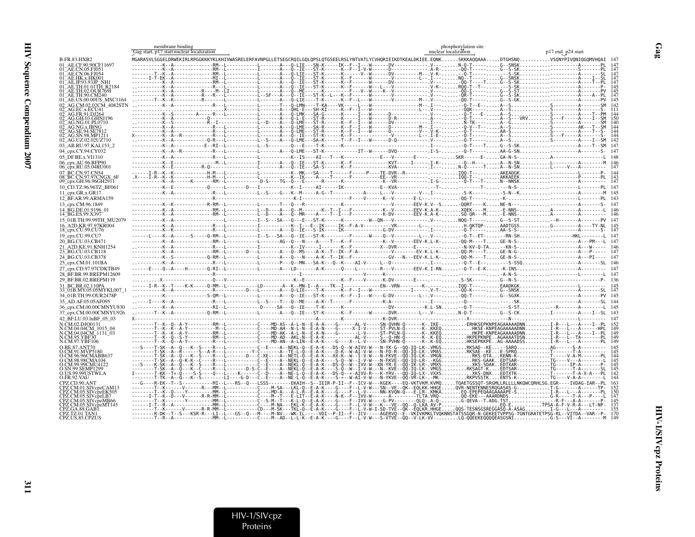|                                                      | membrane binding<br>Gag start, p17 start nuclear localization                                                                                            |  |                                                                                                                                                                                                                       | nuclear localization                            | phosphorylation site |                                                            | p17 end p24 start |  |
|------------------------------------------------------|----------------------------------------------------------------------------------------------------------------------------------------------------------|--|-----------------------------------------------------------------------------------------------------------------------------------------------------------------------------------------------------------------------|-------------------------------------------------|----------------------|------------------------------------------------------------|-------------------|--|
| <b>B.FR.83.HXB2</b>                                  | MGARASVLSGGELDRWEKIRLRPGGKKKYKLKHIVWASRELERFAVNPGLLETSEGCRQILGQLQPSLQTGSEELRSLYNTVATLYCVHQRIEIKDTKEALDKIEE.EQNKSKKKAQQAAADTGHSNQVSQNYPIVQNIQGQMVHQAI 147 |  |                                                                                                                                                                                                                       |                                                 |                      |                                                            |                   |  |
| 01 AE.CF.90.90CF11697                                |                                                                                                                                                          |  |                                                                                                                                                                                                                       |                                                 |                      |                                                            |                   |  |
| 01 AE.CN.05.FJ051<br>01 AE CN 06 FJ054               |                                                                                                                                                          |  |                                                                                                                                                                                                                       |                                                 |                      |                                                            |                   |  |
| 01_AE.HK.x.HK001                                     |                                                                                                                                                          |  |                                                                                                                                                                                                                       |                                                 |                      |                                                            |                   |  |
|                                                      |                                                                                                                                                          |  |                                                                                                                                                                                                                       |                                                 |                      |                                                            |                   |  |
| 01 AE.TH.02.OUR769I                                  |                                                                                                                                                          |  |                                                                                                                                                                                                                       |                                                 |                      |                                                            |                   |  |
| 01 AE.TH.90.CM240                                    |                                                                                                                                                          |  |                                                                                                                                                                                                                       |                                                 |                      |                                                            |                   |  |
| 01 AE.US.00.00US MSC1164<br>02 AG.CM.02.02CM 4082STN |                                                                                                                                                          |  |                                                                                                                                                                                                                       |                                                 |                      |                                                            |                   |  |
|                                                      |                                                                                                                                                          |  |                                                                                                                                                                                                                       | T---W--------------------L-- .V--- --OOK-----A- |                      |                                                            |                   |  |
| AG GH 03 GHN1196                                     |                                                                                                                                                          |  |                                                                                                                                                                                                                       |                                                 |                      |                                                            |                   |  |
|                                                      |                                                                                                                                                          |  |                                                                                                                                                                                                                       |                                                 |                      |                                                            |                   |  |
|                                                      |                                                                                                                                                          |  |                                                                                                                                                                                                                       |                                                 |                      |                                                            |                   |  |
|                                                      |                                                                                                                                                          |  |                                                                                                                                                                                                                       |                                                 |                      |                                                            |                   |  |
| 02_AG.UZ.02.02UZ710                                  |                                                                                                                                                          |  |                                                                                                                                                                                                                       |                                                 |                      |                                                            |                   |  |
| 03 AB.RU.97.KAL153 2<br>04_cpx.CY.94.CY032           |                                                                                                                                                          |  | -R---L-----------L-------A---O-LME---ST-K-------------IT--W------DVQ------------.I-S---Q-T------AA-G-SN                                                                                                               |                                                 |                      |                                                            |                   |  |
| 05 DF.BE.x.VI1310                                    |                                                                                                                                                          |  |                                                                                                                                                                                                                       |                                                 |                      |                                                            |                   |  |
| 06_cpx.AU.96.BFP90                                   |                                                                                                                                                          |  | ----M--L-----------I-------A---O--IE---ST-K------K--F-------------KVT-----I-----. I-K---0--H---A--N-SNL------------A---------M 146                                                                                    |                                                 |                      |                                                            |                   |  |
| 06_cpx.RU.05.04RU001                                 |                                                                                                                                                          |  |                                                                                                                                                                                                                       |                                                 |                      |                                                            |                   |  |
| 07 BC.CN.97.CN54<br>08 BC.CN.97.97CNGX 6F            |                                                                                                                                                          |  |                                                                                                                                                                                                                       |                                                 |                      |                                                            |                   |  |
| 09_срх.GH.96.96GH2911                                |                                                                                                                                                          |  |                                                                                                                                                                                                                       |                                                 |                      |                                                            |                   |  |
| 10 CD.TZ.96.96TZ BF061                               |                                                                                                                                                          |  |                                                                                                                                                                                                                       |                                                 |                      |                                                            |                   |  |
| 11 cpx.GR.x.GR17                                     |                                                                                                                                                          |  |                                                                                                                                                                                                                       |                                                 |                      |                                                            |                   |  |
| 12 BF.AR.99.ARMA159                                  |                                                                                                                                                          |  |                                                                                                                                                                                                                       |                                                 |                      |                                                            |                   |  |
| 13_cpx.CM.96.1849<br>14 BG.DE.01.9196 01             |                                                                                                                                                          |  |                                                                                                                                                                                                                       |                                                 |                      |                                                            |                   |  |
| 14 BG.ES.99.X397                                     |                                                                                                                                                          |  |                                                                                                                                                                                                                       |                                                 |                      |                                                            |                   |  |
| 15 01B.TH.99.99TH MU2079                             |                                                                                                                                                          |  |                                                                                                                                                                                                                       |                                                 |                      |                                                            |                   |  |
| 16 A2D.KR.97.97KR004                                 |                                                                                                                                                          |  |                                                                                                                                                                                                                       |                                                 |                      |                                                            |                   |  |
| 18_cpx.CU.99.CU76                                    | ------L----K--A------S-----Q-RM--L-----------I--S---SA---Q--IE---ST-K---------F-----W----Q--V--------L--.V-------Q-T--ET---RN-SH---------HKL--------L    |  |                                                                                                                                                                                                                       |                                                 |                      |                                                            |                   |  |
| 19 cpx.CU.99.CU7<br>20 BG.CU.03.CB471                | -----------K--A--------------RM--L-----------L-------AG--Q---N----A---T---K--F------------K--V-------EEV-K.L-K--00-M----TGE-N-S----------A---PM---L 147  |  |                                                                                                                                                                                                                       |                                                 |                      |                                                            |                   |  |
| 21 A2D.KE.91.KNH1254                                 |                                                                                                                                                          |  |                                                                                                                                                                                                                       |                                                 |                      |                                                            |                   |  |
| 23 BG.CU.03.CB118                                    |                                                                                                                                                          |  |                                                                                                                                                                                                                       |                                                 |                      |                                                            |                   |  |
| 24_BG.CU.03.CB378                                    |                                                                                                                                                          |  |                                                                                                                                                                                                                       |                                                 |                      |                                                            |                   |  |
| 25 cpx.CM.01.101BA                                   | ------E----Q--A----H-------Q-RI--L----------L-------A---LD-------A-K-----Q----L--------R---V-------EEV-K.I-RN-Q-T--E-KK-INS----------A                   |  |                                                                                                                                                                                                                       |                                                 |                      |                                                            |                   |  |
| 27_cpx.CD.97.97CDKTB49<br>28 BF.BR.99.BREPM12609     |                                                                                                                                                          |  |                                                                                                                                                                                                                       |                                                 |                      |                                                            |                   |  |
| 29 BF.BR.02.BREPM119                                 |                                                                                                                                                          |  |                                                                                                                                                                                                                       |                                                 |                      |                                                            |                   |  |
| 31_BC.BR.02.110PA                                    |                                                                                                                                                          |  |                                                                                                                                                                                                                       |                                                 |                      |                                                            |                   |  |
| 33 01B.MY.05.05MYKL007                               |                                                                                                                                                          |  |                                                                                                                                                                                                                       |                                                 |                      |                                                            |                   |  |
| 34 01B.TH.99.OUR2478P                                |                                                                                                                                                          |  | -------------S-0M--L-----------L-------A---0--IE---ST-K------K--F--I---W----G-DV--------L--.V----00-T-----G--SGXK-------------A-----PV 145                                                                            |                                                 |                      |                                                            |                   |  |
| 35_AD.AF.05.05AF095<br>36_cpx.CM.00.00CMNYU830       |                                                                                                                                                          |  |                                                                                                                                                                                                                       |                                                 |                      |                                                            |                   |  |
| 37 cpx.CM.00.00CMNYU926                              | ---T--K--A-------------0-RM--L-----------L------A---Q--IE---ST-K------K--F---------DVR-------L--. V-N-Q-T-----G--S-CKI-----------A----I--SL 143          |  |                                                                                                                                                                                                                       |                                                 |                      |                                                            |                   |  |
| 42 BF.LU.03.luBF 05 03                               |                                                                                                                                                          |  |                                                                                                                                                                                                                       |                                                 |                      |                                                            |                   |  |
| N.CM.02.DJO0131                                      |                                                                                                                                                          |  |                                                                                                                                                                                                                       |                                                 |                      |                                                            |                   |  |
| N.CM.04.04CM_1015_04<br>N.CM.04.04CM_1131_03         |                                                                                                                                                          |  |                                                                                                                                                                                                                       |                                                 |                      |                                                            |                   |  |
| N.CM.95.YBF30                                        |                                                                                                                                                          |  |                                                                                                                                                                                                                       |                                                 |                      |                                                            |                   |  |
| N.CM.97.YBF106                                       |                                                                                                                                                          |  | -------C--E----A--NEKL-Q--E-A-K---DS-Q--W-AIVV-W---N-YK-G--0Q-IQ-LK-,VMGSRKSAD--KE-SARQAG-                                                                                                                            |                                                 |                      |                                                            |                   |  |
| O.BE.87.ANT70<br>CM 91 MVP5180                       |                                                                                                                                                          |  |                                                                                                                                                                                                                       |                                                 |                      |                                                            |                   |  |
|                                                      |                                                                                                                                                          |  | --------Y-C------A--TE-L-Q--E-A-K----D-K--W-AI-V-W---N-FD-R--QQ-IQ-LK-.VMASRKSAE--KEE-SPRQ<br>------D---C-XE----A--NETL-Q--E-A-K---XX-K--W--I-V-W---N-FKVE--QQ-IQ-LK-.VMGNRKSAE--KEE-SPRQ<br>                         |                                                 |                      |                                                            |                   |  |
| CM.99.99CMU4122                                      |                                                                                                                                                          |  |                                                                                                                                                                                                                       |                                                 |                      |                                                            |                   |  |
| O.SN.99.SEMP1299                                     |                                                                                                                                                          |  |                                                                                                                                                                                                                       |                                                 |                      |                                                            |                   |  |
| O.US.99.99USTWLA<br>O.FR.92.VAU                      |                                                                                                                                                          |  | ----Q---L----K-----C--D----A--NE-L-Q--E-A-K---DS-Q--*-AIVV-R---K-YRV---QQ-IQ-LX-.VXXSXKS-DNXEDTXTK-<br>-------LI----G-D---C--E----A--NE-L-Q--E-A-K----S-*--W-AI-V-W---N-YKVE--QQ-VR-LK--MK-RKPVSSTKENTS-K-TG----V-A-A |                                                 |                      |                                                            |                   |  |
| CPZ.CD.90.ANT                                        |                                                                                                                                                          |  | -------MI--L---RS--O---LSSS--------EKAIH--S--IEIR-P-II--F--ICV-W---KGEK----EO-VKTVKM.KVMOTOAETGSSOT-SRGMLLRLLLLNKOWCORHLSG.EGR----IVDAG-IAR--PL                                                                       |                                                 |                      |                                                            |                   |  |
| PZ.CM.01.SIVcnzCAM13<br>CPZ.CM.05.SIVcp̃zEK505       |                                                                                                                                                          |  | -A-K----G----F--L-V-W---SN--VE--QK--EQLKK.HHGEQVR-NENTENNESRQGASAS-GT-G-------A-----                                                                                                                                  |                                                 |                      | .F--L-V-----NN-KVQN-Q---E-LR-.KMKAEQ-EPEPEQAAGAAAAPE-S     |                   |  |
| CPZ.CM.05.SIVcpzLB7                                  |                                                                                                                                                          |  | --E-LIT--E-A-K----N-K--F--IVV-W------A--------TLTA.VRQ-QQ-EKE---AAARDNDS                                                                                                                                              |                                                 |                      |                                                            |                   |  |
| PZ.CM.05.SIVcpzMB66<br>CM.05.SIVcpzMT145             |                                                                                                                                                          |  |                                                                                                                                                                                                                       |                                                 |                      | - F--IVV-W----G-PV--------QLQ-.A-Q-G-QEVA--T.ADG.TST--R-F- |                   |  |
|                                                      |                                                                                                                                                          |  |                                                                                                                                                                                                                       |                                                 |                      |                                                            |                   |  |
| CPZ.TZ.01.TAN1<br>CPZ.US.85.CPZUS                    |                                                                                                                                                          |  | -L-----------C----M--AD--L-L-K--E-A-K----G----F--L-V-W---S-VTVÈ--QQ--V-LK-VV-LQ-QQEEKEQQQQEASGSNIG-S---VI--A----                                                                                                      |                                                 |                      |                                                            |                   |  |
|                                                      |                                                                                                                                                          |  |                                                                                                                                                                                                                       |                                                 |                      |                                                            |                   |  |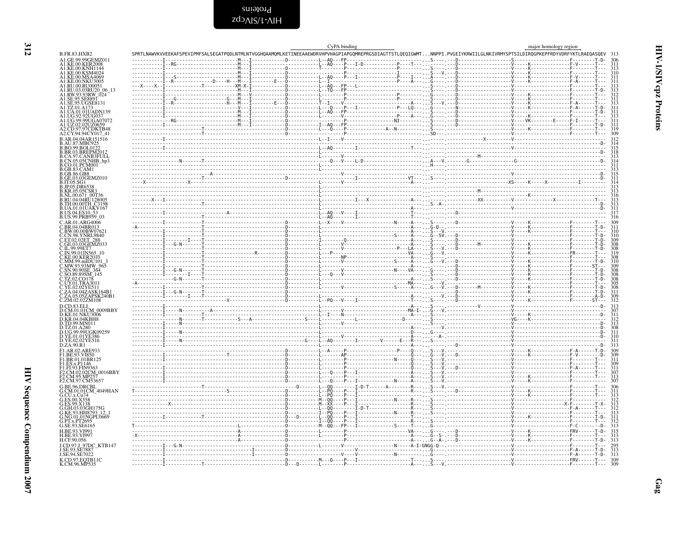<span id="page-11-0"></span>Proteins<br>HIV-1∖SIVcpz

| ۰.<br>× |  |
|---------|--|
|         |  |
| ٧<br>., |  |
|         |  |

|                                                                  | SPRTLNAWVKVVEEKAFSPEVIPMFSALSEGATPODLNTMLNTVGGHOAAMOMLKETINEEAAEWDRVHPVHAGPIAPGOMREPRGSDIAGTTSTLOEOIGWMTNNPPI.PVGEIYKRWIILGLNKIVRMYSPTSILDIROGPKEPFRDYVDRFYKTLRAEOASOEV 313 | CvPA binding |  | major homology region |  |
|------------------------------------------------------------------|-----------------------------------------------------------------------------------------------------------------------------------------------------------------------------|--------------|--|-----------------------|--|
| A1.GE.99.99GEMZ011                                               |                                                                                                                                                                             |              |  |                       |  |
| A1.KE.00.KER2008<br>A1.KE.00.KNH1144                             |                                                                                                                                                                             |              |  |                       |  |
| A1.KE.00.KSM4024<br>A1.KE.00.MSA4069                             |                                                                                                                                                                             |              |  |                       |  |
| A1.KE.00.NKU3005                                                 |                                                                                                                                                                             |              |  |                       |  |
| A1.RU.00.RU00051<br>A1.RU.03.03RU20_06_13                        |                                                                                                                                                                             |              |  |                       |  |
| A1.RW.93.93RW 024<br>A1.SE.95.SE8891                             |                                                                                                                                                                             |              |  |                       |  |
| A1.SE.95.UGSE8131                                                |                                                                                                                                                                             |              |  |                       |  |
| A1.UA.01.01UADN139                                               |                                                                                                                                                                             |              |  |                       |  |
| A1.UG.92.92UG037<br>A1.UG.99.99UGA07072                          |                                                                                                                                                                             |              |  |                       |  |
| A1.UZ.02.02UZ0659                                                |                                                                                                                                                                             |              |  |                       |  |
| A2.CD.97.97CDKTB48<br>A2.CY.94.94CY017_41                        |                                                                                                                                                                             |              |  |                       |  |
| B.AR.04.04AR151516                                               |                                                                                                                                                                             |              |  |                       |  |
| <b>B.AU.87.MBC925</b><br><b>B.BO.99.BOL0122</b>                  |                                                                                                                                                                             |              |  |                       |  |
| <b>B.BR.03.BREPM201</b><br><b>B.CA.97.CANB3FULL</b>              |                                                                                                                                                                             |              |  |                       |  |
| B.CN.05.05CNHB_hp3                                               |                                                                                                                                                                             |              |  |                       |  |
| B.CO.01.PCM001                                                   |                                                                                                                                                                             |              |  |                       |  |
|                                                                  |                                                                                                                                                                             |              |  |                       |  |
| B.GE.03.03GEMZ010                                                |                                                                                                                                                                             |              |  |                       |  |
| B.KR.05.05CSR3                                                   |                                                                                                                                                                             |              |  |                       |  |
| B.NL.00.671 00T36                                                |                                                                                                                                                                             |              |  |                       |  |
| B.RU.04.04RU128005<br>B.TH.00.00TH C3198                         |                                                                                                                                                                             |              |  |                       |  |
| B.UA.01.01UAKV167<br>B.US.04.ES10 53                             |                                                                                                                                                                             |              |  |                       |  |
| B.US.99.PRB959_03                                                |                                                                                                                                                                             |              |  |                       |  |
| C.AR.01.ARG4006<br>C.BR.04.04BR013                               |                                                                                                                                                                             |              |  |                       |  |
| C.BW.00.00BW07621<br>C.CN.98.YNRL9840                            |                                                                                                                                                                             |              |  |                       |  |
|                                                                  |                                                                                                                                                                             |              |  |                       |  |
| C.ET.02.02ET_288<br>C.GE.03.03GEMZ033                            |                                                                                                                                                                             |              |  |                       |  |
| C.IN.99.01IN565 10                                               |                                                                                                                                                                             |              |  |                       |  |
| C.KE.00.KER2010<br>C.MM.99.mIDU101                               |                                                                                                                                                                             |              |  |                       |  |
|                                                                  |                                                                                                                                                                             |              |  |                       |  |
| C.MW.93.93MW_965<br>C.SN.90.90SE_364<br>C.SQ.89.89SM_145         |                                                                                                                                                                             |              |  |                       |  |
|                                                                  |                                                                                                                                                                             |              |  |                       |  |
| C.UY.01.TRA3011<br>C.YE.02.02YE511                               |                                                                                                                                                                             |              |  |                       |  |
| C.ZA.04.04ZASK164B1<br>C.ZA.05.05ZAPSK240B1                      |                                                                                                                                                                             |              |  |                       |  |
| C.ZM.02.02ZM108                                                  |                                                                                                                                                                             |              |  |                       |  |
| D.CM.01.01CM 0009BBY                                             |                                                                                                                                                                             |              |  |                       |  |
| D.KE.01.NKU3006                                                  |                                                                                                                                                                             |              |  |                       |  |
| D.KR.04.04KBH8<br>D.TD.99.MN011                                  |                                                                                                                                                                             |              |  |                       |  |
| D.UG.99.99UGK09259                                               |                                                                                                                                                                             |              |  |                       |  |
| D.YE.01.01YE386                                                  |                                                                                                                                                                             |              |  |                       |  |
| D.YE.02.02YE516                                                  |                                                                                                                                                                             |              |  |                       |  |
| F1.AR.02.ARE933                                                  |                                                                                                                                                                             |              |  |                       |  |
| F1.BR.01.01BR125                                                 |                                                                                                                                                                             |              |  |                       |  |
| F1.ES.x.P1146<br>F1.FI.93.FIN9363                                |                                                                                                                                                                             |              |  |                       |  |
| F2.CM.02.02CM 0016BBY<br>F <sub>2</sub> .CM.95.MP <sub>257</sub> |                                                                                                                                                                             |              |  |                       |  |
| F2.CM.97.CM53657                                                 |                                                                                                                                                                             |              |  |                       |  |
| G.BE.96.DRCBL                                                    |                                                                                                                                                                             |              |  |                       |  |
| G.CM.01.01CM_4049HAN                                             |                                                                                                                                                                             |              |  |                       |  |
|                                                                  |                                                                                                                                                                             |              |  |                       |  |
| G.GH.03.03GH175G                                                 |                                                                                                                                                                             |              |  |                       |  |
| G.KE.93.HH8793 12                                                |                                                                                                                                                                             |              |  |                       |  |
| G.NG.01.01NGPL0669                                               |                                                                                                                                                                             |              |  |                       |  |
|                                                                  |                                                                                                                                                                             |              |  |                       |  |
|                                                                  |                                                                                                                                                                             |              |  |                       |  |
|                                                                  |                                                                                                                                                                             |              |  |                       |  |
| LCD.97.J 97DC KTB147                                             |                                                                                                                                                                             |              |  |                       |  |
|                                                                  |                                                                                                                                                                             |              |  |                       |  |
| K.CD.97.EQTB11C<br>K.CM.96.MP535                                 |                                                                                                                                                                             |              |  |                       |  |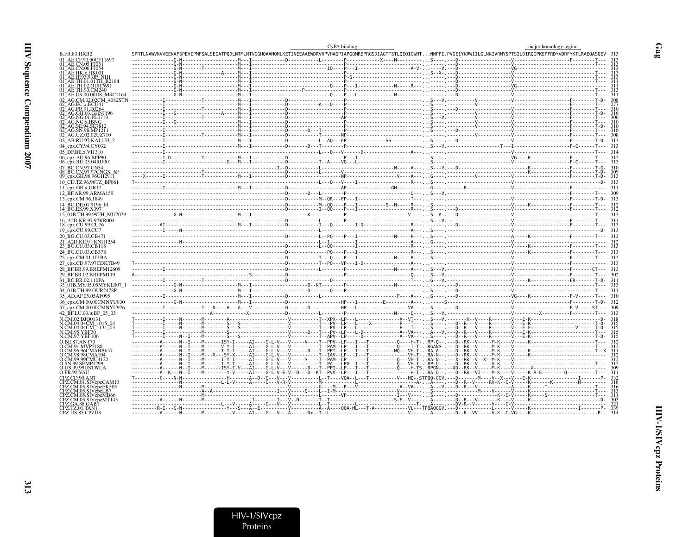|                                                    |                                                                                                                                                                                                                                                                                                                                                                                                                                  | CvPA binding | major homology region |  |
|----------------------------------------------------|----------------------------------------------------------------------------------------------------------------------------------------------------------------------------------------------------------------------------------------------------------------------------------------------------------------------------------------------------------------------------------------------------------------------------------|--------------|-----------------------|--|
| 3.FR.83.HXB2                                       | SPRTLNAWVKVVEEKAFSPEVIPMFSALSEGATPODLNTMLNTVGGHOAAMOMLKETINEEAAEWDRVHPVHAGPIAPGOMREPRGSDIAGTTSTLOEOIGWMTNNPPI.PVGEIYKRWIILGLNKIVRMYSPTSILDIROGPKEPFRDYVDRFYKTLRAEOASOEV                                                                                                                                                                                                                                                          |              |                       |  |
| 01 AE.CF.90.90CF11697<br>AE.CN.05.FJ05             |                                                                                                                                                                                                                                                                                                                                                                                                                                  |              |                       |  |
| AE.CN.06.FJ054                                     |                                                                                                                                                                                                                                                                                                                                                                                                                                  |              |                       |  |
| AE.HK.x.HK001<br>)1 <sup>-</sup> AE.JP.93.93JP NH1 |                                                                                                                                                                                                                                                                                                                                                                                                                                  |              |                       |  |
| -AE.TH.01.01TH R2184                               |                                                                                                                                                                                                                                                                                                                                                                                                                                  |              |                       |  |
|                                                    |                                                                                                                                                                                                                                                                                                                                                                                                                                  |              |                       |  |
| AE.US.00.00US MSC1164<br>AG.CM.02.02CM 4082STN     |                                                                                                                                                                                                                                                                                                                                                                                                                                  |              |                       |  |
|                                                    |                                                                                                                                                                                                                                                                                                                                                                                                                                  |              |                       |  |
| AG.FR.91.DJ264<br>AG.GH.03.GHNJ196                 |                                                                                                                                                                                                                                                                                                                                                                                                                                  |              |                       |  |
| AG.NG.01.PL0710<br>AG NG x IRNG                    |                                                                                                                                                                                                                                                                                                                                                                                                                                  |              |                       |  |
| AG.SE.94.SE781                                     |                                                                                                                                                                                                                                                                                                                                                                                                                                  |              |                       |  |
| AG.SN.98.MP121<br>)2_AG.UZ.02.02UZ710              |                                                                                                                                                                                                                                                                                                                                                                                                                                  |              |                       |  |
| )3 AB.RU.97.KAL153 2                               |                                                                                                                                                                                                                                                                                                                                                                                                                                  |              |                       |  |
| 04 cpx.CY.94.CY032                                 |                                                                                                                                                                                                                                                                                                                                                                                                                                  |              |                       |  |
| 05 DF.BE.x.VI1310                                  |                                                                                                                                                                                                                                                                                                                                                                                                                                  |              |                       |  |
| 06 cpx.AU.96.BFP90<br>06_cpx.RU.05.04RU001         |                                                                                                                                                                                                                                                                                                                                                                                                                                  |              |                       |  |
| 07 BC.CN.97.CN54                                   |                                                                                                                                                                                                                                                                                                                                                                                                                                  |              |                       |  |
| 08 BC.CN.97.97CNGX 6F<br>09 cpx.GH.96.96GH2911     |                                                                                                                                                                                                                                                                                                                                                                                                                                  |              |                       |  |
| 10 CD.TZ.96.96TZ BF061                             |                                                                                                                                                                                                                                                                                                                                                                                                                                  |              |                       |  |
| 11 cpx.GR.x.GR17                                   |                                                                                                                                                                                                                                                                                                                                                                                                                                  |              |                       |  |
| 12_BF.AR.99.ARMA159<br>13 cpx.CM.96.1849           |                                                                                                                                                                                                                                                                                                                                                                                                                                  |              |                       |  |
| 14 BG.DE.01.9196 01                                |                                                                                                                                                                                                                                                                                                                                                                                                                                  |              |                       |  |
| 14 BG.ES.99.X397                                   |                                                                                                                                                                                                                                                                                                                                                                                                                                  |              |                       |  |
| 15 01B.TH.99.99TH MU2079<br>16 A2D.KR.97.97KR004   |                                                                                                                                                                                                                                                                                                                                                                                                                                  |              |                       |  |
| 18_cpx.CU.99.CU76                                  |                                                                                                                                                                                                                                                                                                                                                                                                                                  |              |                       |  |
| 19 cpx.CU.99.CU7                                   |                                                                                                                                                                                                                                                                                                                                                                                                                                  |              |                       |  |
| 20 BG.CU.03.CB471<br>21 A2D.KE.91.KNH1254          |                                                                                                                                                                                                                                                                                                                                                                                                                                  |              |                       |  |
| 23 BG.CU.03.CB118                                  |                                                                                                                                                                                                                                                                                                                                                                                                                                  |              |                       |  |
| 24 BG.CU.03.CB378                                  |                                                                                                                                                                                                                                                                                                                                                                                                                                  |              |                       |  |
| 25 срх.СМ.01.101ВА<br>27 cpx.CD.97.97CDKTB49       |                                                                                                                                                                                                                                                                                                                                                                                                                                  |              |                       |  |
| 28 BF.BR.99.BREPM12609                             |                                                                                                                                                                                                                                                                                                                                                                                                                                  |              |                       |  |
| 29 BF.BR.02.BREPM119                               |                                                                                                                                                                                                                                                                                                                                                                                                                                  |              |                       |  |
| 1 BC.BR.02.110PA<br>3701B.MY.05.05MYKL007          |                                                                                                                                                                                                                                                                                                                                                                                                                                  |              |                       |  |
| 34 01B.TH.99.OUR2478P                              |                                                                                                                                                                                                                                                                                                                                                                                                                                  |              |                       |  |
| 35 AD.AF.05.05AF095                                |                                                                                                                                                                                                                                                                                                                                                                                                                                  |              |                       |  |
| 36 cpx.CM.00.00CMNYU830                            |                                                                                                                                                                                                                                                                                                                                                                                                                                  |              |                       |  |
| 37 cpx.CM.00.00CMNYU926<br>42 BF.LU.03.luBF 05 03  |                                                                                                                                                                                                                                                                                                                                                                                                                                  |              |                       |  |
| N.CM.02.DJO0131                                    | $\begin{bmatrix} \textbf{1} & \textbf{1} & \textbf{1} & \textbf{1} & \textbf{1} & \textbf{1} & \textbf{1} & \textbf{1} & \textbf{1} & \textbf{1} & \textbf{1} & \textbf{1} & \textbf{1} & \textbf{1} & \textbf{1} & \textbf{1} & \textbf{1} & \textbf{1} & \textbf{1} & \textbf{1} & \textbf{1} & \textbf{1} & \textbf{1} & \textbf{1} & \textbf{1} & \textbf{1} & \textbf{1} & \textbf{1} & \textbf{1} & \textbf{1} & \textbf{$ |              |                       |  |
| LCM.04.04CM_1015_04<br>LCM.04.04CM_1131_03         |                                                                                                                                                                                                                                                                                                                                                                                                                                  |              |                       |  |
| N.CM.95.YBF30                                      |                                                                                                                                                                                                                                                                                                                                                                                                                                  |              |                       |  |
| N.CM.97.YBF106<br>) BE 87 ANT70                    |                                                                                                                                                                                                                                                                                                                                                                                                                                  |              |                       |  |
|                                                    |                                                                                                                                                                                                                                                                                                                                                                                                                                  |              |                       |  |
| CM.98.98CMA104                                     |                                                                                                                                                                                                                                                                                                                                                                                                                                  |              |                       |  |
| CM.99.99CMU4122                                    |                                                                                                                                                                                                                                                                                                                                                                                                                                  |              |                       |  |
| SN 99.SEMP1299<br><b>).US.99.99USTWLA</b>          |                                                                                                                                                                                                                                                                                                                                                                                                                                  |              |                       |  |
| D.FR.92.VAU                                        | ----------A--K---N--I----M--------Y-V-----AI----G-L-V-E-V--D---D--KT--PVV--LP---I---T----T-----------H-T--RA-Q------D-RK--VI----M-K----V-----K-R-E--------Q---------T---                                                                                                                                                                                                                                                         |              |                       |  |
| CPZ.CD.90.ANT<br>CPZ.CM.01.SIVcpzCAM13             |                                                                                                                                                                                                                                                                                                                                                                                                                                  |              |                       |  |
| PZ.CM.05.SIVcpzLB7                                 |                                                                                                                                                                                                                                                                                                                                                                                                                                  |              |                       |  |
| PZ.CM.05.SIVcpzMB66                                |                                                                                                                                                                                                                                                                                                                                                                                                                                  |              |                       |  |
| PZ.CM.05.SIVcpzMT145                               |                                                                                                                                                                                                                                                                                                                                                                                                                                  |              |                       |  |
| 2PZ.TZ.01.TAN1<br>CPZ.US.85.CPZUS                  |                                                                                                                                                                                                                                                                                                                                                                                                                                  |              |                       |  |
|                                                    |                                                                                                                                                                                                                                                                                                                                                                                                                                  |              |                       |  |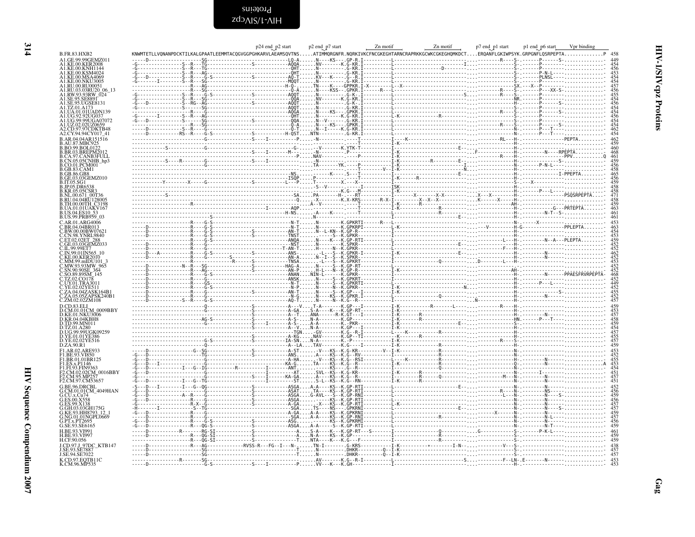<span id="page-13-0"></span>Proteins<br>HIV-1∖SIVcpz

|                                                                                    |                                                                                                                                                                                                                                                                                                                                                      | p24 end p2 start | p2 end_p7 start | Zn motif | Zn motif | p7 end_p1 start | p1 end_p6 start_<br>Vpr binding |
|------------------------------------------------------------------------------------|------------------------------------------------------------------------------------------------------------------------------------------------------------------------------------------------------------------------------------------------------------------------------------------------------------------------------------------------------|------------------|-----------------|----------|----------|-----------------|---------------------------------|
| <b>B.FR.83.HXB2</b><br>A1.GE.99.99GEMZ011                                          |                                                                                                                                                                                                                                                                                                                                                      |                  |                 |          |          |                 |                                 |
| A <sub>1</sub> KE 00 KER 2008                                                      |                                                                                                                                                                                                                                                                                                                                                      |                  |                 |          |          |                 |                                 |
| A1.KE.00.KNH1144                                                                   |                                                                                                                                                                                                                                                                                                                                                      |                  |                 |          |          |                 |                                 |
| A1.KE.00.MSA4069                                                                   |                                                                                                                                                                                                                                                                                                                                                      |                  |                 |          |          |                 |                                 |
| A1.KE.00.NKU3005<br>A1.RU.00.RU00051<br>A1.RU.03.03RU20_06_13<br>A1.RW.93.93RW_024 |                                                                                                                                                                                                                                                                                                                                                      |                  |                 |          |          |                 |                                 |
|                                                                                    |                                                                                                                                                                                                                                                                                                                                                      |                  |                 |          |          |                 |                                 |
| <b>A1.SE.95.SE8891</b><br>41.SE.95.UGSE8131                                        |                                                                                                                                                                                                                                                                                                                                                      |                  |                 |          |          |                 |                                 |
| A1.TZ.01.A173                                                                      |                                                                                                                                                                                                                                                                                                                                                      |                  |                 |          |          |                 |                                 |
|                                                                                    |                                                                                                                                                                                                                                                                                                                                                      |                  |                 |          |          |                 |                                 |
|                                                                                    |                                                                                                                                                                                                                                                                                                                                                      |                  |                 |          |          |                 |                                 |
| .CD.97.97CDKTB48                                                                   |                                                                                                                                                                                                                                                                                                                                                      |                  |                 |          |          |                 |                                 |
|                                                                                    |                                                                                                                                                                                                                                                                                                                                                      |                  |                 |          |          |                 |                                 |
|                                                                                    |                                                                                                                                                                                                                                                                                                                                                      |                  |                 |          |          |                 |                                 |
|                                                                                    |                                                                                                                                                                                                                                                                                                                                                      |                  |                 |          |          |                 |                                 |
|                                                                                    |                                                                                                                                                                                                                                                                                                                                                      |                  |                 |          |          |                 |                                 |
| 3.CO.01.PCM001                                                                     |                                                                                                                                                                                                                                                                                                                                                      |                  |                 |          |          |                 |                                 |
| <b>B.GB.83.CAM1</b>                                                                |                                                                                                                                                                                                                                                                                                                                                      |                  |                 |          |          |                 |                                 |
| GE.03.03GEMZ010                                                                    |                                                                                                                                                                                                                                                                                                                                                      |                  |                 |          |          |                 |                                 |
| 3.JP.05.DR65                                                                       |                                                                                                                                                                                                                                                                                                                                                      |                  |                 |          |          |                 |                                 |
| B.NL.00.671_00T36                                                                  |                                                                                                                                                                                                                                                                                                                                                      |                  |                 |          |          |                 |                                 |
| B.RU.04.04RU128005                                                                 |                                                                                                                                                                                                                                                                                                                                                      |                  |                 |          |          |                 |                                 |
| B.TH.00.00TH C3198                                                                 |                                                                                                                                                                                                                                                                                                                                                      |                  |                 |          |          |                 |                                 |
| B.US.99.PRB959_03                                                                  |                                                                                                                                                                                                                                                                                                                                                      |                  |                 |          |          |                 |                                 |
|                                                                                    | $\frac{1}{1}$<br>$\frac{1}{1}$<br>$\frac{1}{1}$<br>$\frac{1}{1}$<br>$\frac{1}{1}$<br>$\frac{1}{1}$<br>$\frac{1}{1}$<br>$\frac{1}{1}$<br>$\frac{1}{1}$<br>$\frac{1}{1}$<br>$\frac{1}{1}$<br>$\frac{1}{1}$<br>$\frac{1}{1}$<br>$\frac{1}{1}$<br>$\frac{1}{1}$<br>$\frac{1}{1}$<br>$\frac{1}{1}$<br>$\frac{1}{1}$<br>$\frac{1}{1}$<br>$\frac{1}{1}$<br> |                  |                 |          |          |                 |                                 |
|                                                                                    |                                                                                                                                                                                                                                                                                                                                                      |                  |                 |          |          |                 |                                 |
|                                                                                    |                                                                                                                                                                                                                                                                                                                                                      |                  |                 |          |          |                 |                                 |
|                                                                                    |                                                                                                                                                                                                                                                                                                                                                      |                  |                 |          |          |                 |                                 |
|                                                                                    |                                                                                                                                                                                                                                                                                                                                                      |                  |                 |          |          |                 |                                 |
| KE.00.KER2010                                                                      |                                                                                                                                                                                                                                                                                                                                                      |                  |                 |          |          |                 |                                 |
| AM.99.mIDU101<br>MW.93.93MW 965                                                    |                                                                                                                                                                                                                                                                                                                                                      |                  |                 |          |          |                 |                                 |
|                                                                                    |                                                                                                                                                                                                                                                                                                                                                      |                  |                 |          |          |                 |                                 |
| .TZ.02.CO178                                                                       |                                                                                                                                                                                                                                                                                                                                                      |                  |                 |          |          |                 |                                 |
| C.UY.01.TRA3011                                                                    |                                                                                                                                                                                                                                                                                                                                                      |                  |                 |          |          |                 |                                 |
| ZA.04.04ZASK164B1                                                                  |                                                                                                                                                                                                                                                                                                                                                      |                  |                 |          |          |                 |                                 |
| ZA.05.05ZAPSK240B1<br>C.ZM.02.02ZM108                                              |                                                                                                                                                                                                                                                                                                                                                      |                  |                 |          |          |                 |                                 |
|                                                                                    |                                                                                                                                                                                                                                                                                                                                                      |                  |                 |          |          |                 |                                 |
| D.CM.01.01CM_0009BBY                                                               |                                                                                                                                                                                                                                                                                                                                                      |                  |                 |          |          |                 |                                 |
| TD.99.MN011                                                                        |                                                                                                                                                                                                                                                                                                                                                      |                  |                 |          |          |                 |                                 |
|                                                                                    |                                                                                                                                                                                                                                                                                                                                                      |                  |                 |          |          |                 |                                 |
| D.UG.99.99UGK09259                                                                 |                                                                                                                                                                                                                                                                                                                                                      |                  |                 |          |          |                 |                                 |
| D.YE.01.01YE386<br>D.YE.02.02YE516<br>D.ZA.90.R1                                   |                                                                                                                                                                                                                                                                                                                                                      |                  |                 |          |          |                 |                                 |
| F1.AR.02.ARE933                                                                    |                                                                                                                                                                                                                                                                                                                                                      |                  |                 |          |          |                 |                                 |
| F1.BE.93.VI850                                                                     |                                                                                                                                                                                                                                                                                                                                                      |                  |                 |          |          |                 |                                 |
| E1.BR.01.01BR125<br>F1.ES.x.P1146<br>F1.FI.93.FIN9363                              |                                                                                                                                                                                                                                                                                                                                                      |                  |                 |          |          |                 |                                 |
|                                                                                    |                                                                                                                                                                                                                                                                                                                                                      |                  |                 |          |          |                 |                                 |
| F2.CM.02.02CM_0016BBY<br>F2.CM.95.MP257                                            |                                                                                                                                                                                                                                                                                                                                                      |                  |                 |          |          |                 |                                 |
| F2.CM.97.CM53657<br>G.BE.96.DRCBL                                                  |                                                                                                                                                                                                                                                                                                                                                      |                  |                 |          |          |                 |                                 |
| G.CM.01.01CM 4049HAN                                                               |                                                                                                                                                                                                                                                                                                                                                      |                  |                 |          |          |                 |                                 |
|                                                                                    |                                                                                                                                                                                                                                                                                                                                                      |                  |                 |          |          |                 |                                 |
|                                                                                    |                                                                                                                                                                                                                                                                                                                                                      |                  |                 |          |          |                 |                                 |
| KE.93.HH8793 12                                                                    |                                                                                                                                                                                                                                                                                                                                                      |                  |                 |          |          |                 |                                 |
| NG.01.01NGPL0669                                                                   |                                                                                                                                                                                                                                                                                                                                                      |                  |                 |          |          |                 |                                 |
| SE.93.SE6165                                                                       |                                                                                                                                                                                                                                                                                                                                                      |                  |                 |          |          |                 |                                 |
| H.BE.93.VI997                                                                      |                                                                                                                                                                                                                                                                                                                                                      |                  |                 |          |          |                 |                                 |
| H.CF.90.056                                                                        |                                                                                                                                                                                                                                                                                                                                                      |                  |                 |          |          |                 |                                 |
| LCD.97.J 97DC KTB147                                                               |                                                                                                                                                                                                                                                                                                                                                      |                  |                 |          |          |                 |                                 |
| J.SE.94.SE7022                                                                     |                                                                                                                                                                                                                                                                                                                                                      |                  |                 |          |          |                 |                                 |
| K.CD.97.EQTB11C<br>K.CM.96.MP535                                                   |                                                                                                                                                                                                                                                                                                                                                      |                  |                 |          |          |                 |                                 |
|                                                                                    |                                                                                                                                                                                                                                                                                                                                                      |                  |                 |          |          |                 |                                 |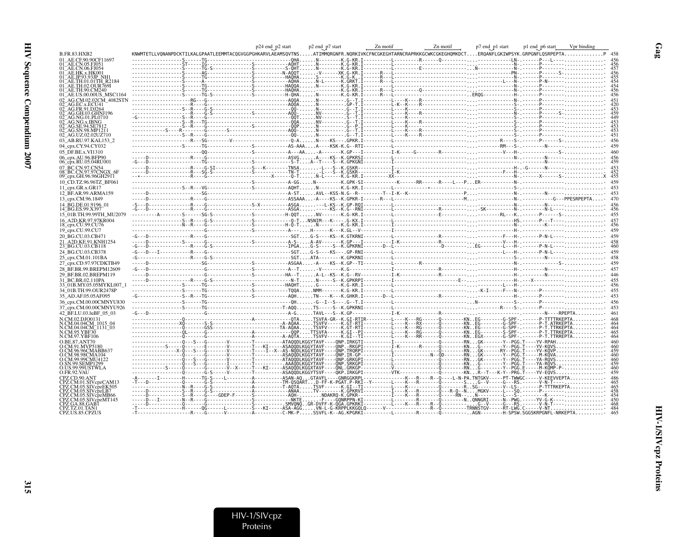|                                                                        |                                                                                                                                                         | p24 end p2 start | p2 end_p7 start | Zn motif | Zn motif | p7 end_p1 start | p1 end_p6 start_ | Vpr binding |  |
|------------------------------------------------------------------------|---------------------------------------------------------------------------------------------------------------------------------------------------------|------------------|-----------------|----------|----------|-----------------|------------------|-------------|--|
| B.FR.83.HXB2                                                           | KNWMTETLLVQNANPDCKTILKALGPAATLEEMMTACQGVGGPGHKARVLAEAMSQVTNSATIMMQRGNFR.NQRKIVKCFNCGKEGHTARNCRAPRKKGCWKCGKEGHQMKDCTERQANFLGKIWPSYK.GRPGNFLQSRPEPTAP 458 |                  |                 |          |          |                 |                  |             |  |
| AE CE 90 90CE11697<br>01 AE.CN.05.FJ051                                |                                                                                                                                                         |                  |                 |          |          |                 |                  |             |  |
|                                                                        |                                                                                                                                                         |                  |                 |          |          |                 |                  |             |  |
| )1 AE.HK.x.HK001                                                       |                                                                                                                                                         |                  |                 |          |          |                 |                  |             |  |
| 01 AE.TH.01.01TH R2184                                                 |                                                                                                                                                         |                  |                 |          |          |                 |                  |             |  |
| 01 - AE TH 02 OHR 7691                                                 |                                                                                                                                                         |                  |                 |          |          |                 |                  |             |  |
| )1 AE.TH.90.CM240<br>01 AE.US.00.00US MSC1164                          |                                                                                                                                                         |                  |                 |          |          |                 |                  |             |  |
| AG.CM.02.02CM 4082STN                                                  |                                                                                                                                                         |                  |                 |          |          |                 |                  |             |  |
| AG. EC. x. ECU41<br>AG.FR.91.DJ264                                     |                                                                                                                                                         |                  |                 |          |          |                 |                  |             |  |
| 2 AG.GH.03.GHN.I196                                                    |                                                                                                                                                         |                  |                 |          |          |                 |                  |             |  |
| AG.NG.01.PL0710                                                        |                                                                                                                                                         |                  |                 |          |          |                 |                  |             |  |
| AG SE 94 SE78                                                          |                                                                                                                                                         |                  |                 |          |          |                 |                  |             |  |
| AG.SN.98.MP1211<br>02 AG.UZ.02.02UZ710                                 |                                                                                                                                                         |                  |                 |          |          |                 |                  |             |  |
| 03 AB.RU.97.KAL153 2                                                   |                                                                                                                                                         |                  |                 |          |          |                 |                  |             |  |
| 04_cpx.CY.94.CY032                                                     |                                                                                                                                                         |                  |                 |          |          |                 |                  |             |  |
| 05 DF.BE.x.VI1310                                                      |                                                                                                                                                         |                  |                 |          |          |                 |                  |             |  |
| 06_cpx.AU.96.BFP90                                                     |                                                                                                                                                         |                  |                 |          |          |                 |                  |             |  |
| 06_cpx.RU.05.04RU001<br>07 BC.CN.97.CN54                               |                                                                                                                                                         |                  |                 |          |          |                 |                  |             |  |
| 08 BC.CN.97.97CNGX 6F                                                  |                                                                                                                                                         |                  |                 |          |          |                 |                  |             |  |
| 09_cpx.GH.96.96GH2911                                                  |                                                                                                                                                         |                  |                 |          |          |                 |                  |             |  |
| 10 CD.TZ.96.96TZ BF061                                                 |                                                                                                                                                         |                  |                 |          |          |                 |                  |             |  |
| 11_cpx.GR.x.GR17                                                       |                                                                                                                                                         |                  |                 |          |          |                 |                  |             |  |
| 12 BF.AR.99.ARMA159<br>13 cpx.CM.96.1849                               |                                                                                                                                                         |                  |                 |          |          |                 |                  |             |  |
| 14 BG.DE.01.9196 01                                                    |                                                                                                                                                         |                  |                 |          |          |                 |                  |             |  |
| 14 BG.ES.99.X397                                                       |                                                                                                                                                         |                  |                 |          |          |                 |                  |             |  |
| 15 01B.TH.99.99TH MU2079                                               |                                                                                                                                                         |                  |                 |          |          |                 |                  |             |  |
| 16 A2D.KR.97.97KR004<br>18_cpx.CU.99.CU76                              |                                                                                                                                                         |                  |                 |          |          |                 |                  |             |  |
| 19_cpx.CU.99.CU7                                                       |                                                                                                                                                         |                  |                 |          |          |                 |                  |             |  |
| 20 BG.CU.03.CB471                                                      |                                                                                                                                                         |                  |                 |          |          |                 |                  |             |  |
| 21 A2D.KE.91.KNH1254                                                   |                                                                                                                                                         |                  |                 |          |          |                 |                  |             |  |
| 23_BG.CU.03.CB118                                                      |                                                                                                                                                         |                  |                 |          |          |                 |                  |             |  |
| 24 BG.CU.03.CB378<br>25 cpx.CM.01.101BA                                |                                                                                                                                                         |                  |                 |          |          |                 |                  |             |  |
| 27 cpx.CD.97.97CDKTB49                                                 |                                                                                                                                                         |                  |                 |          |          |                 |                  |             |  |
| 28 BF.BR.99.BREPM12609                                                 |                                                                                                                                                         |                  |                 |          |          |                 |                  |             |  |
| 29 BF.BR.02.BREPM119                                                   |                                                                                                                                                         |                  |                 |          |          |                 |                  |             |  |
| 31 BC.BR.02.110PA                                                      |                                                                                                                                                         |                  |                 |          |          |                 |                  |             |  |
| 33 01B.MY.05.05MYKL007                                                 |                                                                                                                                                         |                  |                 |          |          |                 |                  |             |  |
| 34 01B.TH.99.OUR2478P                                                  |                                                                                                                                                         |                  |                 |          |          |                 |                  |             |  |
| 35_AD.AF.05.05AF095<br>36 cpx.CM.00.00CMNYU830                         |                                                                                                                                                         |                  |                 |          |          |                 |                  |             |  |
| 37 cpx.CM.00.00CMNYU926                                                |                                                                                                                                                         |                  |                 |          |          |                 |                  |             |  |
| 42 BF.LU.03.luBF 05 03                                                 |                                                                                                                                                         |                  |                 |          |          |                 |                  |             |  |
| N.CM.02.DJO0131                                                        |                                                                                                                                                         |                  |                 |          |          |                 |                  |             |  |
| N.CM.04.04CM 1015 04<br>N.CM.04.04CM <sup>-</sup> 1131 <sup>-</sup> 03 |                                                                                                                                                         |                  |                 |          |          |                 |                  |             |  |
| N.CM.95.YBF30                                                          |                                                                                                                                                         |                  |                 |          |          |                 |                  |             |  |
| N.CM.97.YBF106<br>O.BE.87.ANT70                                        | -----------------0--S--G-------V-------T--------ATAOODLKGGYTAVF----ONP.IRKGTI----------I----------------0------RNGK-------Y--PGG.T----YV-RPAH           |                  |                 |          |          |                 |                  |             |  |
| O.CM.91.MVP5180                                                        |                                                                                                                                                         |                  |                 |          |          |                 |                  |             |  |
| O.CM.96.96CMABB637                                                     |                                                                                                                                                         |                  |                 |          |          |                 |                  |             |  |
| O.CM.98.98CMA104<br>O.CM.99.99CMU4122                                  |                                                                                                                                                         |                  |                 |          |          |                 |                  |             |  |
| SN.99.SEMP1299                                                         |                                                                                                                                                         |                  |                 |          |          |                 |                  |             |  |
| O.FR.92.VAU                                                            |                                                                                                                                                         |                  |                 |          |          |                 |                  |             |  |
| CPZ.CD.90.ANT                                                          | -A-------I---------------TG-S----L---------A---------ASAN-AQGTAVFL----GNRGGKRPL---------------K---R---Q----L-N-PA.TNTGKV-----PT-TWWGC-----V-KEEVVEPTA   |                  |                 |          |          |                 |                  |             |  |
| PZ.CM.05.SIVcdzEK505                                                   |                                                                                                                                                         |                  |                 |          |          |                 |                  |             |  |
|                                                                        |                                                                                                                                                         |                  |                 |          |          |                 |                  |             |  |
| PZ.CM.05.SIVcpzMB66                                                    |                                                                                                                                                         |                  |                 |          |          |                 |                  |             |  |
| CPZ.CM.05.SIVcpzMT145                                                  |                                                                                                                                                         |                  |                 |          |          |                 |                  |             |  |
| CPZ.TZ.01.TAN1<br>CPZ.US.85.CPZUS                                      |                                                                                                                                                         |                  |                 |          |          |                 |                  |             |  |
|                                                                        |                                                                                                                                                         |                  |                 |          |          |                 |                  |             |  |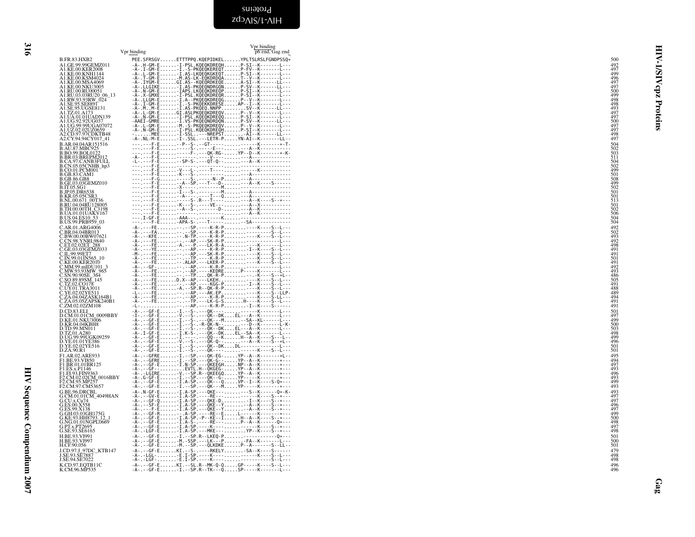<span id="page-15-0"></span>

|                                                                                                                                                                                 | Vpr binding | Vpr binding<br>p6 end, Gag end                                                                                                                                                           |                                                                                                                                                                             | HIV-                    |
|---------------------------------------------------------------------------------------------------------------------------------------------------------------------------------|-------------|------------------------------------------------------------------------------------------------------------------------------------------------------------------------------------------|-----------------------------------------------------------------------------------------------------------------------------------------------------------------------------|-------------------------|
| B.FR.83.HXB2<br>A1.GE.99.99GEMZ011                                                                                                                                              |             | PEE.SFRSGVETTTPPQ.KQEPIDKELYPLTSLRSLFGNDPSSQ*                                                                                                                                            | 500<br>492                                                                                                                                                                  |                         |
| A1.KE.00.KER2008<br>A1.KE.00.KER2008                                                                                                                                            |             |                                                                                                                                                                                          | 497<br>499                                                                                                                                                                  | $\overline{\mathbf{s}}$ |
| A1.KE.00.KSM4024<br>A1.KE.00.KSM4024                                                                                                                                            |             |                                                                                                                                                                                          | 496<br>497                                                                                                                                                                  | ₹                       |
| A1.KE.00.NKU3005<br>A1.RU.00.RU00051                                                                                                                                            |             | -A-.X-GMXE-I-PSL.KQEQKDREQRP-SI--K-------L---                                                                                                                                            | $\frac{497}{500}$                                                                                                                                                           | cpz                     |
| ALRU.03.03RU20 06_13<br>ALRW.93.93RW 024<br>ALSE.95.5E8891<br>ALSE.95.UGSE8131<br>ALTZ.01.A173                                                                                  |             |                                                                                                                                                                                          | 499<br>498<br>498<br>493                                                                                                                                                    |                         |
|                                                                                                                                                                                 |             |                                                                                                                                                                                          | 497<br>497                                                                                                                                                                  |                         |
| AI.UA.01.01UADN139<br>AI.UA.01.01UADN139<br>A1.UG.99.99UGA07072                                                                                                                 |             |                                                                                                                                                                                          | 500<br>497                                                                                                                                                                  | Proteins                |
| A1.UZ.02.02UZ0659<br>A1.UZ.02.02UZ0659<br>A2.CD.97.97CDKTB48<br>A2.CY.94.94CY017_41                                                                                             |             | - A-. L-GM-E-M.-S-PKOEOKDREQVP--V--K-------L---<br>-A-.N-GM-E-M.-S-PKOEOKDREQVP--V--K-------L---<br>-A-.N-GMEE-I-SSL.KOEOKDREQHP-SI--K-------L---<br>-A-.NL-M-E-I-SSL.---LETR-PVN-AI--K- | 497<br>$\frac{498}{497}$                                                                                                                                                    |                         |
| B.AR.04.04AR151516<br>B.AU.87.MBC925                                                                                                                                            |             | ---.---F-E--P--S-.--GT-----------K--------*-T-                                                                                                                                           | 504<br>502                                                                                                                                                                  |                         |
| <b>B.BO.99.BOL0122</b>                                                                                                                                                          |             |                                                                                                                                                                                          |                                                                                                                                                                             |                         |
| B.BO.99.BOLD122<br>B.BR.03.BREPM2012<br>B.CA.97.CANB3FULL<br>B.CO.01.PCM001<br>B.CO.01.PCM001<br>B.GB.83.CAM1                                                                   |             |                                                                                                                                                                                          |                                                                                                                                                                             |                         |
| B.GB.86.GB8                                                                                                                                                                     |             |                                                                                                                                                                                          |                                                                                                                                                                             |                         |
| B.GE.03.03GEMZ010<br>B.GE.03.03GEMZ010<br>B.JP.05.DR6538                                                                                                                        |             |                                                                                                                                                                                          |                                                                                                                                                                             |                         |
| <b>B.KR.05.05CSR3<br/>B.NL.00.671_00T36<br/>B.RU.04.04RU128005</b>                                                                                                              |             |                                                                                                                                                                                          |                                                                                                                                                                             |                         |
|                                                                                                                                                                                 |             |                                                                                                                                                                                          | 503<br>511<br>504<br>502<br>503<br>504<br>502<br>502<br>505<br>504<br>504<br>504<br>504<br>504<br>504<br>502<br>504<br>504<br>504<br>504<br>504<br>504<br>504<br>504<br>504 |                         |
| <b>B.TH.00.00TH_C3198</b><br>B.UA.01.01UAKV167<br>B.US.04.ES10_53<br>B.US.99.PRB959_03                                                                                          |             |                                                                                                                                                                                          |                                                                                                                                                                             |                         |
| C.AR.01.ARG4006<br>C.BR.04.04BR013<br>C.BW.00.00BW07621                                                                                                                         |             |                                                                                                                                                                                          | 492<br>502                                                                                                                                                                  |                         |
|                                                                                                                                                                                 |             |                                                                                                                                                                                          | $\frac{493}{492}$<br>498                                                                                                                                                    |                         |
| C.BW000BW0621<br>C.CN.98.YNRL9840<br>C.ET.02.02ET_288<br>C.ET.02.02ET_288<br>C.IL.99.99ET7<br>C.N.99.01IN565_10<br>C.MM.99.mIDU101_3<br>C.N.M.99.mIDU101_3<br>C.N.W.93.93MW_965 |             |                                                                                                                                                                                          | $\frac{491}{491}$<br>$\frac{491}{492}$                                                                                                                                      |                         |
|                                                                                                                                                                                 |             |                                                                                                                                                                                          |                                                                                                                                                                             |                         |
| C.MW.93.93MW 965<br>C.SN.90.90SE 364<br>C.SO.89.89SM_145<br>C.UY.01.TRA3011<br>C.VE.02.02YE511<br>C.ZA.04.04ZASK164B1<br>C.ZA.05.05ZAPSK240B1<br>C.ZM.02.02ZM108                |             |                                                                                                                                                                                          | 493                                                                                                                                                                         |                         |
|                                                                                                                                                                                 |             |                                                                                                                                                                                          | 486<br>505<br>491<br>488                                                                                                                                                    |                         |
|                                                                                                                                                                                 |             |                                                                                                                                                                                          | $\frac{489}{494}$<br>$\frac{494}{491}$                                                                                                                                      |                         |
| D.CD.83.ELI                                                                                                                                                                     |             |                                                                                                                                                                                          | 501                                                                                                                                                                         |                         |
| D.CM.01.01CM 0009BBY<br>D.CM.01.01CM_0009B)<br>D.KE.01.NKU3006<br>D.KR.04.04KBH8<br>D.TZ.01.A280<br>D.VG.99.99UGK09259<br>D.VG.99.99UGK09259<br>D.VE.01.01YE386                 |             |                                                                                                                                                                                          | 497<br>499                                                                                                                                                                  |                         |
|                                                                                                                                                                                 |             |                                                                                                                                                                                          | 500<br>503<br>498<br>499                                                                                                                                                    |                         |
| D.YE.02.02YE516<br>D.ZA.90.R1                                                                                                                                                   |             |                                                                                                                                                                                          | 496<br>$\frac{501}{501}$                                                                                                                                                    |                         |
|                                                                                                                                                                                 |             |                                                                                                                                                                                          |                                                                                                                                                                             |                         |
| F1.AR.02.ARE933<br>F1.BE.93.VI850<br>F1.BR.01.01BR125                                                                                                                           |             |                                                                                                                                                                                          | 495<br>494<br>497<br>493                                                                                                                                                    |                         |
| F1.ES.x.P1146<br>F1.ES.x.P1146<br>F1.F1.93.FIN9363<br>F2.CM.95.MP257<br>F2.CM.95.MP257                                                                                          |             |                                                                                                                                                                                          | $\frac{496}{493}$<br>499                                                                                                                                                    |                         |
| F2.CM.97.CM53657<br>G.BE.96.DRCBL                                                                                                                                               |             | $-A - .N - GF - E$ -I.A-SP.---QKE-----S--K------Q*-K-                                                                                                                                    | 493<br>493                                                                                                                                                                  |                         |
| G.CM.01.01CM_4049HAN<br>G.CU.x.Cu74                                                                                                                                             |             |                                                                                                                                                                                          | 497<br>497<br>496<br>497                                                                                                                                                    |                         |
| G.ES.00.X358<br>G.ES.99.X138<br>G.GH.03.03GH175G<br>G.KE.93.HH8793_12                                                                                                           |             |                                                                                                                                                                                          | 499                                                                                                                                                                         |                         |
| G.NG.01.01NGPL0669                                                                                                                                                              |             |                                                                                                                                                                                          | 500<br>498<br>497                                                                                                                                                           |                         |
| G.PT.x.PT2695<br>G.SE.93.SE6165                                                                                                                                                 |             |                                                                                                                                                                                          | 498                                                                                                                                                                         |                         |
| 0.02.3.0.02<br>H.BE.93.VI991<br>H.BE.93.VI997<br>H.CF.90.056                                                                                                                    |             |                                                                                                                                                                                          | $\begin{array}{c} 501 \\ 500 \\ 501 \end{array}$                                                                                                                            |                         |
| J.CD.97.J_97DC_KTB147<br>J.SE.93.SE7887<br>J.SE.94.SE7022                                                                                                                       |             |                                                                                                                                                                                          | 479<br>498<br>498                                                                                                                                                           |                         |
| K.CD.97.EQTB11C<br>K.CM.96.MP535                                                                                                                                                |             | $-A- - - GF - E$ KI.--SL.R--MK-Q-QGP-----K----S--L---<br>$-A- - - 6F - E- \ldots - 1 - - SP - R - - TK - - - Q - \ldots$ SP - - - - - K - - - - - - L - - -                              | 496<br>496                                                                                                                                                                  |                         |
|                                                                                                                                                                                 |             |                                                                                                                                                                                          |                                                                                                                                                                             | Ga                      |
|                                                                                                                                                                                 |             |                                                                                                                                                                                          |                                                                                                                                                                             |                         |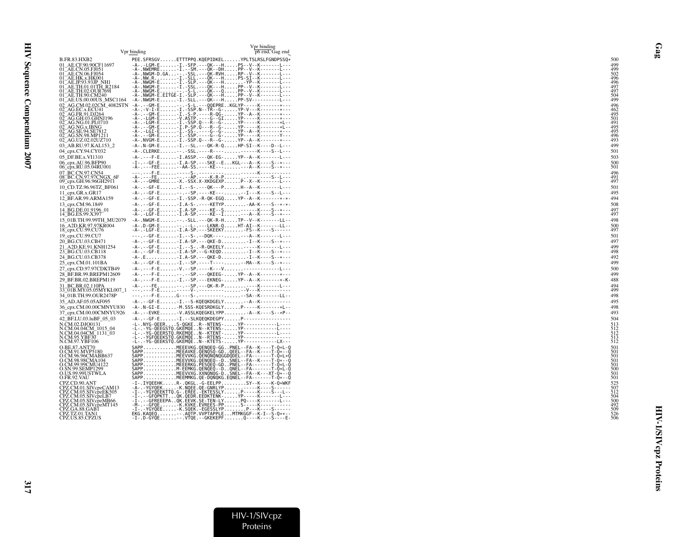|                                                                                                                                                                                                                               | Vpr binding | Vpr binding<br>p6 end, Gag end                                                                                                                                                                                                    |
|-------------------------------------------------------------------------------------------------------------------------------------------------------------------------------------------------------------------------------|-------------|-----------------------------------------------------------------------------------------------------------------------------------------------------------------------------------------------------------------------------------|
| B.FR.83.HXB2                                                                                                                                                                                                                  |             | PEE.SFRSGVETTTPPQ.KQEPIDKELYPLTSLRSLFGNDPSSQ*                                                                                                                                                                                     |
| 01_AE.CF.90.90CF11697                                                                                                                                                                                                         |             | -A-.-LGM-E-I.-SFP.---OK---HPS--V--K-------L---<br>-A-.NWEMRE-I.--SM.---QK--DHPP--V--K-------L---                                                                                                                                  |
| 01 - AL-CI-90, 5-F1097<br>01 - AE-CN-05-F1051<br>01 - AE-CN-05-F1051<br>01 - AE-IR-03-F1001<br>01 - AE-TH-01-01TH-R2184<br>01 - AE-TH-02-OUR-7691<br>01 - AE-TH-02-OUR-7691<br>01 - AE-TH-02-OUR-7691<br>01 - AE-TH-00-OUR-01 |             |                                                                                                                                                                                                                                   |
|                                                                                                                                                                                                                               |             |                                                                                                                                                                                                                                   |
|                                                                                                                                                                                                                               |             | -A-.NWGM-E------- S-L-- QK--- Q PP--V--K---------L---                                                                                                                                                                             |
|                                                                                                                                                                                                                               |             | -A-.NWGM-E.EITGE-I.-SLP.---QK---HPP--V--K-------L---                                                                                                                                                                              |
| 01_AE.US.00.00US_MSC1164                                                                                                                                                                                                      |             | -A-.NWGM-E-I.-SLL.---QK---HPP-SV-----------L---                                                                                                                                                                                   |
| 02_AG.CM.02.02CM_4082STN<br>02_AG.EC.x.ECU41<br>02_AG.FR.91.DJ264<br>02_AG.GH.03.GHNJ196                                                                                                                                      |             |                                                                                                                                                                                                                                   |
|                                                                                                                                                                                                                               |             |                                                                                                                                                                                                                                   |
| 02_AG.NG.01.PL0710<br>02_AG.NG.x.IBNG<br>02_AG.SE.94.SE7812<br>02_AG.SN.98.MP1211/                                                                                                                                            |             |                                                                                                                                                                                                                                   |
|                                                                                                                                                                                                                               |             |                                                                                                                                                                                                                                   |
|                                                                                                                                                                                                                               |             |                                                                                                                                                                                                                                   |
| 02 AG.UZ.02.02UZ710<br>03_AB.RU.97.KAL153_2                                                                                                                                                                                   |             | $-A$ - . NVGM-E-I.-SSP.Q---R--G-YP--A--K--------*---<br>-A-.N-GM-E-I.--SL.---QK-R-QHP-SI--K----D--L---                                                                                                                            |
| 04_cpx.CY.94.CY032                                                                                                                                                                                                            |             | -A-.CLERKE--.-SSL.----R-----------K----S--L---                                                                                                                                                                                    |
| 05_DF.BE.x.VI1310                                                                                                                                                                                                             |             | -A-.---F-E-I.ASSP.---QK-EG-YP--A--K-------L---                                                                                                                                                                                    |
| 06_cpx.AU.96.BFP90                                                                                                                                                                                                            |             | $-I - . - GF - E$ -I.A-SP.---SKE--EKGL---A--K----S--*---                                                                                                                                                                          |
| 06_cpx.RU.05.04RU001                                                                                                                                                                                                          |             | -A- . - - - FEE - - AA-SS . - - - - KE - - - - - - A- -K- - - - S- - * - - -                                                                                                                                                      |
| 07_BC.CN.97.CN54<br>08_BC.CN.97.97CNGX_6F                                                                                                                                                                                     |             |                                                                                                                                                                                                                                   |
| 09_cpx.GH.96.96GH2911<br>10 CD.TZ.96.96TZ BF061                                                                                                                                                                               |             | -A-.--GF-E-I.--S-.---QK---PH--A--K------L---                                                                                                                                                                                      |
| 11 cpx.GR.x.GR17                                                                                                                                                                                                              |             | -A-.--GF-E--.-SP.----KE-----I---K----S--L---                                                                                                                                                                                      |
| 12_BF.AR.99.ARMA159                                                                                                                                                                                                           |             | -A-.--GF-E-I.-SSP.-R-QK-EGQYP--A--K--------*-*-                                                                                                                                                                                   |
| 13_cpx.CM.96.1849                                                                                                                                                                                                             |             | -A-.--GF-E-I.A-S-.----KETYP-AA-K----S--*-*-                                                                                                                                                                                       |
| 14_BG.DE.01.9196_01<br>14_BG.ES.99.X397                                                                                                                                                                                       |             | -A- . - -GF-E - I .A-SP . - - - -KE--S - - - - - - K-- - -S-- *- - -<br>-A- . -LGF-E - I .A-SP . - - - -KE--I - - A--K----S-- *- - -                                                                                              |
| 15 01B.TH.99.99TH MU2079                                                                                                                                                                                                      |             | -A-.NWGM-E--.-SLL.---QK-R-HTP--V--K--------LL--                                                                                                                                                                                   |
| 16_A2D.KR.97.97KR004<br>18_cpx.CU.99.CU76                                                                                                                                                                                     |             | -A-.D-GM-E--.--L-.---LKNR-QHT-AI--K--------LL--                                                                                                                                                                                   |
| 19 cpx.CU.99.CU7                                                                                                                                                                                                              |             | -A- . -LGF-E. - I . A-SP . - - - SKEEKY - FS- -K----S-------<br>---.--GF-E-I.--S-.--DOK-------A--K------L---                                                                                                                      |
| 20_BG.CU.03.CB471                                                                                                                                                                                                             |             | $-A- - - GF - E - \ldots - I$ . A - SP. - - - QKE-D. - I - - K - - - - S - - * - - -                                                                                                                                              |
| 21 A2D.KE.91.KNH1254                                                                                                                                                                                                          |             | -A-.--GF-E-I.--S-.-R-QKEELY-----K-------L---                                                                                                                                                                                      |
| 23_BG.CU.03.CB118                                                                                                                                                                                                             |             | -A-.--GF-E-I.A-SP.--G-KEQD-I--K----S--*---                                                                                                                                                                                        |
| 24 BG.CU.03.CB378<br>25_cpx.CM.01.101BA                                                                                                                                                                                       |             | -A-.E-I.A-SP.---QKE-D-I--K----S--*---<br>-A-.--GF-E-I.--SP.----T------MA--K----S--*---                                                                                                                                            |
| 27_cpx.CD.97.97CDKTB49                                                                                                                                                                                                        |             | -A-. ---F-E.  - V. -- SP. ---- K--- V.  . ---------------L---                                                                                                                                                                     |
| 28 BF.BR.99.BREPM12609                                                                                                                                                                                                        |             | -A---F-E--.-SP.---QKEEG-YP--A--K-------*---                                                                                                                                                                                       |
| 29 BF.BR.02.BREPM119                                                                                                                                                                                                          |             | -A-. ---F-E. - I. -- SP. ---EKNEG-. YP--A--K------------K-                                                                                                                                                                        |
| 31 BC.BR.02.110PA<br>33_01B.MY.05.05MYKL007_1                                                                                                                                                                                 |             | -A-.---FE--.-SP.---QK-R-P----K-------L---                                                                                                                                                                                         |
| 34 01B.TH.99.OUR2478P                                                                                                                                                                                                         |             | F.EG----S-SA--K-------LL--                                                                                                                                                                                                        |
| 35_AD.AF.05.05AF095                                                                                                                                                                                                           |             | -A-.--GF-E-I.--S-KQEQKDGELY--A--K------------                                                                                                                                                                                     |
| 36_cpx.CM.00.00CMNYU830                                                                                                                                                                                                       |             | -A-.N-GI-E-M.SSS-KQESRDKGLYP-----K-------*L--                                                                                                                                                                                     |
| 37_cpx.CM.00.00CMNYU926<br>42 BF.LU.03.luBF 05 03                                                                                                                                                                             |             | -A-.--EVKE-V.ASSLKQEGKELYPP-A--K----S--*P--<br>-A-.--GF-E-I.--SLKQEQKDEGPYP------------------                                                                                                                                     |
| N.CM.02.DJO0131                                                                                                                                                                                                               |             |                                                                                                                                                                                                                                   |
| N.CM.04.04CM_1015_04<br>N.CM.04.04CM_1131_03                                                                                                                                                                                  |             |                                                                                                                                                                                                                                   |
| N.CM.95.YBF30                                                                                                                                                                                                                 |             |                                                                                                                                                                                                                                   |
| N.CM.97.YBF106                                                                                                                                                                                                                |             |                                                                                                                                                                                                                                   |
| O.BE.87.ANT70<br>O.CM.91.MVP5180                                                                                                                                                                                              |             | SAPP<br>CONDECTRIC COENDED-06PREL--FA--K----T-0*L-0<br>SAPP<br>COENDED-06PREL--FA--K-----T-0*L-0<br>SAPP<br>COENDED-06PREL--FA--K------T-0*L-0<br>SAPP<br>COENDED-06PREL--FA--K------T-0*L-0<br>SAPP<br>COENDED-00PREL--FA--K---- |
| O.CM.96.96CMABB637<br>Q.CM.98.98CMA104                                                                                                                                                                                        |             |                                                                                                                                                                                                                                   |
| O.CM.99.99CMU4122                                                                                                                                                                                                             |             |                                                                                                                                                                                                                                   |
| O.SN.99.SEMP1299<br>O.US.99.99USTWLA                                                                                                                                                                                          |             |                                                                                                                                                                                                                                   |
| O.FR.92.VAU                                                                                                                                                                                                                   |             | SAPPMEEMMKG.QE-DQNQKG.EQNEL--FA-------T-Q*--Q                                                                                                                                                                                     |
| CPZ.CD.90.ANT<br>CPZ.CM.01.SIVcpzCAM13<br>CPZ.CM.05.SIVcpzEK505                                                                                                                                                               |             | -I-.IYQEEHKR-.QKGL.-G-EELPPSY--K----K-Q*WKF                                                                                                                                                                                       |
|                                                                                                                                                                                                                               |             |                                                                                                                                                                                                                                   |
| CPZ.CM.05.SIVcpzLB7<br>CPZ.CM.05.SIVcpzMB66                                                                                                                                                                                   |             |                                                                                                                                                                                                                                   |
|                                                                                                                                                                                                                               |             |                                                                                                                                                                                                                                   |
| CPZ.CM.05.SIVcpzMT145<br>CPZ.CM.05.SIVcpzMT145<br>CPZ.TZ.01.TAN1                                                                                                                                                              |             |                                                                                                                                                                                                                                   |
| CPZ.US.85.CPZUS                                                                                                                                                                                                               |             |                                                                                                                                                                                                                                   |

Gag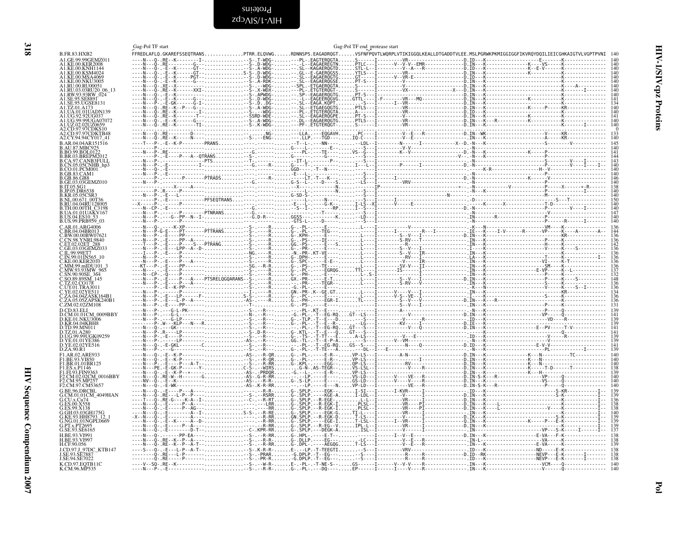<span id="page-17-0"></span>

| ۰.<br>., |
|----------|
| ×<br>۰.  |
|          |
| I<br>۰.  |

<span id="page-17-1"></span>

|                                                                                                  | Gag-Pol TF start           |                                    |                           | Gag-Pol TF end_protease start |                                                                                                                       |                                                                                                                                                                                                                                                                                                                                                                                                                                |
|--------------------------------------------------------------------------------------------------|----------------------------|------------------------------------|---------------------------|-------------------------------|-----------------------------------------------------------------------------------------------------------------------|--------------------------------------------------------------------------------------------------------------------------------------------------------------------------------------------------------------------------------------------------------------------------------------------------------------------------------------------------------------------------------------------------------------------------------|
| <b>B.FR.83.HXB2</b>                                                                              | FFREDLAFLQ.GKAREFSSEQTRANS |                                    |                           |                               | .<br>PTRR.ELQVWGRDNNSPS.EAGADRQGTVSFNFPQVTLWQRPLVTIKIGGQLKEALLDTGADDTVLEE.MSLPGRWKPKMIGGIGGFIKVRQYDQILIEICGHKAIGTVLVG |                                                                                                                                                                                                                                                                                                                                                                                                                                |
|                                                                                                  |                            |                                    |                           |                               |                                                                                                                       |                                                                                                                                                                                                                                                                                                                                                                                                                                |
|                                                                                                  |                            |                                    |                           |                               |                                                                                                                       |                                                                                                                                                                                                                                                                                                                                                                                                                                |
| A1.KE.00.MSA406                                                                                  |                            |                                    |                           |                               |                                                                                                                       |                                                                                                                                                                                                                                                                                                                                                                                                                                |
| A1.KE.00.NKU3005<br>A1.RU.00.RU00051                                                             |                            |                                    |                           |                               |                                                                                                                       |                                                                                                                                                                                                                                                                                                                                                                                                                                |
|                                                                                                  |                            |                                    |                           |                               |                                                                                                                       |                                                                                                                                                                                                                                                                                                                                                                                                                                |
|                                                                                                  |                            |                                    |                           |                               |                                                                                                                       |                                                                                                                                                                                                                                                                                                                                                                                                                                |
| 1.SE.95.UGSE8131<br>A1.TZ.01.A1                                                                  |                            |                                    |                           |                               |                                                                                                                       |                                                                                                                                                                                                                                                                                                                                                                                                                                |
| A1.UG.92.92UG037                                                                                 |                            |                                    |                           |                               |                                                                                                                       | $\xbrace{\begin{matrix}\n\text{S} & \text{A-PDF} & \text{S} & \text{S} & \text{S} & \text{S} & \text{S} & \text{S} & \text{S} & \text{S} & \text{S} & \text{S} & \text{S} & \text{S} & \text{S} & \text{S} & \text{S} & \text{S} & \text{S} & \text{S} & \text{S} & \text{S} & \text{S} & \text{S} & \text{S} & \text{S} & \text{S} & \text{S} & \text{S} & \text{S} & \text{S} & \text{S} & \text{S} & \text{S} & \text{S} &$ |
| A1.UG.99.99UGA0707.                                                                              |                            |                                    |                           |                               |                                                                                                                       |                                                                                                                                                                                                                                                                                                                                                                                                                                |
| A1.UZ.02.02UZ0659                                                                                |                            |                                    |                           |                               |                                                                                                                       |                                                                                                                                                                                                                                                                                                                                                                                                                                |
| A2.CD.97.97CDKTB48<br>A2.CY.94.94CY017_41                                                        |                            |                                    |                           |                               |                                                                                                                       |                                                                                                                                                                                                                                                                                                                                                                                                                                |
| B.AR.04.04AR151516                                                                               |                            |                                    |                           |                               |                                                                                                                       |                                                                                                                                                                                                                                                                                                                                                                                                                                |
| <b>B BO 99 BOL0122</b>                                                                           |                            |                                    |                           |                               |                                                                                                                       |                                                                                                                                                                                                                                                                                                                                                                                                                                |
| <b>BR.03.BREPM20</b><br>CA.97.CANB3FULL                                                          |                            |                                    |                           |                               |                                                                                                                       |                                                                                                                                                                                                                                                                                                                                                                                                                                |
| .CN.05.05CNHB_hp3                                                                                |                            |                                    |                           |                               |                                                                                                                       |                                                                                                                                                                                                                                                                                                                                                                                                                                |
| B.CO.01.PCM001<br>GB.83.CAM1                                                                     |                            |                                    |                           |                               |                                                                                                                       |                                                                                                                                                                                                                                                                                                                                                                                                                                |
| <b>GB 86 GB8</b><br>GE.03.03GEMZ010                                                              |                            |                                    |                           |                               |                                                                                                                       |                                                                                                                                                                                                                                                                                                                                                                                                                                |
| B IT 05 SG1                                                                                      |                            |                                    |                           |                               |                                                                                                                       |                                                                                                                                                                                                                                                                                                                                                                                                                                |
| IP.05.DR65<br><b>B.KR.05.05CSR3</b>                                                              |                            |                                    |                           |                               |                                                                                                                       |                                                                                                                                                                                                                                                                                                                                                                                                                                |
| NL.00.671_00T36<br>RU.04.04RU128005                                                              |                            |                                    |                           |                               |                                                                                                                       |                                                                                                                                                                                                                                                                                                                                                                                                                                |
| TH.00.00TH_C3198.<br>UA.01.01UAKV167.                                                            |                            |                                    |                           |                               |                                                                                                                       |                                                                                                                                                                                                                                                                                                                                                                                                                                |
| US.04.ES10 53.                                                                                   |                            |                                    |                           |                               |                                                                                                                       |                                                                                                                                                                                                                                                                                                                                                                                                                                |
| B.US.99.PRB959_03<br>C AR 01 ARG4006                                                             |                            |                                    |                           |                               |                                                                                                                       |                                                                                                                                                                                                                                                                                                                                                                                                                                |
| BR.04.04BR013                                                                                    |                            |                                    |                           |                               |                                                                                                                       |                                                                                                                                                                                                                                                                                                                                                                                                                                |
| BW.00.00BW0762<br>CN.98.YNRL9840                                                                 |                            |                                    |                           |                               |                                                                                                                       |                                                                                                                                                                                                                                                                                                                                                                                                                                |
| ET0202ET288                                                                                      |                            |                                    |                           |                               |                                                                                                                       |                                                                                                                                                                                                                                                                                                                                                                                                                                |
| C.GE.03.03GEMZ033<br>.IL.99.99ET7<br>.IN.99.01IN565                                              |                            |                                    |                           |                               |                                                                                                                       |                                                                                                                                                                                                                                                                                                                                                                                                                                |
| KE 00 KER2017                                                                                    |                            |                                    |                           |                               |                                                                                                                       |                                                                                                                                                                                                                                                                                                                                                                                                                                |
| .MM.99.mIDU101_3<br>.MW.93.93MW_965                                                              |                            |                                    |                           |                               |                                                                                                                       |                                                                                                                                                                                                                                                                                                                                                                                                                                |
| SN 90.90SE 364                                                                                   |                            |                                    |                           |                               |                                                                                                                       |                                                                                                                                                                                                                                                                                                                                                                                                                                |
| SO.89.89SM 145<br>TZ.02.CO178                                                                    |                            |                                    |                           |                               |                                                                                                                       |                                                                                                                                                                                                                                                                                                                                                                                                                                |
| .UY.01.TRA3011<br>YE.02.02YE51                                                                   |                            |                                    |                           |                               |                                                                                                                       |                                                                                                                                                                                                                                                                                                                                                                                                                                |
|                                                                                                  |                            |                                    |                           |                               |                                                                                                                       |                                                                                                                                                                                                                                                                                                                                                                                                                                |
| .05.05ZAPSK240B1<br>C.ZM.02.02ZM108                                                              |                            |                                    |                           |                               |                                                                                                                       |                                                                                                                                                                                                                                                                                                                                                                                                                                |
| D.CD.83.ELI                                                                                      |                            |                                    |                           |                               |                                                                                                                       |                                                                                                                                                                                                                                                                                                                                                                                                                                |
|                                                                                                  |                            |                                    |                           |                               |                                                                                                                       |                                                                                                                                                                                                                                                                                                                                                                                                                                |
| <b>EXERCISTER 0009BBY</b><br>D.KE.01.NKU3006<br>D.KR.04.04KBH8<br>D.TD.99.MN011<br>D.TD.99.MN011 |                            |                                    |                           |                               |                                                                                                                       |                                                                                                                                                                                                                                                                                                                                                                                                                                |
| D.TZ.01.A280                                                                                     |                            |                                    |                           |                               |                                                                                                                       |                                                                                                                                                                                                                                                                                                                                                                                                                                |
| D.UG.99.99UGK09259<br>D.YE.01.01YE386                                                            |                            |                                    |                           |                               |                                                                                                                       |                                                                                                                                                                                                                                                                                                                                                                                                                                |
| D.YE.02.02YE516<br>D.ZA.90.R1                                                                    |                            |                                    |                           |                               |                                                                                                                       |                                                                                                                                                                                                                                                                                                                                                                                                                                |
| F1.AR.02.ARE933                                                                                  |                            |                                    |                           |                               |                                                                                                                       |                                                                                                                                                                                                                                                                                                                                                                                                                                |
| F1.BE.93.VI850<br>F1.BR.01.01BR125                                                               |                            |                                    |                           |                               |                                                                                                                       |                                                                                                                                                                                                                                                                                                                                                                                                                                |
| F1.ES.x.P1146<br>F1.F1.93.FIN9363                                                                |                            |                                    |                           |                               |                                                                                                                       |                                                                                                                                                                                                                                                                                                                                                                                                                                |
| F2.CM.02.02CM_0016BBY<br>E2 CM 95 MP257                                                          |                            |                                    |                           |                               |                                                                                                                       |                                                                                                                                                                                                                                                                                                                                                                                                                                |
| F2.CM.97.CM53657                                                                                 |                            |                                    |                           |                               |                                                                                                                       |                                                                                                                                                                                                                                                                                                                                                                                                                                |
| G.BE.96.DRCBL                                                                                    |                            |                                    | $-R-R$ - $G-SPLP$         |                               |                                                                                                                       |                                                                                                                                                                                                                                                                                                                                                                                                                                |
| G.CM.01.01CM_4049HAN<br>G.CU.x.Cu74                                                              |                            |                                    |                           |                               |                                                                                                                       |                                                                                                                                                                                                                                                                                                                                                                                                                                |
| <b>ES 00 X558</b><br>FS.99.X138                                                                  |                            |                                    |                           |                               |                                                                                                                       |                                                                                                                                                                                                                                                                                                                                                                                                                                |
| G.GH.03.03GH175G<br>G.KE.93.HH8793_12                                                            |                            |                                    |                           |                               |                                                                                                                       |                                                                                                                                                                                                                                                                                                                                                                                                                                |
| G.NG.01.01NGPL0669                                                                               |                            |                                    |                           |                               |                                                                                                                       |                                                                                                                                                                                                                                                                                                                                                                                                                                |
| PT.x.PT2695<br>G.SE.93.SE6165                                                                    |                            |                                    |                           |                               |                                                                                                                       |                                                                                                                                                                                                                                                                                                                                                                                                                                |
| <b>H.BE.93.VI991</b>                                                                             |                            | . - - S - . - - R - RR G - . HPL - |                           |                               |                                                                                                                       |                                                                                                                                                                                                                                                                                                                                                                                                                                |
| H.BE.93.VI997<br>H.CF.90.056                                                                     |                            |                                    |                           |                               |                                                                                                                       |                                                                                                                                                                                                                                                                                                                                                                                                                                |
| J.CD.97.J 97DC KTB147                                                                            |                            |                                    |                           |                               |                                                                                                                       |                                                                                                                                                                                                                                                                                                                                                                                                                                |
| I SE 93 SE788<br>J.SE.94.SE7022                                                                  |                            |                                    |                           |                               |                                                                                                                       |                                                                                                                                                                                                                                                                                                                                                                                                                                |
| K.CD.97.EQTB11C<br>K.CM.96.MP535                                                                 | $---V--SO-.RE--K-$         |                                    |                           |                               |                                                                                                                       |                                                                                                                                                                                                                                                                                                                                                                                                                                |
|                                                                                                  | - - - - N - - - P          |                                    | $G - -PL - - -DQ - - - -$ |                               |                                                                                                                       |                                                                                                                                                                                                                                                                                                                                                                                                                                |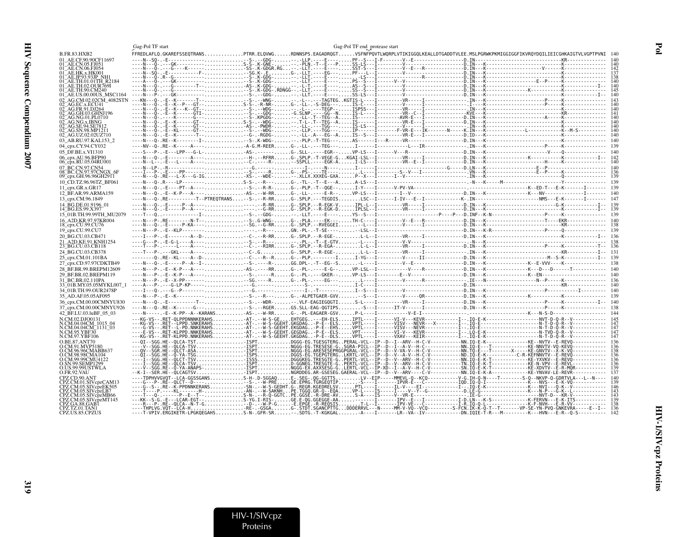|                                                        | Gag-Pol TF start                                                                                                                                                     |                                   | Gag-Pol TF end_protease start |               |                                                                 |  |
|--------------------------------------------------------|----------------------------------------------------------------------------------------------------------------------------------------------------------------------|-----------------------------------|-------------------------------|---------------|-----------------------------------------------------------------|--|
| <b>B.FR.83.HXB2</b>                                    | FFREDLAFLQ.GKAREFSSEQTRANSPTRR.ELQVWGRDNNSPS.EAGADRQGTVSFNFPQVTLWQRPLVTIKIGGQLKEALLDTGADDTVLEE.MSLPGRWKPKMIGGIGGFIKVRQYDQILIEICGHKAIGTVLVGPTPVNI 140                 |                                   |                               |               |                                                                 |  |
| 01 AE.CF.90.90CF11697<br>01 AE.CN.05.FJ051             |                                                                                                                                                                      |                                   |                               |               |                                                                 |  |
| 01 AE.CN.06.FJ054                                      |                                                                                                                                                                      |                                   |                               |               |                                                                 |  |
| 01_AE.HK.x.HK001<br>01_AE.JP.93.93JP_NH1               |                                                                                                                                                                      |                                   |                               |               |                                                                 |  |
| 01 AE.TH.01.01TH R2184                                 |                                                                                                                                                                      |                                   |                               |               |                                                                 |  |
| 01 AE.TH.02.OUR769I<br>01 AE.TH.90.CM240               | ----N---O-.---G---------T--AS-.K-GDG-                                                                                                                                |                                   |                               |               |                                                                 |  |
| 01 AE.US.00.00US MSC1164                               |                                                                                                                                                                      |                                   |                               |               |                                                                 |  |
| 02 AG.CM.02.02CM 4082STN<br>02 AG.EC.x.ECU41           |                                                                                                                                                                      |                                   |                               |               |                                                                 |  |
| 02 AG.FR.91.DJ264                                      |                                                                                                                                                                      |                                   |                               |               |                                                                 |  |
| 02 <sup>-</sup> AG.GH.03.GHNJ196<br>02 AG.NG.01.PL0710 |                                                                                                                                                                      |                                   |                               |               |                                                                 |  |
| 02 <sup>-</sup> AG.NG.x.IBNG                           | $---N---0---$                                                                                                                                                        |                                   |                               |               |                                                                 |  |
| 02 AG.SE.94.SE7812<br>02 AG.SN.98.MP1211               |                                                                                                                                                                      |                                   |                               |               |                                                                 |  |
| 02 AG.UZ.02.02UZ710                                    |                                                                                                                                                                      |                                   |                               |               |                                                                 |  |
| 03 AB.RU.97.KAL153 2                                   |                                                                                                                                                                      |                                   |                               |               |                                                                 |  |
| 04 cpx.CY.94.CY032                                     |                                                                                                                                                                      |                                   |                               |               |                                                                 |  |
| 05 DF.BE.x.VI1310<br>06 cpx.AU.96.BFP90                |                                                                                                                                                                      |                                   |                               |               |                                                                 |  |
| 06 cpx.RU.05.04RU001                                   |                                                                                                                                                                      |                                   |                               |               |                                                                 |  |
| 07 BC.CN.97.CN54                                       |                                                                                                                                                                      |                                   |                               |               |                                                                 |  |
| 08 BC.CN.97.97CNGX 6F<br>09 cpx.GH.96.96GH2911         |                                                                                                                                                                      |                                   |                               |               |                                                                 |  |
| 10 CD.TZ.96.96TZ BF061                                 |                                                                                                                                                                      |                                   |                               |               |                                                                 |  |
| 11_cpx.GR.x.GR17                                       |                                                                                                                                                                      |                                   |                               |               |                                                                 |  |
| 12 BF.AR.99.ARMA159                                    |                                                                                                                                                                      |                                   |                               |               |                                                                 |  |
| 13 cpx.CM.96.1849<br>14 BG.DE.01.9196 01               |                                                                                                                                                                      |                                   |                               |               |                                                                 |  |
| 14 BG.ES.99.X397                                       |                                                                                                                                                                      |                                   |                               |               |                                                                 |  |
| 15 01B.TH.99.99TH MU2079                               |                                                                                                                                                                      |                                   |                               |               |                                                                 |  |
| 16 A2D.KR.97.97KR004<br>18 cpx.CU.99.CU76              |                                                                                                                                                                      |                                   |                               |               |                                                                 |  |
| 19 cpx.CU.99.CU7                                       |                                                                                                                                                                      |                                   |                               |               |                                                                 |  |
| 20 BG.CU.03.CB471                                      |                                                                                                                                                                      |                                   |                               |               |                                                                 |  |
| 21 A2D.KE.91.KNH1254                                   |                                                                                                                                                                      |                                   |                               |               |                                                                 |  |
| 23 BG.CU.03.CB118<br>24 BG.CU.03.CB378                 |                                                                                                                                                                      |                                   |                               |               |                                                                 |  |
| 25 cpx.CM.01.101BA                                     |                                                                                                                                                                      |                                   |                               |               |                                                                 |  |
| 27 cpx.CD.97.97CDKTB49                                 |                                                                                                                                                                      |                                   |                               |               |                                                                 |  |
| 28 BF.BR.99.BREPM12609                                 |                                                                                                                                                                      |                                   |                               |               |                                                                 |  |
| 29 BF.BR.02.BREPM119                                   |                                                                                                                                                                      |                                   |                               |               |                                                                 |  |
| 31 BC.BR.02.110PA<br>33 01B.MY.05.05MYKL007 1          |                                                                                                                                                                      |                                   |                               |               |                                                                 |  |
| 34 01B.TH.99.OUR2478P                                  |                                                                                                                                                                      |                                   |                               |               |                                                                 |  |
| 35 AD.AF.05.05AF095                                    |                                                                                                                                                                      |                                   |                               |               |                                                                 |  |
| 36 cpx.CM.00.00CMNYU830                                |                                                                                                                                                                      |                                   |                               |               |                                                                 |  |
| 37 cpx.CM.00.00CMNYU926<br>42 BF.LU.03.luBF 05 03      |                                                                                                                                                                      |                                   |                               |               |                                                                 |  |
| N.CM.02.DJO0131                                        | ---KG-VS--.RET-OLPPDNNNKERAHSAT-.--W-S-GEEHTGEG---EH-ELSIPTL----I------VI-V---KEVR-----------I--.IO-E-K-------------------------NVT-D-O-R--V----------- 145          |                                   |                               |               |                                                                 |  |
| N.CM.04.04CM 1015 04                                   |                                                                                                                                                                      |                                   |                               |               |                                                                 |  |
| N.CM.04.04CM <sup>-1131-03</sup><br>N.CM.95.YBF30      |                                                                                                                                                                      |                                   |                               |               |                                                                 |  |
| N.CM.97.YBF106                                         | ---KG-VS--.RET-KLPPD.NNKERAHSAT-.--W-S-GEEHT.GKGDAG-P-E--DLSVPTL----I------VXAV---KEIR-----------I--.IQ-E-K----------------------------N-T-D-Q-R--V------------- 147 |                                   |                               |               |                                                                 |  |
| O.BE.87.ANT70<br>O.CM.91.MVP5180                       |                                                                                                                                                                      |                                   |                               |               |                                                                 |  |
| O.CM.96.96CMABB637                                     |                                                                                                                                                                      |                                   |                               |               |                                                                 |  |
| O.CM.98.98CMA104<br>O.CM.99.99CMU4122                  | ----I--SGG.HE--OLCT-TSVDGGGKEG.TRESGTE-GPERTL-VCL--IP--D--V--ARV--H-C-V----------NN.IO-E-K-T-------------KE-YXVKV--E-REVO------------ 136                            |                                   |                               |               |                                                                 |  |
| O.SN.99.SEMP1299                                       | ----I--SGG.HE--OLCA-TSVD-GGNEG.TRESGTE-GPERTL-VCL--IP--D--V--ARV--H-C-V-----------TN.IO-E-K-T--------------KE-N-VPV--E-REVL----------- 136                           |                                   |                               |               |                                                                 |  |
| O.US.99.99USTWLA<br>O.FR.92.VAU                        |                                                                                                                                                                      |                                   |                               |               |                                                                 |  |
|                                                        |                                                                                                                                                                      | $\sim$ $\mu$ $\sim$ $\sim$ $\sim$ |                               | $\sim$ $\sim$ | $\mathbf{r}$ and $\mathbf{r}$ and $\mathbf{r}$ and $\mathbf{r}$ |  |

 $\frac{140}{139}$  $\frac{146}{143}$ 

 $143$ 

139<br>138

 $\frac{136}{142}$ 

 $\mathbf{F}$ ol

HIV-1/SIVcpz Proteins

 $319$ 

CPZ.CD.90.ANT<br>CPZ.CM.01.SIVcpzCAM13<br>CPZ.CM.05.SIVcpzEK505<br>CPZ.CM.05.SIVcpzLB7

CPZ.CM.05.SIVcpzMB66

CPZ.TZ.01.TAN1<br>CPZ.US.85.CPZUS

CPZ.CM.05.SIVcpzMT145<br>CPZ.GA.88.GAB1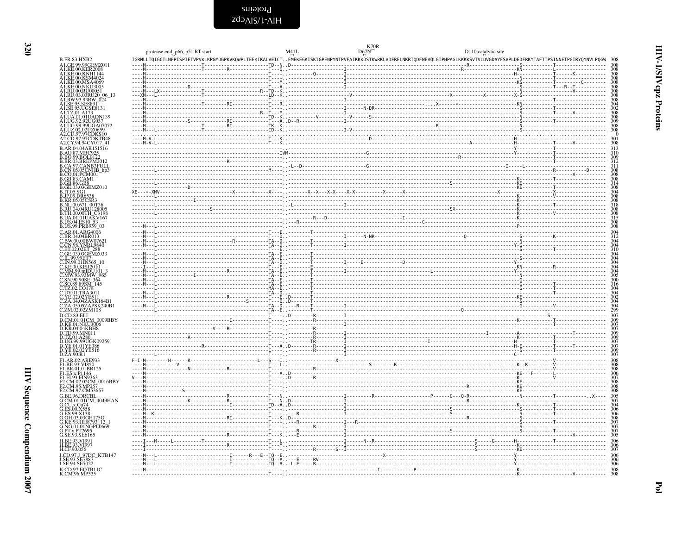| × |  |
|---|--|

<span id="page-19-0"></span>

|                                                                                                                                                                                                                                                                       | protease end_p66, p51 RT start                                             | M41L | $\frac{K70R}{kT}$<br>D110 catalytic site                                                                                                                                 |            |
|-----------------------------------------------------------------------------------------------------------------------------------------------------------------------------------------------------------------------------------------------------------------------|----------------------------------------------------------------------------|------|--------------------------------------------------------------------------------------------------------------------------------------------------------------------------|------------|
| <b>B.FR.83.HXB2</b>                                                                                                                                                                                                                                                   |                                                                            |      | IGRNLLTQIGCTLNFPISPIETVPVKLKPGMDGPKVKQWPLTEEKIKALVEICTEMEKEGKISKIGPENPYNTPVFAIKKKDSTKWRKLVDFRELNKRTQDFWEVQLGIPHPAGLKKKKSVTVLDVGDAYFSVPLDEDFRKYTAFTIPSINNETPGIRYQYNVLPQGW | - 308      |
| A1.GE.99.99GEMZ011<br>A1.KE.00.KER2008                                                                                                                                                                                                                                |                                                                            |      |                                                                                                                                                                          |            |
| A1.KE.00.KNH1144<br>A1.KE.00.KSM4024                                                                                                                                                                                                                                  |                                                                            |      |                                                                                                                                                                          |            |
| A1.KE.00.MSA4069<br>A1.KE.00.NKU3005                                                                                                                                                                                                                                  |                                                                            |      |                                                                                                                                                                          |            |
| A1.RU.00.RU00051<br>A1.RU.03.03RU20_06_13                                                                                                                                                                                                                             |                                                                            |      |                                                                                                                                                                          |            |
| A1.RW.93.93RW_024<br>A1.SE.95.SE8891                                                                                                                                                                                                                                  |                                                                            |      |                                                                                                                                                                          |            |
| A1.SE.95.UGSE8131<br>A1.TZ.01.A173                                                                                                                                                                                                                                    |                                                                            |      |                                                                                                                                                                          |            |
| A1.UA.01.01UADN139<br>A1.UG.92.92UG037                                                                                                                                                                                                                                |                                                                            |      |                                                                                                                                                                          | 309        |
|                                                                                                                                                                                                                                                                       |                                                                            |      |                                                                                                                                                                          |            |
| A1.UG.99.99UGA07072<br>A1.UZ.02.02UZ0659<br>A2.CD.97.97CDKS10<br>A2.CD.97.97CDKTB48                                                                                                                                                                                   |                                                                            |      |                                                                                                                                                                          |            |
| A2.CY.94.94CY017_41                                                                                                                                                                                                                                                   |                                                                            |      |                                                                                                                                                                          | 30         |
| B.AR.04.04AR151516                                                                                                                                                                                                                                                    |                                                                            |      |                                                                                                                                                                          |            |
|                                                                                                                                                                                                                                                                       |                                                                            |      |                                                                                                                                                                          |            |
|                                                                                                                                                                                                                                                                       |                                                                            |      |                                                                                                                                                                          |            |
|                                                                                                                                                                                                                                                                       |                                                                            |      |                                                                                                                                                                          |            |
| B.AR.04.04AR151516<br>B.AR.04.04AR151516<br>B.BO.99.BOL0122<br>B.BR.03.BREPM2012<br>B.CA.05.05.CANB3FULL<br>B.CA.05.05.CNHB_hp3<br>B.CB.05.05.CMHB_hp3<br>B.GB.83.CAM1<br>B.GB.83.CAM1<br>B.CB.03.03.CRM<br>B.CB.03.03.CRM<br>B.T.05.SG1<br>B.RR.05.05CSR3<br>B.RR.05 |                                                                            |      |                                                                                                                                                                          |            |
|                                                                                                                                                                                                                                                                       |                                                                            |      |                                                                                                                                                                          |            |
|                                                                                                                                                                                                                                                                       |                                                                            |      |                                                                                                                                                                          |            |
| B.NL.00.671 00T36<br>B.RU.04.04RU128005                                                                                                                                                                                                                               |                                                                            |      |                                                                                                                                                                          |            |
| B.TH.00.00TH_C3198<br>B.UA.01.01UAKV167                                                                                                                                                                                                                               |                                                                            |      |                                                                                                                                                                          |            |
| B.US.04.ES10 53                                                                                                                                                                                                                                                       |                                                                            |      |                                                                                                                                                                          |            |
| B.US.99.PRB959_03<br>C.AR.01.ARG4006                                                                                                                                                                                                                                  |                                                                            |      |                                                                                                                                                                          |            |
| C.BR.04.04BR013<br>C.BW.00.00BW07621                                                                                                                                                                                                                                  |                                                                            |      |                                                                                                                                                                          |            |
| C.CN.98.YNRL9840                                                                                                                                                                                                                                                      |                                                                            |      |                                                                                                                                                                          |            |
|                                                                                                                                                                                                                                                                       |                                                                            |      |                                                                                                                                                                          |            |
| C.ET.02.02ET_288<br>C.GE.03.03GEMZ033<br>C.IL.99.99ET7<br>C.IN.99.01IN565_10                                                                                                                                                                                          |                                                                            |      |                                                                                                                                                                          |            |
| C.IN.999.011112002<br>C.KE.00.KER2010<br>C.MM.99.mIDU101_3<br>C.MW.93.93MW_965<br>C.S.O.89.89SM_145<br>C.T.V.02.CO178<br>C.T.V.02.CO178                                                                                                                               | - TA - D.<br>- TA - D.<br>- TA - E.<br>- TA - E.<br>- TA - E.<br>- TA - E. |      |                                                                                                                                                                          |            |
|                                                                                                                                                                                                                                                                       |                                                                            |      |                                                                                                                                                                          |            |
|                                                                                                                                                                                                                                                                       |                                                                            |      |                                                                                                                                                                          |            |
|                                                                                                                                                                                                                                                                       |                                                                            |      |                                                                                                                                                                          |            |
|                                                                                                                                                                                                                                                                       |                                                                            |      |                                                                                                                                                                          |            |
| C.12.02.CO176<br>C.VY.01.TRA3011<br>C.YE.02.02YE511<br>C.ZA.04.04ZASK164B1<br>C.ZA.05.05ZAPSK240B1<br>C.ZM.02.02ZM108                                                                                                                                                 |                                                                            |      |                                                                                                                                                                          |            |
| D.CD.83.ELI                                                                                                                                                                                                                                                           |                                                                            |      |                                                                                                                                                                          |            |
| D.CM.01.01CM_0009BBY<br>D.KE.01.NKU3006<br>D.KR.04.04.KBH8                                                                                                                                                                                                            |                                                                            |      |                                                                                                                                                                          |            |
|                                                                                                                                                                                                                                                                       |                                                                            |      |                                                                                                                                                                          |            |
| D.TD.99.MN011<br>D.TZ.01.A280<br>D.UG.99.99UGK09259                                                                                                                                                                                                                   |                                                                            |      |                                                                                                                                                                          |            |
| D.YE.01.01YE386<br>D.YE.02.02YE516                                                                                                                                                                                                                                    |                                                                            |      |                                                                                                                                                                          |            |
| D.ZA.90.R1                                                                                                                                                                                                                                                            |                                                                            |      |                                                                                                                                                                          |            |
| FLAR.02.ARE933<br>FLBE.93.VI850<br>FLBR.01.01BR125                                                                                                                                                                                                                    |                                                                            |      |                                                                                                                                                                          |            |
|                                                                                                                                                                                                                                                                       |                                                                            |      |                                                                                                                                                                          |            |
| F1.ES.x.P1146<br>F1.F1.93.FIN9363<br>F2.CM.02.02CM_0016BBY<br>E2.CM.95.MP257                                                                                                                                                                                          |                                                                            |      |                                                                                                                                                                          |            |
| F2.CM.97.CM53657                                                                                                                                                                                                                                                      |                                                                            |      |                                                                                                                                                                          |            |
|                                                                                                                                                                                                                                                                       |                                                                            |      |                                                                                                                                                                          |            |
| G.BE.96.DRCBL<br>G.CM.01.01CM_4049HAN<br>G.CU.x.Cu74                                                                                                                                                                                                                  |                                                                            |      |                                                                                                                                                                          |            |
| G.ES.00.X558<br>G.ES.99.X138                                                                                                                                                                                                                                          |                                                                            |      |                                                                                                                                                                          |            |
| G.GH.03.03GH175G<br>G.KE.93.HH8793_12                                                                                                                                                                                                                                 |                                                                            |      |                                                                                                                                                                          |            |
| G.NG.01.01NGPL0669<br>G.PT.x.PT2695                                                                                                                                                                                                                                   |                                                                            |      |                                                                                                                                                                          |            |
| G.SE.93.SE6165                                                                                                                                                                                                                                                        |                                                                            |      |                                                                                                                                                                          |            |
| H.BE.93.VI991<br>H.BE.93.VI997                                                                                                                                                                                                                                        |                                                                            |      |                                                                                                                                                                          | 306        |
| H.CF.90.056                                                                                                                                                                                                                                                           |                                                                            |      |                                                                                                                                                                          | 306        |
| J.CD.97.J_97DC_KTB147<br>J.SE.93.SE7887<br>J.SE.94.SE7022                                                                                                                                                                                                             |                                                                            |      |                                                                                                                                                                          | 306        |
|                                                                                                                                                                                                                                                                       |                                                                            |      |                                                                                                                                                                          | 306<br>308 |
| K.CD.97.EQTB11C<br>K.CM.96.MP535                                                                                                                                                                                                                                      |                                                                            |      |                                                                                                                                                                          | 308        |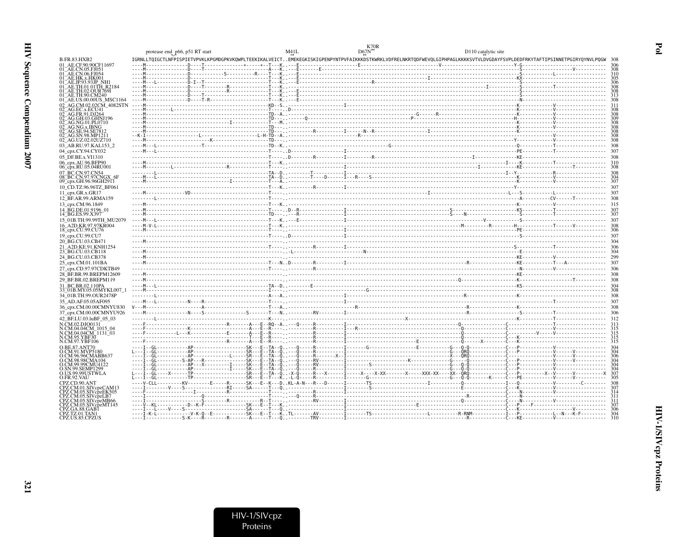|                                                            | protease end_p66, p51 RT start |                                                                                                                                                                                                                                                                                                                                                                                         | M41L | D110 catalytic site |  |
|------------------------------------------------------------|--------------------------------|-----------------------------------------------------------------------------------------------------------------------------------------------------------------------------------------------------------------------------------------------------------------------------------------------------------------------------------------------------------------------------------------|------|---------------------|--|
| B.FR.83.HXB2                                               |                                | IGRNLLTQIGCTLNFPISPIETVPVKLKPGMDGPKVKQWPLTEEKIKALVEICTEMEKEGKISKIGPENPYNTPVFAIKKKDSTKWRKLVDFRELNKRTQDFWEVQLGIPHPAGLKKKKSVTVLDVGDAYFSVPLDEDFRKYTAFTIPSINNETPGIRYQYNVLPQGW                                                                                                                                                                                                                |      |                     |  |
| 01 AE.CE.90.90CF11697                                      |                                |                                                                                                                                                                                                                                                                                                                                                                                         |      |                     |  |
| )1 AE.CN.06.FJ054                                          |                                |                                                                                                                                                                                                                                                                                                                                                                                         |      |                     |  |
|                                                            |                                |                                                                                                                                                                                                                                                                                                                                                                                         |      |                     |  |
|                                                            |                                |                                                                                                                                                                                                                                                                                                                                                                                         |      |                     |  |
|                                                            |                                |                                                                                                                                                                                                                                                                                                                                                                                         |      |                     |  |
|                                                            |                                |                                                                                                                                                                                                                                                                                                                                                                                         |      |                     |  |
|                                                            |                                |                                                                                                                                                                                                                                                                                                                                                                                         |      |                     |  |
| - AG.GH.03.GHN.I196                                        |                                |                                                                                                                                                                                                                                                                                                                                                                                         |      |                     |  |
|                                                            |                                |                                                                                                                                                                                                                                                                                                                                                                                         |      |                     |  |
|                                                            |                                |                                                                                                                                                                                                                                                                                                                                                                                         |      |                     |  |
| 02 AG.UZ.02.02UZ710<br>03 AB.RU.97.KAL153 2                |                                |                                                                                                                                                                                                                                                                                                                                                                                         |      |                     |  |
| 04_cpx.CY.94.CY032                                         |                                |                                                                                                                                                                                                                                                                                                                                                                                         |      |                     |  |
| 05_DF.BE.x.VI1310                                          |                                |                                                                                                                                                                                                                                                                                                                                                                                         |      |                     |  |
| 06_cpx.AU.96.BFP90<br>06_cpx.RU.05.04RU001                 |                                |                                                                                                                                                                                                                                                                                                                                                                                         |      |                     |  |
| 07_BC.CN.97.CN54                                           |                                |                                                                                                                                                                                                                                                                                                                                                                                         |      |                     |  |
| 08 BC.CN.97.97CNG.<br>09_cpx.GH.96.96GH2911                |                                |                                                                                                                                                                                                                                                                                                                                                                                         |      |                     |  |
| 10 CD.TZ.96.96TZ BF061                                     |                                |                                                                                                                                                                                                                                                                                                                                                                                         |      |                     |  |
| $11$ <sub>_C</sub> px.GR.x.GR17<br>12_BF.AR.99.ARMA159     |                                |                                                                                                                                                                                                                                                                                                                                                                                         |      |                     |  |
| 13_cpx.CM.96.1849                                          |                                |                                                                                                                                                                                                                                                                                                                                                                                         |      |                     |  |
| 14 BG.DE.01.9196 01<br>14_BG.ES.99.X397                    |                                |                                                                                                                                                                                                                                                                                                                                                                                         |      |                     |  |
| 15 01B.TH.99.99TH MU2079                                   |                                |                                                                                                                                                                                                                                                                                                                                                                                         |      |                     |  |
| 16_A2D.KR.97.97KR004<br>18_cpx.CU.99.CU76                  |                                |                                                                                                                                                                                                                                                                                                                                                                                         |      |                     |  |
| 19_cpx.CU.99.CU7                                           |                                |                                                                                                                                                                                                                                                                                                                                                                                         |      |                     |  |
| 20 BG.CU.03.CB471                                          |                                |                                                                                                                                                                                                                                                                                                                                                                                         |      |                     |  |
| 21 A2D.KE.91.KNH1254<br>23 BG.CU.03.CB118                  |                                |                                                                                                                                                                                                                                                                                                                                                                                         |      |                     |  |
| 24 BG.CU.03.CB378                                          |                                |                                                                                                                                                                                                                                                                                                                                                                                         |      |                     |  |
| 25_cpx.CM.01.101BA<br>27_cpx.CD.97.97CDKTB49               |                                |                                                                                                                                                                                                                                                                                                                                                                                         |      |                     |  |
| 28 BF.BR.99.BREPM12609                                     |                                |                                                                                                                                                                                                                                                                                                                                                                                         |      |                     |  |
| 29 BF.BR.02.BREPM119                                       |                                |                                                                                                                                                                                                                                                                                                                                                                                         |      |                     |  |
| 31 BC.BR.02.110PA<br>33 <sup>–</sup> 01B.MY.05.05MYKL007–1 |                                |                                                                                                                                                                                                                                                                                                                                                                                         |      |                     |  |
| 34 01B.TH.99.OUR2478P                                      |                                |                                                                                                                                                                                                                                                                                                                                                                                         |      |                     |  |
| 35 AD.AF.05.05AF095<br>36_cpx.CM.00.00CMNYU830             |                                |                                                                                                                                                                                                                                                                                                                                                                                         |      |                     |  |
| 37_cpx.CM.00.00CMNYU926                                    |                                |                                                                                                                                                                                                                                                                                                                                                                                         |      |                     |  |
| 42_BF.LU.03.luBF_05_03                                     |                                |                                                                                                                                                                                                                                                                                                                                                                                         |      |                     |  |
| N.CM.02.DJO0131<br>.CM.04.04CM 1015 04                     |                                |                                                                                                                                                                                                                                                                                                                                                                                         |      |                     |  |
| N.CM.04.04CM_1131_03<br>N.CM.95.YBF30                      |                                |                                                                                                                                                                                                                                                                                                                                                                                         |      |                     |  |
| .CM.97.YBF106                                              |                                |                                                                                                                                                                                                                                                                                                                                                                                         |      |                     |  |
| CM.91.MVP518                                               |                                |                                                                                                                                                                                                                                                                                                                                                                                         |      |                     |  |
| CM 98 98CM A 104                                           |                                |                                                                                                                                                                                                                                                                                                                                                                                         |      |                     |  |
| CM.99.99CMU4122<br><b>D.SN.99.SEMP1299</b>                 |                                |                                                                                                                                                                                                                                                                                                                                                                                         |      |                     |  |
| <b>D.US.99.99USTWLA</b>                                    |                                |                                                                                                                                                                                                                                                                                                                                                                                         |      |                     |  |
| O.FR.92.VAU                                                |                                |                                                                                                                                                                                                                                                                                                                                                                                         |      |                     |  |
|                                                            |                                |                                                                                                                                                                                                                                                                                                                                                                                         |      |                     |  |
|                                                            |                                |                                                                                                                                                                                                                                                                                                                                                                                         |      |                     |  |
| Z.CM.05.SIVcpzMB66                                         |                                | $\begin{minipage}[10000000]{\begin{minipage}[10000000]{\begin{minipage}[10000000]{\begin{minipage}[10000000]{\begin{minipage}[10000000]{\begin{minipage}[10000000]{\begin{minipage}[100000000}{\begin{minipage}[1000000000}{\begin{minipage}[100000000}{\begin{minipage}[10000000}{\begin{minipage}[10000000}{\begin{minipage}[1000000}{\begin{minipage}[1000000}{\begin{minipage}[100$ |      |                     |  |
| PZ.TZ.01.TAN1:                                             |                                |                                                                                                                                                                                                                                                                                                                                                                                         |      |                     |  |
| CPZ.US.85.CPZUS                                            |                                |                                                                                                                                                                                                                                                                                                                                                                                         |      |                     |  |

 $Pol$ 

HIV-1/SIVcpz<br>Proteins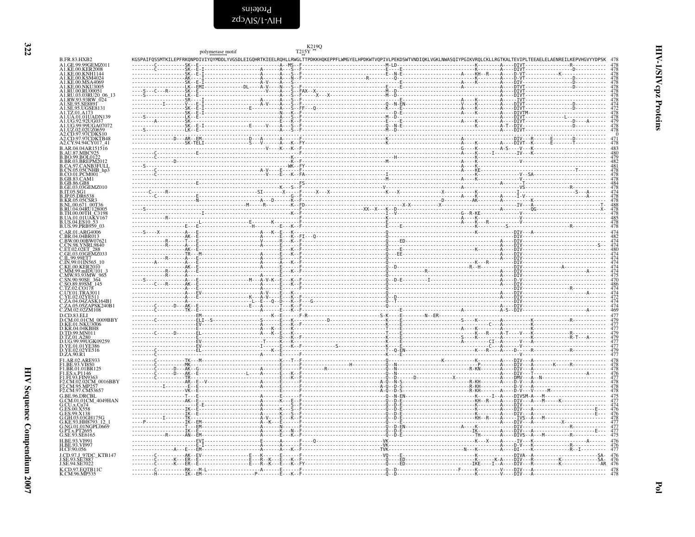| I |        |
|---|--------|
|   | ٦<br>٧ |

<span id="page-21-0"></span>

|                                                                                         | polymerase motif | T215Y        | K219Q |                                                                                                                                                                          |                                           |
|-----------------------------------------------------------------------------------------|------------------|--------------|-------|--------------------------------------------------------------------------------------------------------------------------------------------------------------------------|-------------------------------------------|
| <b>B.FR.83.HXB2</b><br>A1.GE.99.99GEMZ011                                               |                  |              |       | KGSPAIFQSSMTKILEPFRKQNPDIVIYQYMDDLYVGSDLEIGQHRTKIEELRQHLLRWGLTTPDKKHQKEPPFLWMGYELHPDKWTVQPIVLPEKDSWTVNDIQKLVGKLNWASQIYPGIKVRQLCKLLRGTKALTEVIPLTEEAELELAENREILKEPVHGVYYDP |                                           |
| A1.KE.00.KER2008<br>A1.KE.00.KNH114                                                     |                  |              |       |                                                                                                                                                                          |                                           |
| A1.KE.00.KSM4024<br>A1.KE.00.MSA4069                                                    |                  |              |       |                                                                                                                                                                          |                                           |
| A1.KE.00.NKU3005                                                                        |                  |              |       |                                                                                                                                                                          |                                           |
| A1.RU.00.RU00051<br>A1.RU.03.03RU20_06_13<br>A1.RW.93.93RW_024                          |                  |              |       |                                                                                                                                                                          |                                           |
| A1.SE.95.SE889T<br>A1.SE.95.UGSE8131                                                    |                  |              |       |                                                                                                                                                                          | 474<br>4 <u>72</u>                        |
| A1.TZ.01.A173<br>A1.UA.01.01UADN139                                                     |                  |              |       |                                                                                                                                                                          |                                           |
| A1.UG.92.92UG037<br>A1.UG.99.99UGA0707                                                  |                  |              |       |                                                                                                                                                                          | $\frac{478}{478}$<br>$\frac{479}{478}$    |
| A1.UZ.02.02UZ0659                                                                       |                  |              |       |                                                                                                                                                                          |                                           |
| A2.CD.97.97CDKS10<br>A2.CD.97.97CDKTB48<br>A2.CY.94.94CY017_41                          |                  |              |       |                                                                                                                                                                          | 478                                       |
| B.AR.04.04AR151516                                                                      |                  |              |       |                                                                                                                                                                          | 483                                       |
| .AU.87.MBC925<br>.BO.99.BOL0122                                                         |                  |              |       |                                                                                                                                                                          |                                           |
| <b>B.BR.03.BREPM2012<br/>B.CA.97.CANB3FULL<br/>B.CA.97.CANB3FULL<br/>B.CO.01.PCM001</b> |                  |              |       |                                                                                                                                                                          |                                           |
| GB.83.CAM1.                                                                             |                  |              |       |                                                                                                                                                                          |                                           |
| GB.86.GB8.<br>GE.03.03GEMZ010                                                           |                  |              |       |                                                                                                                                                                          |                                           |
| <b>B.IT.05.SG1</b><br>JP.05.DR6538                                                      |                  |              |       |                                                                                                                                                                          |                                           |
| B.KR.05.05CSR3<br>B.NL.00.671_00T36                                                     |                  |              |       |                                                                                                                                                                          |                                           |
| 3.RU.04.04RU128005<br>TH.00.00TH C3198                                                  |                  |              |       |                                                                                                                                                                          |                                           |
| <b>B.UA.01.01UAKV167</b><br>B.US.04.ES10 53                                             |                  |              |       |                                                                                                                                                                          | 47844784747888478478478478478             |
| B.US.99.PRB959 03<br>C.AR.01.ARG4006                                                    |                  |              |       |                                                                                                                                                                          |                                           |
| C.BR.04.04BR013<br>C.BW.00.00BW0762                                                     |                  |              |       |                                                                                                                                                                          |                                           |
| CN.98.YNRL9840.<br><b>ET.02.02ET 288</b>                                                |                  |              |       |                                                                                                                                                                          |                                           |
| .GE.03.03GEMZ033<br>C.IL.99.99ET7                                                       |                  |              |       |                                                                                                                                                                          |                                           |
| C.IN.99.01IN565 10<br>KE.00.KER2010.                                                    |                  |              |       |                                                                                                                                                                          |                                           |
| .MM.99.mIDU101<br>MW.93.93MW 965                                                        |                  |              |       |                                                                                                                                                                          |                                           |
| SN.90.90SE_364<br>SO.89.89SM_145                                                        |                  |              |       |                                                                                                                                                                          |                                           |
| C.TZ.02.CO178<br>C.UY.01.TRA3011                                                        |                  |              |       |                                                                                                                                                                          |                                           |
| C.YE.02.02YE511<br>C.ZA.04.04ZASK164B1                                                  |                  |              |       |                                                                                                                                                                          |                                           |
| C.ZA.05.05ZAPSK240B1<br>C.ZM.02.02ZM108                                                 |                  |              |       |                                                                                                                                                                          | 469                                       |
| D.CD.83.EL<br>D.CM.01.01CM_0009BBY                                                      |                  |              |       |                                                                                                                                                                          |                                           |
| D.KE.01.NKU3006                                                                         |                  |              |       |                                                                                                                                                                          |                                           |
| D.KR.04.04KBH8<br>D.TD.99.MN011<br>D.TZ.01.A280<br>D.UG.99.99UGK09259                   |                  |              |       |                                                                                                                                                                          | 477<br>477<br>479<br>479                  |
| D.YE.01.01YE386                                                                         |                  |              |       |                                                                                                                                                                          | 477<br>477                                |
| D.YE.02.02YE516<br>D.ZA.90.R1                                                           |                  |              |       |                                                                                                                                                                          |                                           |
| F1.AR.02.ARE933<br>F1.BE.93.VI850                                                       |                  |              |       |                                                                                                                                                                          |                                           |
| F1.BR.01.01BR125                                                                        |                  |              |       |                                                                                                                                                                          |                                           |
| F1.ES.x.P1146<br>F1.F1.93.FIN9363<br>F2.CM.02.02CM_0016BBY<br>E2.CM.95.MP257            |                  |              |       |                                                                                                                                                                          | 476<br>477                                |
| F2.CM.97.CM53657                                                                        |                  |              |       |                                                                                                                                                                          | 478                                       |
| G.BE.96.DRCBL                                                                           |                  | . A <b>F</b> |       |                                                                                                                                                                          | ----I--A----DIVSM-A---M------------------ |
| G.CM.01.01CM_4049HAN<br>G.CU.x.Cu74                                                     |                  |              |       |                                                                                                                                                                          |                                           |
| G.ES.00.X558<br>G.ES.99.X138                                                            |                  |              |       |                                                                                                                                                                          |                                           |
| G.GH.03.03GH175G<br>G.KE.93.HH8793_12                                                   |                  |              |       |                                                                                                                                                                          |                                           |
| G.NG.01.01NGPL0669<br>G.PT.x.PT2695                                                     |                  |              |       |                                                                                                                                                                          | 477<br>$\frac{477}{475}$                  |
| G.SE.93.SE6165<br>H.BE.93.VI991                                                         |                  |              |       |                                                                                                                                                                          |                                           |
| H.BE.93.VI997<br>H.CF.90.056                                                            |                  |              |       |                                                                                                                                                                          |                                           |
| J.CD.97.J 97DC KTB147                                                                   |                  |              |       |                                                                                                                                                                          |                                           |
| J.SE.93.SE7887<br>J.SE.94.SE7022                                                        |                  |              |       |                                                                                                                                                                          | 476                                       |
| K.CD.97.EQTB11C<br>K.CM.96.MP535                                                        |                  |              |       | --------------------------K--------V----DIV---A-------------------                                                                                                       |                                           |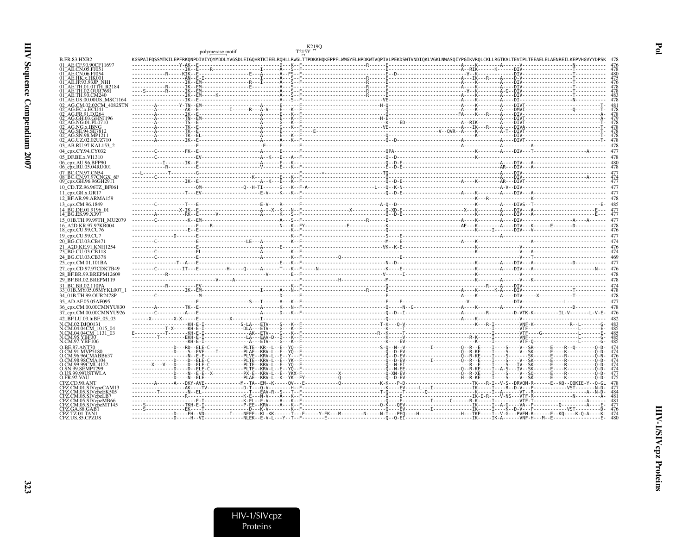|                                                 | polymerase motif |  |                                                                                                                                                                                                                                                                                                                                                                                                                                                                                                      |  |
|-------------------------------------------------|------------------|--|------------------------------------------------------------------------------------------------------------------------------------------------------------------------------------------------------------------------------------------------------------------------------------------------------------------------------------------------------------------------------------------------------------------------------------------------------------------------------------------------------|--|
| <b>B.FR.83.HXB2</b>                             |                  |  | KGSPAIFOSSMTKILEPFRKONPDIVIYOYMDDLYVGSDLEIGOHRTKIEELROHLLRWGLTTPDKKHOKEPPFLWMGYELHPDKWTVOPIVLPEKDSWTVNDIOKLVGKLNWASOIYPGIKVROLCKLLRGTKALTEVIPLTEEAELELAENREILKEPVHGVYYDPSK                                                                                                                                                                                                                                                                                                                           |  |
| 01 AE.CF.90.90CF11697                           |                  |  |                                                                                                                                                                                                                                                                                                                                                                                                                                                                                                      |  |
| 01 AE CN 05 F105                                |                  |  |                                                                                                                                                                                                                                                                                                                                                                                                                                                                                                      |  |
| )1 <sup>-</sup> AE.CN.06.FJ054<br>AE.HK.x.HK001 |                  |  |                                                                                                                                                                                                                                                                                                                                                                                                                                                                                                      |  |
|                                                 |                  |  |                                                                                                                                                                                                                                                                                                                                                                                                                                                                                                      |  |
| AE.TH.01.01TH R2184                             |                  |  | $\begin{minipage}{0.99\textwidth} \begin{minipage}{0.99\textwidth} \begin{minipage}{0.99\textwidth} \begin{minipage}{0.99\textwidth} \begin{minipage}{0.99\textwidth} \begin{minipage}{0.99\textwidth} \begin{minipage}{0.99\textwidth} \begin{minipage}{0.99\textwidth} \begin{minipage}{0.99\textwidth} \begin{minipage}{0.99\textwidth} \begin{minipage}{0.99\textwidth} \begin{minipage}{0.99\textwidth} \begin{minipage}{0.99\textwidth} \begin{minipage}{0.99\textwidth} \begin{minipage}{0.9$ |  |
| AE.TH.02.OUR769I<br>AE.TH.90.CM240              |                  |  |                                                                                                                                                                                                                                                                                                                                                                                                                                                                                                      |  |
| 01 AE.US.00.00US MSC1164                        |                  |  |                                                                                                                                                                                                                                                                                                                                                                                                                                                                                                      |  |
|                                                 |                  |  |                                                                                                                                                                                                                                                                                                                                                                                                                                                                                                      |  |
|                                                 |                  |  |                                                                                                                                                                                                                                                                                                                                                                                                                                                                                                      |  |
| 02 <sup>-</sup> AG.GH.03.GHNJ196                |                  |  |                                                                                                                                                                                                                                                                                                                                                                                                                                                                                                      |  |
| 2 AG.NG.01.PL0710                               |                  |  |                                                                                                                                                                                                                                                                                                                                                                                                                                                                                                      |  |
| AG.NG.x.IBNG<br>)2 AG.SE.94.SE781               |                  |  |                                                                                                                                                                                                                                                                                                                                                                                                                                                                                                      |  |
| 2 AG.SN.98.MP1211                               |                  |  |                                                                                                                                                                                                                                                                                                                                                                                                                                                                                                      |  |
| 02 AG.UZ.02.02UZ710                             |                  |  |                                                                                                                                                                                                                                                                                                                                                                                                                                                                                                      |  |
| 03 AB.RU.97.KAL153 2                            |                  |  |                                                                                                                                                                                                                                                                                                                                                                                                                                                                                                      |  |
| 04 cpx.CY.94.CY032                              |                  |  |                                                                                                                                                                                                                                                                                                                                                                                                                                                                                                      |  |
| 05 DF.BE.x.VI1310                               |                  |  |                                                                                                                                                                                                                                                                                                                                                                                                                                                                                                      |  |
| 06_cpx.AU.96.BFP90<br>06_cpx.RU.05.04RU001      |                  |  |                                                                                                                                                                                                                                                                                                                                                                                                                                                                                                      |  |
| 07 BC.CN.97.CN54                                |                  |  |                                                                                                                                                                                                                                                                                                                                                                                                                                                                                                      |  |
| 08 BC.CN.97.97CNG.                              |                  |  |                                                                                                                                                                                                                                                                                                                                                                                                                                                                                                      |  |
| 09 cpx.GH.96.96GH2911                           |                  |  |                                                                                                                                                                                                                                                                                                                                                                                                                                                                                                      |  |
| 10_CD.TZ.96.96TZ_BF061                          |                  |  |                                                                                                                                                                                                                                                                                                                                                                                                                                                                                                      |  |
| 11 cpx.GR.x.GR17                                |                  |  |                                                                                                                                                                                                                                                                                                                                                                                                                                                                                                      |  |
| 12 BF.AR.99.ARMA159                             |                  |  |                                                                                                                                                                                                                                                                                                                                                                                                                                                                                                      |  |
| 13 cpx.CM.96.1849                               |                  |  |                                                                                                                                                                                                                                                                                                                                                                                                                                                                                                      |  |
| 14 BG.DE.01.9196 01<br>14 BG.ES.99.X397         |                  |  |                                                                                                                                                                                                                                                                                                                                                                                                                                                                                                      |  |
| 15 01B.TH.99.99TH MU2079                        |                  |  |                                                                                                                                                                                                                                                                                                                                                                                                                                                                                                      |  |
| 16 A2D.KR.97.97KR004                            |                  |  |                                                                                                                                                                                                                                                                                                                                                                                                                                                                                                      |  |
| 18_cpx.CU.99.CU76                               |                  |  |                                                                                                                                                                                                                                                                                                                                                                                                                                                                                                      |  |
| 19 cpx.CU.99.CU7                                |                  |  |                                                                                                                                                                                                                                                                                                                                                                                                                                                                                                      |  |
| 20 BG.CU.03.CB471                               |                  |  |                                                                                                                                                                                                                                                                                                                                                                                                                                                                                                      |  |
| 21_A2D.KE.91.KNH1254<br>23_BG.CU.03.CB118       |                  |  |                                                                                                                                                                                                                                                                                                                                                                                                                                                                                                      |  |
| 24 BG.CU.03.CB378                               |                  |  |                                                                                                                                                                                                                                                                                                                                                                                                                                                                                                      |  |
| 25 cpx.CM.01.101BA                              |                  |  |                                                                                                                                                                                                                                                                                                                                                                                                                                                                                                      |  |
| 27_cpx.CD.97.97CDKTB49                          |                  |  |                                                                                                                                                                                                                                                                                                                                                                                                                                                                                                      |  |
| 28 BF.BR.99.BREPM12609                          |                  |  |                                                                                                                                                                                                                                                                                                                                                                                                                                                                                                      |  |
| 29 BF.BR.02.BREPM119                            |                  |  |                                                                                                                                                                                                                                                                                                                                                                                                                                                                                                      |  |
| 31 BC.BR.02.110PA                               |                  |  |                                                                                                                                                                                                                                                                                                                                                                                                                                                                                                      |  |
| 33 01B.MY.05.05MYKL007 1                        |                  |  |                                                                                                                                                                                                                                                                                                                                                                                                                                                                                                      |  |
| 34 01B.TH.99.OUR2478P                           |                  |  |                                                                                                                                                                                                                                                                                                                                                                                                                                                                                                      |  |
| 35 AD.AF.05.05AF095                             |                  |  |                                                                                                                                                                                                                                                                                                                                                                                                                                                                                                      |  |
| 36 cpx.CM.00.00CMNYU830                         |                  |  | Communicative Entertainment and Marian Architecture and Communicative Communicative Communicative Communicative Communicative Communicative Communicative A76                                                                                                                                                                                                                                                                                                                                        |  |
| 37 cpx.CM.00.00CMNYU926                         |                  |  |                                                                                                                                                                                                                                                                                                                                                                                                                                                                                                      |  |
| 42 BF.LU.03.luBF 05 03<br>N.CM.02.DJO0131       |                  |  |                                                                                                                                                                                                                                                                                                                                                                                                                                                                                                      |  |
| N.CM.04.04CM 1015 04                            |                  |  |                                                                                                                                                                                                                                                                                                                                                                                                                                                                                                      |  |
| N.CM.04.04CM <sup>-1131-03</sup>                |                  |  |                                                                                                                                                                                                                                                                                                                                                                                                                                                                                                      |  |
| CM.95. YBF30<br>N.CM.97.YBF106                  |                  |  |                                                                                                                                                                                                                                                                                                                                                                                                                                                                                                      |  |
| O BE 87 ANT70                                   |                  |  |                                                                                                                                                                                                                                                                                                                                                                                                                                                                                                      |  |
|                                                 |                  |  |                                                                                                                                                                                                                                                                                                                                                                                                                                                                                                      |  |
| CM 96 96CMARR63′                                |                  |  |                                                                                                                                                                                                                                                                                                                                                                                                                                                                                                      |  |
| LCM 98.98CMA104<br>O.CM.99.99CMU4122            |                  |  |                                                                                                                                                                                                                                                                                                                                                                                                                                                                                                      |  |
| O.SN.99.SEMP1299                                |                  |  |                                                                                                                                                                                                                                                                                                                                                                                                                                                                                                      |  |
| O.US.99.99USTWLA<br>O.FR.92.VAU                 |                  |  |                                                                                                                                                                                                                                                                                                                                                                                                                                                                                                      |  |
| CPZ.CD.90.ANT                                   |                  |  |                                                                                                                                                                                                                                                                                                                                                                                                                                                                                                      |  |
|                                                 |                  |  |                                                                                                                                                                                                                                                                                                                                                                                                                                                                                                      |  |
| CPZ.CM.05.SIVcpzEK505                           |                  |  |                                                                                                                                                                                                                                                                                                                                                                                                                                                                                                      |  |
| CPZ.CM.05.SIVcpzLB7<br>CPZ.CM.05.SIVcpzMB66     |                  |  |                                                                                                                                                                                                                                                                                                                                                                                                                                                                                                      |  |
| CPZ.CM.05.SIVcpzMT145                           |                  |  |                                                                                                                                                                                                                                                                                                                                                                                                                                                                                                      |  |
| PZ.GA.88.GAB1<br>CPZ.TZ.01.TAN1                 |                  |  |                                                                                                                                                                                                                                                                                                                                                                                                                                                                                                      |  |
| CPZ.US.85.CPZUS                                 |                  |  |                                                                                                                                                                                                                                                                                                                                                                                                                                                                                                      |  |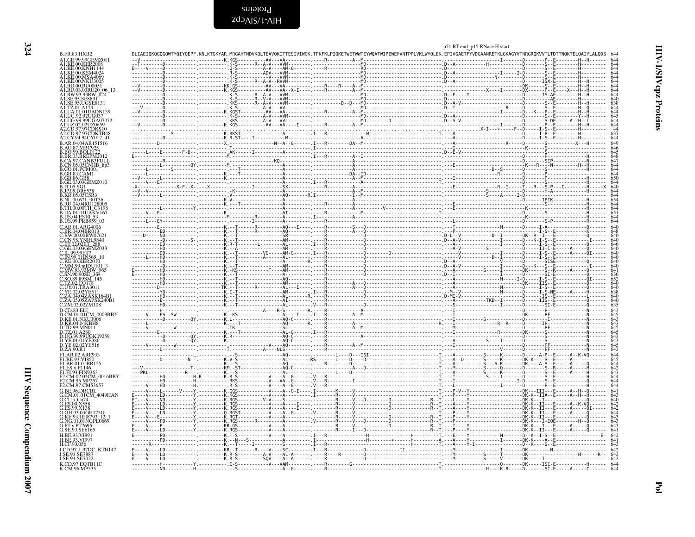<span id="page-23-0"></span>Proteins

|                                               |  |  |  |                                                                                                                                                                            | p51 RT end_p15 RNase H start |  |                         |
|-----------------------------------------------|--|--|--|----------------------------------------------------------------------------------------------------------------------------------------------------------------------------|------------------------------|--|-------------------------|
| B.FR.83.HXB2                                  |  |  |  | DLIAEIQKQGQGQWTYQIYQEPF.KNLKTGKYAR.MRGAHTNDVKQLTEAVQKITTESIVIWGK.TPKFKLPIQKETWETWWTEYWQATWIPEWEFVNTPPLVKLWYQLEK.EPIVGAETFYVDGAANRETKLGKAGYVTNRGRQKVVTLTDTTNQKTELQAIYLALQDS |                              |  |                         |
| A1.GE.99.99GEMZ011<br><b>KER2008</b>          |  |  |  |                                                                                                                                                                            |                              |  |                         |
|                                               |  |  |  |                                                                                                                                                                            |                              |  |                         |
| A1.KE.00.NKU3005                              |  |  |  |                                                                                                                                                                            |                              |  |                         |
| A1.RU.00.RU00051                              |  |  |  |                                                                                                                                                                            |                              |  |                         |
|                                               |  |  |  |                                                                                                                                                                            |                              |  |                         |
| A1.SE.95.UGSE8131                             |  |  |  |                                                                                                                                                                            |                              |  |                         |
|                                               |  |  |  |                                                                                                                                                                            |                              |  |                         |
| A1.UA.01.01UADN                               |  |  |  |                                                                                                                                                                            |                              |  |                         |
| A 1 LIG 99 99HG A070                          |  |  |  |                                                                                                                                                                            |                              |  |                         |
| A <sub>2</sub> .CD.97.97CDKS10                |  |  |  |                                                                                                                                                                            |                              |  |                         |
| A2.CD.97.97CDKTB48<br>A2.CY.94.94CY017_41     |  |  |  |                                                                                                                                                                            |                              |  |                         |
| B.AR.04.04AR151516                            |  |  |  |                                                                                                                                                                            |                              |  |                         |
| 3. AU.87.MBC925<br>BO.99.BOL0122              |  |  |  |                                                                                                                                                                            |                              |  |                         |
| B.BR.03.BREPM20                               |  |  |  |                                                                                                                                                                            |                              |  |                         |
| B.CA.97.CANB3FULL<br>B.CN.05.05CNHB_hp3       |  |  |  |                                                                                                                                                                            |                              |  |                         |
| CO.01.PCM001<br>GB.83.CAM1                    |  |  |  |                                                                                                                                                                            |                              |  |                         |
| GB.86.GB8                                     |  |  |  |                                                                                                                                                                            |                              |  |                         |
| GE.03.03GEMZ010.                              |  |  |  |                                                                                                                                                                            |                              |  |                         |
| IP05 DR65<br>B.KR.05.05CSR?                   |  |  |  |                                                                                                                                                                            |                              |  |                         |
| NL.00.671 00T3                                |  |  |  |                                                                                                                                                                            |                              |  |                         |
| RU.04.04RU128005<br>.TH.00.00TH_C3198         |  |  |  |                                                                                                                                                                            |                              |  |                         |
| UA.01.01UAKV167.                              |  |  |  |                                                                                                                                                                            |                              |  |                         |
| US.04.ES10_<br>B.US.99.PRB959_03              |  |  |  |                                                                                                                                                                            |                              |  |                         |
|                                               |  |  |  |                                                                                                                                                                            |                              |  |                         |
| C.BW.00.00BW07621                             |  |  |  |                                                                                                                                                                            |                              |  | 640                     |
| .CN.98.YNRL9840<br>C.ET.02.02ET 288           |  |  |  |                                                                                                                                                                            |                              |  | 640                     |
| C.GE.03.03GEMZ03.                             |  |  |  |                                                                                                                                                                            |                              |  | 640                     |
| C.IL.99.99ET7<br>N.99.01IN565                 |  |  |  |                                                                                                                                                                            |                              |  |                         |
|                                               |  |  |  |                                                                                                                                                                            |                              |  | 640                     |
|                                               |  |  |  |                                                                                                                                                                            |                              |  |                         |
|                                               |  |  |  |                                                                                                                                                                            |                              |  |                         |
|                                               |  |  |  |                                                                                                                                                                            |                              |  |                         |
|                                               |  |  |  |                                                                                                                                                                            |                              |  |                         |
|                                               |  |  |  |                                                                                                                                                                            |                              |  |                         |
|                                               |  |  |  |                                                                                                                                                                            |                              |  |                         |
|                                               |  |  |  |                                                                                                                                                                            |                              |  |                         |
| D.KE.01.NKU3006<br>D.KR.04.04KBH8             |  |  |  |                                                                                                                                                                            |                              |  |                         |
| TD.99.MN011                                   |  |  |  |                                                                                                                                                                            |                              |  |                         |
| D.TZ.01.A280<br>D.UG.99.99UGK09259            |  |  |  |                                                                                                                                                                            |                              |  |                         |
| D.YE.01.01YE386<br>D.YE.02.02YE516            |  |  |  |                                                                                                                                                                            |                              |  |                         |
| D.ZA.90.R1                                    |  |  |  |                                                                                                                                                                            |                              |  |                         |
| F1.AR.02.ARE933                               |  |  |  |                                                                                                                                                                            |                              |  |                         |
| F1.BE.93.VI850<br>F1.BR.01.01BR125            |  |  |  |                                                                                                                                                                            |                              |  |                         |
| F1.ES.x.P1146<br>F1.FI.93.FIN936.             |  |  |  |                                                                                                                                                                            |                              |  |                         |
| F2.CM.02.02CM_0016BBY                         |  |  |  |                                                                                                                                                                            |                              |  |                         |
| F2.CM.97.CM53657                              |  |  |  |                                                                                                                                                                            |                              |  |                         |
| G.BE.96.DRCBL                                 |  |  |  |                                                                                                                                                                            |                              |  |                         |
| G.CM.01.01CM 4049HAN<br>G.CU.x.Cu74           |  |  |  |                                                                                                                                                                            |                              |  |                         |
| G ES 00 X558<br>G.F.S.99.X138                 |  |  |  |                                                                                                                                                                            |                              |  |                         |
| G.GH.03.03GH175C                              |  |  |  |                                                                                                                                                                            |                              |  |                         |
| G.KE.93.HH8793 12<br>G.NG.01.01NGPL0669       |  |  |  |                                                                                                                                                                            |                              |  |                         |
| G.PT.x.PT2695                                 |  |  |  |                                                                                                                                                                            |                              |  | $643$<br>$643$<br>$641$ |
| G.SE.93.SE6165<br><b>H RE 93 VI991</b>        |  |  |  |                                                                                                                                                                            |                              |  |                         |
| H.BE.93.VI997                                 |  |  |  |                                                                                                                                                                            |                              |  |                         |
| H.CF.90.056                                   |  |  |  |                                                                                                                                                                            |                              |  |                         |
| J.CD.97.J 97DC KTB147<br><b>LSE 93 SE7887</b> |  |  |  |                                                                                                                                                                            |                              |  |                         |
| J.SE.94.SE7022                                |  |  |  |                                                                                                                                                                            |                              |  |                         |
| K.CD.97.EQTB11C<br>K.CM.96.MP535              |  |  |  |                                                                                                                                                                            |                              |  |                         |

Pol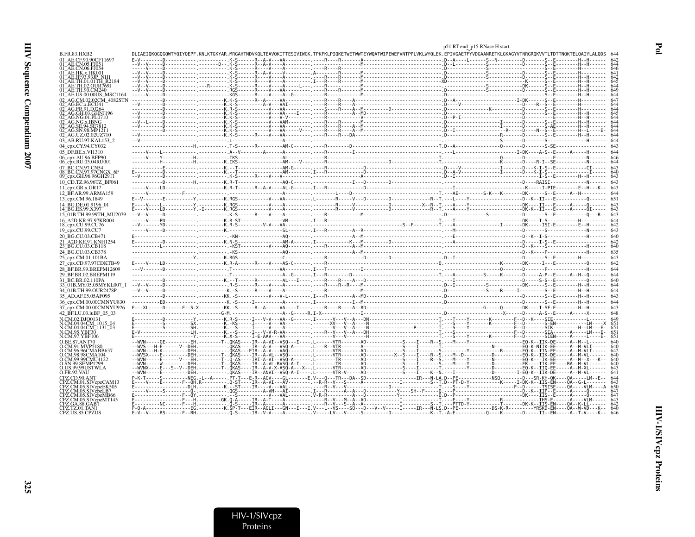325

|                                                                 |                                                                                                                                                                                   | p51 RT end_p15 RNase H start |  |
|-----------------------------------------------------------------|-----------------------------------------------------------------------------------------------------------------------------------------------------------------------------------|------------------------------|--|
| B.FR.83.HXB2                                                    | DLIAEIOKOGOGOWTYOIYOEPF.KNLKTGKYAR.MRGAHTNDVKOLTEAVOKITTESIVIWGK.TPKFKLPIOKETWETWWTEYWOATWIPEWEFVNTPPLVKLWYOLEK.EPIVGAETFYVDGAANRETKLGKAGYVTNRGROKVVTLTDTTNOKTELOAIYLALODS        |                              |  |
| 01 AE.CE.90.90CF11697<br>AE CN 05 FJ051                         |                                                                                                                                                                                   |                              |  |
| 01 AE.CN.06.FJ054                                               |                                                                                                                                                                                   |                              |  |
|                                                                 |                                                                                                                                                                                   |                              |  |
| 01 <sup>-</sup> AE.TH.01.01TH R2184                             |                                                                                                                                                                                   |                              |  |
| 01 AE TH 02 OUR 769L<br>01 AE TH 90 CM240                       |                                                                                                                                                                                   |                              |  |
| 01 AE.US.00.00US MSC1164                                        |                                                                                                                                                                                   |                              |  |
| 02 AG.CM.02.02CM 4082STN<br>AG.EC.x.ECU41                       |                                                                                                                                                                                   |                              |  |
| AG.FR.91.DJ26                                                   |                                                                                                                                                                                   |                              |  |
| 2 AG.NG.01.PL0710                                               |                                                                                                                                                                                   |                              |  |
| AG NG x IRNG                                                    |                                                                                                                                                                                   |                              |  |
| 2. AG.SE.94.SE781<br>02 <sup>-</sup> AG.SN.98.MP1211            |                                                                                                                                                                                   |                              |  |
| 02 AG.UZ.02.02UZ710                                             |                                                                                                                                                                                   |                              |  |
| 03 AB.RU.97.KAL153 2<br>04 cpx.CY.94.CY032                      |                                                                                                                                                                                   |                              |  |
| 05 DF.BE.x.VI1310                                               |                                                                                                                                                                                   |                              |  |
| 06_cpx.AU.96.BFP90                                              |                                                                                                                                                                                   |                              |  |
| 06_cpx.RU.05.04RU001                                            |                                                                                                                                                                                   |                              |  |
| 07 BC.CN.97.CN54<br>08 BC.CN.97.97CNGX 6F                       |                                                                                                                                                                                   |                              |  |
| 09 cpx.GH.96.96GH2911                                           |                                                                                                                                                                                   |                              |  |
| 10 CD.TZ.96.96TZ BF061<br>11 $cpx.GR.x.GR17$                    |                                                                                                                                                                                   |                              |  |
| 12 BF.AR.99.ARMA159                                             |                                                                                                                                                                                   |                              |  |
| 13_cpx.CM.96.1849                                               |                                                                                                                                                                                   |                              |  |
| 14 BG.DE.01.9196 01                                             |                                                                                                                                                                                   |                              |  |
| 14 BG.ES.99.X397<br>15 01B.TH.99.99TH MU2079                    |                                                                                                                                                                                   |                              |  |
| 16 A2D.KR.97.97KR004                                            |                                                                                                                                                                                   |                              |  |
| 18_cpx.CU.99.CU76                                               |                                                                                                                                                                                   |                              |  |
| 19 cpx.CU.99.CU7<br>20_BG.CU.03.CB471                           |                                                                                                                                                                                   |                              |  |
| 21 A2D.KE.91.KNH1254                                            |                                                                                                                                                                                   |                              |  |
| 23 BG.CU.03.CB118                                               |                                                                                                                                                                                   |                              |  |
| 24 BG.CU.03.CB378                                               |                                                                                                                                                                                   |                              |  |
| 25 cpx.CM.01.101BA<br>27 cpx.CD.97.97CDKTB49                    |                                                                                                                                                                                   |                              |  |
| 28 BF.BR.99.BREPM12609                                          |                                                                                                                                                                                   |                              |  |
| 29 BF.BR.02.BREPM119                                            |                                                                                                                                                                                   |                              |  |
| 31 BC.BR.02.110PA                                               |                                                                                                                                                                                   |                              |  |
| 33 <sup>-</sup> 01B.MY.05.05MYKL007<br>34 01B.TH.99.OUR2478P    |                                                                                                                                                                                   |                              |  |
| 35 AD.AF.05.05AF095                                             |                                                                                                                                                                                   |                              |  |
| 36_cpx.CM.00.00CMNYU830                                         |                                                                                                                                                                                   |                              |  |
| 37_cpx.CM.00.00CMNYU926                                         |                                                                                                                                                                                   |                              |  |
| 42 BF.LU.03.luBF 05 03<br>N.CM.02.DJO0131                       |                                                                                                                                                                                   |                              |  |
| N.CM.04.04CM 1015 04                                            |                                                                                                                                                                                   |                              |  |
| N.CM.04.04CM <sup>-</sup> 1131 <sup>-</sup> 03<br>N.CM.95.YBF30 |                                                                                                                                                                                   |                              |  |
| N.CM.97.YBF106                                                  |                                                                                                                                                                                   |                              |  |
| O BE 87 ANT70<br>O.CM.91.MVP5180                                |                                                                                                                                                                                   |                              |  |
| O.CM.96.96CMABB637                                              |                                                                                                                                                                                   |                              |  |
| O.CM.98.98CMA104<br>O.CM.99.99CMU4122                           | --WW-----E-------V-- <u>-EH.--------T-. 0-AS----TRT-A-VT--VS0-A------ [C-------TR------AD------------S---T----R--S.---N-----Y------------------EO-K---TK-EE-----A--M--X---K--</u> |                              |  |
| SN.99.SEMP1299.                                                 |                                                                                                                                                                                   |                              |  |
| O.US.99.99USTWLA<br>O.FR.92.VAU                                 |                                                                                                                                                                                   |                              |  |
| CPZ.CD.90.ANT                                                   | P-K-T-----S----------NEG-L--A------PT-T---E-R--AGV----GL-------E.V---OL--TR---DA--SD---------------TR---N--LA.D--PE------------------NSO--------D---SR-KH-0K----0A-----LM--E--    |                              |  |
| CPZ.CM.05.SIVcpzEK505                                           |                                                                                                                                                                                   |                              |  |
| CPZ.CM.05.SIVcpzLB7                                             |                                                                                                                                                                                   |                              |  |
| CPZ.CM.05.SIVcpzMB66<br>CPZ.CM.05.SIVcpzMT145                   |                                                                                                                                                                                   |                              |  |
| CPZ.TZ.01.TAN1                                                  |                                                                                                                                                                                   |                              |  |
| CPZ.US.85.CPZUS                                                 |                                                                                                                                                                                   |                              |  |

HIV-1/SIVcpz Proteins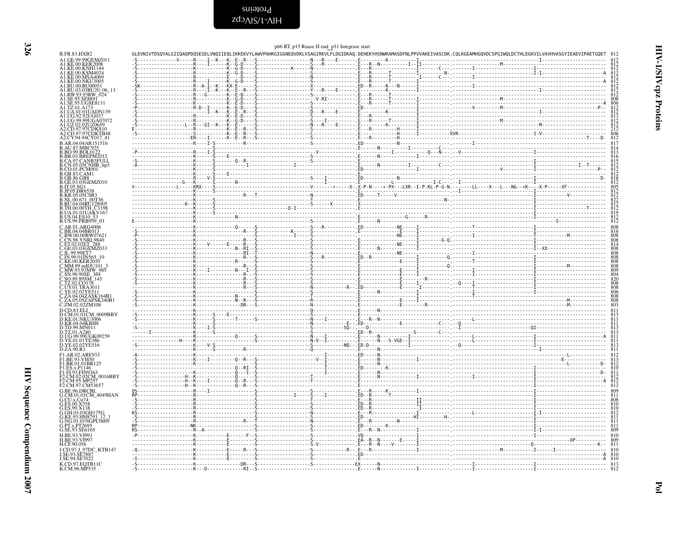<span id="page-25-0"></span>HIV-1/SIV cpz Proteins

| I |  |
|---|--|
|   |  |

|                                                                                                                                                                                                                                                                 |                                    |                                                                                                                                             | p66 RT, p15 Rnase H end_p31 Integrase start |                                                                                                                                                                                                                                                                                                                                                                                                                                                                                                      |                   |
|-----------------------------------------------------------------------------------------------------------------------------------------------------------------------------------------------------------------------------------------------------------------|------------------------------------|---------------------------------------------------------------------------------------------------------------------------------------------|---------------------------------------------|------------------------------------------------------------------------------------------------------------------------------------------------------------------------------------------------------------------------------------------------------------------------------------------------------------------------------------------------------------------------------------------------------------------------------------------------------------------------------------------------------|-------------------|
| <b>B.FR.83.HXB2</b><br>A1.GE.99.99GEMZ011                                                                                                                                                                                                                       |                                    | GLEVNIVTDSQYALGIIQAQPDQSESELVNQIIEQLIKKEKVYLAWVPAHKGIGGNEQVDKLVSAGIRKVLFLDGIDKAQ.DEHEKYHSNWRAMASDFNLPPVVAKEIVASCDK.CQLKGEAMHGQVDCSPGIWQLDCT |                                             |                                                                                                                                                                                                                                                                                                                                                                                                                                                                                                      |                   |
| A1.KE.00.KER2008                                                                                                                                                                                                                                                |                                    |                                                                                                                                             |                                             |                                                                                                                                                                                                                                                                                                                                                                                                                                                                                                      |                   |
|                                                                                                                                                                                                                                                                 |                                    |                                                                                                                                             |                                             |                                                                                                                                                                                                                                                                                                                                                                                                                                                                                                      |                   |
|                                                                                                                                                                                                                                                                 |                                    |                                                                                                                                             |                                             |                                                                                                                                                                                                                                                                                                                                                                                                                                                                                                      |                   |
|                                                                                                                                                                                                                                                                 |                                    |                                                                                                                                             |                                             |                                                                                                                                                                                                                                                                                                                                                                                                                                                                                                      |                   |
|                                                                                                                                                                                                                                                                 |                                    |                                                                                                                                             |                                             |                                                                                                                                                                                                                                                                                                                                                                                                                                                                                                      |                   |
| AI .KE.00.KER2008<br>AI .KE.00.KNH1144<br>AI .KE.00.KNM4024<br>AI .KE.00.NK544069<br>AI .KE.00.NK134009<br>AI .RU.00.RU00051<br>AI .RU.00.RU00051<br>AI .RW.93.93RU20.06-13<br>AI .SE.95.53.8889/<br>AI .SE.95.53.8889/<br>AI .SE.95.86889/<br>AI .J.ILA.01.011 |                                    |                                                                                                                                             |                                             |                                                                                                                                                                                                                                                                                                                                                                                                                                                                                                      |                   |
|                                                                                                                                                                                                                                                                 |                                    |                                                                                                                                             |                                             |                                                                                                                                                                                                                                                                                                                                                                                                                                                                                                      |                   |
| A1.UG.92.92UG037                                                                                                                                                                                                                                                |                                    |                                                                                                                                             |                                             |                                                                                                                                                                                                                                                                                                                                                                                                                                                                                                      |                   |
|                                                                                                                                                                                                                                                                 |                                    |                                                                                                                                             |                                             |                                                                                                                                                                                                                                                                                                                                                                                                                                                                                                      |                   |
| A1.UG.99.99UGA07072<br>A1.UZ.02.02UZ0659<br>A2.CD.97.97CDKS10<br>A2.CD.97.97CDKTB48<br>A2.CY.94.94CY017_41                                                                                                                                                      |                                    |                                                                                                                                             |                                             |                                                                                                                                                                                                                                                                                                                                                                                                                                                                                                      | 806<br>812        |
| B.AR.04.04AR151516                                                                                                                                                                                                                                              |                                    |                                                                                                                                             |                                             |                                                                                                                                                                                                                                                                                                                                                                                                                                                                                                      |                   |
| B.AU.87.MBC925<br>B.BO.99.BOL0122                                                                                                                                                                                                                               |                                    |                                                                                                                                             |                                             |                                                                                                                                                                                                                                                                                                                                                                                                                                                                                                      |                   |
| <b>B.BR.03.BREPM2012<br/>B.CA.97.CANB3FULL<br/>B.CN.05.05CNHB_hp3<br/>B.CO.01.PCM001<br/>B.GB.83.CAM1</b>                                                                                                                                                       |                                    |                                                                                                                                             |                                             |                                                                                                                                                                                                                                                                                                                                                                                                                                                                                                      |                   |
|                                                                                                                                                                                                                                                                 |                                    |                                                                                                                                             |                                             |                                                                                                                                                                                                                                                                                                                                                                                                                                                                                                      |                   |
| 3.GB.86.GB8                                                                                                                                                                                                                                                     |                                    |                                                                                                                                             |                                             |                                                                                                                                                                                                                                                                                                                                                                                                                                                                                                      |                   |
| .GE.03.03GEMZ010                                                                                                                                                                                                                                                |                                    |                                                                                                                                             |                                             |                                                                                                                                                                                                                                                                                                                                                                                                                                                                                                      |                   |
| B.IT.05.SG1<br>B.JP.05.DR653                                                                                                                                                                                                                                    |                                    |                                                                                                                                             |                                             |                                                                                                                                                                                                                                                                                                                                                                                                                                                                                                      |                   |
| B.KR.05.05CSR3<br>B.NL.00.671_00T36<br>B.RU.04.04RU128005                                                                                                                                                                                                       |                                    |                                                                                                                                             |                                             |                                                                                                                                                                                                                                                                                                                                                                                                                                                                                                      |                   |
| .TH.00.00TH_C3198                                                                                                                                                                                                                                               |                                    |                                                                                                                                             |                                             |                                                                                                                                                                                                                                                                                                                                                                                                                                                                                                      |                   |
| .UA.01.01UAKV167                                                                                                                                                                                                                                                |                                    |                                                                                                                                             |                                             |                                                                                                                                                                                                                                                                                                                                                                                                                                                                                                      |                   |
| B.US.04.ES10_53<br>B.US.99.PRB959_03                                                                                                                                                                                                                            |                                    |                                                                                                                                             |                                             |                                                                                                                                                                                                                                                                                                                                                                                                                                                                                                      | 812               |
| C.AR.01.ARG4006                                                                                                                                                                                                                                                 |                                    |                                                                                                                                             |                                             |                                                                                                                                                                                                                                                                                                                                                                                                                                                                                                      |                   |
|                                                                                                                                                                                                                                                                 |                                    |                                                                                                                                             |                                             |                                                                                                                                                                                                                                                                                                                                                                                                                                                                                                      |                   |
| C.BR.04.04BR013<br>C.BR.04.04BR013<br>C.CN.98.YNRL9840<br>C.ET.02.02ET_288<br>C.GE.03.03GEMZ033                                                                                                                                                                 |                                    |                                                                                                                                             |                                             |                                                                                                                                                                                                                                                                                                                                                                                                                                                                                                      | 814<br>808        |
| C.IL.99.99ET7<br>.IN.99.01IN565_10                                                                                                                                                                                                                              |                                    |                                                                                                                                             |                                             |                                                                                                                                                                                                                                                                                                                                                                                                                                                                                                      |                   |
| KE.00.KER2010.                                                                                                                                                                                                                                                  |                                    |                                                                                                                                             |                                             |                                                                                                                                                                                                                                                                                                                                                                                                                                                                                                      | $\frac{808}{808}$ |
|                                                                                                                                                                                                                                                                 |                                    |                                                                                                                                             |                                             |                                                                                                                                                                                                                                                                                                                                                                                                                                                                                                      | $\frac{809}{804}$ |
| C.MM.99.mIDU101_3<br>C.MW.93.93MW_965<br>C.SN.90.90SE_364<br>C.SO.89.89SM_145                                                                                                                                                                                   |                                    |                                                                                                                                             |                                             |                                                                                                                                                                                                                                                                                                                                                                                                                                                                                                      | 820               |
| C.TZ.02.CO178<br>.UY.01.TRA3011                                                                                                                                                                                                                                 |                                    |                                                                                                                                             |                                             |                                                                                                                                                                                                                                                                                                                                                                                                                                                                                                      | 808<br>808        |
| '.YE.02.02YE511<br>C.ZA.04.04ZASK164B1                                                                                                                                                                                                                          |                                    |                                                                                                                                             |                                             |                                                                                                                                                                                                                                                                                                                                                                                                                                                                                                      | 808               |
| C.ZA.05.05ZAPSK240B1<br>C.ZM.02.02ZM108                                                                                                                                                                                                                         |                                    |                                                                                                                                             |                                             |                                                                                                                                                                                                                                                                                                                                                                                                                                                                                                      | 803               |
|                                                                                                                                                                                                                                                                 | $\sim$ $\sim$ $\sim$ $\sim$ $\sim$ |                                                                                                                                             |                                             | $\overline{a}$ , $\overline{b}$ , $\overline{a}$ , $\overline{b}$ , $\overline{a}$ , $\overline{a}$ , $\overline{a}$ , $\overline{a}$ , $\overline{a}$ , $\overline{a}$ , $\overline{a}$ , $\overline{a}$ , $\overline{a}$ , $\overline{a}$ , $\overline{a}$ , $\overline{a}$ , $\overline{a}$ , $\overline{a}$ , $\overline{a}$ , $\overline{a}$ ,                                                                                                                                                  |                   |
| D.CM.01.01CM_0009BBY<br>D.KE.01.NKU3006                                                                                                                                                                                                                         |                                    |                                                                                                                                             |                                             | $\begin{minipage}{0.01\textwidth} \begin{minipage}{0.01\textwidth} \begin{minipage}{0.01\textwidth} \begin{minipage}{0.01\textwidth} \begin{minipage}{0.01\textwidth} \begin{minipage}{0.01\textwidth} \begin{minipage}{0.01\textwidth} \begin{minipage}{0.01\textwidth} \begin{minipage}{0.01\textwidth} \begin{minipage}{0.01\textwidth} \begin{minipage}{0.01\textwidth} \begin{minipage}{0.01\textwidth} \begin{minipage}{0.01\textwidth} \begin{minipage}{0.01\textwidth} \begin{minipage}{0.0$ |                   |
| D.KR.04.04KBH8<br>D.TD.99.MN011<br>D.TZ.01.A280                                                                                                                                                                                                                 |                                    |                                                                                                                                             |                                             |                                                                                                                                                                                                                                                                                                                                                                                                                                                                                                      |                   |
| D.UG.99.99UGK09259                                                                                                                                                                                                                                              |                                    |                                                                                                                                             |                                             |                                                                                                                                                                                                                                                                                                                                                                                                                                                                                                      |                   |
| D.YE.01.01YE386<br>D.YE.02.02YE516                                                                                                                                                                                                                              |                                    |                                                                                                                                             |                                             |                                                                                                                                                                                                                                                                                                                                                                                                                                                                                                      |                   |
| D.ZA.90.R1                                                                                                                                                                                                                                                      |                                    |                                                                                                                                             |                                             |                                                                                                                                                                                                                                                                                                                                                                                                                                                                                                      |                   |
| F1.AR.02.ARE933<br>F1.BE.93.VI850                                                                                                                                                                                                                               |                                    |                                                                                                                                             |                                             |                                                                                                                                                                                                                                                                                                                                                                                                                                                                                                      |                   |
| LBR.01.01BR125                                                                                                                                                                                                                                                  |                                    |                                                                                                                                             |                                             |                                                                                                                                                                                                                                                                                                                                                                                                                                                                                                      |                   |
| F1.ES.x.P1146<br>F1.FI.93.FIN9363                                                                                                                                                                                                                               |                                    |                                                                                                                                             |                                             |                                                                                                                                                                                                                                                                                                                                                                                                                                                                                                      |                   |
| F2.CM.02.02CM_0016BBY<br>F2.CM.95.MP257                                                                                                                                                                                                                         |                                    | - - - - - - - - - - - - 0 - - R - - -                                                                                                       |                                             |                                                                                                                                                                                                                                                                                                                                                                                                                                                                                                      |                   |
| F2.CM.97.CM53657<br>G.BE.96.DRCBL                                                                                                                                                                                                                               |                                    |                                                                                                                                             |                                             |                                                                                                                                                                                                                                                                                                                                                                                                                                                                                                      |                   |
| G.CM.01.01CM_4049HAN<br>G.CU.x.Cu74                                                                                                                                                                                                                             |                                    |                                                                                                                                             |                                             |                                                                                                                                                                                                                                                                                                                                                                                                                                                                                                      |                   |
| G.ES.00.X558<br>G.ES.99.X138                                                                                                                                                                                                                                    |                                    |                                                                                                                                             |                                             |                                                                                                                                                                                                                                                                                                                                                                                                                                                                                                      |                   |
| G.GH.03.03GH175G<br>G.KE.93.HH8793_12                                                                                                                                                                                                                           |                                    | .                                                                                                                                           |                                             |                                                                                                                                                                                                                                                                                                                                                                                                                                                                                                      |                   |
| NG.01.01NGPL0669.                                                                                                                                                                                                                                               |                                    |                                                                                                                                             |                                             |                                                                                                                                                                                                                                                                                                                                                                                                                                                                                                      |                   |
| G.PT.x.PT2695<br>G.SE.93.SE6165                                                                                                                                                                                                                                 |                                    |                                                                                                                                             |                                             |                                                                                                                                                                                                                                                                                                                                                                                                                                                                                                      |                   |
| H.BE.93.VI991<br>H.BE.93.VI997                                                                                                                                                                                                                                  |                                    |                                                                                                                                             |                                             |                                                                                                                                                                                                                                                                                                                                                                                                                                                                                                      | 810               |
| H.CF.90.056                                                                                                                                                                                                                                                     |                                    |                                                                                                                                             |                                             |                                                                                                                                                                                                                                                                                                                                                                                                                                                                                                      | 811               |
| J.CD.97.J_97DC_KTB147<br>J.SE.93.SE7887                                                                                                                                                                                                                         |                                    |                                                                                                                                             |                                             |                                                                                                                                                                                                                                                                                                                                                                                                                                                                                                      |                   |
| J.SE.94.SE7022                                                                                                                                                                                                                                                  |                                    |                                                                                                                                             |                                             |                                                                                                                                                                                                                                                                                                                                                                                                                                                                                                      |                   |
| K.CD.97.EQTB11C<br>K.CM.96.MP535                                                                                                                                                                                                                                |                                    |                                                                                                                                             |                                             |                                                                                                                                                                                                                                                                                                                                                                                                                                                                                                      |                   |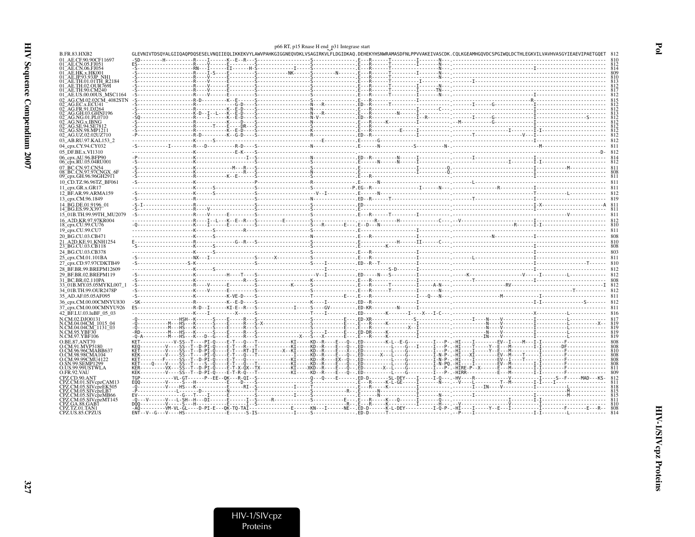|                                                          |  | p66 RT, p15 Rnase H end_p31 Integrase start |                                                                                                                                                                            |  |
|----------------------------------------------------------|--|---------------------------------------------|----------------------------------------------------------------------------------------------------------------------------------------------------------------------------|--|
| B.FR.83.HXB2                                             |  |                                             | GLEVNIVTDSQYALGIIQAQPDQSESELVNQIIEQLIKKEKVYLAWVPAHKGIGGNEQVDKLVSAGIRKVLFLDGIDKAQ.DEHEKYHSNWRAMASDFNLPPVVAKEIVASCDK.CQLKGEAMHGQVDCSPGIWQLDCTHLEGKVILVAVHVASGYIEAEVIPAETGQET |  |
| 01 AE.CF.90.90CF11697                                    |  |                                             |                                                                                                                                                                            |  |
| 01 AE.CN.05.FJ051<br>01 <sup>-</sup> AE.CN.06.FJ054      |  |                                             |                                                                                                                                                                            |  |
| 01 AE.HK.x.HK001                                         |  |                                             |                                                                                                                                                                            |  |
| 01_AE.JP.93.93JP_NH<br>01 AE.TH.01.01TH R2184            |  |                                             |                                                                                                                                                                            |  |
| 01 AE.TH.02.OUR769I                                      |  |                                             |                                                                                                                                                                            |  |
| 01 AE.TH.90.CM240<br>01 AE.US.00.00US MSC1164            |  |                                             |                                                                                                                                                                            |  |
| 02 AG.CM.02.02CM 4082STN                                 |  |                                             |                                                                                                                                                                            |  |
| 02 AG.EC.x.ECU41                                         |  |                                             |                                                                                                                                                                            |  |
| AG.GH.03.GHNJ196                                         |  |                                             |                                                                                                                                                                            |  |
| 02 AG.NG.01.PL0710                                       |  |                                             |                                                                                                                                                                            |  |
| AG.NG.x.IBNG<br>AG.SE.94.SE781                           |  |                                             |                                                                                                                                                                            |  |
| AG.SN.98.MP1211                                          |  |                                             |                                                                                                                                                                            |  |
| 02 AG.UZ.02.02UZ710                                      |  |                                             |                                                                                                                                                                            |  |
| 03_AB.RU.97.KAL153_2                                     |  |                                             |                                                                                                                                                                            |  |
| 04_cpx.CY.94.CY032<br>05_DF.BE.x.VI1310                  |  |                                             |                                                                                                                                                                            |  |
| 06_cpx.AU.96.BFP90                                       |  |                                             |                                                                                                                                                                            |  |
| 06_cpx.RU.05.04RU001                                     |  |                                             |                                                                                                                                                                            |  |
| 07 BC.CN.97.CN54                                         |  |                                             |                                                                                                                                                                            |  |
| 08_BC.CN.97.97CNGX_6F<br>09_cpx.GH.96.96GH2911           |  |                                             |                                                                                                                                                                            |  |
| 10 CD.TZ.96.96TZ BF061                                   |  |                                             |                                                                                                                                                                            |  |
| 11 $cpx.GR.x.GR17$                                       |  |                                             |                                                                                                                                                                            |  |
| 12 BF.AR.99.ARMA159                                      |  |                                             |                                                                                                                                                                            |  |
| 13 cpx.CM.96.1849                                        |  |                                             |                                                                                                                                                                            |  |
| 14 BG.DE.01.9196 01<br>14_BG.ES.99.X397                  |  |                                             |                                                                                                                                                                            |  |
| 15 01B.TH.99.99TH MU2079                                 |  |                                             |                                                                                                                                                                            |  |
| 16 A2D.KR.97.97KR004                                     |  |                                             |                                                                                                                                                                            |  |
| 18_cpx.CU.99.CU76                                        |  |                                             |                                                                                                                                                                            |  |
| 19 cpx.CU.99.CU7                                         |  |                                             |                                                                                                                                                                            |  |
| 20_BG.CU.03.CB471                                        |  |                                             |                                                                                                                                                                            |  |
| 21 A2D.KE.91.KNH1254<br>23 BG.CU.03.CB118                |  |                                             |                                                                                                                                                                            |  |
| 24 BG.CU.03.CB378                                        |  |                                             |                                                                                                                                                                            |  |
| 25_cpx.CM.01.101BA                                       |  |                                             |                                                                                                                                                                            |  |
| 27 cpx.CD.97.97CDKTB49                                   |  |                                             |                                                                                                                                                                            |  |
| 28 BF.BR.99.BREPM12609                                   |  |                                             |                                                                                                                                                                            |  |
| 29 BF.BR.02.BREPM119                                     |  |                                             |                                                                                                                                                                            |  |
| 31 BC.BR.02.110PA<br>33 <sup>-</sup> 01B.MY.05.05MYKL007 |  |                                             |                                                                                                                                                                            |  |
| 34 01B.TH.99.OUR2478P                                    |  |                                             |                                                                                                                                                                            |  |
| 35 AD.AF.05.05AF095                                      |  |                                             |                                                                                                                                                                            |  |
| 36 cpx.CM.00.00CMNYU830                                  |  |                                             |                                                                                                                                                                            |  |
| 37_cpx.CM.00.00CMNYU926                                  |  |                                             |                                                                                                                                                                            |  |
| 42 BF.LU.03.luBF 05 03                                   |  |                                             |                                                                                                                                                                            |  |
| N.CM.02.DJO0131<br>N.CM.04.04CM_1015_04                  |  |                                             |                                                                                                                                                                            |  |
| N.CM.04.04CM <sup>-1131-03</sup>                         |  |                                             |                                                                                                                                                                            |  |
| N.CM.95.YBF30                                            |  |                                             |                                                                                                                                                                            |  |
| N.CM.97.YBF106<br><b>O.BE.87.ANT70</b>                   |  |                                             |                                                                                                                                                                            |  |
| O.CM.91.MVP5180                                          |  |                                             |                                                                                                                                                                            |  |
| LCM.96.96CMABB637<br>O.CM.98.98CMA104                    |  |                                             |                                                                                                                                                                            |  |
| O.CM.99.99CMU4122                                        |  |                                             |                                                                                                                                                                            |  |
| O.SN.99.SEMP1299                                         |  |                                             |                                                                                                                                                                            |  |
| O.US.99.99USTWLA<br>O.FR.92.VAU                          |  |                                             |                                                                                                                                                                            |  |
| CPZ CD 90 ANT                                            |  |                                             |                                                                                                                                                                            |  |
| CPZ.CM.01.SIVcpzCAM13                                    |  |                                             |                                                                                                                                                                            |  |
| CPZ.CM.05.SIVcpzEK505<br>CPZ CM 05 SIVenzI B7.           |  |                                             |                                                                                                                                                                            |  |
| CPZ.CM.05.SIVcpzMB66                                     |  |                                             |                                                                                                                                                                            |  |
| CPZ.CM.05.SIVcpzMT145<br>CPZ.GA.88.GAB1                  |  |                                             |                                                                                                                                                                            |  |
| CPZ.TZ.01.TAN1                                           |  |                                             |                                                                                                                                                                            |  |
| CPZ.US.85.CPZUS                                          |  |                                             |                                                                                                                                                                            |  |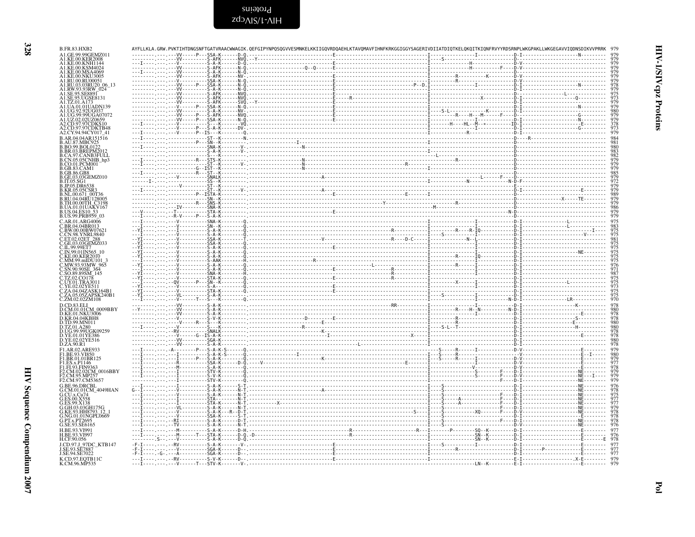HIV-1/SIV cpz Proteins

| A1.GE.99.99GEMZ011<br>A1.KE.00.KNH114<br>A1.KE.00.KSM4024<br>A1.KE.00.MSA4069<br>A1.KE.00.NKU3005<br>A1.RU.00.RU00051<br>A1.RU.03.03RU20_06_13<br>A1.RW.93.93RW_024<br>A1.SE.95.SE8891<br>A1.SE.95.UGSE8131<br>A1.TZ.01.A173<br>A1.UA.01.01UADN139<br>A1.UG.92.92UG037<br>A1.UG.99.99UGA07072<br>A1.00.99.99.02020659<br>A2.CD.97.97CDKS10<br>A2.CD.97.97CDKTB48<br>A2.CY.94.94CY017_41<br>B.AR.04.04AR151516<br><b>B.AU.87.MBC925</b><br>B.BO.99.BOL0122<br>B.BR.03.BREPM2012<br>B.CA.97.CANB3FULL<br>$\begin{minipage}{0.5\textwidth} \includegraphics{ \begin{minipage}{0.5\textwidth} \includegraphics{ \begin{minipage}{0.5\textwidth} \includegraphics{ \begin{minipage}{0.5\textwidth} \includegraphics{ \begin{minipage}{0.5\textwidth} \includegraphics{ \begin{minipage}{0.5\textwidth} \includegraphics{ \begin{minipage}{0.5\textwidth} \includegraphics{ \begin{minipage}{0.5\textwidth} \includegraphics{ \begin{minipage}{0.5\textwidth} \includegraphics{ \begin{minipage}{0.5\textwidth} \includegraphics{ \begin{minipage}{0.5\textwidth} \includegraphics{ \begin{minipage}{0.5\textwidth} \includegraphics{ \begin{min$<br>B.CN.05.05CNHB_hp3<br>B.CO.01.PCM001<br>B.GB.83.CAM1 | 979<br>980<br>$\frac{378}{973}$<br>979<br>979<br>979<br>972 |
|-----------------------------------------------------------------------------------------------------------------------------------------------------------------------------------------------------------------------------------------------------------------------------------------------------------------------------------------------------------------------------------------------------------------------------------------------------------------------------------------------------------------------------------------------------------------------------------------------------------------------------------------------------------------------------------------------------------------------------------------------------------------------------------------------------------------------------------------------------------------------------------------------------------------------------------------------------------------------------------------------------------------------------------------------------------------------------------------------------------------------------------------------------------------------------------------------------|-------------------------------------------------------------|
|                                                                                                                                                                                                                                                                                                                                                                                                                                                                                                                                                                                                                                                                                                                                                                                                                                                                                                                                                                                                                                                                                                                                                                                                     |                                                             |
|                                                                                                                                                                                                                                                                                                                                                                                                                                                                                                                                                                                                                                                                                                                                                                                                                                                                                                                                                                                                                                                                                                                                                                                                     |                                                             |
|                                                                                                                                                                                                                                                                                                                                                                                                                                                                                                                                                                                                                                                                                                                                                                                                                                                                                                                                                                                                                                                                                                                                                                                                     |                                                             |
|                                                                                                                                                                                                                                                                                                                                                                                                                                                                                                                                                                                                                                                                                                                                                                                                                                                                                                                                                                                                                                                                                                                                                                                                     |                                                             |
|                                                                                                                                                                                                                                                                                                                                                                                                                                                                                                                                                                                                                                                                                                                                                                                                                                                                                                                                                                                                                                                                                                                                                                                                     |                                                             |
|                                                                                                                                                                                                                                                                                                                                                                                                                                                                                                                                                                                                                                                                                                                                                                                                                                                                                                                                                                                                                                                                                                                                                                                                     |                                                             |
|                                                                                                                                                                                                                                                                                                                                                                                                                                                                                                                                                                                                                                                                                                                                                                                                                                                                                                                                                                                                                                                                                                                                                                                                     |                                                             |
|                                                                                                                                                                                                                                                                                                                                                                                                                                                                                                                                                                                                                                                                                                                                                                                                                                                                                                                                                                                                                                                                                                                                                                                                     |                                                             |
|                                                                                                                                                                                                                                                                                                                                                                                                                                                                                                                                                                                                                                                                                                                                                                                                                                                                                                                                                                                                                                                                                                                                                                                                     |                                                             |
|                                                                                                                                                                                                                                                                                                                                                                                                                                                                                                                                                                                                                                                                                                                                                                                                                                                                                                                                                                                                                                                                                                                                                                                                     |                                                             |
|                                                                                                                                                                                                                                                                                                                                                                                                                                                                                                                                                                                                                                                                                                                                                                                                                                                                                                                                                                                                                                                                                                                                                                                                     |                                                             |
|                                                                                                                                                                                                                                                                                                                                                                                                                                                                                                                                                                                                                                                                                                                                                                                                                                                                                                                                                                                                                                                                                                                                                                                                     |                                                             |
|                                                                                                                                                                                                                                                                                                                                                                                                                                                                                                                                                                                                                                                                                                                                                                                                                                                                                                                                                                                                                                                                                                                                                                                                     |                                                             |
|                                                                                                                                                                                                                                                                                                                                                                                                                                                                                                                                                                                                                                                                                                                                                                                                                                                                                                                                                                                                                                                                                                                                                                                                     |                                                             |
| B.GB.86.GB8                                                                                                                                                                                                                                                                                                                                                                                                                                                                                                                                                                                                                                                                                                                                                                                                                                                                                                                                                                                                                                                                                                                                                                                         |                                                             |
| B.GE.03.03GEMZ010<br>B.IT.05.SG1                                                                                                                                                                                                                                                                                                                                                                                                                                                                                                                                                                                                                                                                                                                                                                                                                                                                                                                                                                                                                                                                                                                                                                    |                                                             |
| <b>B.JP.05.DR6538</b><br>KR.05.05CSR<br><u>.</u>                                                                                                                                                                                                                                                                                                                                                                                                                                                                                                                                                                                                                                                                                                                                                                                                                                                                                                                                                                                                                                                                                                                                                    |                                                             |
| NL.00.671 00T36<br>RU.04.04RU128005                                                                                                                                                                                                                                                                                                                                                                                                                                                                                                                                                                                                                                                                                                                                                                                                                                                                                                                                                                                                                                                                                                                                                                 |                                                             |
| 3.TH.00.00TH_C3198<br>3.UA.01.01UAKV167                                                                                                                                                                                                                                                                                                                                                                                                                                                                                                                                                                                                                                                                                                                                                                                                                                                                                                                                                                                                                                                                                                                                                             |                                                             |
| B.US.04.ES10 53<br>B.US.99.PRB959 03                                                                                                                                                                                                                                                                                                                                                                                                                                                                                                                                                                                                                                                                                                                                                                                                                                                                                                                                                                                                                                                                                                                                                                | 979                                                         |
| C.AR.01.ARG4006                                                                                                                                                                                                                                                                                                                                                                                                                                                                                                                                                                                                                                                                                                                                                                                                                                                                                                                                                                                                                                                                                                                                                                                     |                                                             |
| BR.04.04BR013.<br>C.BW.00.00BW0762                                                                                                                                                                                                                                                                                                                                                                                                                                                                                                                                                                                                                                                                                                                                                                                                                                                                                                                                                                                                                                                                                                                                                                  |                                                             |
| C.CN.98.YNRL9840<br>C.ET.02.02ET 288                                                                                                                                                                                                                                                                                                                                                                                                                                                                                                                                                                                                                                                                                                                                                                                                                                                                                                                                                                                                                                                                                                                                                                |                                                             |
| C.GE.03.03GEMZ033<br>C.IL.99.99ET7                                                                                                                                                                                                                                                                                                                                                                                                                                                                                                                                                                                                                                                                                                                                                                                                                                                                                                                                                                                                                                                                                                                                                                  |                                                             |
| C.IN.99.01IN565 10<br>C.KE.00.KER2010                                                                                                                                                                                                                                                                                                                                                                                                                                                                                                                                                                                                                                                                                                                                                                                                                                                                                                                                                                                                                                                                                                                                                               |                                                             |
| C.MM.99.mIDU101_3<br>C.MW.93.93MW_965                                                                                                                                                                                                                                                                                                                                                                                                                                                                                                                                                                                                                                                                                                                                                                                                                                                                                                                                                                                                                                                                                                                                                               |                                                             |
| C.SN.90.90SE_364<br>C.SO.89.89SM_145                                                                                                                                                                                                                                                                                                                                                                                                                                                                                                                                                                                                                                                                                                                                                                                                                                                                                                                                                                                                                                                                                                                                                                |                                                             |
| - - - - - - SNA - K - - - - - - -<br>TZ.02.CO178<br>--------STA-K--------0.--                                                                                                                                                                                                                                                                                                                                                                                                                                                                                                                                                                                                                                                                                                                                                                                                                                                                                                                                                                                                                                                                                                                       |                                                             |
|                                                                                                                                                                                                                                                                                                                                                                                                                                                                                                                                                                                                                                                                                                                                                                                                                                                                                                                                                                                                                                                                                                                                                                                                     |                                                             |
| C.UY.01.TRA3011<br>C.YE.02.02YE511<br>C.ZA.04.04ZASK164B1<br>C.ZA.05.05ZAPSK240B1                                                                                                                                                                                                                                                                                                                                                                                                                                                                                                                                                                                                                                                                                                                                                                                                                                                                                                                                                                                                                                                                                                                   | $\frac{975}{970}$                                           |
| C.ZM.02.02ZM108<br>D.CD.83.ELI                                                                                                                                                                                                                                                                                                                                                                                                                                                                                                                                                                                                                                                                                                                                                                                                                                                                                                                                                                                                                                                                                                                                                                      |                                                             |
| $\begin{minipage}{0.5\textwidth} \begin{tabular}{ c c c } \hline & \multicolumn{1}{ c }{0.5\textwidth} \begin{tabular}{ c c c } \hline & \multicolumn{1}{ c }{0.5\textwidth} \begin{tabular}{ c c c } \hline \multicolumn{1}{ c }{0.5\textwidth} \begin{tabular}{ c c c } \hline \multicolumn{1}{ c }{0.5\textwidth} \begin{tabular}{ c c c } \hline \multicolumn{1}{ c }{0.5\textwidth} \begin{tabular}{ c c } \hline \multicolumn{1}{ c }{0.5$<br>D.CM.01.01CM_0009BBY<br>D.KE.01.NKU3006                                                                                                                                                                                                                                                                                                                                                                                                                                                                                                                                                                                                                                                                                                         |                                                             |
| D.KR.04.04KBH8                                                                                                                                                                                                                                                                                                                                                                                                                                                                                                                                                                                                                                                                                                                                                                                                                                                                                                                                                                                                                                                                                                                                                                                      | 978                                                         |
| D.TD.99.MN011<br>D.TZ.01.A280                                                                                                                                                                                                                                                                                                                                                                                                                                                                                                                                                                                                                                                                                                                                                                                                                                                                                                                                                                                                                                                                                                                                                                       |                                                             |
| D.UG.99.99UGK09259<br>D.YE.01.01YE386                                                                                                                                                                                                                                                                                                                                                                                                                                                                                                                                                                                                                                                                                                                                                                                                                                                                                                                                                                                                                                                                                                                                                               |                                                             |
| D.YE.02.02YE516<br>D.ZA.90.R1                                                                                                                                                                                                                                                                                                                                                                                                                                                                                                                                                                                                                                                                                                                                                                                                                                                                                                                                                                                                                                                                                                                                                                       |                                                             |
| F1.AR.02.ARE933<br>F1.BE.93.VI850                                                                                                                                                                                                                                                                                                                                                                                                                                                                                                                                                                                                                                                                                                                                                                                                                                                                                                                                                                                                                                                                                                                                                                   |                                                             |
| F1.BR.01.01BR125                                                                                                                                                                                                                                                                                                                                                                                                                                                                                                                                                                                                                                                                                                                                                                                                                                                                                                                                                                                                                                                                                                                                                                                    |                                                             |
| F1.ES.x.P1146<br>F1.FI.93.FIN9363                                                                                                                                                                                                                                                                                                                                                                                                                                                                                                                                                                                                                                                                                                                                                                                                                                                                                                                                                                                                                                                                                                                                                                   |                                                             |
| F2.CM.02.02CM_0016BBY<br>F <sub>2</sub> .CM.95.MP <sub>25</sub> 7                                                                                                                                                                                                                                                                                                                                                                                                                                                                                                                                                                                                                                                                                                                                                                                                                                                                                                                                                                                                                                                                                                                                   |                                                             |
| F2.CM.97.CM53657<br>G.BE.96.DRCBL                                                                                                                                                                                                                                                                                                                                                                                                                                                                                                                                                                                                                                                                                                                                                                                                                                                                                                                                                                                                                                                                                                                                                                   | 979                                                         |
| G.CM.01.01CM 4049HAN                                                                                                                                                                                                                                                                                                                                                                                                                                                                                                                                                                                                                                                                                                                                                                                                                                                                                                                                                                                                                                                                                                                                                                                |                                                             |
| G.CU.x.Cu74<br>G.ES.00.X558                                                                                                                                                                                                                                                                                                                                                                                                                                                                                                                                                                                                                                                                                                                                                                                                                                                                                                                                                                                                                                                                                                                                                                         |                                                             |
| G.ES.99.X138                                                                                                                                                                                                                                                                                                                                                                                                                                                                                                                                                                                                                                                                                                                                                                                                                                                                                                                                                                                                                                                                                                                                                                                        |                                                             |
|                                                                                                                                                                                                                                                                                                                                                                                                                                                                                                                                                                                                                                                                                                                                                                                                                                                                                                                                                                                                                                                                                                                                                                                                     |                                                             |
| G.GH.03.03GH175G<br>G.KE.93.HH8793_12_1<br>G.NG.01.01NGPL0669<br>G.PT.x.PT2695<br>G.SE.93.SE6165                                                                                                                                                                                                                                                                                                                                                                                                                                                                                                                                                                                                                                                                                                                                                                                                                                                                                                                                                                                                                                                                                                    |                                                             |
| H.BE.93.VI991<br>H.BE.93.VI997                                                                                                                                                                                                                                                                                                                                                                                                                                                                                                                                                                                                                                                                                                                                                                                                                                                                                                                                                                                                                                                                                                                                                                      |                                                             |
| H.CF.90.056                                                                                                                                                                                                                                                                                                                                                                                                                                                                                                                                                                                                                                                                                                                                                                                                                                                                                                                                                                                                                                                                                                                                                                                         |                                                             |
| J.CD.97.J_97DC_KTB147<br>SE.93.SE7887                                                                                                                                                                                                                                                                                                                                                                                                                                                                                                                                                                                                                                                                                                                                                                                                                                                                                                                                                                                                                                                                                                                                                               |                                                             |
| J.SE.94.SE7022<br>------E-I---------------------.X-E--------                                                                                                                                                                                                                                                                                                                                                                                                                                                                                                                                                                                                                                                                                                                                                                                                                                                                                                                                                                                                                                                                                                                                        | 979                                                         |
| K.CD.97.EQTB11C<br>K.CM.96.MP535                                                                                                                                                                                                                                                                                                                                                                                                                                                                                                                                                                                                                                                                                                                                                                                                                                                                                                                                                                                                                                                                                                                                                                    |                                                             |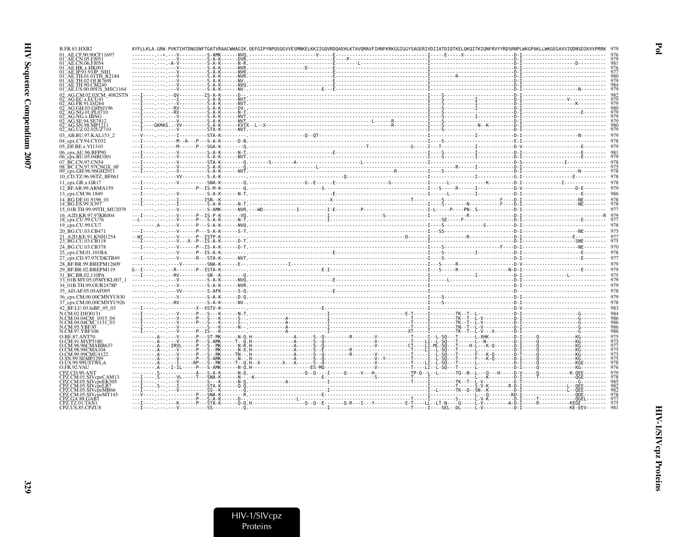329

| B.FR.83.HXB2                                        |  | AYFLLKLA.GRW.PVKTIHTDNGSNFTGATVRAACWWAGIK.QEFGIPYNPQSQGVVESMNKELKKIIGQVRDQAEHLKTAVQMAVFIHNFKRKGGIGGYSAGERIVDIIATDIQTKELQKQITKIQNFRVYYRDSRNPLWKGPAKLLWKGEGAVVIQDNSDIKVVPRRK |  |  |
|-----------------------------------------------------|--|----------------------------------------------------------------------------------------------------------------------------------------------------------------------------|--|--|
| 01 AE.CF.90.90CF11697                               |  |                                                                                                                                                                            |  |  |
| )1 AE.CN.05.FJ051<br>)1 <sup>-</sup> AE.CN.06.FJ054 |  |                                                                                                                                                                            |  |  |
| )1 AE.HK.x.HK001                                    |  |                                                                                                                                                                            |  |  |
| )1 AE.JP.93.93JP NH.                                |  |                                                                                                                                                                            |  |  |
|                                                     |  |                                                                                                                                                                            |  |  |
|                                                     |  |                                                                                                                                                                            |  |  |
|                                                     |  |                                                                                                                                                                            |  |  |
| 01 AE.US.00.00US MSC1164                            |  |                                                                                                                                                                            |  |  |
| 12 - AG CM 02 02CM - 4082STN                        |  |                                                                                                                                                                            |  |  |
|                                                     |  |                                                                                                                                                                            |  |  |
|                                                     |  |                                                                                                                                                                            |  |  |
| AG.GH.03.GHN.1196                                   |  |                                                                                                                                                                            |  |  |
| AG.NG.01.PL0710<br>AG NG x IBNG                     |  |                                                                                                                                                                            |  |  |
| AG.SE.94.SE78                                       |  |                                                                                                                                                                            |  |  |
| AG.SN.98.MP1211                                     |  |                                                                                                                                                                            |  |  |
| 02_AG.UZ.02.02UZ710                                 |  |                                                                                                                                                                            |  |  |
| 03_AB.RU.97.KAL153_2                                |  |                                                                                                                                                                            |  |  |
|                                                     |  |                                                                                                                                                                            |  |  |
| 04_cpx.CY.94.CY032                                  |  |                                                                                                                                                                            |  |  |
| 05_DF.BE.x.VI1310                                   |  |                                                                                                                                                                            |  |  |
| 06_cpx.AU.96.BFP90                                  |  |                                                                                                                                                                            |  |  |
| 06_cpx.RU.05.04RU001                                |  |                                                                                                                                                                            |  |  |
| 07 BC.CN.97.CN54                                    |  |                                                                                                                                                                            |  |  |
| 08 BC.CN.97.97CNGX 6F                               |  |                                                                                                                                                                            |  |  |
| 09_cpx.GH.96.96GH29П                                |  |                                                                                                                                                                            |  |  |
| 10 CD.TZ.96.96TZ BF061                              |  |                                                                                                                                                                            |  |  |
| 11 cpx.GR.x.GR17                                    |  |                                                                                                                                                                            |  |  |
|                                                     |  |                                                                                                                                                                            |  |  |
| 12_BF.AR.99.ARMA159                                 |  |                                                                                                                                                                            |  |  |
| 13 cpx.CM.96.1849                                   |  |                                                                                                                                                                            |  |  |
| 14 BG.DE.01.9196 01                                 |  |                                                                                                                                                                            |  |  |
| 14_BG.ES.99.X397                                    |  |                                                                                                                                                                            |  |  |
| 15 01B.TH.99.99TH MU2079                            |  |                                                                                                                                                                            |  |  |
| 16 A2D.KR.97.97KR004                                |  |                                                                                                                                                                            |  |  |
| 18_cpx.CU.99.CU76                                   |  |                                                                                                                                                                            |  |  |
| 19 cpx.CU.99.CU7                                    |  |                                                                                                                                                                            |  |  |
|                                                     |  |                                                                                                                                                                            |  |  |
| 20 BG.CU.03.CB471                                   |  |                                                                                                                                                                            |  |  |
| 21 A2D.KE.91.KNH1254                                |  |                                                                                                                                                                            |  |  |
| 23_BG.CU.03.CB118                                   |  |                                                                                                                                                                            |  |  |
| 24_BG.CU.03.CB378                                   |  |                                                                                                                                                                            |  |  |
| 25_cpx.CM.01.101BA                                  |  |                                                                                                                                                                            |  |  |
| 27 cpx.CD.97.97CDKTB49                              |  |                                                                                                                                                                            |  |  |
| 28_BF.BR.99.BREPM12609                              |  |                                                                                                                                                                            |  |  |
|                                                     |  |                                                                                                                                                                            |  |  |
| 29 BF.BR.02.BREPM119                                |  |                                                                                                                                                                            |  |  |
| 31 BC.BR.02.110PA                                   |  |                                                                                                                                                                            |  |  |
| 33_01B.MY.05.05MYKL007_1                            |  |                                                                                                                                                                            |  |  |
| 34_01B.TH.99.OUR2478P                               |  |                                                                                                                                                                            |  |  |
| 35 AD.AF.05.05AF095                                 |  |                                                                                                                                                                            |  |  |
| 36_cpx.CM.00.00CMNYU830                             |  |                                                                                                                                                                            |  |  |
|                                                     |  |                                                                                                                                                                            |  |  |
| 37_cpx.CM.00.00CMNYU926                             |  |                                                                                                                                                                            |  |  |
| 42 BF.LU.03.luBF 05 03                              |  |                                                                                                                                                                            |  |  |
| N.CM.02.DJO0131                                     |  |                                                                                                                                                                            |  |  |
| N.CM.04.04CM 1015 04                                |  |                                                                                                                                                                            |  |  |
| N.CM.04.04CM 1131 03<br><b>N.CM.95.YBF30</b>        |  |                                                                                                                                                                            |  |  |
| N.CM.97.YBF106                                      |  |                                                                                                                                                                            |  |  |
|                                                     |  |                                                                                                                                                                            |  |  |
| 7 BE 87 ANT70<br>CM.91.MVP5180                      |  |                                                                                                                                                                            |  |  |
| .CM.96.96CMABB65.                                   |  |                                                                                                                                                                            |  |  |
| 0.CM.98.98CMA104                                    |  |                                                                                                                                                                            |  |  |
| D.CM.99.99CMU4122                                   |  |                                                                                                                                                                            |  |  |
| SN.99.SEMP1299                                      |  |                                                                                                                                                                            |  |  |
| O.US.99.99USTWLA                                    |  |                                                                                                                                                                            |  |  |
| O.FR.92.VAU                                         |  |                                                                                                                                                                            |  |  |
|                                                     |  |                                                                                                                                                                            |  |  |
| Z.CM.01.SIVcpzCAM13                                 |  |                                                                                                                                                                            |  |  |
| PZ.CM.05.SIVcpzEK505                                |  |                                                                                                                                                                            |  |  |
| PZ.CM.05.SIVcpzLB7                                  |  |                                                                                                                                                                            |  |  |
| PZ.CM.05.SIVcpzMB66                                 |  |                                                                                                                                                                            |  |  |
| PZ.CM.05.SIVcpzMT145                                |  |                                                                                                                                                                            |  |  |
| :PZ.GA.88.GAB1                                      |  |                                                                                                                                                                            |  |  |
| PZ.TZ.01.TAN1<br>CPZ.US.85.CPZUS                    |  |                                                                                                                                                                            |  |  |
|                                                     |  |                                                                                                                                                                            |  |  |

 $Pol$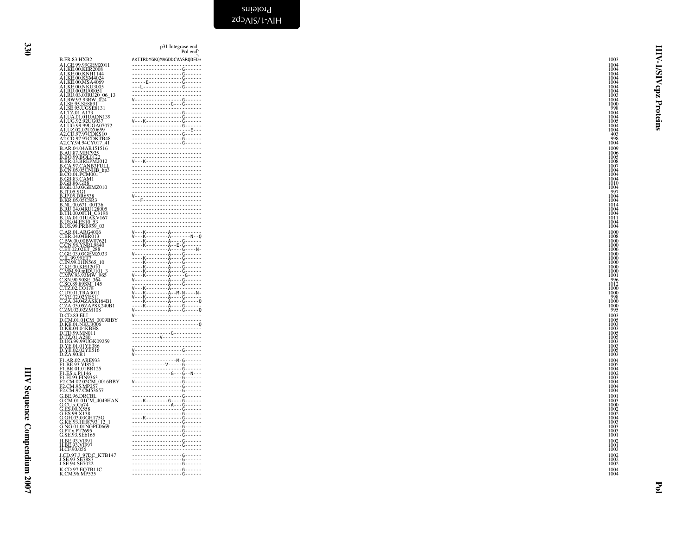| B.FR.83.HXB2                                                                                                                                                                                                                                                          |  |
|-----------------------------------------------------------------------------------------------------------------------------------------------------------------------------------------------------------------------------------------------------------------------|--|
|                                                                                                                                                                                                                                                                       |  |
|                                                                                                                                                                                                                                                                       |  |
|                                                                                                                                                                                                                                                                       |  |
|                                                                                                                                                                                                                                                                       |  |
|                                                                                                                                                                                                                                                                       |  |
|                                                                                                                                                                                                                                                                       |  |
|                                                                                                                                                                                                                                                                       |  |
|                                                                                                                                                                                                                                                                       |  |
|                                                                                                                                                                                                                                                                       |  |
|                                                                                                                                                                                                                                                                       |  |
|                                                                                                                                                                                                                                                                       |  |
|                                                                                                                                                                                                                                                                       |  |
|                                                                                                                                                                                                                                                                       |  |
|                                                                                                                                                                                                                                                                       |  |
|                                                                                                                                                                                                                                                                       |  |
|                                                                                                                                                                                                                                                                       |  |
|                                                                                                                                                                                                                                                                       |  |
|                                                                                                                                                                                                                                                                       |  |
|                                                                                                                                                                                                                                                                       |  |
|                                                                                                                                                                                                                                                                       |  |
|                                                                                                                                                                                                                                                                       |  |
|                                                                                                                                                                                                                                                                       |  |
|                                                                                                                                                                                                                                                                       |  |
|                                                                                                                                                                                                                                                                       |  |
|                                                                                                                                                                                                                                                                       |  |
|                                                                                                                                                                                                                                                                       |  |
|                                                                                                                                                                                                                                                                       |  |
|                                                                                                                                                                                                                                                                       |  |
|                                                                                                                                                                                                                                                                       |  |
|                                                                                                                                                                                                                                                                       |  |
|                                                                                                                                                                                                                                                                       |  |
|                                                                                                                                                                                                                                                                       |  |
|                                                                                                                                                                                                                                                                       |  |
|                                                                                                                                                                                                                                                                       |  |
|                                                                                                                                                                                                                                                                       |  |
|                                                                                                                                                                                                                                                                       |  |
|                                                                                                                                                                                                                                                                       |  |
|                                                                                                                                                                                                                                                                       |  |
|                                                                                                                                                                                                                                                                       |  |
|                                                                                                                                                                                                                                                                       |  |
|                                                                                                                                                                                                                                                                       |  |
|                                                                                                                                                                                                                                                                       |  |
|                                                                                                                                                                                                                                                                       |  |
|                                                                                                                                                                                                                                                                       |  |
|                                                                                                                                                                                                                                                                       |  |
|                                                                                                                                                                                                                                                                       |  |
|                                                                                                                                                                                                                                                                       |  |
|                                                                                                                                                                                                                                                                       |  |
|                                                                                                                                                                                                                                                                       |  |
|                                                                                                                                                                                                                                                                       |  |
|                                                                                                                                                                                                                                                                       |  |
|                                                                                                                                                                                                                                                                       |  |
|                                                                                                                                                                                                                                                                       |  |
|                                                                                                                                                                                                                                                                       |  |
|                                                                                                                                                                                                                                                                       |  |
|                                                                                                                                                                                                                                                                       |  |
|                                                                                                                                                                                                                                                                       |  |
|                                                                                                                                                                                                                                                                       |  |
|                                                                                                                                                                                                                                                                       |  |
|                                                                                                                                                                                                                                                                       |  |
|                                                                                                                                                                                                                                                                       |  |
|                                                                                                                                                                                                                                                                       |  |
|                                                                                                                                                                                                                                                                       |  |
|                                                                                                                                                                                                                                                                       |  |
|                                                                                                                                                                                                                                                                       |  |
|                                                                                                                                                                                                                                                                       |  |
|                                                                                                                                                                                                                                                                       |  |
|                                                                                                                                                                                                                                                                       |  |
|                                                                                                                                                                                                                                                                       |  |
| B.FR.83.HXB2<br>ALGE_99.99GEM2011<br>ALGE_99.99GEMZ011<br>ALKE_00.KER2008<br>ALKE_00.KER2008<br>ALKE_00.KER2008<br>ALKE_00.KNH1144<br>ALKE_00.KNH1144<br>ALKE_00.KNH1144<br>ALKE_00.KNH1144<br>ALKE_00.NKU30051<br>ALKE_00.NKU30051<br>ALKE_00.NKU30051<br>ALKE_00.NK |  |
|                                                                                                                                                                                                                                                                       |  |

<span id="page-29-0"></span>Pol Pol end <sup>p</sup><sup>31</sup> Integrase end B.FR.83.HXB2 AKIIRDYGKQMAGDDCVASRQDED\* <sup>1003</sup> A1.GE.99.99GEMZ011 ------------------------- <sup>1004</sup> A1.KE.00.KER2008 ------------------G------ <sup>1004</sup> A1.KE.00.KNH1144 ------------------G------ <sup>1004</sup> A1.KE.00.KSM4024 ------------------G------ <sup>1004</sup> A1.KE.00.MSA4069 -----E------------G------ <sup>1004</sup> A1.KE.00.NKU3005 ---L--------------G------ <sup>1004</sup> A1.RU.00.RU00051 ------------------------- <sup>1004</sup> A1.RU.03.03RU20\_06\_13 ------------------------- <sup>1003</sup> A1.RW.93.93RW\_024 V-----------------G------ <sup>1004</sup> A1.SE.95.SE8891 --------------G---G------ <sup>1000</sup> A1.SE.95.UGSE8131 ------------------------- <sup>998</sup> A1.TZ.01.A173 ------------------G------ <sup>1004</sup> A1.UA.01.01UADN139 ------------------G------ <sup>1004</sup> A1.UG.92.92UG037 V---K-------------G------ <sup>1005</sup> A1.UG.99.99UGA07072 ------------------G------ <sup>1004</sup> A1.UZ.02.02UZ0659 ---------------------E--- <sup>1004</sup> A2.CD.97.97CDKS10 ------------------G------ <sup>403</sup> A2.CD.97.97CDKTB48 ------------------G------ <sup>998</sup> A2.CY.94.94CY017\_41 ------------------G------ <sup>1004</sup> B.AR.04.04AR151516 ------------------------- <sup>1009</sup> B.AU.87.MBC925 ------------------------- <sup>1006</sup> B.BO.99.BOL0122 ------------------------- <sup>1005</sup> B.BR.03.BREPM2012 V---K-------------------- <sup>1008</sup> B.CA.97.CANB3FULL ------------------------- <sup>1007</sup> B.CN.05.05CNHB\_hp3 ------------------------- <sup>1004</sup> B.CO.01.PCM001 ------------------------- <sup>1004</sup> B.GB.83.CAM1 ------------------------- <sup>1004</sup> B.GB.86.GB8 ------------------------- <sup>1010</sup> B.GE.03.03GEMZ010 ------------------------- <sup>1004</sup> B.IT.05.SG1 ------------------------- <sup>997</sup> B.JP.05.DR6538 V------------------------ <sup>1004</sup> B.KR.05.05CSR3 ---F--------------------- <sup>1004</sup> B.NL.00.671\_00T36 ------------------------- <sup>1014</sup> B.RU.04.04RU128005 ------------------------- <sup>1004</sup> B.TH.00.00TH\_C3198 ------------------------- <sup>1004</sup> B.UA.01.01UAKV167 ------------------------- <sup>1011</sup> B.US.04.ES10\_53 ------------------------- <sup>1004</sup> B.US.99.PRB959\_03 ------------------------- <sup>1004</sup> C.AR.01.ARG4006 V---K--------A----------- <sup>1000</sup> C.BR.04.04BR013 V---K--------A-------N--Q <sup>1008</sup> C.BW.00.00BW07621 ----K--------A----G------ <sup>1000</sup> C.CN.98.YNRL9840 ----K--------A--E-G------ <sup>1000</sup> C.ET.02.02ET\_288 -------------A----G----N- <sup>1006</sup> C.GE.03.03GEMZ033 V------------A----G------ <sup>1000</sup> C.IL.99.99ET7 ----K--------A----G------ <sup>1000</sup> C.IN.99.01IN565\_10 ----K--------A----G------ <sup>1000</sup> C.KE.00.KER2010 ----K--------A----G------ <sup>1000</sup> C.MM.99.mIDU101\_3 ----K--------A----G------ <sup>1000</sup> C.MW.93.93MW\_965 V---K--------A-----G----- <sup>1001</sup> C.SN.90.90SE\_364 V------------A----G------ <sup>996</sup> C.SO.89.89SM\_145 -------------A----G------ <sup>1012</sup> C.TZ.02.CO178 V---K--------A----------- <sup>1000</sup> C.UY.01.TRA3011 V---K--------A--M-N----N- <sup>1000</sup> C.YE.02.02YE511 V---K--------A----G------ <sup>998</sup> C.ZA.04.04ZASK164B1 ----K--------A----G-----Q <sup>1000</sup> C.ZA.05.05ZAPSK240B1 ----K--------A----G------ <sup>1000</sup> C.ZM.02.02ZM108 V------------A----G-----Q <sup>995</sup> D.CD.83.ELI V------------------------ <sup>1003</sup> D.CM.01.01CM\_0009BBY ------------------------- <sup>1005</sup> D.KE.01.NKU3006 ------------------------Q <sup>1003</sup> D.KR.04.04KBH8 ------------------------- <sup>1003</sup> D.TD.99.MN011 --------------G---------- <sup>1005</sup> D.TZ.01.A280 ----------V-------------- <sup>1005</sup> D.UG.99.99UGK09259 ------------------------- <sup>1003</sup> D.YE.01.01YE386 ------------------------- <sup>1003</sup> D.YE.02.02YE516 V-----------------G------ <sup>1005</sup> D.ZA.90.R1 V------------------------ <sup>1003</sup> F1.AR.02.ARE933 ----------------M-G------ <sup>1004</sup> F1.BE.93.VI850 ------------V-----G------ <sup>1005</sup> F1.BR.01.01BR125 ------------------G------ <sup>1004</sup> F1.ES.x.P1146 --------------G---G--N--- <sup>1002</sup> F1.FI.93.FIN9363 ------------------G------ <sup>1003</sup> F2.CM.02.02CM\_0016BBY V-----------------G------ <sup>1004</sup> F2.CM.95.MP257 ------------------G------ <sup>1004</sup> F2.CM.97.CM53657 ------------------G------ <sup>1004</sup> G.BE.96.DRCBL ------------------G------ <sup>1001</sup> G.CM.01.01CM\_4049HAN ----K--------G----G------ <sup>1003</sup> G.CU.x.Cu74 --------------A---G------ <sup>1000</sup> G.ES.00.X558 ------------------G------ <sup>1002</sup> G.ES.99.X138 ------------------G------ <sup>1002</sup> G.GH.03.03GH175G ----K-------------G------ <sup>1004</sup> G.KE.93.HH8793\_12\_1 ------------------G------ <sup>1003</sup> G.NG.01.01NGPL0669 ------------------G------ <sup>1003</sup> G.PT.x.PT2695 ------------------G------ <sup>1003</sup> G.SE.93.SE6165 ------------------G------ <sup>1001</sup> H.BE.93.VI991 ------------------G------ <sup>1002</sup> H.BE.93.VI997 ------------------G------ <sup>1001</sup> H.CF.90.056 ------------------------- <sup>1003</sup> J.CD.97.J\_97DC\_KTB147 ------------------G------ <sup>1002</sup> J.SE.93.SE7887 ------------------G------ <sup>1002</sup> J.SE.94.SE7022 ------------------G------ <sup>1002</sup> K.CD.97.EQTB11C ------------------G------ <sup>1004</sup> K.CM.96.MP535 ------------------G------ <sup>1004</sup>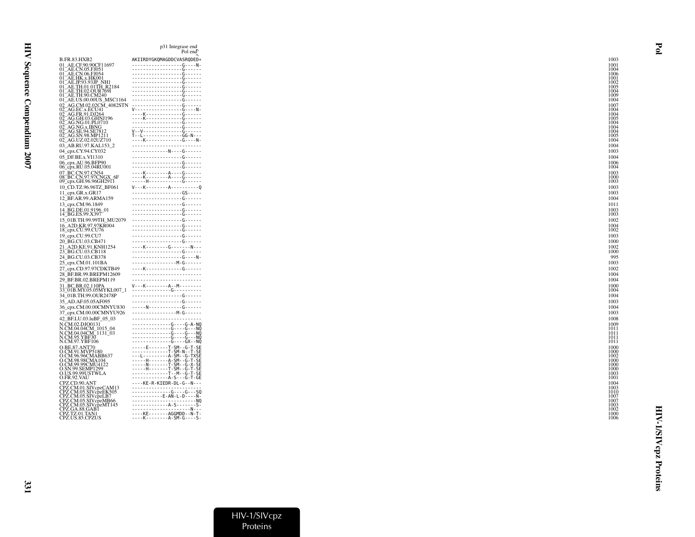| AKIIRDYGKOMAGDDCVASRODED*<br>------------------G----N-<br>01 - AE.C.P. (95. FIGS)<br>01 - AE.C.N. (95. FIGS)<br>01 - AE.C.N. (95. FIGS)<br>01 - AE.I. H. S. (45. FIGS)<br>01 - AE. TH. (9. OUR 7691<br>01 - AE. TH. (9. OUR 7691<br>01 - AE. US. (9. OUR 7691)<br>01 - AE. US. (9. 0000US_MSC1164)<br>01 - AE. U<br>02_AG.EC.x.ECU41 =40,<br>02_AG.EC.x.ECU41 =40,<br>02_AG.GH.03.GHNJ196<br>02_AG.NG.01.PL0710<br>02_AG.NG.x.IBNG<br>02_AG.SE.94.SE7812<br>02_AG.SE.94.SE7812<br>02_AG.UZ.02.02UZ710<br>03_AB.RU.97.KAL153_2<br>--------------N----G------<br>06_cpx.AU.96.BFP90<br>06_cpx.RU.05.04RU001<br>07_BC.CN.97.CN54<br>08_BC.CN.97.97CNGX_6F<br>09_cpx.GH.96.96GH29П<br>12 BF.AR.99.ARMA159<br>13_cpx.CM.96.1849<br>14 BG.DE.01.9196 01<br>15 01B.TH.99.99TH MU2079<br>16_A2D.KR.97.97KR004<br>20 BG.CU.03.CB471<br>21_A2D.KE.91.KNH1254<br>23_BG.CU.03.CB118<br>------------------G----N-<br>---------------------- M-G------<br>25_cpx.CM.01.101BA<br>K G<br>27_cpx.CD.97.97CDKTB49<br>28 BF.BR.99.BREPM12609<br>$V - -K - - - - - - - - - - - - - - - - - -$<br>33_01B.MY.05.05MYKL007_1<br>34 01B.TH.99.OUR2478P<br>-----N------------G------<br>. M - G -<br>37_cpx.CM.00.00CMNYU926<br>42 BF.LU.03.luBF 05 03<br>N.CM.02.DJO0131<br>N.CM.04.04CM_1015_04<br>N.CM.04.04CM_1131_03<br>N.CM.95.YBF30<br>N.CM.97.YBF106<br>O.BE.87.ANT70<br>O.CM.91.MVP5180<br>Q.CM.96.96CMABB637<br>O.CM.99.99CMU4122<br>O.SN.99.SEMP1299<br>A-S---G-T-GE<br>O.FR.92.VAU<br>----KE-R-KIEDR-DL-G--N---<br>CPZ.CD.90.ANT<br>CPZ.CM.01.SIVcpzCAM13<br>CPZ.CM.05.SIVcpzEK505<br>G G  SQ<br>CPZ.CM.05.SIVcpzLB7<br>CPZ.CM.05.SIVcpzMB66<br>CPZ.CM.05.SIVcpzMT145<br>CPZ.GA.88.GAB1<br>CPZ.TZ.01.TAN1<br>CPZ.US.85.CPZUS<br>----K--------A-SM-G----S- |                         | p31 Integrase end<br>Pol end |  |
|----------------------------------------------------------------------------------------------------------------------------------------------------------------------------------------------------------------------------------------------------------------------------------------------------------------------------------------------------------------------------------------------------------------------------------------------------------------------------------------------------------------------------------------------------------------------------------------------------------------------------------------------------------------------------------------------------------------------------------------------------------------------------------------------------------------------------------------------------------------------------------------------------------------------------------------------------------------------------------------------------------------------------------------------------------------------------------------------------------------------------------------------------------------------------------------------------------------------------------------------------------------------------------------------------------------------------------------------------------------------------------------------------------------------------------------------------------------------------------------------------------------------------------------------------------------------------------------------------------------------------------------------------------------------------------------------------------------------------------------------|-------------------------|------------------------------|--|
|                                                                                                                                                                                                                                                                                                                                                                                                                                                                                                                                                                                                                                                                                                                                                                                                                                                                                                                                                                                                                                                                                                                                                                                                                                                                                                                                                                                                                                                                                                                                                                                                                                                                                                                                              | B.FR.83.HXB2            |                              |  |
|                                                                                                                                                                                                                                                                                                                                                                                                                                                                                                                                                                                                                                                                                                                                                                                                                                                                                                                                                                                                                                                                                                                                                                                                                                                                                                                                                                                                                                                                                                                                                                                                                                                                                                                                              | 01_AE.CF.90.90CF11697   |                              |  |
|                                                                                                                                                                                                                                                                                                                                                                                                                                                                                                                                                                                                                                                                                                                                                                                                                                                                                                                                                                                                                                                                                                                                                                                                                                                                                                                                                                                                                                                                                                                                                                                                                                                                                                                                              |                         |                              |  |
|                                                                                                                                                                                                                                                                                                                                                                                                                                                                                                                                                                                                                                                                                                                                                                                                                                                                                                                                                                                                                                                                                                                                                                                                                                                                                                                                                                                                                                                                                                                                                                                                                                                                                                                                              |                         |                              |  |
|                                                                                                                                                                                                                                                                                                                                                                                                                                                                                                                                                                                                                                                                                                                                                                                                                                                                                                                                                                                                                                                                                                                                                                                                                                                                                                                                                                                                                                                                                                                                                                                                                                                                                                                                              |                         |                              |  |
|                                                                                                                                                                                                                                                                                                                                                                                                                                                                                                                                                                                                                                                                                                                                                                                                                                                                                                                                                                                                                                                                                                                                                                                                                                                                                                                                                                                                                                                                                                                                                                                                                                                                                                                                              |                         |                              |  |
|                                                                                                                                                                                                                                                                                                                                                                                                                                                                                                                                                                                                                                                                                                                                                                                                                                                                                                                                                                                                                                                                                                                                                                                                                                                                                                                                                                                                                                                                                                                                                                                                                                                                                                                                              |                         |                              |  |
|                                                                                                                                                                                                                                                                                                                                                                                                                                                                                                                                                                                                                                                                                                                                                                                                                                                                                                                                                                                                                                                                                                                                                                                                                                                                                                                                                                                                                                                                                                                                                                                                                                                                                                                                              |                         |                              |  |
|                                                                                                                                                                                                                                                                                                                                                                                                                                                                                                                                                                                                                                                                                                                                                                                                                                                                                                                                                                                                                                                                                                                                                                                                                                                                                                                                                                                                                                                                                                                                                                                                                                                                                                                                              |                         |                              |  |
|                                                                                                                                                                                                                                                                                                                                                                                                                                                                                                                                                                                                                                                                                                                                                                                                                                                                                                                                                                                                                                                                                                                                                                                                                                                                                                                                                                                                                                                                                                                                                                                                                                                                                                                                              |                         |                              |  |
|                                                                                                                                                                                                                                                                                                                                                                                                                                                                                                                                                                                                                                                                                                                                                                                                                                                                                                                                                                                                                                                                                                                                                                                                                                                                                                                                                                                                                                                                                                                                                                                                                                                                                                                                              |                         |                              |  |
|                                                                                                                                                                                                                                                                                                                                                                                                                                                                                                                                                                                                                                                                                                                                                                                                                                                                                                                                                                                                                                                                                                                                                                                                                                                                                                                                                                                                                                                                                                                                                                                                                                                                                                                                              |                         |                              |  |
|                                                                                                                                                                                                                                                                                                                                                                                                                                                                                                                                                                                                                                                                                                                                                                                                                                                                                                                                                                                                                                                                                                                                                                                                                                                                                                                                                                                                                                                                                                                                                                                                                                                                                                                                              |                         |                              |  |
|                                                                                                                                                                                                                                                                                                                                                                                                                                                                                                                                                                                                                                                                                                                                                                                                                                                                                                                                                                                                                                                                                                                                                                                                                                                                                                                                                                                                                                                                                                                                                                                                                                                                                                                                              | 04 cpx.CY.94.CY032      |                              |  |
|                                                                                                                                                                                                                                                                                                                                                                                                                                                                                                                                                                                                                                                                                                                                                                                                                                                                                                                                                                                                                                                                                                                                                                                                                                                                                                                                                                                                                                                                                                                                                                                                                                                                                                                                              | 05 DF.BE.x.VI1310       |                              |  |
|                                                                                                                                                                                                                                                                                                                                                                                                                                                                                                                                                                                                                                                                                                                                                                                                                                                                                                                                                                                                                                                                                                                                                                                                                                                                                                                                                                                                                                                                                                                                                                                                                                                                                                                                              |                         |                              |  |
|                                                                                                                                                                                                                                                                                                                                                                                                                                                                                                                                                                                                                                                                                                                                                                                                                                                                                                                                                                                                                                                                                                                                                                                                                                                                                                                                                                                                                                                                                                                                                                                                                                                                                                                                              |                         |                              |  |
|                                                                                                                                                                                                                                                                                                                                                                                                                                                                                                                                                                                                                                                                                                                                                                                                                                                                                                                                                                                                                                                                                                                                                                                                                                                                                                                                                                                                                                                                                                                                                                                                                                                                                                                                              |                         |                              |  |
|                                                                                                                                                                                                                                                                                                                                                                                                                                                                                                                                                                                                                                                                                                                                                                                                                                                                                                                                                                                                                                                                                                                                                                                                                                                                                                                                                                                                                                                                                                                                                                                                                                                                                                                                              | 10_CD.TZ.96.96TZ_BF061  |                              |  |
|                                                                                                                                                                                                                                                                                                                                                                                                                                                                                                                                                                                                                                                                                                                                                                                                                                                                                                                                                                                                                                                                                                                                                                                                                                                                                                                                                                                                                                                                                                                                                                                                                                                                                                                                              | 11_cpx.GR.x.GR17        |                              |  |
|                                                                                                                                                                                                                                                                                                                                                                                                                                                                                                                                                                                                                                                                                                                                                                                                                                                                                                                                                                                                                                                                                                                                                                                                                                                                                                                                                                                                                                                                                                                                                                                                                                                                                                                                              |                         |                              |  |
|                                                                                                                                                                                                                                                                                                                                                                                                                                                                                                                                                                                                                                                                                                                                                                                                                                                                                                                                                                                                                                                                                                                                                                                                                                                                                                                                                                                                                                                                                                                                                                                                                                                                                                                                              |                         |                              |  |
|                                                                                                                                                                                                                                                                                                                                                                                                                                                                                                                                                                                                                                                                                                                                                                                                                                                                                                                                                                                                                                                                                                                                                                                                                                                                                                                                                                                                                                                                                                                                                                                                                                                                                                                                              | 14 BG.ES.99.X397        |                              |  |
|                                                                                                                                                                                                                                                                                                                                                                                                                                                                                                                                                                                                                                                                                                                                                                                                                                                                                                                                                                                                                                                                                                                                                                                                                                                                                                                                                                                                                                                                                                                                                                                                                                                                                                                                              |                         |                              |  |
|                                                                                                                                                                                                                                                                                                                                                                                                                                                                                                                                                                                                                                                                                                                                                                                                                                                                                                                                                                                                                                                                                                                                                                                                                                                                                                                                                                                                                                                                                                                                                                                                                                                                                                                                              | 18_cpx.CU.99.CU76       |                              |  |
|                                                                                                                                                                                                                                                                                                                                                                                                                                                                                                                                                                                                                                                                                                                                                                                                                                                                                                                                                                                                                                                                                                                                                                                                                                                                                                                                                                                                                                                                                                                                                                                                                                                                                                                                              | 19_cpx.CU.99.CU7        |                              |  |
|                                                                                                                                                                                                                                                                                                                                                                                                                                                                                                                                                                                                                                                                                                                                                                                                                                                                                                                                                                                                                                                                                                                                                                                                                                                                                                                                                                                                                                                                                                                                                                                                                                                                                                                                              |                         |                              |  |
|                                                                                                                                                                                                                                                                                                                                                                                                                                                                                                                                                                                                                                                                                                                                                                                                                                                                                                                                                                                                                                                                                                                                                                                                                                                                                                                                                                                                                                                                                                                                                                                                                                                                                                                                              |                         |                              |  |
|                                                                                                                                                                                                                                                                                                                                                                                                                                                                                                                                                                                                                                                                                                                                                                                                                                                                                                                                                                                                                                                                                                                                                                                                                                                                                                                                                                                                                                                                                                                                                                                                                                                                                                                                              | 24 BG.CU.03.CB378       |                              |  |
|                                                                                                                                                                                                                                                                                                                                                                                                                                                                                                                                                                                                                                                                                                                                                                                                                                                                                                                                                                                                                                                                                                                                                                                                                                                                                                                                                                                                                                                                                                                                                                                                                                                                                                                                              |                         |                              |  |
|                                                                                                                                                                                                                                                                                                                                                                                                                                                                                                                                                                                                                                                                                                                                                                                                                                                                                                                                                                                                                                                                                                                                                                                                                                                                                                                                                                                                                                                                                                                                                                                                                                                                                                                                              |                         |                              |  |
|                                                                                                                                                                                                                                                                                                                                                                                                                                                                                                                                                                                                                                                                                                                                                                                                                                                                                                                                                                                                                                                                                                                                                                                                                                                                                                                                                                                                                                                                                                                                                                                                                                                                                                                                              | 29 BF.BR.02.BREPM119    |                              |  |
|                                                                                                                                                                                                                                                                                                                                                                                                                                                                                                                                                                                                                                                                                                                                                                                                                                                                                                                                                                                                                                                                                                                                                                                                                                                                                                                                                                                                                                                                                                                                                                                                                                                                                                                                              | 31 BC.BR.02.110PA       |                              |  |
|                                                                                                                                                                                                                                                                                                                                                                                                                                                                                                                                                                                                                                                                                                                                                                                                                                                                                                                                                                                                                                                                                                                                                                                                                                                                                                                                                                                                                                                                                                                                                                                                                                                                                                                                              |                         |                              |  |
|                                                                                                                                                                                                                                                                                                                                                                                                                                                                                                                                                                                                                                                                                                                                                                                                                                                                                                                                                                                                                                                                                                                                                                                                                                                                                                                                                                                                                                                                                                                                                                                                                                                                                                                                              | 35_AD.AF.05.05AF095     |                              |  |
|                                                                                                                                                                                                                                                                                                                                                                                                                                                                                                                                                                                                                                                                                                                                                                                                                                                                                                                                                                                                                                                                                                                                                                                                                                                                                                                                                                                                                                                                                                                                                                                                                                                                                                                                              | 36_cpx.CM.00.00CMNYU830 |                              |  |
|                                                                                                                                                                                                                                                                                                                                                                                                                                                                                                                                                                                                                                                                                                                                                                                                                                                                                                                                                                                                                                                                                                                                                                                                                                                                                                                                                                                                                                                                                                                                                                                                                                                                                                                                              |                         |                              |  |
|                                                                                                                                                                                                                                                                                                                                                                                                                                                                                                                                                                                                                                                                                                                                                                                                                                                                                                                                                                                                                                                                                                                                                                                                                                                                                                                                                                                                                                                                                                                                                                                                                                                                                                                                              |                         |                              |  |
|                                                                                                                                                                                                                                                                                                                                                                                                                                                                                                                                                                                                                                                                                                                                                                                                                                                                                                                                                                                                                                                                                                                                                                                                                                                                                                                                                                                                                                                                                                                                                                                                                                                                                                                                              |                         |                              |  |
|                                                                                                                                                                                                                                                                                                                                                                                                                                                                                                                                                                                                                                                                                                                                                                                                                                                                                                                                                                                                                                                                                                                                                                                                                                                                                                                                                                                                                                                                                                                                                                                                                                                                                                                                              |                         |                              |  |
|                                                                                                                                                                                                                                                                                                                                                                                                                                                                                                                                                                                                                                                                                                                                                                                                                                                                                                                                                                                                                                                                                                                                                                                                                                                                                                                                                                                                                                                                                                                                                                                                                                                                                                                                              |                         |                              |  |
|                                                                                                                                                                                                                                                                                                                                                                                                                                                                                                                                                                                                                                                                                                                                                                                                                                                                                                                                                                                                                                                                                                                                                                                                                                                                                                                                                                                                                                                                                                                                                                                                                                                                                                                                              |                         |                              |  |
|                                                                                                                                                                                                                                                                                                                                                                                                                                                                                                                                                                                                                                                                                                                                                                                                                                                                                                                                                                                                                                                                                                                                                                                                                                                                                                                                                                                                                                                                                                                                                                                                                                                                                                                                              | O.CM.98.98CMA104        |                              |  |
|                                                                                                                                                                                                                                                                                                                                                                                                                                                                                                                                                                                                                                                                                                                                                                                                                                                                                                                                                                                                                                                                                                                                                                                                                                                                                                                                                                                                                                                                                                                                                                                                                                                                                                                                              |                         |                              |  |
|                                                                                                                                                                                                                                                                                                                                                                                                                                                                                                                                                                                                                                                                                                                                                                                                                                                                                                                                                                                                                                                                                                                                                                                                                                                                                                                                                                                                                                                                                                                                                                                                                                                                                                                                              | O.US.99.99USTWLA        |                              |  |
|                                                                                                                                                                                                                                                                                                                                                                                                                                                                                                                                                                                                                                                                                                                                                                                                                                                                                                                                                                                                                                                                                                                                                                                                                                                                                                                                                                                                                                                                                                                                                                                                                                                                                                                                              |                         |                              |  |
|                                                                                                                                                                                                                                                                                                                                                                                                                                                                                                                                                                                                                                                                                                                                                                                                                                                                                                                                                                                                                                                                                                                                                                                                                                                                                                                                                                                                                                                                                                                                                                                                                                                                                                                                              |                         |                              |  |
|                                                                                                                                                                                                                                                                                                                                                                                                                                                                                                                                                                                                                                                                                                                                                                                                                                                                                                                                                                                                                                                                                                                                                                                                                                                                                                                                                                                                                                                                                                                                                                                                                                                                                                                                              |                         |                              |  |
|                                                                                                                                                                                                                                                                                                                                                                                                                                                                                                                                                                                                                                                                                                                                                                                                                                                                                                                                                                                                                                                                                                                                                                                                                                                                                                                                                                                                                                                                                                                                                                                                                                                                                                                                              |                         |                              |  |
|                                                                                                                                                                                                                                                                                                                                                                                                                                                                                                                                                                                                                                                                                                                                                                                                                                                                                                                                                                                                                                                                                                                                                                                                                                                                                                                                                                                                                                                                                                                                                                                                                                                                                                                                              |                         |                              |  |
|                                                                                                                                                                                                                                                                                                                                                                                                                                                                                                                                                                                                                                                                                                                                                                                                                                                                                                                                                                                                                                                                                                                                                                                                                                                                                                                                                                                                                                                                                                                                                                                                                                                                                                                                              |                         |                              |  |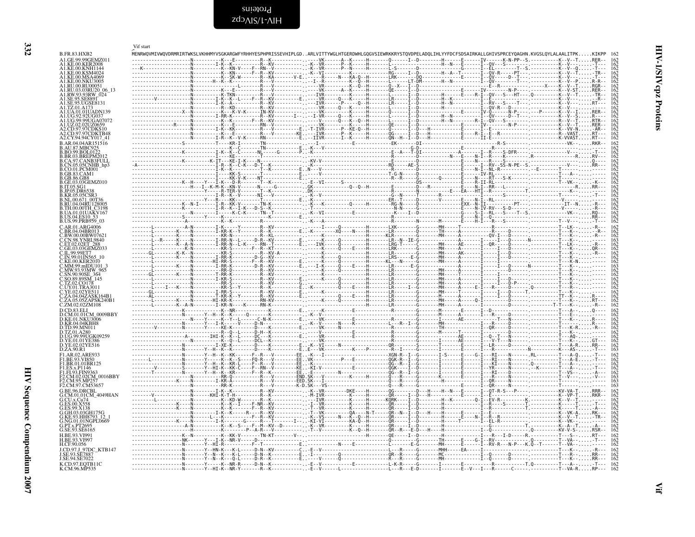<span id="page-31-0"></span>

|                                                               | Vif start<br>MENRWOVMIVWOVDRMRIRTWKSLVKHHMYVSGKARGWFYRHHYESPHPRISSEVHIPLGD.                                                                                         |                                        |
|---------------------------------------------------------------|---------------------------------------------------------------------------------------------------------------------------------------------------------------------|----------------------------------------|
| <b>B.FR.83.HXB2</b><br>A1.GE.99.99GEMZ011<br>A1.KE.00.KER2008 | .ARLVITTYWGLHTGERDWHLGOGVSIEWRKKRYSTOVDPELADOLIHLYYFDCFSDSAIRKALLGHIVSPRCEYOAGHN.KVGSLOYLALAALITPK                                                                  |                                        |
| .KE.00.KNH114<br>A1.KE.00.KSM4024                             |                                                                                                                                                                     |                                        |
| A1.KE.00.MSA4069<br>A1.KE.00.NKU3005                          |                                                                                                                                                                     |                                        |
| A1.RU.00.RU00051<br>A1.RU.03.03RU20 06 13                     |                                                                                                                                                                     | 162<br>162<br>162<br>162<br>162<br>162 |
| A1.RW.93.93RW_024<br>A1.SE.95.SE8891<br>SE.95.UGSE8131        |                                                                                                                                                                     |                                        |
| .TZ.01.A173<br>A1.UA.01.01UADN139                             |                                                                                                                                                                     |                                        |
| A1.UG.92.92UG037<br>A1.UG.99.99UGA0707<br>A1.UZ.02.02UZ0659   |                                                                                                                                                                     |                                        |
| A2.CD.97.97CDKS10<br>A2.CD.97.97CDKTB48                       |                                                                                                                                                                     |                                        |
| A2.CY.94.94CY017_41<br>B.AR.04.04AR151516                     |                                                                                                                                                                     |                                        |
| B.AU.87.MBC925<br><b>B.BO.99.BOL0122</b>                      |                                                                                                                                                                     |                                        |
| B.BR.03.BREPM201<br>.CA.97.CANB3FULL<br>B.CN.05.05CNHB_hp3    |                                                                                                                                                                     | 162<br>162<br>162<br>162               |
| B.CO.01.PCM001<br>GB.83.CAM1                                  |                                                                                                                                                                     |                                        |
| GB.86.GB8.<br>GE.03.03GEMZ010                                 |                                                                                                                                                                     |                                        |
| <b>JP.05.DR653</b><br>B.KR.05.05CSR                           |                                                                                                                                                                     |                                        |
| NL.00.671 00T3<br>RU 04.04RT112800:                           |                                                                                                                                                                     |                                        |
| TH.00.00TH C3198<br>UA.01.01UAKV167<br>B.US.04.ES10 53        |                                                                                                                                                                     |                                        |
| B.US.99.PRB959_03<br>C AR 01 ARG4006                          |                                                                                                                                                                     |                                        |
| .BW.00.00BW0762                                               |                                                                                                                                                                     |                                        |
| CN.98.YNRL9840<br><b>ET0202ET</b>                             |                                                                                                                                                                     |                                        |
| C.GE.03.03GEMZ033<br>IL.99.99ET7                              |                                                                                                                                                                     |                                        |
| MM.99.mIDU101_3                                               |                                                                                                                                                                     |                                        |
| MW.93.93MW-965<br>SN.90.90SE_364                              |                                                                                                                                                                     |                                        |
| SO.89.89SM 145                                                |                                                                                                                                                                     |                                        |
| UY.01.TRA3011                                                 | - - - - - - - - - - - - N                                                                                                                                           |                                        |
| 05.05ZAPSK240B1<br>C.ZM.02.02ZM108                            |                                                                                                                                                                     |                                        |
| D.CD.83.ELI                                                   |                                                                                                                                                                     |                                        |
| <b>D.KE.01.NKU3006</b><br>D.KR.04.04KBH8<br>TD.99.MN011       |                                                                                                                                                                     |                                        |
| TZ.01.A280<br>D.UG.99.99UGK09259                              |                                                                                                                                                                     |                                        |
| YE.01.01YE386.<br>YE.02.02YE516.                              |                                                                                                                                                                     |                                        |
| D.ZA.90.R1<br>F1.AR.02.ARE933                                 |                                                                                                                                                                     |                                        |
| <b>F1 RE 93 VI850</b><br>F1.BR.01.01BR125                     |                                                                                                                                                                     |                                        |
| F1.ES.x.P1146<br>F1.FI.93.FIN9363<br>F2.CM.02.02CM 0016BBY    | ---------------------N---------                                                                                                                                     |                                        |
| F2.CM.95.MP257<br>F2.CM.97.CM53657                            |                                                                                                                                                                     |                                        |
| G.BE.96.DRCBL<br>G.CM.01.01CM 4049HAN                         | RX-KV---------K--VR--------DKE----H-------QG-------D---H----H--N---E------I--QT-R-S---P--------------KV-VA-TRRR--                                                   |                                        |
|                                                               | -------- <sup>-</sup> -------K----N<br>$-F-RR - KV - - - - - - - - -$                                                                                               |                                        |
| G KE 93 HH8793 12                                             |                                                                                                                                                                     | $\frac{162}{162}$<br>$\frac{162}{162}$ |
| G.NG.01.01NGPL0669<br>YEx.PT2695                              |                                                                                                                                                                     |                                        |
| G.SE.93.SE6165<br>H.BE.93.VI991                               |                                                                                                                                                                     |                                        |
| LBE 93 VI997<br>H.CF.90.056                                   | . N Y HN - K - .                                                                                                                                                    |                                        |
| J.CD.97.J 97DC_KTB147<br>J.SE.94.SE7022                       |                                                                                                                                                                     |                                        |
| K.CD.97.EQTB11C<br>K.CM.96.MP535                              | $- - - T.0 - - - - - - - T - - - A$<br>-N-------Y-----K--NR-R-----D-N--K<br>-L------------------L---R---E-D-------I--------E--V---I----R------C--<br>. T - - VA - R |                                        |

<span id="page-31-1"></span>HIV-1/SIV cpz Proteins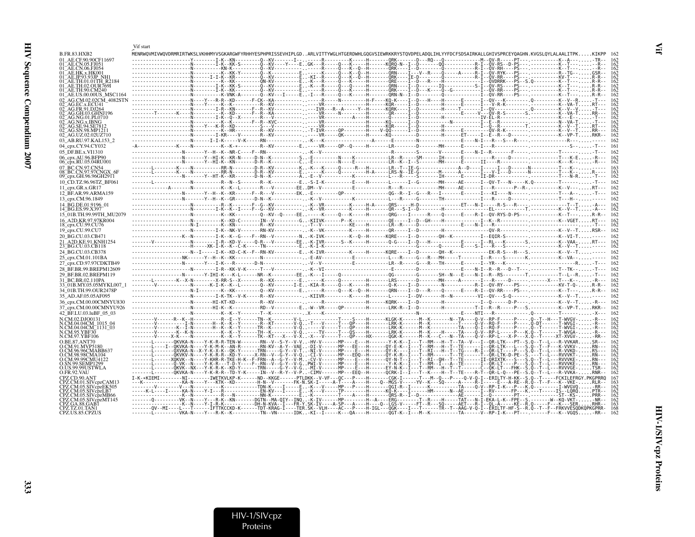| J<br>i |  |
|--------|--|
| ľ      |  |
| :      |  |

|                                                            | Vif start                                                                                                                                                                                                                                                                                                                |  |
|------------------------------------------------------------|--------------------------------------------------------------------------------------------------------------------------------------------------------------------------------------------------------------------------------------------------------------------------------------------------------------------------|--|
| B.FR.83.HXB2                                               | MENRWQVMIVWQVDRMRIRTWKSLVKHHMYVSGKARGWFYRHHYESPHPRISSEVHIPLGDARLVITTYWGLHTGERDWHLGQGVSIEWRKKRYSTQVDPELADQLIHLYYFDCFSDSAIRKALLGHIVSPRCEYQAGHN.KVGSLQYLALAALITPKKIKPP 162                                                                                                                                                  |  |
| AE CE 90 90CE11697                                         | ----I-K--KN---------0--KV-------I-------R---------K-----H-------ORK-------D---R0---0--------------M--OV-R-----PT                                                                                                                                                                                                         |  |
|                                                            |                                                                                                                                                                                                                                                                                                                          |  |
|                                                            |                                                                                                                                                                                                                                                                                                                          |  |
|                                                            |                                                                                                                                                                                                                                                                                                                          |  |
| <b>AE.TH.02.OUR769I</b>                                    |                                                                                                                                                                                                                                                                                                                          |  |
|                                                            |                                                                                                                                                                                                                                                                                                                          |  |
|                                                            | ----------------------------------K-VNK-A--------Q--KV---I-----E. -I---R-----Q---K-----H--------QNN-N--I--D-------Q---------Q---COV-RR----PS--- --------------K--T----                                                                                                                                                   |  |
|                                                            |                                                                                                                                                                                                                                                                                                                          |  |
|                                                            |                                                                                                                                                                                                                                                                                                                          |  |
|                                                            | --------T-------K---N----------K-KD------F--R--KA---------- -----VR-----N--------H-------OR----I--D-----------E-------C--V---OV-R-S-------S. ---------K--VA-TRR---                                                                                                                                                       |  |
|                                                            |                                                                                                                                                                                                                                                                                                                          |  |
|                                                            |                                                                                                                                                                                                                                                                                                                          |  |
| <b>AG SN 98 MP121</b><br>2 AG.UZ.02.02UZ710                |                                                                                                                                                                                                                                                                                                                          |  |
| 03 AB.RU.97.KAL153 2                                       |                                                                                                                                                                                                                                                                                                                          |  |
| 04 cpx.CY.94.CY032                                         |                                                                                                                                                                                                                                                                                                                          |  |
| 05 DF.BE.x.VI1310                                          |                                                                                                                                                                                                                                                                                                                          |  |
| 06_cpx.AU.96.BFP90                                         |                                                                                                                                                                                                                                                                                                                          |  |
| 06_cpx.RU.05.04RU001                                       |                                                                                                                                                                                                                                                                                                                          |  |
| 07 BC.CN.97.CN54                                           | -------L--------K----N----------RR-N--------D-R--KV---------K,,,-K---K----O-----R---H-----LR--T--IE-G-----------A--D----I----I---D-----N---------T---K-,,,,,----- 163                                                                                                                                                    |  |
| 08 BC.CN.97.97CNGX 6F<br>09_cpx.GH.96.96GH2911             |                                                                                                                                                                                                                                                                                                                          |  |
| 10 CD.TZ.96.96TZ BF061                                     |                                                                                                                                                                                                                                                                                                                          |  |
| 11 $cpx.GR.x.GR17$                                         |                                                                                                                                                                                                                                                                                                                          |  |
| 12 BF.AR.99.ARMA159                                        |                                                                                                                                                                                                                                                                                                                          |  |
| 13 cpx.CM.96.1849                                          |                                                                                                                                                                                                                                                                                                                          |  |
| 14 BG.DE.01.9196 01                                        |                                                                                                                                                                                                                                                                                                                          |  |
| 14 BG.ES.99.X397                                           |                                                                                                                                                                                                                                                                                                                          |  |
| 15 01B.TH.99.99TH MU2079                                   | --------N----------K--KK---------0--KV--0-----EE,,-----K-----0---K-----H------------RCG----I------R---0---------------------R-I--0V-RYS-D-PS---,--------------K--T---,,,,R-R-- 162                                                                                                                                       |  |
| 16 A2D.KR.97.97KR004<br>18_cpx.CU.99.CU76                  |                                                                                                                                                                                                                                                                                                                          |  |
| 19_cpx.CU.99.CU7                                           |                                                                                                                                                                                                                                                                                                                          |  |
| 20 BG.CU.03.CB471                                          |                                                                                                                                                                                                                                                                                                                          |  |
| 21 A2D.KE.91.KNH1254                                       |                                                                                                                                                                                                                                                                                                                          |  |
| 23 BG.CU.03.CB118                                          |                                                                                                                                                                                                                                                                                                                          |  |
| 24 BG.CU.03.CB378                                          |                                                                                                                                                                                                                                                                                                                          |  |
| 25 cpx.CM.01.101BA                                         |                                                                                                                                                                                                                                                                                                                          |  |
| 27 cpx.CD.97.97CDKTB49                                     |                                                                                                                                                                                                                                                                                                                          |  |
| 28 BF.BR.99.BREPM12609                                     |                                                                                                                                                                                                                                                                                                                          |  |
| 29 BF.BR.02.BREPM119                                       |                                                                                                                                                                                                                                                                                                                          |  |
| 31 BC.BR.02.110PA<br>33 <sup>–</sup> 01B.MY.05.05MYKL007–1 | -------V------------------K-I-K--K--L-------Q--KV-------I-E-KIA-R-----Q---K-----H---------Q-K---I-D---------N----------------R-I---Q--RY-----PS--- -----------KV-T-Q-R-R-- 162                                                                                                                                           |  |
| 34 01B.TH.99.OUR2478P                                      |                                                                                                                                                                                                                                                                                                                          |  |
| 35 AD.AF.05.05AF095                                        |                                                                                                                                                                                                                                                                                                                          |  |
| 36 cpx.CM.00.00CMNYU830                                    |                                                                                                                                                                                                                                                                                                                          |  |
| 37 cpx.CM.00.00CMNYU926                                    |                                                                                                                                                                                                                                                                                                                          |  |
| 42 BF.LU.03.luBF 05 03                                     |                                                                                                                                                                                                                                                                                                                          |  |
| N.CM.02.DJO0131                                            | --------V------R--K--H----------R--E--Y------TN--K---------V-L-----------T----S----H------KLGK-K-------M--K------N--TA----Q-V--RP-F------P-----Q--T-H---T-WVGV--R---                                                                                                                                                     |  |
| CM.04.04CM 1015 04<br>CM.04.04CM_1131_03                   |                                                                                                                                                                                                                                                                                                                          |  |
| N.CM.95.YBF30                                              |                                                                                                                                                                                                                                                                                                                          |  |
| .CM.97.YBF106                                              | --------V-----X-K----N----------K--K--Y------TK--KT---X---V-X-X---V-----TP---OP----HX------OGK-K------M--K--C---R--TA---C--N--TA---Q-V--RP-L---X-P---X.Q--T------XT-XVGV--RR--                                                                                                                                           |  |
|                                                            | -------L------OKVKA-N----Y-K-R-R-TEN-W-------RN--V--S-Y--V-V-HV-V------MP----E--H-------Y-K-K--I---F-RM---H--T--TA--V---I--OR-LTK---PT--S.O--T--L---R-VVKAR<br>T--F---K-VVKV-RN-                                                                                                                                         |  |
|                                                            | --------[--------QXVKA-N--X-Y-K-X-K--QK-Y------TRN-----G-Y--V-T-NI-V------MP----E---H------QY-K----I---T--RI---H--T--TG----R-I--QR-LT----P---S<br>.0 - -T - -L - - - R - VVKD -                                                                                                                                          |  |
| CM.99.99CMU4122                                            | QKVKV-N----Y-K-R-R--KD-Y-----X-RN--V--G-Y--V-Q-CI-V------MP---EDQ--H------QY-K-R--I---T--RM------T--TE-----T--QR-LTK-D-PE--S.---T--L---RVVVKT-RN---<br>-------L------XQKVK--N----Y-KHR-R-TKE-H-K--F-FRN--A--G-Y--V-M-CV-V------MP----E--H-----OY-N-T--I---T--RI--OH--T--TE------II-ORIXTK---S---S.                       |  |
| <b>IN 99 SEMP1299</b>                                      | .0--T--L---RVVVKE-<br>-------L-------ô-VK--N----Y-K-R---T-D-Y----F--RN--V--G-Y--V-GPWI-V------MP----E--H--------Y-K-K--I---T--RM--I---A--TE------I--ôR-LT----P---<br>-RVVVKE-RN-                                                                                                                                         |  |
| IS.99.99USTWLA                                             |                                                                                                                                                                                                                                                                                                                          |  |
| D.FR.92.VAU<br><b>PZ CD 90 ANT</b>                         |                                                                                                                                                                                                                                                                                                                          |  |
| 2Z.CM.01.SIVcnzCAM13                                       | I-K-*KIEMI--------NI-------IWETKVLKP-K------ND--KKGE------PTLDKK--V-VF---OC---P----H------CGK-I-----T---M--O---P---O-V-O-I--ERILTY-H-KK--S.O--T-----FCKILEFRGY.PKGPRRO                                                                                                                                                   |  |
|                                                            |                                                                                                                                                                                                                                                                                                                          |  |
|                                                            |                                                                                                                                                                                                                                                                                                                          |  |
|                                                            |                                                                                                                                                                                                                                                                                                                          |  |
|                                                            | -------------------K--N----Y-I-R-K----------DH-N-KVA-II---FR-Y.SK-IV----A-SP---A----H----Q--LGS-V-----FT--R---SQ-----AET--R-I--QL-A-----KE--R.Q-----F---K---SER                                                                                                                                                          |  |
| CPZ.TZ.01.TAN1<br>CPZ US 85 CPZUS                          | -------QV--MI----L---T------IFTTKCCKD-K------TDT-KRAG-I----TER.SK--VLH----AC---P----H-IGL---QGK----I---T----TR--T--AAG-V-Q-I--ERILTF-HF-S--R.Q--T--F--FRKVVESQDKQPKGPRR-<br>[vkA-N----Y---R-K--K---------TN--VN------TDKKT--T-----K---OA----H---------OGT-K--T---M--K-----------TA------TA-------PT--- -----F----K--VGOS |  |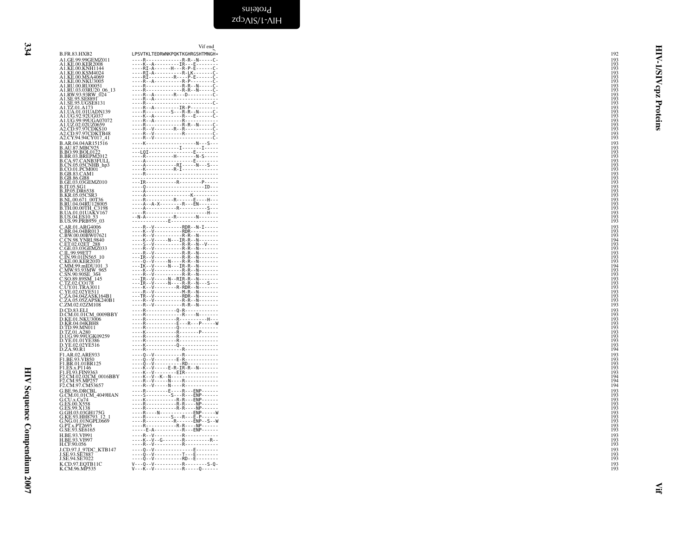<span id="page-33-0"></span>

|                                                                                                                                                        | Vif end                                                                                                                                             |                                          |
|--------------------------------------------------------------------------------------------------------------------------------------------------------|-----------------------------------------------------------------------------------------------------------------------------------------------------|------------------------------------------|
| <b>B.FR.83.HXB2</b><br>A1.GE.99.99GEMZ011                                                                                                              | LPSVTKLTEDRWNKPQKTKGHRGSHTMNGH*<br>----R--------------R-R--N-----C-                                                                                 | <b>HIV-</b><br>192<br>193                |
| A1.KE.00.KER2008                                                                                                                                       |                                                                                                                                                     |                                          |
| A1.KE.00.KNH1144<br>A1.KE.00.KSM4024                                                                                                                   |                                                                                                                                                     | 193<br>193<br>193<br>193<br>$\mathbf{S}$ |
| A1.KE.00.MSA4069<br>A1.KE.00.NKU3005                                                                                                                   |                                                                                                                                                     | ₹<br>193                                 |
| A1.RU.00.RU00051<br>A1.RU.03.03RU20_06_13<br>A1.RW.93.93RW_024                                                                                         |                                                                                                                                                     | 193<br>cpz<br>193                        |
|                                                                                                                                                        | R.A                                                                                                                                                 | 193<br>193                               |
| A1.SE.95.SE8891<br>A1.SE.95.UGSE8131<br>A1.TZ.01.A173                                                                                                  |                                                                                                                                                     | 193<br>193<br>193                        |
| A1.UA.01.01UADN139                                                                                                                                     | ----K--A----------R---E------C-                                                                                                                     | Proteins                                 |
|                                                                                                                                                        |                                                                                                                                                     | 193<br>193<br>193                        |
| A1.UG.92.92UG037<br>A1.UG.99.99UGA07072<br>A1.UZ.02.02UZ0659<br>A2.CD.97.97CDKS10<br>A2.CD.97.97CDKTB48                                                |                                                                                                                                                     | 193<br>193                               |
| A2.CY.94.94CY017 41                                                                                                                                    |                                                                                                                                                     | 193                                      |
| B.AR.04.04AR151516                                                                                                                                     |                                                                                                                                                     | 193                                      |
| B.AU.87.MBC925<br>B.BO.99.BOL0122<br>B.BO.99.BOL0122<br>B.CA.97.CANB3FULL<br>B.CA.97.CANB3FULL<br>R.CO.05.05CNHB_hp3                                   |                                                                                                                                                     | 193<br>193<br>193                        |
|                                                                                                                                                        |                                                                                                                                                     | 193<br>193                               |
| <b>B.CO.01.PCM001</b><br>B.CO.01.PCM001                                                                                                                |                                                                                                                                                     | 193<br>193                               |
| <b>B.GB.86.GB8</b><br>B.GE.03.03GEMZ010                                                                                                                | ---IR------------R--------P-----                                                                                                                    | 193<br>193                               |
|                                                                                                                                                        | ----Q------------------------ID---                                                                                                                  | 193<br>193                               |
| <b>B.IT.05.SG1<br/>B.IT.05.SG1<br/>B.JP.05.DR6538<br/>B.KR.05.05CSR3<br/>B.RU.04.04RU128005.</b>                                                       |                                                                                                                                                     | 193<br>193                               |
|                                                                                                                                                        |                                                                                                                                                     | 193                                      |
| <b>B.TH.00.00TH C3198</b><br>B.UA.01.01UAKV167<br>B.US.04.ES10_53                                                                                      |                                                                                                                                                     | 193<br>193                               |
| B.US.99.PRB959_03                                                                                                                                      |                                                                                                                                                     | 193<br>193                               |
|                                                                                                                                                        | $---R--V------RDR--N-I---$                                                                                                                          | 193                                      |
| <i>C.AR.01.ARG4006<br/>C.BR.04.04BR013<br/>C.BW.00.00BW07621<br/>C.CN.98.YNRL9840<br/>C.ET.02.02ET_288</i>                                             |                                                                                                                                                     | $\frac{193}{193}$<br>194                 |
| C.GE.03.03GEMZ033                                                                                                                                      | ----K--V-----N---IR-R--N-------<br>----S--V-----------R-R--N--V----<br>----R--V-----------R-R--N-------                                             | 193<br>193                               |
| C.U.9.995E7<br>C.IL.99.99E77<br>C.IN.99.01IN565_10<br>C.KE.00.KER2010<br>C.MM.99.mIDU101_3<br>C.SN.90.90SE_364<br>C.SN.90.90SE_364<br>C.SO.89.89SM_145 | ----R--V----------R-R--N-------                                                                                                                     | 193                                      |
|                                                                                                                                                        | $- - -1$ $\overrightarrow{K} - -\overrightarrow{V} - - - - - \overrightarrow{N} - - - \overrightarrow{IR} - R - - \overrightarrow{N} - - - - - - -$ | 193<br>193<br>194                        |
|                                                                                                                                                        |                                                                                                                                                     | 193<br>193                               |
|                                                                                                                                                        | $---IR--V---N--RIR-R---N---N$                                                                                                                       | 193<br>193                               |
| C.SO.89.89SM_145<br>C.TZ.02.CO178<br>C.UY.01.TRA3011<br>C.YE.02.02YE511<br>C.ZA.04.04ZAPSK164B1<br>C.ZA.05.05ZAPSK240B1<br>C.ZM.02.02ZM108             | $---IR--V---N---R-R-R---N---S---$<br>$- - - K - V - - - - - - R - RDR - - N - - - - - - -$<br>----R--V-------------------------                     | 193<br>193                               |
|                                                                                                                                                        | ---TR--V----------RDR--N-------                                                                                                                     |                                          |
|                                                                                                                                                        | ----R--V----------R-R--N-------<br>----R--V----------R-R--N-------                                                                                  | $\frac{193}{193}$                        |
| D.CD.83.ELI<br>D.CM.01.01CM_0009BBY<br>D.KE.01.NKU3006                                                                                                 |                                                                                                                                                     | 193<br>193                               |
| D.KR.04.04KBH8<br>D.TD.99.MN011                                                                                                                        |                                                                                                                                                     | 193<br>193                               |
| D.TZ.01.A280                                                                                                                                           | ----R------------Q---------------<br>----K------------R-------P------                                                                               | 193<br>193                               |
| D.UG.99.99UGK09259<br>D.VE.01.01YE386<br>D.YE.01.01YE386<br>D.YE.02.02YE516<br>D.ZA.90.R1                                                              | ----R-----------R---------------<br>----R------------R---------------                                                                               | 193                                      |
|                                                                                                                                                        | ----K-----------Q---------------<br>. R R                                                                                                           | 193<br>193<br>194                        |
| F1.AR.02.ARE933<br>F1.BE.93.VI850                                                                                                                      | 0 V  R                                                                                                                                              | 193<br>193                               |
| F1.BR.01.01BR125                                                                                                                                       | ∂vRD                                                                                                                                                | 193                                      |
|                                                                                                                                                        |                                                                                                                                                     | 193<br>193                               |
| F1.B8.01.01BK123<br>F1.E8.x.P1146<br>F1.F1.93.FIN9363<br>F2.CM.95.MP257<br>F2.CM.95.MP257<br>F2.CM.97.CM53657                                          |                                                                                                                                                     | 194<br>194                               |
|                                                                                                                                                        | ----R--V-----N----R-------------<br>----R--------E----R---ENP------                                                                                 | 194<br>193                               |
| G.BE.96.DRCBL<br>G.CM.01.01CM_4049HAN<br>G.CU.x.Cu74                                                                                                   |                                                                                                                                                     | 193<br>193                               |
| G.ES.00.X558<br>G.ES.99.X138                                                                                                                           | ----R-----------R-R----NP------                                                                                                                     | 193<br>193                               |
| G.GH.03.03GH175G                                                                                                                                       |                                                                                                                                                     | 193<br>193<br>193                        |
| G.GE.93.HH8793_12_1<br>G.KE.93.HH8793_12_1<br>G.PT.x.PT2695<br>G.SE.93.SE6165                                                                          |                                                                                                                                                     | 193                                      |
|                                                                                                                                                        |                                                                                                                                                     | 193                                      |
| H.BE.93.VI991<br>H.BE.93.VI997                                                                                                                         | ----R--V-----------R------------<br>----K--V--G-------R-----------R--                                                                               | 193<br>193                               |
| H.CF.90.056<br>J.CD.97.J_97DC_KTB147                                                                                                                   | ----R--V-----------R------------<br>----Q--V--------------E--------                                                                                 | 193<br>193<br>193                        |
| J.SE.93.SE7887<br>J.SE.94.SE7022                                                                                                                       |                                                                                                                                                     | 193                                      |
| K.CD.97.EQTB11C<br>K.CM.96.MP535                                                                                                                       |                                                                                                                                                     | 193<br>193                               |
|                                                                                                                                                        |                                                                                                                                                     |                                          |
|                                                                                                                                                        |                                                                                                                                                     |                                          |
|                                                                                                                                                        |                                                                                                                                                     |                                          |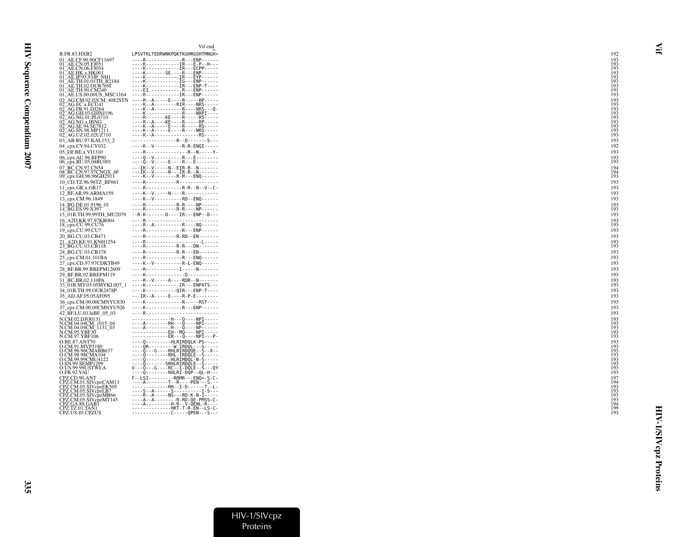|                                                                    | Vif end                                                                                    |                   |            |
|--------------------------------------------------------------------|--------------------------------------------------------------------------------------------|-------------------|------------|
| <b>B.FR.83.HXB2</b>                                                | LPSVTKLTEDRWNKPQKTKGHRGSHTMNGH*                                                            | 192               |            |
| 01 AE.CF.90.90CF11697                                              | ----R--------------R---ENP------                                                           |                   | 193<br>193 |
| 01_AE.CN.05.FJ051<br>01_AE.CN.06.FJ054                             | ----K-------------IR---E-P--H---<br>KIRECPP                                                |                   | 193        |
|                                                                    | ----K--------SE----R---ENP------<br>----K--------------IR---EYP------                      | $\frac{193}{193}$ |            |
| 01_AE.HK.x.HK001<br>01_AE.JP.93.93JP_NH1<br>01_AE.TH.01.01TH_R2184 | ----K-------------IG---ENP------                                                           |                   | 193        |
| 01 AE.TH.02.OUR769I                                                | ----K-------------IR---ENP-T----                                                           |                   | 193        |
| 01 AE.TH.90.CM240<br>01_AE.US.00.00US_MSC1164                      | ----EI.-----------R---ENP------<br>----R------------IR---ENP------                         | $\frac{191}{193}$ |            |
| 02_AG.CM.02.02CM_4082STN                                           | $- - - R - A - - - - E - - - R - - - - RP - - - - -$                                       | $^{193}_{193}$    |            |
| 02 AG.EC.x.ECU41                                                   | $- - - K - - A - - - - - - RIR - - - NRS - - - -$                                          |                   |            |
| 02_AG.FR.91.DJ264<br>02 AG.GH.03.GHNJ196                           | $- - - K - A - - - - - - - - R - - - NRS - - 0 -$<br>----K--------------R----NRPI----      |                   | 193<br>193 |
| 02_AG.NG.01.PL0710<br>02_AG.NG.x.IBNG                              | ----R-------KE----R-----RS-----<br>----R--A----KE----R-----RP-----                         |                   | 193        |
|                                                                    | $- - - K - A - - - - E - - - R - - - - RS - - - -$                                         |                   | 193<br>193 |
| 02_AG.SE.94.SE7812<br>02_AG.SN.98.MP1211                           | ----K--A-----E----R----NRS-----<br>K--A--------------------RS-----                         | $\frac{193}{193}$ |            |
| 02_AG.UZ.02.02UZ710<br>03 AB.RU.97.KAL153 2                        | R.-D------S---                                                                             | 193               |            |
| 04_cpx.CY.94.CY032                                                 | $- - - K - V - - - - - - - - R - R - ENOI - - - - -$                                       | 192               |            |
| 05 DF.BE.x.VI1310                                                  | ----R----------------R--N-----Y-                                                           | 193               |            |
| 06_cpx.AU.96.BFP90                                                 | ----Q--V-----------R---E--------                                                           |                   | 193        |
| 06_cpx.RU.05.04RU001                                               | -----0--V------E-----R---E---------                                                        | 193               |            |
| 07_BC.CN.97.CN54<br>08_BC.CN.97.97CNGX_6F                          | ---IK--V-----N--EIR-R--N-------<br>$- -IK - -V - - - -N - - -IR - R - -N - - - - - - -$    | $^{194}_{194}$    |            |
| 09_cpx.GH.96.96GH2911                                              | ----K--V--------R-R---ENQ------                                                            | 193               |            |
| 10_CD.TZ.96.96TZ_BF061                                             | R R                                                                                        | 193               |            |
| $11$ <sub>_C</sub> px.GR.x.GR17<br>12_BF.AR.99.ARMA159             | ----R-------------R-R--N--V--C-<br>----K--V-----N----R-------------                        | 193<br>193        |            |
| 13_cpx.CM.96.1849                                                  | ----K--V----------RD--EN0------                                                            | 193               |            |
| 14_BG.DE.01.9196_01                                                | ----R-----------R-R----NP------                                                            |                   | 193        |
| 14 BG.ES.99.X397                                                   | ----R-----------R-R----NP------                                                            | 193               |            |
| 15 01B.TH.99.99TH MU2079                                           | $-R-K$ - $-$ - $-$ - $D$ ----IR---ENP--D---<br>R                                           | 193               |            |
| 16 A2D.KR.97.97KR004<br>18_cpx.CU.99.CU76                          | $- - - R - A - - - - - - - - - R - - - N0 - - - - - -$                                     | 193               | 193        |
| 19_cpx.CU.99.CU7                                                   | RRFNP------                                                                                | 193               |            |
| 20 BG.CU.03.CB471                                                  | ----R-----------R-RD--EN-------                                                            | 193               |            |
| 21 A2D.KE.91.KNH1254<br>23_BG.CU.03.CB118                          | R<br>----R-----------R-R---DN-------                                                       | 193               | 193        |
| 24_BG.CU.03.CB378                                                  | R R-R - - - EN - - - - - - -                                                               | 193               |            |
| 25_cpx.CM.01.101BA                                                 | RRENO------                                                                                | 193               |            |
| 27_cpx.CD.97.97CDKTB49                                             | ----K--V-----------R-L-EN0------                                                           | 193               |            |
| 28 BF.BR.99.BREPM12609                                             | ----R-------------I-----N-------                                                           | 193               |            |
| 29 BF.BR.02.BREPM119                                               | KD<br>$---R--V---A---RDR---N---$                                                           | 193               | 193        |
| 31 BC.BR.02.110PA<br>33 01B.MY.05.05MYKL007 1                      | ----K-------------IR---ENPATS---                                                           |                   | 193        |
| 34 01B.TH.99.OUR2478P                                              | ----K-----------OIR---ENP-T----                                                            | 193               |            |
| 35 AD.AF.05.05AF095                                                | $- -$ IR $-$ A $-  -$ E $  -$ R $-$ P $-$ E $      -$                                      | 193               |            |
| 36_cpx.CM.00.00CMNYU830                                            | KRRST<br>----K--------------R---ENP------                                                  | 193<br>193        |            |
| 37_cpx.CM.00.00CMNYU926<br>42 BF.LU.03.luBF 05 03                  | R                                                                                          |                   | 193        |
| N.CM.02.DJO0131                                                    | H  0  NPT                                                                                  |                   | 193        |
| N.CM.04.04CM_1015_04<br>N.CM.04.04CM_1131_03                       | ----A--------RH---Q----NPI-----<br>A H 0 NP                                                |                   | 193<br>193 |
| N.CM.95.YBF30                                                      | ---- <sup>0</sup> --------EH--MQ----NPI-----                                               |                   | 193        |
| N.CM.97.YBF106                                                     | --------------ER---0----NPI---P-                                                           |                   | 193        |
| O.BE.87.ANT70<br>O.CM.91.MVP5180                                   | ----0---------HLRIRDQLK-PS-----                                                            |                   | 193<br>193 |
| O.CM.96.96CMABB637                                                 | ---- QR----------W-IRDOL--- 5-----<br>----Q---G---- RHLRIRDOQE-- 5-- X--                   |                   | 193<br>193 |
| O.CM.98.98CMA104<br>O.CM.99.99CMU4122                              | ----0--------RHL-IRDOLE--S-----<br>----Q---------HLRIMDQL-N-S-----                         |                   |            |
| O.SN.99.SEMP1299                                                   | ---- 0------- SRHLRIRDOLE -- 5-----<br>V---Q---G----RC--I-DQLE--S---QY                     | $\frac{193}{193}$ |            |
| O.FR.92.VAU                                                        | ----0--------RHLRI-DOP--0L-H---                                                            | $\frac{193}{193}$ |            |
| CPZ.CD.90.ANT                                                      | F--LSI---------RRMR---ENQ*-S-C-                                                            |                   | 197        |
| CPZ.CM.01.SIVcpzCAM13<br>CPZ.CM.05.SIVcpzEK505                     | $- - - A - - - - - - - T - - R - - - PEN - - S - - -$<br>--------------RH--I-D-------T--L- | $\frac{194}{193}$ |            |
| CPZ.CM.05.SIVcpzLB7                                                |                                                                                            |                   | 193        |
| CPZ.CM.05.SIVcpzMB66<br>CPZ.CM.05.SIVcpzMT145                      | $- - - A - A - - - - - - - R - RD - OE - PMSS - C -$                                       |                   | 193<br>193 |
| CPZ.GA.88.GABT                                                     |                                                                                            | $\frac{194}{199}$ |            |
| CPZ.US.85.CPZUS                                                    | --------------C----QPEN---S---                                                             | 193               |            |
|                                                                    |                                                                                            |                   |            |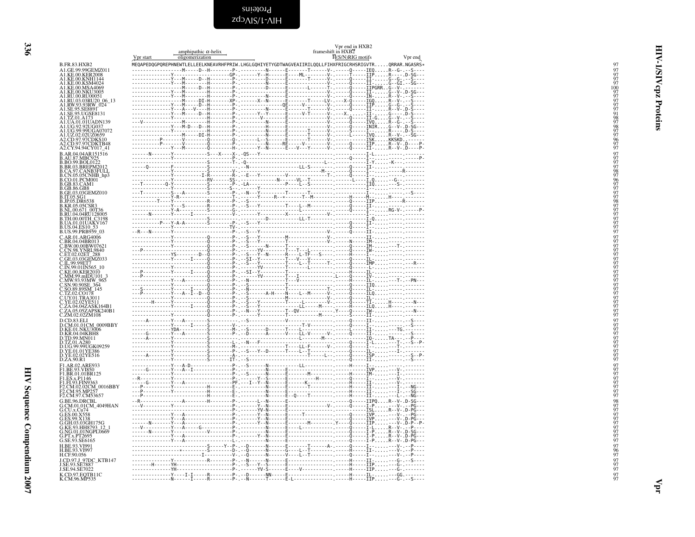<span id="page-35-1"></span>Proteins zdo<sub>AIS/I</sub>-AIH

<span id="page-35-0"></span>

|                                                                                                                                                                                                                                                                                     | amphipathic $\alpha$ -helix<br>oligomerization<br>Vpr start                                          | Vpr end in HXB2<br>frameshift in HXB2<br>H(S/N)RIG motifs<br>Vpr end |
|-------------------------------------------------------------------------------------------------------------------------------------------------------------------------------------------------------------------------------------------------------------------------------------|------------------------------------------------------------------------------------------------------|----------------------------------------------------------------------|
| <b>B.FR.83.HXB2</b>                                                                                                                                                                                                                                                                 | MEQAPEDQGPQREPHNEWTLELLEELKNEAVRHFPRIW.LHGLGQHIYETYGDTWAGVEAIIRILQQLLFIHXFRIGCRHSRIGVTRQRRAR.NGASRS* |                                                                      |
| A1.GE.99.99GEMZ011                                                                                                                                                                                                                                                                  |                                                                                                      |                                                                      |
| A1.KE.00.KER2008<br>AT (KE 60 KRK2008)<br>AT (KE 60 KRK2008)<br>AT (KE 60 KRN41)<br>AT (KE 60 KRN41)<br>AT (KE 60 NKA4069<br>AT (KE 60 NK 44069)<br>AT (KE 60 NK 406951)<br>AT (RU 63.03RU20 06 -13<br>AT (KU 63.03RU20 06 -13<br>AT (KE 95.58889)<br>AT (KE 69.9200637<br>AT (KE 6 |                                                                                                      |                                                                      |
|                                                                                                                                                                                                                                                                                     |                                                                                                      |                                                                      |
|                                                                                                                                                                                                                                                                                     |                                                                                                      |                                                                      |
|                                                                                                                                                                                                                                                                                     |                                                                                                      |                                                                      |
|                                                                                                                                                                                                                                                                                     |                                                                                                      |                                                                      |
|                                                                                                                                                                                                                                                                                     |                                                                                                      |                                                                      |
|                                                                                                                                                                                                                                                                                     |                                                                                                      |                                                                      |
|                                                                                                                                                                                                                                                                                     |                                                                                                      |                                                                      |
|                                                                                                                                                                                                                                                                                     |                                                                                                      |                                                                      |
|                                                                                                                                                                                                                                                                                     |                                                                                                      |                                                                      |
| A2.CY.94.94CY017_41                                                                                                                                                                                                                                                                 |                                                                                                      |                                                                      |
| B.AR.04.04AR151516<br><b>B.AU.87.MBC925</b>                                                                                                                                                                                                                                         |                                                                                                      |                                                                      |
| <b>B.BO.99.BOL0122</b>                                                                                                                                                                                                                                                              |                                                                                                      |                                                                      |
| B.BO.55.BREPM2012<br>B.CA.97.CANB3FULL<br>B.CN.05.05CNHB_hp3                                                                                                                                                                                                                        |                                                                                                      |                                                                      |
|                                                                                                                                                                                                                                                                                     |                                                                                                      |                                                                      |
| B.CO.01.PCM001<br>B.GB.83.CAM1                                                                                                                                                                                                                                                      |                                                                                                      |                                                                      |
| B.GB.83.CAM<br>B.GB.86.GB8<br>B.T.05.SG1<br>B.T.05.SG1<br>B.N.D.S.G1<br>B.N.D.S.G1<br>B.R.R.O.671.00736<br>B.N.U.00.671.00736<br>B.N.U.00.00TH_C3198<br>B.U.S.04.ES10<br>B.N.D.O.01UAKV167<br>B.N.D.O.01UAKV167<br>B.U.S.04.ES10<br>53.U.S.99.PRB959_03<br>B.U.S.04.ES10            |                                                                                                      |                                                                      |
|                                                                                                                                                                                                                                                                                     |                                                                                                      |                                                                      |
|                                                                                                                                                                                                                                                                                     |                                                                                                      |                                                                      |
|                                                                                                                                                                                                                                                                                     |                                                                                                      |                                                                      |
|                                                                                                                                                                                                                                                                                     |                                                                                                      |                                                                      |
|                                                                                                                                                                                                                                                                                     |                                                                                                      |                                                                      |
|                                                                                                                                                                                                                                                                                     |                                                                                                      |                                                                      |
| AR.01.ARG4006                                                                                                                                                                                                                                                                       |                                                                                                      |                                                                      |
| C.BR.04.04BR013<br>C.BW.00.00BW0762                                                                                                                                                                                                                                                 |                                                                                                      |                                                                      |
|                                                                                                                                                                                                                                                                                     |                                                                                                      |                                                                      |
|                                                                                                                                                                                                                                                                                     |                                                                                                      |                                                                      |
| CEW00.00BW07621<br>CET 02.02ET 288<br>CET 02.02ET 288<br>C.I.N.99.03CEM2033<br>C.I.N.99.01N565<br>C.N.99.01N56510<br>C.N.M.93.93MW-965<br>C.SO.39.89SM_145<br>C.ZO.20178<br>C.N.001.TRA3011<br>C.ZE.02.02YE511<br>C.V.V.01.TRA3011<br>C.ZE.02.02YE511<br>C.ZE.02.02YE               |                                                                                                      |                                                                      |
|                                                                                                                                                                                                                                                                                     |                                                                                                      |                                                                      |
|                                                                                                                                                                                                                                                                                     |                                                                                                      |                                                                      |
|                                                                                                                                                                                                                                                                                     |                                                                                                      |                                                                      |
|                                                                                                                                                                                                                                                                                     |                                                                                                      |                                                                      |
|                                                                                                                                                                                                                                                                                     |                                                                                                      |                                                                      |
|                                                                                                                                                                                                                                                                                     |                                                                                                      |                                                                      |
| C.ZM.02.02ZM108                                                                                                                                                                                                                                                                     |                                                                                                      |                                                                      |
| D.CD.83.ELI<br>D.CM.01.01CM_0009BBY                                                                                                                                                                                                                                                 |                                                                                                      |                                                                      |
| D.KE.01.NKU3006<br>D.KR.04.04KBH8                                                                                                                                                                                                                                                   |                                                                                                      |                                                                      |
|                                                                                                                                                                                                                                                                                     |                                                                                                      |                                                                      |
| D.TD.99.MN011<br>D.TZ.01.A280<br>D.TZ.01.A280<br>D.VE.01.01YE386<br>D.YE.02.02YE516                                                                                                                                                                                                 |                                                                                                      |                                                                      |
|                                                                                                                                                                                                                                                                                     |                                                                                                      |                                                                      |
| D.ZA.90.R1                                                                                                                                                                                                                                                                          |                                                                                                      |                                                                      |
| F1.AR.02.ARE933<br>F1.BE.93.VI850<br>F1.BR.01.01BR125                                                                                                                                                                                                                               |                                                                                                      |                                                                      |
|                                                                                                                                                                                                                                                                                     |                                                                                                      |                                                                      |
| F1.ES.x.P1146<br>F1.FI.93.FIN9363                                                                                                                                                                                                                                                   |                                                                                                      |                                                                      |
| F2.CM.02.02CM_0016BBY                                                                                                                                                                                                                                                               |                                                                                                      |                                                                      |
| CM.95.MP257<br>F2.CM.97.CM53657                                                                                                                                                                                                                                                     |                                                                                                      |                                                                      |
| G.BE.96.DRCBL                                                                                                                                                                                                                                                                       |                                                                                                      |                                                                      |
| G.CM.01.01CM_4049HAN                                                                                                                                                                                                                                                                |                                                                                                      |                                                                      |
| G.CU.x.Cu74<br>G.CU.x.Cu74<br>G.ES.99.X138<br>G.ES.99.X138<br>G.GH.03.03GH175G<br>G.KE.93.HH8793_12_1<br>G.NG.01.01NGPL0669                                                                                                                                                         |                                                                                                      |                                                                      |
|                                                                                                                                                                                                                                                                                     |                                                                                                      |                                                                      |
|                                                                                                                                                                                                                                                                                     |                                                                                                      |                                                                      |
| G.PT.x.PT2695                                                                                                                                                                                                                                                                       |                                                                                                      |                                                                      |
| G.SE.93.SE6165<br>H.BE.93.VI991                                                                                                                                                                                                                                                     |                                                                                                      |                                                                      |
| H.BE.93.VI997                                                                                                                                                                                                                                                                       |                                                                                                      |                                                                      |
| H.CF.90.056                                                                                                                                                                                                                                                                         |                                                                                                      |                                                                      |
| J.CD.97.J_97DC_KTB147<br>J.SE.93.SE7887<br>J.SE.94.SE7022                                                                                                                                                                                                                           |                                                                                                      |                                                                      |
|                                                                                                                                                                                                                                                                                     |                                                                                                      |                                                                      |
| K.CD.97.EQTB11C<br>K.CM.96.MP535                                                                                                                                                                                                                                                    |                                                                                                      |                                                                      |

HIV-1/SIV cpz Proteins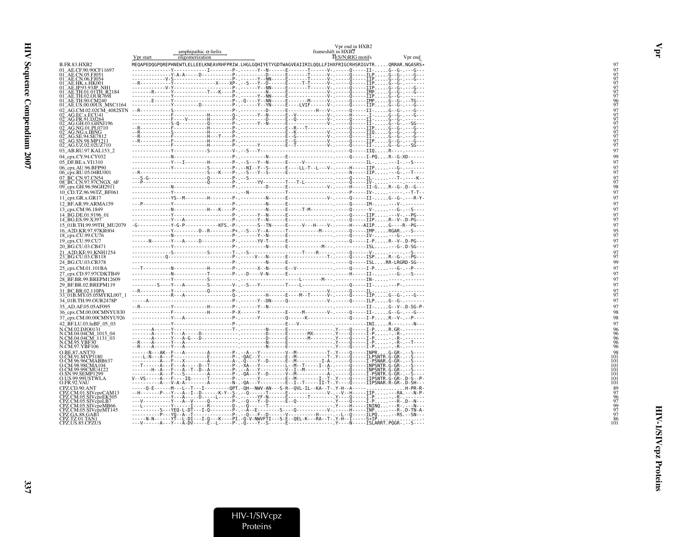|                                            | Vpr start | amphipathic $\alpha$ -helix<br>oligomerization | frameshift in HXB <sub>2</sub>                                                                                                                                                                                                                                                                                                                                                                                                          | Vpr end in HXB2<br>$H(S/N)RIG$ motifs | Vpr end                |
|--------------------------------------------|-----------|------------------------------------------------|-----------------------------------------------------------------------------------------------------------------------------------------------------------------------------------------------------------------------------------------------------------------------------------------------------------------------------------------------------------------------------------------------------------------------------------------|---------------------------------------|------------------------|
| B.FR.83.HXB2                               |           |                                                | MEQAPEDQGPQREPHNEWTLELLEELKNEAVRHFPRIW.LHGLGQHIYETYGDTWAGVEAIIRILQQLLFIHXFRIGCRHSRIGVTRQRRAR.NGASRS*                                                                                                                                                                                                                                                                                                                                    |                                       |                        |
| 01 AE.CF.90.90CF11697                      |           |                                                | -Y-------------I--------P- ------Y--N-----E-------T------V- .-----0-----II- G--G- . ---G---                                                                                                                                                                                                                                                                                                                                             |                                       |                        |
| 01 AE.CN.05.FJ051                          |           |                                                |                                                                                                                                                                                                                                                                                                                                                                                                                                         |                                       |                        |
| 01 AE.CN.06.FJ054<br>1_AE.HK.x.HK001       |           |                                                |                                                                                                                                                                                                                                                                                                                                                                                                                                         |                                       |                        |
|                                            |           |                                                |                                                                                                                                                                                                                                                                                                                                                                                                                                         |                                       |                        |
| 1 AE.TH.01.01TH R2184                      |           |                                                |                                                                                                                                                                                                                                                                                                                                                                                                                                         |                                       |                        |
| TH.02.OUR7691<br>TH.90.CM240               |           |                                                |                                                                                                                                                                                                                                                                                                                                                                                                                                         |                                       |                        |
| US.00.00US MSC1164                         |           |                                                |                                                                                                                                                                                                                                                                                                                                                                                                                                         |                                       |                        |
| M.02.02CM 4082STN                          |           |                                                |                                                                                                                                                                                                                                                                                                                                                                                                                                         |                                       |                        |
|                                            |           |                                                | $\begin{minipage}[t]{.15\textwidth} \begin{picture}(150,10) \put(0,0){\vector(1,0){100}} \put(0,0){\vector(1,0){100}} \put(0,0){\vector(1,0){100}} \put(0,0){\vector(1,0){100}} \put(0,0){\vector(1,0){100}} \put(0,0){\vector(1,0){100}} \put(0,0){\vector(1,0){100}} \put(0,0){\vector(1,0){100}} \put(0,0){\vector(1,0){100}} \put(0,0){\vector(1,0){100}} \put(0,0){\vector(1,$                                                     |                                       |                        |
| AG.FR.91.DJ264<br>AG.GH.03.GHNJ196         |           |                                                |                                                                                                                                                                                                                                                                                                                                                                                                                                         |                                       |                        |
| 2 AG.NG.01.PL0710                          |           |                                                |                                                                                                                                                                                                                                                                                                                                                                                                                                         |                                       |                        |
| _AG.NG.x.IBNG                              |           |                                                |                                                                                                                                                                                                                                                                                                                                                                                                                                         |                                       |                        |
| SN.98.MP1211                               |           |                                                |                                                                                                                                                                                                                                                                                                                                                                                                                                         |                                       |                        |
| AG.UZ.02.02UZ710                           |           |                                                |                                                                                                                                                                                                                                                                                                                                                                                                                                         |                                       |                        |
| 03 AB.RU.97.KAL153 2                       |           |                                                |                                                                                                                                                                                                                                                                                                                                                                                                                                         |                                       |                        |
| 04_cpx.CY.94.CY032                         |           |                                                |                                                                                                                                                                                                                                                                                                                                                                                                                                         |                                       |                        |
| 05_DF.BE.x.VI1310                          |           |                                                | --------------Y---I---------H--------P-.--S---Y--N------E-----V----------- --------                                                                                                                                                                                                                                                                                                                                                     |                                       | $-IL -  - -I - -S - -$ |
| 06 cpx.AU.96.BFP90                         |           |                                                | ---------------Y-----------S--------P-,--NI--Y--S------E----LL-T--L---V-,-----H-----IIP---G-,---                                                                                                                                                                                                                                                                                                                                        |                                       |                        |
| 06_cpx.RU.05.04RU001                       |           |                                                |                                                                                                                                                                                                                                                                                                                                                                                                                                         |                                       |                        |
| <b>BC.CN.97.CN54</b>                       |           |                                                |                                                                                                                                                                                                                                                                                                                                                                                                                                         |                                       |                        |
| BC.CN.97.97CNGX_6F<br>09_срх.GH.96.96GH29П |           |                                                |                                                                                                                                                                                                                                                                                                                                                                                                                                         |                                       |                        |
|                                            |           |                                                |                                                                                                                                                                                                                                                                                                                                                                                                                                         |                                       |                        |
| 10_CD.TZ.96.96TZ_BF061<br>11 cpx.GR.x.GR17 |           |                                                | --------------YS--M---------H--------P-, ---------N------E----------------V-, ------Q-----II-,G--G-,---R-Y-                                                                                                                                                                                                                                                                                                                             |                                       |                        |
| 12_BF.AR.99.ARMA159                        |           |                                                |                                                                                                                                                                                                                                                                                                                                                                                                                                         |                                       |                        |
| 13 cpx.CM.96.1849                          |           |                                                |                                                                                                                                                                                                                                                                                                                                                                                                                                         |                                       |                        |
| 14 BG.DE.01.9196 01                        |           |                                                |                                                                                                                                                                                                                                                                                                                                                                                                                                         |                                       |                        |
| 14_BG.ES.99.X397                           |           |                                                |                                                                                                                                                                                                                                                                                                                                                                                                                                         |                                       |                        |
| 15 01B.TH.99.99TH MU2079                   |           |                                                |                                                                                                                                                                                                                                                                                                                                                                                                                                         |                                       |                        |
| 16 A2D.KR.97.97KR004                       |           |                                                |                                                                                                                                                                                                                                                                                                                                                                                                                                         |                                       |                        |
| 18_cpx.CU.99.CU76                          |           |                                                |                                                                                                                                                                                                                                                                                                                                                                                                                                         |                                       |                        |
| 19 cpx.CU.99.CU7                           |           |                                                |                                                                                                                                                                                                                                                                                                                                                                                                                                         |                                       |                        |
| 20 BG.CU.03.CB471                          |           |                                                |                                                                                                                                                                                                                                                                                                                                                                                                                                         |                                       |                        |
| 21 A2D.KE.91.KNH1254                       |           |                                                |                                                                                                                                                                                                                                                                                                                                                                                                                                         |                                       |                        |
| 23_BG.CU.03.CB118                          |           |                                                |                                                                                                                                                                                                                                                                                                                                                                                                                                         |                                       |                        |
| 24 BG.CU.03.CB378                          |           |                                                |                                                                                                                                                                                                                                                                                                                                                                                                                                         |                                       |                        |
| 25_cpx.CM.01.101BA                         |           |                                                |                                                                                                                                                                                                                                                                                                                                                                                                                                         |                                       |                        |
| 27_cpx.CD.97.97CDKTB49                     |           |                                                |                                                                                                                                                                                                                                                                                                                                                                                                                                         |                                       |                        |
| 28 BF.BR.99.BREPM12609                     |           |                                                |                                                                                                                                                                                                                                                                                                                                                                                                                                         |                                       |                        |
| 29 BF.BR.02.BREPM119                       |           |                                                |                                                                                                                                                                                                                                                                                                                                                                                                                                         |                                       |                        |
| 31 BC.BR.02.110PA                          |           |                                                |                                                                                                                                                                                                                                                                                                                                                                                                                                         |                                       |                        |
| 33_01B.MY.05.05MYKL007_1                   |           |                                                |                                                                                                                                                                                                                                                                                                                                                                                                                                         |                                       |                        |
| 34 01B.TH.99.OUR2478P                      |           |                                                |                                                                                                                                                                                                                                                                                                                                                                                                                                         |                                       |                        |
| 35 AD.AF.05.05AF095                        |           |                                                |                                                                                                                                                                                                                                                                                                                                                                                                                                         |                                       |                        |
| 36_cpx.CM.00.00CMNYU830                    |           |                                                |                                                                                                                                                                                                                                                                                                                                                                                                                                         |                                       |                        |
| 37 cpx.CM.00.00CMNYU926                    |           |                                                |                                                                                                                                                                                                                                                                                                                                                                                                                                         |                                       |                        |
| 42_BF.LU.03.luBF_05_03                     |           |                                                |                                                                                                                                                                                                                                                                                                                                                                                                                                         |                                       |                        |
| N.CM.02.DJO0131<br>V.CM.04.04CM 1015 04    |           |                                                | $\begin{minipage}{0.99\textwidth} \begin{tabular}{ c c c c c } \hline \multicolumn{1}{ c }{0.99\textwidth} \begin{tabular}{ c c c c } \hline \multicolumn{1}{ c }{0.99\textwidth} \begin{tabular}{ c c c } \hline \multicolumn{1}{ c }{0.99\textwidth} \begin{tabular}{ c c c } \hline \multicolumn{1}{ c }{0.99\textwidth} \begin{tabular}{ c c c } \hline \multicolumn{1}{ c }{0.99\textwidth} \begin{tabular}{ c c c } \hline \mult$ |                                       |                        |
| N.CM.04.04CM_1131_03<br>N.CM.95.YBF30      |           |                                                |                                                                                                                                                                                                                                                                                                                                                                                                                                         |                                       |                        |
|                                            |           |                                                |                                                                                                                                                                                                                                                                                                                                                                                                                                         |                                       |                        |
| V.CM.97.YBF106                             |           |                                                |                                                                                                                                                                                                                                                                                                                                                                                                                                         |                                       |                        |
| O BE 87 ANT70                              |           |                                                |                                                                                                                                                                                                                                                                                                                                                                                                                                         |                                       |                        |
| CM.96.96CMABB637                           |           |                                                |                                                                                                                                                                                                                                                                                                                                                                                                                                         |                                       |                        |
| .98.98CMA104                               |           |                                                |                                                                                                                                                                                                                                                                                                                                                                                                                                         |                                       |                        |
| "M.99.99CMU4122<br>.SN.99.SEMP1299         |           |                                                |                                                                                                                                                                                                                                                                                                                                                                                                                                         |                                       |                        |
| O.US.99.99USTWLA                           |           |                                                |                                                                                                                                                                                                                                                                                                                                                                                                                                         |                                       |                        |
| D.FR.92.VAU                                |           |                                                |                                                                                                                                                                                                                                                                                                                                                                                                                                         |                                       |                        |
| PZ.CD.90.ANT                               |           |                                                |                                                                                                                                                                                                                                                                                                                                                                                                                                         |                                       |                        |
| PZ.CM.01.SIVcpzCAM13                       |           |                                                |                                                                                                                                                                                                                                                                                                                                                                                                                                         |                                       |                        |
| M.05.SIVcpzEK505<br>M.05.SIVcpzLB7         |           |                                                |                                                                                                                                                                                                                                                                                                                                                                                                                                         |                                       |                        |
| PZ.CM.05.SIVcpzMB66                        |           |                                                |                                                                                                                                                                                                                                                                                                                                                                                                                                         |                                       |                        |
| PZ.CM.05.SIVcpzMT145                       |           |                                                |                                                                                                                                                                                                                                                                                                                                                                                                                                         |                                       |                        |
| PZ.GA.88.GAB1<br>PZ.TZ.01.TAN1             |           |                                                |                                                                                                                                                                                                                                                                                                                                                                                                                                         |                                       |                        |
| CPZ.US.85.CPZUS                            |           |                                                |                                                                                                                                                                                                                                                                                                                                                                                                                                         |                                       |                        |
|                                            |           |                                                |                                                                                                                                                                                                                                                                                                                                                                                                                                         |                                       |                        |

# HIV-1/SIVcpz<br>Proteins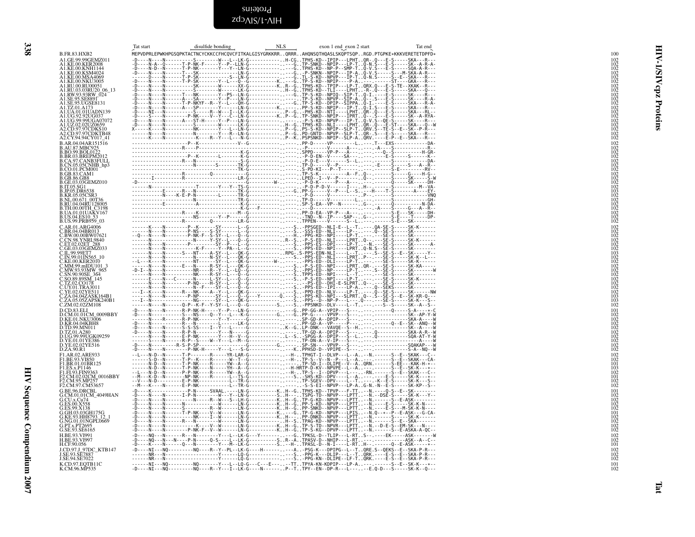<span id="page-37-1"></span>zdɔʌɪs/t-ʌɪH Proteins

<span id="page-37-0"></span>

|                                                                                                                                                                                                                                             | Tat start<br>disulfide bonding | NLS | exon 1 end exon 2 start<br>Tat end                                                                                                                                                                                                   |                                                                                     |
|---------------------------------------------------------------------------------------------------------------------------------------------------------------------------------------------------------------------------------------------|--------------------------------|-----|--------------------------------------------------------------------------------------------------------------------------------------------------------------------------------------------------------------------------------------|-------------------------------------------------------------------------------------|
| B.FR.83.HXB2<br>A1.GE.99.99GEMZ011<br>A1.KE.00.KER2008                                                                                                                                                                                      |                                |     | MEPVDPRLEPWKHPGSQPKTACTNCYCKKCCFHCQVCFITKALGISYGRKKRRQRRRAHQNSQTHQASLSKQPTSQPRGD.PTGPKE*KKKVERETETDPFD*                                                                                                                              | 100<br>$^{102}_{102}$                                                               |
| A1.KE.00.KNH1144<br>A1.KE.00.KSM4024                                                                                                                                                                                                        |                                |     |                                                                                                                                                                                                                                      | ত                                                                                   |
| A1.KE.00.MSA4069<br>A1.KE.00.NKU3005                                                                                                                                                                                                        |                                |     |                                                                                                                                                                                                                                      | 102<br>102<br>102<br>102<br>102<br>102<br>102<br>102<br>102<br>₹                    |
| A1.RU.00.RU00051<br>A1.RU.03.03RU20_06_13<br>A1.RW.93.93RW_024                                                                                                                                                                              |                                |     |                                                                                                                                                                                                                                      | cpz                                                                                 |
| A1.SE.95.SE8891<br>A1.SE.95.SE8891<br>A1.SE.95.UGSE8131<br>A1.TZ.01.A1                                                                                                                                                                      |                                |     |                                                                                                                                                                                                                                      |                                                                                     |
| A1.UA.01.01UADN139                                                                                                                                                                                                                          |                                |     |                                                                                                                                                                                                                                      | Proteins<br>$\frac{102}{102}$<br>$\frac{102}{102}$<br>$\frac{102}{102}$             |
| A1.UG.92.92UG037<br>A1.UG.99.99UGA07072<br>A1.UZ.02.02UZ0659<br>A2.CD.97.97CDKS10<br>A2.CD.97.97CDKR1848<br>A2.CD.97.97CDKR17                                                                                                               |                                |     |                                                                                                                                                                                                                                      |                                                                                     |
| A2.CY.94.94CY017_41<br>B.AR.04.04AR151516                                                                                                                                                                                                   |                                |     |                                                                                                                                                                                                                                      | $\frac{102}{102}$<br>102                                                            |
| B.AU.87.MRC925<br>B.BO.99.BOL0122<br>B.BR.03.BREPM2012<br>B.CA.97.CANB3FULL<br>B.CN.05.05CNHB_hp3<br>B.CN.05.05CNHB_hp3                                                                                                                     |                                |     |                                                                                                                                                                                                                                      |                                                                                     |
| <b>B.CO.01.PCM001</b>                                                                                                                                                                                                                       |                                |     |                                                                                                                                                                                                                                      | 102<br>102<br>102<br>102<br>102<br>102<br>102<br>102<br>103<br>103<br>102           |
| B.GB.83.CAM1                                                                                                                                                                                                                                |                                |     |                                                                                                                                                                                                                                      |                                                                                     |
| B.GB.86.GB8<br>B.GE.03.03GEMZ010<br>B.GE.03.03GEMZ010<br>B.JP.05.DR6538                                                                                                                                                                     |                                |     |                                                                                                                                                                                                                                      |                                                                                     |
| <b>B.KR.05.05CSR3</b><br>B.NL.00.671_00T36<br>B.RU.04.04RU128005                                                                                                                                                                            |                                |     |                                                                                                                                                                                                                                      |                                                                                     |
| B.TH.00.00TH_C3198                                                                                                                                                                                                                          |                                |     |                                                                                                                                                                                                                                      | $\frac{102}{102}$<br>$\frac{102}{102}$<br>$\frac{102}{102}$<br>$\frac{102}{102}$    |
| B.UA.01.01UAKV167<br>B.US.04.ES10_53<br>B.US.99.PRB959_03                                                                                                                                                                                   |                                |     |                                                                                                                                                                                                                                      |                                                                                     |
| <b>C.O. 27. ND227-2010<br/>C.BR.01.ARG4006<br/>C.BR.04.04BR013<br/>C.BW.00.00BW07621<br/>C.ET.02.02ET_288<br/>C.GE.03.03GEMZ033</b>                                                                                                         |                                |     |                                                                                                                                                                                                                                      | $\begin{array}{c} 102 \\ 102 \\ 102 \\ 102 \\ 102 \\ 102 \\ 102 \\ 102 \end{array}$ |
|                                                                                                                                                                                                                                             |                                |     |                                                                                                                                                                                                                                      |                                                                                     |
| C.IL.99.99ET7<br>C.IN.99.01IN565_10                                                                                                                                                                                                         |                                |     |                                                                                                                                                                                                                                      |                                                                                     |
|                                                                                                                                                                                                                                             |                                |     |                                                                                                                                                                                                                                      | 103<br>102<br>102<br>102<br>102<br>102<br>102                                       |
| C.IN.99.01IN565<br>C.KE.00.KER.2010<br>C.MM.93.93MW 965<br>C.MW.93.93MW 965<br>C.SO.89.898M_145<br>C.CZ.02.CO178<br>C.LY.02.02.12311<br>C.Z.A.03.027.ASKL64B1<br>C.Z.A.03.027.ASKL64B1<br>C.Z.A.03.027.ASKL64B1<br>C.Z.A.03.027.ASKL7.0202. |                                |     |                                                                                                                                                                                                                                      |                                                                                     |
|                                                                                                                                                                                                                                             |                                |     |                                                                                                                                                                                                                                      | $\frac{102}{102}$<br>$\frac{102}{102}$<br>$\frac{103}{103}$                         |
|                                                                                                                                                                                                                                             |                                |     |                                                                                                                                                                                                                                      | 102                                                                                 |
| D.CD.83.ELI<br>D.CM.01.01CM_0009BBY<br>D.KE.01.NKU3006                                                                                                                                                                                      |                                |     |                                                                                                                                                                                                                                      | $\begin{array}{c} 101 \\ 102 \\ 102 \\ 102 \\ 102 \\ 102 \\ 103 \end{array}$        |
| D.KR.04.04KBH8<br>D.TD.99.MN011<br>D.TZ.01.A280                                                                                                                                                                                             |                                |     |                                                                                                                                                                                                                                      |                                                                                     |
| D.UG.99.99UGK09259<br>D.VG.99.99UGK09259<br>D.YE.01.01YE386<br>D.YE.02.02YE516                                                                                                                                                              |                                |     |                                                                                                                                                                                                                                      | $\frac{102}{102}$<br>$\frac{102}{102}$                                              |
| F1.AR.02.ARE933                                                                                                                                                                                                                             |                                |     |                                                                                                                                                                                                                                      | 102                                                                                 |
| F1.BE.93.VI850<br>F1.BR.01.01BR125                                                                                                                                                                                                          |                                |     |                                                                                                                                                                                                                                      | 102<br>101                                                                          |
| F1.ES.x.P1146<br>F1.ES.x.P1146<br>F1.F1.93.FIN9363<br>F2.CM.95.MP257<br>E2.CM.95.MP257                                                                                                                                                      |                                |     |                                                                                                                                                                                                                                      | $\frac{103}{102}$<br>101<br>102                                                     |
| F2.CM.97.CM53657<br>G.BE.96.DRCBL                                                                                                                                                                                                           |                                |     |                                                                                                                                                                                                                                      | 102<br>101                                                                          |
| G.CM.01.01CM_4049HAN<br>G.CU.x.Cu74<br>G.ES.00.X558                                                                                                                                                                                         |                                |     |                                                                                                                                                                                                                                      | $\begin{array}{c} 102 \\ 102 \\ 102 \\ 102 \end{array}$                             |
| G.FS.99.X138<br>G.GH.03.03GH175G                                                                                                                                                                                                            |                                |     |                                                                                                                                                                                                                                      | 101                                                                                 |
| G.KE.93.HH8793_12_1<br>G.KE.93.HH8793_12_1<br>G.PT.x.PT2695                                                                                                                                                                                 |                                |     |                                                                                                                                                                                                                                      | $\frac{102}{102}$<br>$\frac{102}{102}$                                              |
| G.SE.93.SE6165<br>H.BE.93.VI991<br>H.BE.93.VI997                                                                                                                                                                                            |                                |     |                                                                                                                                                                                                                                      | 102                                                                                 |
| H.CF.90.056<br>J.CD.97.J_97DC_KTB147                                                                                                                                                                                                        |                                |     |                                                                                                                                                                                                                                      | 102<br>101                                                                          |
| J.SE.93.SE7887<br>J.SE.94.SE7022                                                                                                                                                                                                            |                                |     | - DOCAL MORE CONSULTANT AND CONSULTANT AND CONSULTANT AND CONSULTANT AND CONSULTANT AND CONSULTANT AND CONSULT<br>- DOCAL MORE CONSULTANT AND CONSULTANT AND CONSULTANT AND CONSULTANT AND CONSULTANT AND CONSULTANT AND CONSULT<br> | $\substack{102\\102\\102}$                                                          |
| K.CD.97.EQTB11C<br>K.CM.96.MP535                                                                                                                                                                                                            |                                |     | ------NI---NO---------NO-------Y---L--LO-G---C---E----TTTPYA-KN-KDPIP---LP-A-------S--E--SK-K---*--<br>-D----NI---NO---------NO----R--Y---I--LK-G----N------P--TTPY--EN--DP-R---L-----E.Q-D---S-----SK-K--Q---                       | $^{101}_{102}$                                                                      |
|                                                                                                                                                                                                                                             |                                |     |                                                                                                                                                                                                                                      |                                                                                     |
|                                                                                                                                                                                                                                             |                                |     |                                                                                                                                                                                                                                      |                                                                                     |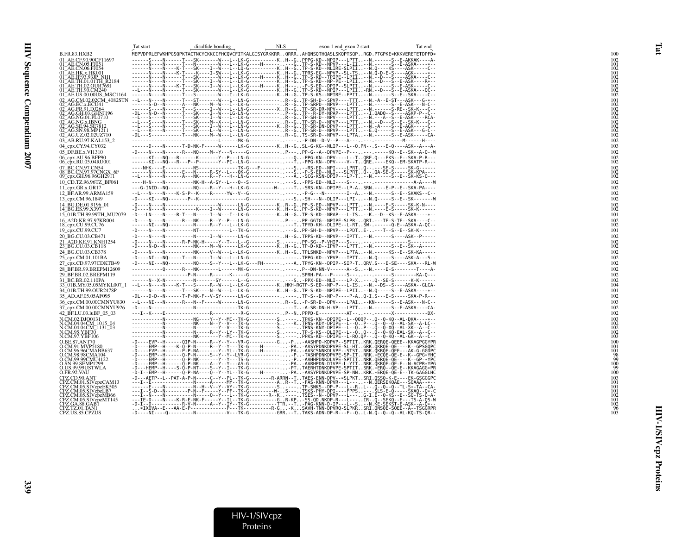|                                                                                                                                         | Tat start                                                                                                                                                                                                             | disulfide bonding                                                                                                                                                                                                                   | <b>NLS</b> | exon 1 end exon 2 start | Tat end |                   |
|-----------------------------------------------------------------------------------------------------------------------------------------|-----------------------------------------------------------------------------------------------------------------------------------------------------------------------------------------------------------------------|-------------------------------------------------------------------------------------------------------------------------------------------------------------------------------------------------------------------------------------|------------|-------------------------|---------|-------------------|
| <b>B.FR.83.HXB2</b>                                                                                                                     | MEPVDPRLEPWKHPGSQPKTACTNCYCKKCCFHCQVCFITKALGISYGRKKRRQRRRAHQNSQTHQASLSKQPTSQPRGD.PTGPKE*KKKVERETETDPFD*                                                                                                               |                                                                                                                                                                                                                                     |            |                         |         | 100               |
| 01 AE.CF.90.90CF11697                                                                                                                   |                                                                                                                                                                                                                       | ------S----N------T---SK-------W---L--LK-G----------KH--GPPPG-KD--NPIP---LPTT-N.------S--E-AKKAK----A-                                                                                                                              |            |                         |         |                   |
|                                                                                                                                         |                                                                                                                                                                                                                       |                                                                                                                                                                                                                                     |            |                         |         | 101               |
| 01_AE.CF.90;90CF11097<br>01_AE.CN.06.F1051<br>01_AE.CN.06.F1054<br>01_AE.HK.x.HK001<br>01_AE.TH.01.01TH_R2184<br>01_AE.TH.01.01TH_R2184 |                                                                                                                                                                                                                       |                                                                                                                                                                                                                                     |            |                         |         |                   |
| 01 AE.TH.02.OUR769I                                                                                                                     |                                                                                                                                                                                                                       |                                                                                                                                                                                                                                     |            |                         |         |                   |
| 01 AE.TH.90.CM240<br>01 AE.US.00.00US MSC1164                                                                                           |                                                                                                                                                                                                                       |                                                                                                                                                                                                                                     |            |                         |         | 102               |
| 02 AG.CM.02.02CM 4082STN                                                                                                                |                                                                                                                                                                                                                       |                                                                                                                                                                                                                                     |            |                         |         |                   |
| 02_AG.EC.x.ECU41                                                                                                                        |                                                                                                                                                                                                                       | ------S-D--N------A---NK----M--W---I--LK-G-----------R--GTP-SRPD--NPVP---LPTT--N.------S--E-ASK---N-C--                                                                                                                             |            |                         |         |                   |
| 02_AG.FR.91.DJ264<br>02_AG.GH.03.GHNJ196<br>02_AG.NG.01.PL0710                                                                          |                                                                                                                                                                                                                       |                                                                                                                                                                                                                                     |            |                         |         |                   |
| 02_AG.NG.x.IBNG<br>02_AG.SE.94.SE7812                                                                                                   |                                                                                                                                                                                                                       |                                                                                                                                                                                                                                     |            |                         |         |                   |
| 2 AG.SN.98.MP1211                                                                                                                       |                                                                                                                                                                                                                       |                                                                                                                                                                                                                                     |            |                         |         |                   |
| 02_AG.UZ.02.02UZ710<br>03 AB.RU.97.KAL153 2                                                                                             |                                                                                                                                                                                                                       |                                                                                                                                                                                                                                     |            |                         |         | 102<br>102        |
| 04 cpx.CY.94.CY032                                                                                                                      |                                                                                                                                                                                                                       | ------D----N------T-D-NK-F-----W------LK-G----------KH--GSL-G-KG--NLIP---L--Q.PN--.S---E-Q----ASK--A---A-                                                                                                                           |            |                         |         | 103               |
| 05 DF.BE.x.VI1310                                                                                                                       |                                                                                                                                                                                                                       |                                                                                                                                                                                                                                     |            |                         |         | 102               |
| 06_cpx.AU.96.BFP90<br>06_cpx.RU.05.04RU001                                                                                              |                                                                                                                                                                                                                       | ------KI---NO---R------K------Y--P---LN-G--------------Q-PPG-KN--DPV----L--TQRE.Q---EKS--E--SKA-P-R---<br>------KĨ---NŎ---R---P--P-------Y--PI--LN-G-------------------------------PPG-KN--DPV----V--T. .ORE.----EKQ--EM-SKATP-R--- |            |                         |         | $\frac{102}{102}$ |
| 07_BC.CN.97.CN54<br>08_BC.CN.97.97CNGX_6F                                                                                               |                                                                                                                                                                                                                       | ----NHK----E----------NS--------------TK-G---F---------S-RS-ED--NPI----LPRTQ--.---SE-S-----SK-G------                                                                                                                               |            |                         |         |                   |
| 09_cpx.GH.96.96GH2911                                                                                                                   | ------N----N-----E---N-----R-SY--L---QK-G--------------S-P-S-ED--NLI---SLPRTQ--.QA-SE-S-----SK-KPA----<br>--L---N----N-----A---NK----R--Y---H--LN-G--------------A-SCG-KSN-DPIP---LP-T--N.------S--E--SK-KS-Q---      |                                                                                                                                                                                                                                     |            |                         |         | 102<br>102        |
| 10_CD.TZ.96.96TZ_BF061                                                                                                                  | ----H-N----N----------NK-H--A-SY--L---Q--S-------------S-PPS-ED--NLI----S--------------------------NA                                                                                                                 |                                                                                                                                                                                                                                     |            |                         |         | 102               |
| 11 cpx.GR.x.GR17<br>12 BF.AR.99.ARMA159                                                                                                 |                                                                                                                                                                                                                       | ---G-INID--NQ---------NQ----R--Y---H--LK-G---------W----T-SRS-KN--DPIPE--LP-ASRN.----E-P--E--SKA-PA----<br>--L---N----N----K-S-P--K----R----YW--V--G------------P-G---N--------I--A--N.------S--E--SKAKS--C--                       |            |                         |         | 102<br>102        |
| 13 cpx.CM.96.1849                                                                                                                       |                                                                                                                                                                                                                       |                                                                                                                                                                                                                                     |            |                         |         | 102               |
| 14 BG.DE.01.9196 01<br>14_BG.ES.99.X397                                                                                                 |                                                                                                                                                                                                                       | -D----N----N------------K----I--W------LN-G----------KH--GPP-S-KD--NPVP---LPTT--N.----E-S-----SK-K------                                                                                                                            |            |                         |         | 102               |
| 15 01B.TH.99.99TH MU2079                                                                                                                | -D---LN----N----R-T---N-----I--W---I--LK-G----------KH--GTP-S-KD--NPAP---L-IS--K.--D--KS--E-ASKA----*--                                                                                                               |                                                                                                                                                                                                                                     |            |                         |         | 101               |
| 16 A2D.KR.97.97KR004                                                                                                                    |                                                                                                                                                                                                                       | -D----N----N------R---NK----R--Y--P---LN-G-----------P---PP-GGTG--NPIPE-SLPR-QRI.---TE-S-TE--SKA----C--                                                                                                                             |            |                         |         | 102               |
| 18_cpx.CU.99.CU76<br>19 cpx.CU.99.CU7                                                                                                   |                                                                                                                                                                                                                       | ------NI---NQ----------N------R--Y---L--LK-G---------------TTPYD-KH--DLIPE--L-RTSW-.------Q-E--ASKA-A-QC--<br>-D----N----N----------NT----------L--TK-G--------------GPP-SH-D--NPVP---LPDTE----T--S--E--SK-K------                  |            |                         |         | 102<br>101        |
| 20_BG.CU.03.CB471                                                                                                                       |                                                                                                                                                                                                                       | -D----N----N-----------N------I--W------LN-G-----------H--GTPPS-KD--NPVP---IPTT--N.------S----ASK--P-----                                                                                                                           |            |                         |         | 102               |
| 21 A2D.KE.91.KNH1254<br>23_BG.CU.03.CB118                                                                                               |                                                                                                                                                                                                                       | -D----N----N-----R-P-NK-H-----Y--T---L--G---------S----.PP-SG--P-VHIP---S------ ------------S-----------<br>-D----N-D--N-----------NK----M--W------LK-G----------KH--GTP-D-KD--IPVP---LPTT--N.------S--E--SK--A-----                |            |                         |         | 102<br>102        |
| 24_BG.CU.03.CB378                                                                                                                       |                                                                                                                                                                                                                       | -D----N----N----------NK----V--W---L--LK-G----------KH--GTPLSNKD--NPVP---LPTA--N.-----KS--E--SK-KA-----                                                                                                                             |            |                         |         | 102               |
| 25 cpx.CM.01.101BA                                                                                                                      |                                                                                                                                                                                                                       | -D----NI---NQ-----T---N-----I--W---L--LN-G-----------TPPG-KD--YPVP---IPTT--N.Q-----S----ASK-A---S--                                                                                                                                 |            |                         |         | 102               |
| 27 cpx.CD.97.97CDKTB49<br>28 BF.BR.99.BREPM12609                                                                                        | ----------Q-----R---NK-------L-------MK-G-----------P--DN-NN-V------A--S-N.----E-S--------T----A-                                                                                                                     | -D----NI---NQ---------NQ----S--Y---L--LK-G---FH------ ---ATPYG-KN--DPIP--SIP-TQRV.S---E-SE----SKA---RL-W                                                                                                                            |            |                         |         | 102<br>102        |
| 29 BF.BR.02.BREPM119                                                                                                                    |                                                                                                                                                                                                                       | --------------------P-N-----R------K----G------------------SPRH-PA---P----S--------------------------KA-Q---                                                                                                                        |            |                         |         | 102               |
| 31 BC.BR.02.110PA<br>33 01B.MY.05.05MYKL007 1                                                                                           | --L---N----N----K-T---S-----R--W---L--LK-G----------KHKH-RGTP-S-ED--NP-P---L-IS--N.--DS--S----ASKA--GLCA-                                                                                                             | ------N--X-N-----------N-------SY------L-G----------------S-PPX-ED--NLI----LP-X---.Q--SE-S------K-K------                                                                                                                           |            |                         |         | 102<br>104        |
| 34_01B.TH.99.OUR2478P                                                                                                                   |                                                                                                                                                                                                                       | ------N----N-----T---SK----N--W---L--LK-G----------KH--GTP-S-KD--NPIPE--LPII--N.Q-----S--E-ASKA----*--                                                                                                                              |            |                         |         | 101               |
| 35_AD.AF.05.05AF095                                                                                                                     |                                                                                                                                                                                                                       | -DL---D-D--N------T-P-NK-F--V-SY------LN-G-----------TP-S--D--NP-P----P-AQ-I.S---E-S-----SKA-P-R---                                                                                                                                 |            |                         |         | 102               |
| 36_cpx.CM.00.00CMNYU830<br>37_cpx.CM.00.00CMNYU926                                                                                      | --L---NI---N------R---N--F-----W------LN-G-----------.R--G-P-SR-D--DPV----LPAI--KN------S--E-ASK---N-C--                                                                                                              |                                                                                                                                                                                                                                     |            |                         |         | 103<br>102        |
| 42 BF.LU.03.luBF 05 03                                                                                                                  |                                                                                                                                                                                                                       |                                                                                                                                                                                                                                     |            |                         |         | 102               |
| N.CM.02.DJO0131                                                                                                                         |                                                                                                                                                                                                                       | -----------N---------NG----Y--Y--MC--TK-G---------S----TPKS-KN--DPIPE--L--QQQP--.Q--Q-KQ--AL-DKA----*--                                                                                                                             |            |                         |         | 102               |
| N.CM.04.04CM_1015_04<br>N.CM.04.04CM_1131_03                                                                                            |                                                                                                                                                                                                                       |                                                                                                                                                                                                                                     |            |                         |         |                   |
| N.CM.95.YBF30<br>N.CM.97.YBF106                                                                                                         |                                                                                                                                                                                                                       |                                                                                                                                                                                                                                     |            |                         |         | 103               |
| O.BE.87.ANT70<br>O.CM.91.MVP5180                                                                                                        | -D----EVP--H------OIP-N------R--Y--Y--VR-G-----------G-P-AASHPD-KDPVP--SPTITKRK.OEROE-OEEE--KKAGPGGYPR<br>-D----EMP--H----K-O-P-N-----R--Y--Y---TK-G----H--------PA-AASYBDNKDPVPE-SL-HTGRK.OKROE-OEEE--KKAGPGGYPR<br> |                                                                                                                                                                                                                                     |            |                         |         |                   |
| O.CM.96.96CMABB637                                                                                                                      |                                                                                                                                                                                                                       |                                                                                                                                                                                                                                     |            |                         |         | 101               |
| O.CM.98.98CMA104<br>O.CM.99.99CMU4122                                                                                                   |                                                                                                                                                                                                                       |                                                                                                                                                                                                                                     |            |                         |         |                   |
| O.SN.99.SEMP1299<br>O.US.99.99USTWLA                                                                                                    |                                                                                                                                                                                                                       |                                                                                                                                                                                                                                     |            |                         |         | 100               |
| O.FR.92.VAU                                                                                                                             |                                                                                                                                                                                                                       |                                                                                                                                                                                                                                     |            |                         |         | 100               |
| CPZ.CD.90.ANT<br>CPZ.CM.01.SIVcpzCAM13                                                                                                  |                                                                                                                                                                                                                       | -D---AETP--L--PAT-A-P-N-----C--Y--PL--TK-G--------R-ARRN--TTAES-ENN-DPV--*SLPKTSRI.QSSQ-K-E----EK-GSGGGPC                                                                                                                           |            |                         |         |                   |
| CPZ.CM.05.SIVcpzEK505                                                                                                                   |                                                                                                                                                                                                                       |                                                                                                                                                                                                                                     |            |                         |         | 101               |
| CPZ.CM.05.SIVcpzLB7<br>CPZ.CM.05.SIVcpzMB66<br>CPZ.CM.05.SIVcpzMT145                                                                    |                                                                                                                                                                                                                       |                                                                                                                                                                                                                                     |            |                         |         |                   |
| CPZ.GA.88.GAB1                                                                                                                          |                                                                                                                                                                                                                       |                                                                                                                                                                                                                                     |            |                         |         |                   |
| CPZ.TZ.01.TAN1<br>CPZ.US.85.CPZUS                                                                                                       |                                                                                                                                                                                                                       |                                                                                                                                                                                                                                     |            |                         |         | 103               |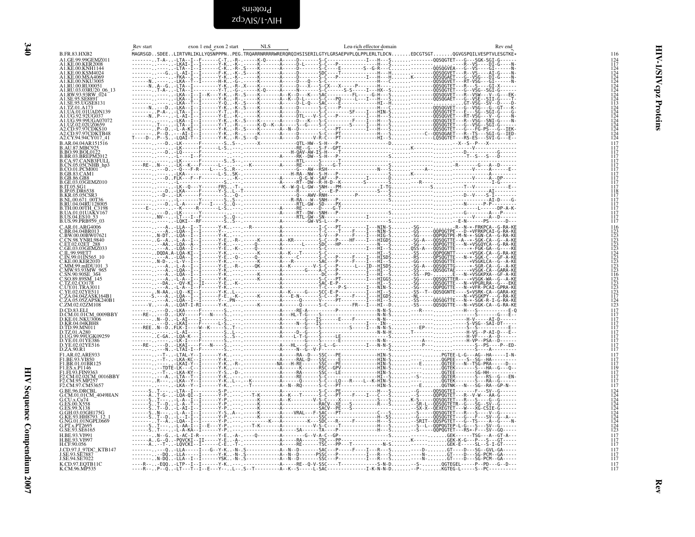<span id="page-39-1"></span>zdɔʌɪs/t-ʌɪH Proteins

<span id="page-39-0"></span>

| ۰. |
|----|
|    |
| ۰. |

| <b>B.FR.83.HXB2</b>                                                                                                                                                             | Rev start | exon 1 end exon 2 start<br>NLS | MAGRSGDSDEELIRTVRLIKLLYQSNPPPNPEG.TRQARRNRRRRWRERQRQIHSISERILGTYLGRSAEPVPLQLPPLERLTLDCNEDCGTSGTQGVGSPQILVESPTVLESGTKE* | Leu-rich effector domain | 116                                                         |
|---------------------------------------------------------------------------------------------------------------------------------------------------------------------------------|-----------|--------------------------------|------------------------------------------------------------------------------------------------------------------------|--------------------------|-------------------------------------------------------------|
| A1.GE.99.99GEMZ011<br>A1.KE.00.KER2008                                                                                                                                          |           |                                |                                                                                                                        |                          | $^{124}_{117}$                                              |
| A1.KE.00.KNH1144<br>A1.KE.00.KSM4024                                                                                                                                            |           |                                |                                                                                                                        |                          |                                                             |
| A1.KE.00.MSA4069<br>A1.KE.00.NKU3005                                                                                                                                            |           |                                |                                                                                                                        |                          |                                                             |
|                                                                                                                                                                                 |           |                                |                                                                                                                        |                          |                                                             |
|                                                                                                                                                                                 |           |                                |                                                                                                                        |                          |                                                             |
| A1.RW.93.93RW_00<br>A1.RW.93.93RW_024<br>A1.SE.95.VGSE8131                                                                                                                      |           |                                |                                                                                                                        |                          |                                                             |
|                                                                                                                                                                                 |           |                                |                                                                                                                        |                          |                                                             |
| ALTZ.01.A173<br>ALUA.01.01UADN139<br>ALUG.92.92UG037                                                                                                                            |           |                                |                                                                                                                        |                          |                                                             |
| . 1.UG.99.99UGA07072<br>A1.UG.99.99UGA07072<br>A1.UZ.02.02UZ0659                                                                                                                |           |                                |                                                                                                                        |                          |                                                             |
| A2.CD.97.97CDKS10<br>A2.CD.97.97CDKTB48                                                                                                                                         |           |                                |                                                                                                                        |                          |                                                             |
| A2.CY.94.94CY017 41                                                                                                                                                             |           |                                |                                                                                                                        |                          |                                                             |
| B.AR.04.04AR151516<br>B.AU.87.MBC925<br>B.BO.99.BOL0122                                                                                                                         |           |                                |                                                                                                                        |                          | $\frac{117}{117}$                                           |
| <b>B.BR.03.BREPM2012</b>                                                                                                                                                        |           |                                |                                                                                                                        |                          | 117                                                         |
| B.CA.97.CANB3FULL<br>B.CN.05.05CNHB_hp3                                                                                                                                         |           |                                |                                                                                                                        |                          | 117<br>117                                                  |
| B.CO.01.PCM001                                                                                                                                                                  |           |                                |                                                                                                                        |                          | 117                                                         |
| B.GB.83.CAMI<br>B.GB.86.GB8<br>B.GE.03.03GEMZ010                                                                                                                                |           |                                |                                                                                                                        |                          | $\frac{117}{117}$                                           |
| <b>B.IT.05.SG1</b>                                                                                                                                                              |           |                                |                                                                                                                        |                          | ĬÎ7<br>117                                                  |
| <b>B.JP.05.DR6538</b>                                                                                                                                                           |           |                                |                                                                                                                        |                          | 118                                                         |
| B.KR.05.05CSR3                                                                                                                                                                  |           |                                |                                                                                                                        |                          | 117<br>117                                                  |
| B.NL.00.671_00T36<br>B.RU.04.04RU128005<br>B.TH.00.00TH_C3198                                                                                                                   |           |                                |                                                                                                                        |                          | $\frac{117}{117}$                                           |
| B.UA.01.01UAKV167<br>B.US.04.ES10_53                                                                                                                                            |           |                                |                                                                                                                        |                          | 117<br>117                                                  |
| B.US.99.PRB959_03                                                                                                                                                               |           |                                |                                                                                                                        |                          | 117                                                         |
| C.AR.01.ARG4006                                                                                                                                                                 |           |                                |                                                                                                                        |                          | 116                                                         |
| Č.BR.04.04BR013<br>C.BW.00.00BW07621<br>C.CN.98.YNRL9840                                                                                                                        |           |                                |                                                                                                                        |                          | $\begin{array}{c} 123 \\ 123 \\ 123 \end{array}$            |
| C.ET.02.02ET 288<br>C.GE.03.03GEMZ033                                                                                                                                           |           |                                |                                                                                                                        |                          | 123<br>123                                                  |
|                                                                                                                                                                                 |           |                                |                                                                                                                        |                          |                                                             |
|                                                                                                                                                                                 |           |                                |                                                                                                                        |                          | 124<br>123<br>123<br>123<br>123                             |
|                                                                                                                                                                                 |           |                                |                                                                                                                        |                          |                                                             |
| C.GE.05.05812033<br>C.IL.99.99E17<br>C.IN.99.01IN565_10<br>C.KE.00.KER.2010<br>C.MW.93.93MW_965<br>C.SN.90.90SE_364<br>C.SN.90.90SE_364<br>C.SN.90.90SE_364<br>C.SO.89.89SM_145 |           |                                |                                                                                                                        |                          |                                                             |
|                                                                                                                                                                                 |           |                                |                                                                                                                        |                          |                                                             |
|                                                                                                                                                                                 |           |                                |                                                                                                                        |                          | 116<br>123<br>123<br>123<br>123<br>123<br>117               |
| C.30.492.39330<br>C.TZ.02.CO178<br>C.UY.01.TRA3011<br>C.ZA.04.04ZASK164B1<br>C.ZA.05.05ZAPSK240B1<br>C.ZA.05.05ZAPSK240B1                                                       |           |                                |                                                                                                                        |                          |                                                             |
| C.ZM.02.02ZM108                                                                                                                                                                 |           |                                |                                                                                                                        |                          | $\frac{124}{123}$                                           |
| D.CD.83.ELI                                                                                                                                                                     |           |                                |                                                                                                                        |                          | $\frac{117}{117}$                                           |
| D.CM33.EL<br>D.CM01.01CM_0009BBY<br>D.KE.01.NKU3006<br>D.KR.04.04KBH8<br>D.TD.99.MN011                                                                                          |           |                                |                                                                                                                        |                          | $\frac{117}{117}$                                           |
|                                                                                                                                                                                 |           |                                |                                                                                                                        |                          | 117                                                         |
| D.TZ.01.A280<br>D.UG.99.99UGK09259<br>D.YE.01.01YE386                                                                                                                           |           |                                |                                                                                                                        |                          | 117<br>117                                                  |
|                                                                                                                                                                                 |           |                                |                                                                                                                        |                          | 117<br>117                                                  |
| D.YE.02.02YE516<br>D.ZA.90.R1                                                                                                                                                   |           |                                |                                                                                                                        |                          | 117                                                         |
| F1.AR.02.ARE933<br>F1.BE.93.VI850                                                                                                                                               |           |                                |                                                                                                                        |                          | 117<br>117                                                  |
| F1.BR.01.01BR125                                                                                                                                                                |           |                                |                                                                                                                        |                          | 117<br>119                                                  |
| F1.BR.01.01BK123<br>F1.ES.x.P1146<br>F1.F1.93.FIN9363<br>F2.CM.95.MP257<br>F2.CM.95.MP257                                                                                       |           |                                |                                                                                                                        |                          | 117                                                         |
|                                                                                                                                                                                 |           |                                |                                                                                                                        |                          | $\frac{117}{117}$                                           |
| G.BE.96.DRCBL                                                                                                                                                                   |           |                                |                                                                                                                        |                          | iiż<br>124                                                  |
| G.CM.01.01CM 4049HAN                                                                                                                                                            |           |                                |                                                                                                                        |                          |                                                             |
| G.CU.x.Cu74<br>G.ES.00.X558                                                                                                                                                     |           |                                |                                                                                                                        |                          |                                                             |
| G.ES.99.X138                                                                                                                                                                    |           |                                |                                                                                                                        |                          |                                                             |
| G.GH.03.03GH175G<br>G.KE.93.HH8793_12_1<br>G.NG.01.01NGPL0669                                                                                                                   |           |                                |                                                                                                                        |                          |                                                             |
| G.PT.x.PT269:                                                                                                                                                                   |           |                                |                                                                                                                        |                          | 124<br>124<br>124<br>124<br>124<br>124<br>124<br>124<br>123 |
| G.SE.93.SE6165<br>H.BE.93.VI991                                                                                                                                                 |           |                                |                                                                                                                        |                          | 117                                                         |
| H.BE.93.VI997                                                                                                                                                                   |           |                                |                                                                                                                        |                          | $\frac{117}{117}$                                           |
| H.CF.90.056<br>J.CD.97.J 97DC KTB147                                                                                                                                            |           |                                |                                                                                                                        |                          | 117                                                         |
| J.SE.93.SE788<br>J.SE.94.SE7022                                                                                                                                                 |           |                                |                                                                                                                        |                          | $\frac{117}{117}$                                           |
| K.CD.97.EQTB11C<br>K.CM.96.MP535                                                                                                                                                |           |                                |                                                                                                                        |                          | $\frac{117}{117}$                                           |
|                                                                                                                                                                                 |           |                                |                                                                                                                        |                          |                                                             |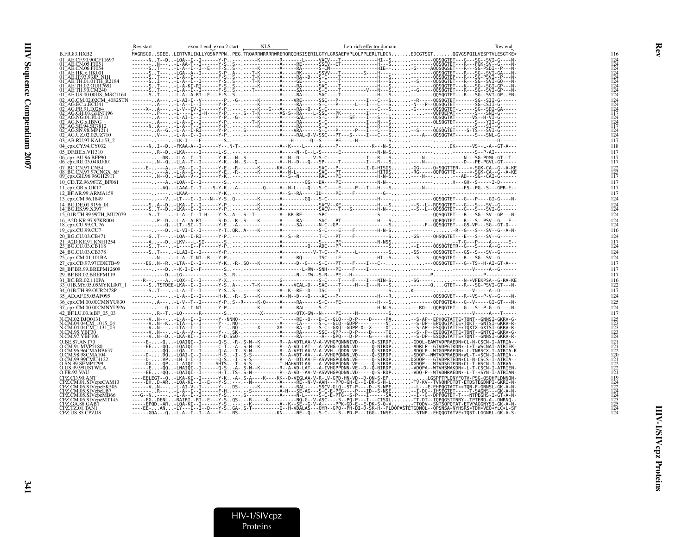|                                                               | Rev start |  | Leu-rich effector domain | Rev end                                                                                                                                                                                                                                                 |            |
|---------------------------------------------------------------|-----------|--|--------------------------|---------------------------------------------------------------------------------------------------------------------------------------------------------------------------------------------------------------------------------------------------------|------------|
| B.FR.83.HXB2                                                  |           |  |                          | MAGRSGDSDEELIRTVRLIKLLYQSNPPPNPEG.TRQARRNRRRRWRERQRQIHSISERILGTYLGRSAEPVPLQLPPLERLTLDCNEDCGTSGTQGVGSPQILVESPTVLESGTKE*                                                                                                                                  |            |
| 01 AE.CF.90.90CF11697<br>01_AE.CN.05.FJ051                    |           |  |                          |                                                                                                                                                                                                                                                         |            |
| 01_AE.CN.06.FJ054                                             |           |  |                          |                                                                                                                                                                                                                                                         |            |
| 01 <sup>–</sup> AE.HK.x.HK001<br>01 AE.JP.93.93JP NH1         |           |  |                          |                                                                                                                                                                                                                                                         |            |
| 01 <sup>-</sup> AE.TH.01.01TH R2184                           |           |  |                          |                                                                                                                                                                                                                                                         |            |
| 01 AE.TH.02.OUR769I<br>01 AE.TH.90.CM240                      |           |  |                          |                                                                                                                                                                                                                                                         |            |
| 01_AE.US.00.00US_MSC1164                                      |           |  |                          |                                                                                                                                                                                                                                                         |            |
| 02 AG.CM.02.02CM 4082STN<br>02_AG.EC.x.ECU41                  |           |  |                          |                                                                                                                                                                                                                                                         |            |
| 02 AG.FR.91.DJ264                                             |           |  |                          |                                                                                                                                                                                                                                                         |            |
| 02_AG.GH.03.GHNJ196<br>02_AG.NG.01.PL0710                     |           |  |                          |                                                                                                                                                                                                                                                         |            |
| 02_AG.NG.x.IBNG<br>02_AG.SE.94.SE7812<br>02_AG.SN.98.MP1211   |           |  |                          |                                                                                                                                                                                                                                                         |            |
|                                                               |           |  |                          |                                                                                                                                                                                                                                                         |            |
| 02 AG.UZ.02.02UZ710                                           |           |  |                          |                                                                                                                                                                                                                                                         |            |
| 03_AB.RU.97.KAL153_2                                          |           |  |                          |                                                                                                                                                                                                                                                         | 117        |
| 04 cpx.CY.94.CY032                                            |           |  |                          |                                                                                                                                                                                                                                                         | 118        |
| 05 DF.BE.x.VI1310<br>06_cpx.AU.96.BFP90                       |           |  |                          |                                                                                                                                                                                                                                                         | 117        |
| 06 cpx.RU.05.04RU001                                          |           |  |                          | --------DR. .-LLA--I--I------Y-K. .-N-.S-----------A--N--D-----V-S-C--------------I---R---S.-----N-----SG-PDML-GT--T--<br>------- . N--Q. .-LLA--T--I------Y-K. .-N-.S---Q--------A--H--D---Q---SP-----T---------                                       | ĬÎ7        |
| 07 BC.CN.97.CN54                                              |           |  |                          |                                                                                                                                                                                                                                                         |            |
| 08_BC.CN.97.97CNGX_6F<br>09_cpx.GH.96.96GH2911                |           |  |                          |                                                                                                                                                                                                                                                         | 117        |
| 10 CD.TZ.96.96TZ BF061                                        |           |  |                          |                                                                                                                                                                                                                                                         | 117        |
| 11 cpx.GR.x.GR17                                              |           |  |                          | ---------AQ-LAAA-I--I----S-Y-K-A-.------Q-----A--N-L----Q---S-C----E-----P---I---H---S-----N--------ES--PG--S---GPR-E--                                                                                                                                 | 117        |
| 12 BF.AR.99.ARMA159                                           |           |  |                          |                                                                                                                                                                                                                                                         | 117        |
| 13 cpx.CM.96.1849                                             |           |  |                          |                                                                                                                                                                                                                                                         | 124        |
| 14 BG.DE.01.9196 01<br>14_BG.ES.99.X397                       |           |  |                          |                                                                                                                                                                                                                                                         | 124        |
| 15 01B.TH.99.99TH MU2079                                      |           |  |                          |                                                                                                                                                                                                                                                         | 124        |
| 16_A2D.KR.97.97KR004<br>18_cpx.CU.99.CU76                     |           |  |                          |                                                                                                                                                                                                                                                         |            |
|                                                               |           |  |                          |                                                                                                                                                                                                                                                         |            |
| 19_cpx.CU.99.CU7<br>20 BG.CU.03.CB471                         |           |  |                          | ------GT----LQA--I-RI------Y-P--- ---------------A--S--R--------T-C---PT----F------------S-GS-----QHSQGTET---E---S---SV--G------                                                                                                                        | 116<br>124 |
| 21 A2D.KE.91.KNH1254                                          |           |  |                          |                                                                                                                                                                                                                                                         | 117        |
| 23 BG.CU.03.CB118                                             |           |  |                          |                                                                                                                                                                                                                                                         | 124        |
| 24 BG.CU.03.CB378                                             |           |  |                          |                                                                                                                                                                                                                                                         | 124        |
| 25_cpx.CM.01.101BA<br>27_cpx.CD.97.97CDKTB49                  |           |  |                          | -------N----L-A--T-NI--R---Y-P---------------------RQ------TSC---LE--------------HI--S--S-----QQSQGTET---R---SG--SV--G------<br>-----EGN--R-LTA--I--I------Y-K-R-.SQ---K-------A-----D--G----S-C---PT----F----I---C------00SQGTET---G--TS--H-AI-GT-A--- | 124<br>117 |
| 28 BF.BR.99.BREPM12609                                        |           |  |                          |                                                                                                                                                                                                                                                         | 117        |
| 29_BF.BR.02.BREPM119                                          |           |  |                          |                                                                                                                                                                                                                                                         | 117        |
| 31_BC.BR.02.110PA<br>33_01B.MY.05.05MYKL007_1                 |           |  |                          |                                                                                                                                                                                                                                                         | 116        |
| 34 01B.TH.99.OUR2478P                                         |           |  |                          |                                                                                                                                                                                                                                                         | 117        |
| 35 AD.AF.05.05AF095                                           |           |  |                          |                                                                                                                                                                                                                                                         | 124        |
| 36 cpx.CM.00.00CMNYU830                                       |           |  |                          |                                                                                                                                                                                                                                                         | 125        |
| 37_cpx.CM.00.00CMNYU926                                       |           |  |                          | ------- --0-L-A--I-NI------Y-P--- .-----K-------A-----RAL-----S-C-------------------H-N-S---RD---QQPQGTET-L-G---S--P-G--G----N-                                                                                                                         | 124        |
| 42 BF.LU.03.luBF 05 03                                        |           |  |                          |                                                                                                                                                                                                                                                         | 117        |
| N.CM.02.DJO0131                                               |           |  |                          |                                                                                                                                                                                                                                                         |            |
| N.CM.04.04CM_1015_04<br>N.CM.04.04CM_1015_04<br>N.CM.95.YBF30 |           |  |                          |                                                                                                                                                                                                                                                         |            |
| N.CM.97.YBF106                                                |           |  |                          |                                                                                                                                                                                                                                                         |            |
| O.BE.87.ANT70                                                 |           |  |                          |                                                                                                                                                                                                                                                         |            |
| O.CM.91.MVP5180<br>O.CM.96.96CMABB637                         |           |  |                          |                                                                                                                                                                                                                                                         |            |
| O.CM.98.98CMA104                                              |           |  |                          |                                                                                                                                                                                                                                                         |            |
| O.CM.99.99CMU4122                                             |           |  |                          |                                                                                                                                                                                                                                                         |            |
| O.SN.99.SEMP1299<br>Q.US.99.99USTWLA                          |           |  |                          |                                                                                                                                                                                                                                                         |            |
| O.FR.92.VAU                                                   |           |  |                          |                                                                                                                                                                                                                                                         |            |
| CPZ.CD.90.ANT<br>CPZ.CM.01.SIVcpzCAM13                        |           |  |                          | ----EELEGT--Q-LKA-KI--I------Y-K-A-.S-A----K----KK--D-VEGLAA-V-R-LV-GPD-HN-VD--D-QN-S-EPLGSPPTPLQNYFQTV-PSG-QSQHPLDNNQN-                                                                                                                                |            |
| CPZ.CM.05.SIVcpzEK505                                         |           |  |                          |                                                                                                                                                                                                                                                         |            |
| CPZ.CM.05.SIVcpzLB7<br>CPZ.CM.05.SIVcpzMB66                   |           |  |                          |                                                                                                                                                                                                                                                         |            |
| CPZ.CM.05.SIVcpzMT145                                         |           |  |                          |                                                                                                                                                                                                                                                         |            |
| CPZ.GA.88.GAB1<br>CPZ.TZ.01.TAN1                              |           |  |                          |                                                                                                                                                                                                                                                         |            |
| CPZ.US.85.CPZUS                                               |           |  |                          |                                                                                                                                                                                                                                                         |            |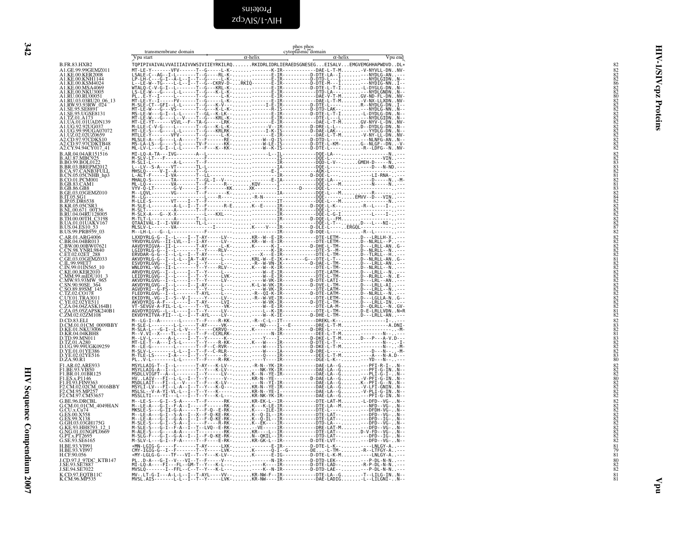<span id="page-41-0"></span>

| I<br>۰.<br>× |  |
|--------------|--|
|              |  |
| ۰.<br>٧      |  |

<span id="page-41-1"></span>

|                                                                                                                                                                                                                                                              | transmembrane domain                                                                                                                                                     | $\alpha$ -helix | phos phos<br>cytoplasmic domain<br>$\alpha$ -helix |         |  |
|--------------------------------------------------------------------------------------------------------------------------------------------------------------------------------------------------------------------------------------------------------------|--------------------------------------------------------------------------------------------------------------------------------------------------------------------------|-----------------|----------------------------------------------------|---------|--|
| B.FR.83.HXB2                                                                                                                                                                                                                                                 | Vpu start<br>TQPIPIVAIVALVVAIIIAIVVWSIVIIEYRKILRQRKIDRLIDRLIERAEDSGNESEGEISALVEMGVEMGHHAPWDVDDL*                                                                         |                 |                                                    | Vpu end |  |
| A1.GE.99.99GEMZ011<br>A1.KE.00.KER2008                                                                                                                                                                                                                       |                                                                                                                                                                          |                 |                                                    |         |  |
| A1.KE.00.KNH1144<br>A1.KE.00.KSM4024                                                                                                                                                                                                                         |                                                                                                                                                                          |                 |                                                    |         |  |
| A1.KE.00.MSA4069<br>A1.KE.00.NKU3005<br>A1.RU.00.RU00051                                                                                                                                                                                                     |                                                                                                                                                                          |                 |                                                    |         |  |
| . 1.RU.03.03RU20_06_13<br>A1.RU.03.03RU20_06_13                                                                                                                                                                                                              |                                                                                                                                                                          |                 |                                                    |         |  |
|                                                                                                                                                                                                                                                              |                                                                                                                                                                          |                 |                                                    |         |  |
| A1.TZ.01.A173<br>A1.TZ.01.A173<br>A1.UA.01.01UADN139<br>A1.UG.99.99UGA07072                                                                                                                                                                                  |                                                                                                                                                                          |                 |                                                    |         |  |
|                                                                                                                                                                                                                                                              |                                                                                                                                                                          |                 |                                                    |         |  |
| A1.UZ.02.02UZ0659<br>A <sub>2</sub> .CD.97.97CDKS10                                                                                                                                                                                                          |                                                                                                                                                                          |                 |                                                    |         |  |
| A2.CD.97.97CDKTB48<br>A2.CD.97.97CDKTB48<br>B.AR.04.04AR151516                                                                                                                                                                                               |                                                                                                                                                                          |                 |                                                    |         |  |
| B.AR. 97. MBC925<br>B.BO.99.BOL0122<br>B.BR.03.BREPM2012<br>B.CA.97.CANB3FULL<br>B.CA.05.05CNHB_hp3<br>B.CA.05.05CNH01                                                                                                                                       |                                                                                                                                                                          |                 |                                                    |         |  |
|                                                                                                                                                                                                                                                              |                                                                                                                                                                          |                 |                                                    |         |  |
| B.CO.01.PCM001<br>B.CO.01.PCM001                                                                                                                                                                                                                             |                                                                                                                                                                          |                 |                                                    |         |  |
| <b>B.GB.86.GB8</b>                                                                                                                                                                                                                                           |                                                                                                                                                                          |                 |                                                    |         |  |
| B.GE.03.03GEMZ010                                                                                                                                                                                                                                            |                                                                                                                                                                          |                 |                                                    |         |  |
| <b>B.UE.05.000<br/>B.IT.05.SG1<br/>B.IP.05.DR6538<br/>B.KR.05.05CSR3<br/>B.RU.04.04RU128005.<br/>B.RU.04.04RU128005.</b>                                                                                                                                     |                                                                                                                                                                          |                 |                                                    |         |  |
| B.TH.00.00TH C3198                                                                                                                                                                                                                                           |                                                                                                                                                                          |                 |                                                    |         |  |
| <b>B.UA.01.01UAKV167</b><br><b>B.US.04.ES10</b>                                                                                                                                                                                                              |                                                                                                                                                                          |                 |                                                    |         |  |
| B.US.99.PRB959_03<br>C.AR.01.ARG4006<br>C.BR.04.04BR013                                                                                                                                                                                                      |                                                                                                                                                                          |                 |                                                    |         |  |
| C.BK.04.04BK013<br>C.BW.00.00BW07621<br>C.CN.98.YNRL9840<br>C.ET.02.02ET_288                                                                                                                                                                                 |                                                                                                                                                                          |                 |                                                    |         |  |
| C.GE.03.03GEMZ033                                                                                                                                                                                                                                            |                                                                                                                                                                          |                 |                                                    |         |  |
| C.IL.99.99ET7<br>C.IN.99.01IN565_10                                                                                                                                                                                                                          |                                                                                                                                                                          |                 |                                                    |         |  |
| C.KE.00.KER2010                                                                                                                                                                                                                                              |                                                                                                                                                                          |                 |                                                    |         |  |
|                                                                                                                                                                                                                                                              |                                                                                                                                                                          |                 |                                                    |         |  |
| C. KE.00. KERZ010<br>C. MW. 99. mIDU101 3<br>C. SN. 90.90SE 364<br>C. SN. 90.90SE 364<br>C. SN. 90.90SE 364<br>C. TZ. 02. CO178<br>C. YE. 02. 02YES11<br>C. ZA. 03. 05ZAPSK240B1<br>C. ZA. 03. 05ZAPSK240B1<br>C. ZA. 03. 05ZAPSK240B1<br>C. ZA. 03. 05ZAPSK |                                                                                                                                                                          |                 |                                                    |         |  |
|                                                                                                                                                                                                                                                              |                                                                                                                                                                          |                 |                                                    |         |  |
|                                                                                                                                                                                                                                                              |                                                                                                                                                                          |                 |                                                    |         |  |
| D.CD.83.ELI                                                                                                                                                                                                                                                  |                                                                                                                                                                          |                 |                                                    |         |  |
|                                                                                                                                                                                                                                                              |                                                                                                                                                                          |                 |                                                    |         |  |
| D.CD.83.ELI<br>D.CD.83.ELI<br>D.KE 01. NKU3006<br>D.KE 01. NKU3006<br>D.T.2.01.A280<br>D.T.2.01.A280<br>D.V.G.99.99UGK09259<br>D.YE.02.02YE516<br>D.YE.02.02YE516<br>D.YE.02.02YE516<br>D.T.A.9 02.4 PE033                                                   |                                                                                                                                                                          |                 |                                                    |         |  |
|                                                                                                                                                                                                                                                              |                                                                                                                                                                          |                 |                                                    |         |  |
| F1.AR.02.ARE933                                                                                                                                                                                                                                              |                                                                                                                                                                          |                 |                                                    |         |  |
| F1.BE.93.VI850<br>F1.BR.01.01BR125                                                                                                                                                                                                                           |                                                                                                                                                                          |                 |                                                    |         |  |
| F1.ES.x.P1146<br>F1.FI.93.FIN9363                                                                                                                                                                                                                            |                                                                                                                                                                          |                 |                                                    |         |  |
| F2.CM.02.02CM_0016BBY<br>F2.CM.02.02CM_0016BBY<br>F2.CM.97.CM53657                                                                                                                                                                                           |                                                                                                                                                                          |                 |                                                    |         |  |
| G.BE.96.DRCBL                                                                                                                                                                                                                                                |                                                                                                                                                                          |                 |                                                    |         |  |
| G.CM.01.01CM_4049HAN<br>G.CU.x.Cu74<br>G.ES.00.X558                                                                                                                                                                                                          |                                                                                                                                                                          |                 |                                                    |         |  |
| G.GH.03.03GH175G                                                                                                                                                                                                                                             |                                                                                                                                                                          |                 |                                                    |         |  |
| G.KE.93.HH8793_12_1<br>G.NG.01.01NGPL0669                                                                                                                                                                                                                    |                                                                                                                                                                          |                 |                                                    |         |  |
| G.PT.x.PT2695<br>G.SE.93.SE6165<br>H.BE.93.VI991                                                                                                                                                                                                             |                                                                                                                                                                          |                 |                                                    |         |  |
| H.BE.93.VI997<br>H.CF.90.056                                                                                                                                                                                                                                 |                                                                                                                                                                          |                 |                                                    |         |  |
| J.CD.97.J_97DC_KTB147<br>J.SE.93.SE7887<br>J.SE.94.SE7022                                                                                                                                                                                                    |                                                                                                                                                                          |                 |                                                    |         |  |
| K.CD.97.EQTB11C<br>K.CM.96.MP535                                                                                                                                                                                                                             | MV-.LT-G-I---A-L-L--I--T-AYL----VV--KR-NW-F--IR------------DTE-LA--G-T--LILG-INN--<br>MVSL.AIS-------L-L--I--T--Y-----LVK-KR-NW----IR------------DAE-LADIG-L--LILGNI-N-- |                 |                                                    |         |  |
|                                                                                                                                                                                                                                                              |                                                                                                                                                                          |                 |                                                    |         |  |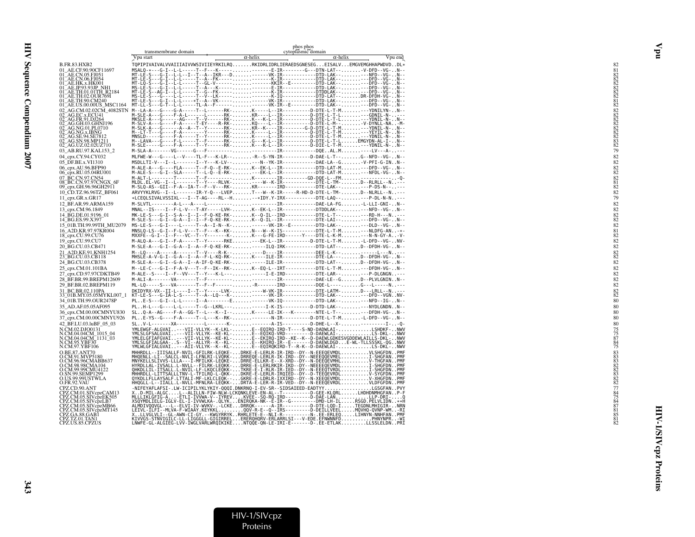|                                                                       | transmembrane domain                                                                                                                                                                                                                 |                 | phos phos<br>cytoplasmic domain |                 |         |
|-----------------------------------------------------------------------|--------------------------------------------------------------------------------------------------------------------------------------------------------------------------------------------------------------------------------------|-----------------|---------------------------------|-----------------|---------|
|                                                                       | Vpu start                                                                                                                                                                                                                            | $\alpha$ -helix |                                 | $\alpha$ -helix | Vpu end |
| B.FR.83.HXB2                                                          | TQPIPIVAIVALVVAIIIAIVVWSIVIIEYRKILRQRKIDRLIDRLIERAEDSGNESEGEISALVEMGVEMGHHAPWDVDDL*                                                                                                                                                  |                 |                                 |                 |         |
| 01_AE.CF.90.90CF11697                                                 | MSALQ-*---G-I--L-L-----T--F---K------------E-IR--------G---DTN-LAT---V-DFD--VG-N--                                                                                                                                                   |                 |                                 |                 |         |
|                                                                       |                                                                                                                                                                                                                                      |                 |                                 |                 |         |
|                                                                       |                                                                                                                                                                                                                                      |                 |                                 |                 |         |
|                                                                       |                                                                                                                                                                                                                                      |                 |                                 |                 |         |
|                                                                       |                                                                                                                                                                                                                                      |                 |                                 |                 |         |
| 01_AE.US.00.00US_MSC1164<br>02 AG.CM.02.02CM 4082STN                  |                                                                                                                                                                                                                                      |                 |                                 |                 |         |
|                                                                       |                                                                                                                                                                                                                                      |                 |                                 |                 |         |
|                                                                       |                                                                                                                                                                                                                                      |                 |                                 |                 |         |
|                                                                       |                                                                                                                                                                                                                                      |                 |                                 |                 |         |
| 02_AG.NG.x.IBNG<br>02_AG.SE.94.SE7812                                 |                                                                                                                                                                                                                                      |                 |                                 |                 |         |
| 02_AG.SN.98.MP1211<br>02 AG.UZ.02.02UZ710                             |                                                                                                                                                                                                                                      |                 |                                 |                 |         |
| 03_AB.RU.97.KAL153_2                                                  |                                                                                                                                                                                                                                      |                 |                                 |                 |         |
| 04 cpx.CY.94.CY032                                                    | MLFWE-W---G----L--V----TL-F---K-LR---R--S-YN-IR---------D-DAE-L-T--G--NFD--VG-N--                                                                                                                                                    |                 |                                 |                 |         |
| 05 DF.BE.x.VI1310<br>06_cpx.AU.96.BFP90                               | MSDLLTI-V---I--L-------I--Y---K-LV-----N--YK-IR-----------DAE-LA--G-V-PFI-G-INN--<br>M-ALE-A---G----FLA-----T--F-Q--E-RK-K--EK-L--IR-----------DTD-LAT-M--DFD--VG-N--                                                                |                 |                                 |                 |         |
| 06_cpx.RU.05.04RU001                                                  | M-ALE-S---G-I--SLA-----T--L-Q--E-RK----EK-L--IR-----------DTD-LAT-M---NFDL-VG-N--                                                                                                                                                    |                 |                                 |                 |         |
| 07_BC.CN.97.CN54<br>08_BC.CN.97.97CNGX_6F                             |                                                                                                                                                                                                                                      |                 |                                 |                 |         |
| 09_cpx.GH.96.96GH2911                                                 |                                                                                                                                                                                                                                      |                 |                                 |                 |         |
| 10_CD.TZ.96.96TZ_BF061                                                | ARVYYKLRVG--I--L-------IR-Y-Q---LVEPT---W--K-IR-----R-HD-D-DTE-L-TM-D--NLRLL--N---                                                                                                                                                   |                 |                                 |                 |         |
| 11 cpx.GR.x.GR17                                                      | *LCEQLSIVALVSSIXL---I--T-AG----RL--H--*IDY.Y-IRX----------DTE-LAQ-----P-DL-N-N---                                                                                                                                                    |                 |                                 |                 |         |
| 12_BF.AR.99.ARMA159                                                   | MNAL--IS----I--F-L-V---T-AY-----LVH-K--EK-L--IR-----------DTDDLAK-----NFD--VG-N--                                                                                                                                                    |                 |                                 |                 |         |
| 13 cpx.CM.96.1849                                                     |                                                                                                                                                                                                                                      |                 |                                 |                 |         |
| 14_BG.DE.01.9196_01<br>14_BG.ES.99.X397                               | MK-LE-S---G-I--S-A--I--I--F-O-KE-RK-K--O-IL--IRD-----------DTE-L-T----RD-H---N--<br>M-SLE-S---G-I--G-A--I--I--F-Q-KE-RK-K--Q-IL--IR-------------DTE-LAI-----DFD--VG-N--                                                              |                 |                                 |                 |         |
| 15 01B.TH.99.99TH MU2079                                              | MS-LE-S---G-I----L-----T--A--I-N--K-------VK-IR--E---------DTD-LAK-----DLD--VG-N--                                                                                                                                                   |                 |                                 |                 |         |
| 16_A2D.KR.97.97KR004<br>18_cpx.CU.99.CU76                             | MNSLQ-LS--G-I--F-L-V---T--F---K--KK-N---W--K-IS------------DTE-L-T-M---NLDFG-AN*-<br>MXXFE--G-I--I--F---VC--T--Y-------K-K---G-FE-IRD------Y----DTE-L-K-M--N-N-GY-A-V-                                                               |                 |                                 |                 |         |
| 19_cpx.CU.99.CU7                                                      | M-ALQ-A---G-I--F-A-----T--Y------RKE--EK-L--IR---------D-DTE-L-T-ML-DFD--VG-NV-                                                                                                                                                      |                 |                                 |                 |         |
| 20 BG.CU.03.CB471                                                     | M-SLE-A---G-I--G-A--I--A--F-O-KE-RK------ILO-IRK-----------DTD-LAT--D--DFDH-VG-N--                                                                                                                                                   |                 |                                 |                 |         |
| 21_A2D.KE.91.KNH1254<br>23_BG.CU.03.CB118                             |                                                                                                                                                                                                                                      |                 |                                 |                 |         |
| 24 BG.CU.03.CB378                                                     | M-SLE-A---G-I--G-A--I--A-IF-Q-KE-RK------ILE-IR-----------DTD-LAT--D--DFDH-VG-N--                                                                                                                                                    |                 |                                 |                 |         |
| 25_cpx.CM.01.101BA                                                    | M--LE-C---G-I--F-A-V---T--F--IK--RK-K--EQ-L--IRT----------DTE-L-T-M--DFDH-VG-N--                                                                                                                                                     |                 |                                 |                 |         |
| 27_cpx.CD.97.97CDKTB49                                                | M-ALE--S----I--F--VV---T--Y---K-L--------I-E-IRD-----------DTE-LAR-----P-DLGNGN---                                                                                                                                                   |                 |                                 |                 |         |
| 28 BF.BR.99.BREPM12609                                                |                                                                                                                                                                                                                                      |                 |                                 |                 |         |
| 29 BF.BR.02.BREPM119<br>31 BC.BR.02.110PA                             | ML-LQ-----S---VA-------T--F--F-------R-------IRD----------DQE-L----G---L-----N---                                                                                                                                                    |                 |                                 |                 |         |
| 33_01B.MY.05.05MYKL007_1                                              | DKIDYRX-VX--II-L----I--T--Y-----LVK-----W-VK-IR------------DTE-LATM-D---LRLL--N---<br>KT-LE-S---G-IA-L-S-----T--A--LQ---K-------VK-IR-----------DTD-LAK-----DFD--VGNNV-                                                              |                 |                                 |                 |         |
| 34 01B.TH.99.OUR2478P                                                 | PLE-S---G-I--L-L------I--A---------E-------VK-IQ-------------DTD-LAK-----NFD--IG-N--                                                                                                                                                 |                 |                                 |                 |         |
| 35_AD.AF.05.05AF095                                                   | PLH-L---G----L-L-----T--G--LKRL--------I-K-IS-----------D-DTD-LAK-----NYDLGNDNN--                                                                                                                                                    |                 |                                 |                 |         |
| 36_cpx.CM.00.00CMNYU830<br>37_cpx.CM.00.00CMNYU926                    | SLQ-A--AG----F-A--GG-T--L---K--I--K-----LE-IK---K--------NTE-L-T-----DFDH-VG-N--<br>PLE-YS--G----F-A-----T--L---K--RK--------N-IR----------D-DTE-L-T-M-L-DFD--VG-N--                                                                 |                 |                                 |                 |         |
| 42 BF.LU.03.luBF 05 03                                                | SLV-L--------XA-----------L--------K---------A-IS-----------D-DHE-L--X-----------I--Q-                                                                                                                                               |                 |                                 |                 |         |
| N.CM.02.DJO0131                                                       | YMLEWGF-ALGVAI---VII-VLLYK--K-LKL-E--EQIRQ-IRD-T----S-ND-DADWLAI-LSHDKF-NWV                                                                                                                                                          |                 |                                 |                 |         |
| N.CM.04.04CM 1015 04                                                  |                                                                                                                                                                                                                                      |                 |                                 |                 |         |
| N.CM.04.04CM=1131_03<br>N.CM.95.YBF30                                 | VMLSLGFSALGVAI--VII-VLLVK--KE-KL-E--EÖIKÖ-VRD---------D-DAEWLAI-------------LS-DKL-NWV<br>YMLELGFIAFGVAI--VII-VLLYK--KE-KL-E--EKIRQ-IRD--KE--K--D-DAEWLONESVGDDEWLAILLS-DKL<br>YMLSLGFIALGAA-S--VI--ALLYR--K                         |                 |                                 |                 |         |
| N.CM.97.YBF106                                                        |                                                                                                                                                                                                                                      |                 |                                 |                 |         |
| <b>O.BE.87.ANT70</b>                                                  | MHHRDLL--IIISALLF-NVIL-GFILRK-LEQKE-DRKE-E-LERLR-IR-IRD--DY--N-EEEQEVMDLVLSHGFDNPMF                                                                                                                                                  |                 |                                 |                 |         |
| O.CM.91.MVP5180<br>O.CM.96.96CMABB637<br>O.CM.98.98CMA104             | MHQENLL-Lİ--SALCL-NVLI-LFALRI-LVQRK-:::DRREQE-LERLR-IK-İRD--DY--NEEEQQEVMEL:::::::::::::SHGFAN::PMF<br>MNYKELLSLIVVS-LLLA---I-MFILKK-LEQKE-::.DRRE-ELLRR-E--X-XRD--DY--N-DEEQQEVMHL:::::::::::/ THGFAN::PMF<br>HYRDLLAL-IVSALL.L-NVL |                 |                                 |                 |         |
| O.CM.99.99CMU4122                                                     | <u> QHKDLLIL-ITSALL.L-NVIL-LF-LKQCLEQKK-TKRE-E-I-RLR-IR-IED--DY--N-EEEQTVRDLI-SHGFDNPMF</u>                                                                                                                                          |                 |                                 |                 |         |
| O.SN.99.SEMP1299<br>O.US.99.99USTWLA                                  | MHHRDLL-LITTSALLLTNV-L-TFILRQ-L-QKK-DKRE-E-LERLR-IROIED--DY--D-TEEQEVRDLV-SYGFDNPMF<br>QYKDLLFLLAYSALF.LTTALI-MF-LKLCLEQK--GKRE-E-LDRLR-IXXIRD--DY--N-XEEQEVMDLV-XHGFDNPMF                                                           |                 |                                 |                 |         |
| O.FR.92.VAU                                                           | HHQGLL-L--IIALL.L-NVLL-MFNLRA-LEQKK-DRTA-E-LER-R-IR-VED--DY--N-EEEQEVRDLVLDFGFDNPMF                                                                                                                                                  |                 |                                 |                 |         |
| CPZ.CD.90.ANT                                                         | -NIFEYAFLAFSI-.LW-ICIPILYKLYKIY-QQQI.DNKRNQ-I-EV-SR--SIDSAIEED-EADTYYLGSGFANPVY                                                                                                                                                      |                 |                                 |                 |         |
| CPZ.CM.01.SIVcpzCAM13<br>CPZ.CM.05.SIVcpzEK505<br>CPZ.CM.05.SIVcpzLB7 | X":D=WIL=ALGC"L=-ALILLN=FIN-NUW-LCKONKLEVE-EN-AL--7----------DDGEE-KLORLLHDHDNMHGFANP-F<br>MLLIKLGFIG-A-ETLI-IVWA-V--IYREVKVEE--50-RQ-IRD-------D-DAE-LANLLP-DRI<br>XSQYMDLIELG-IGLV-EL-I-IVVWLKA-.QLYK.                             |                 |                                 |                 |         |
| CPZ.CM.05.SIVcpzMB66                                                  | ALMDIVQQVGL---L--ELVI-IV-WVKV-.-LCKEDRRQK------A-IR----------D-DTE-LQD-ITEGDNLMHIGIR-NRN                                                                                                                                             |                 |                                 |                 |         |
| CPZ.CM.05.SIVcpzMT145<br>CPZ.GA.88.GAB1                               |                                                                                                                                                                                                                                      |                 |                                 |                 |         |
| CPZ.TZ.01.TAN1                                                        |                                                                                                                                                                                                                                      |                 |                                 |                 |         |
| CPZ.US.85.CPZUS                                                       |                                                                                                                                                                                                                                      |                 |                                 |                 |         |

Vpu

343

HIV-1/SIVcpz Proteins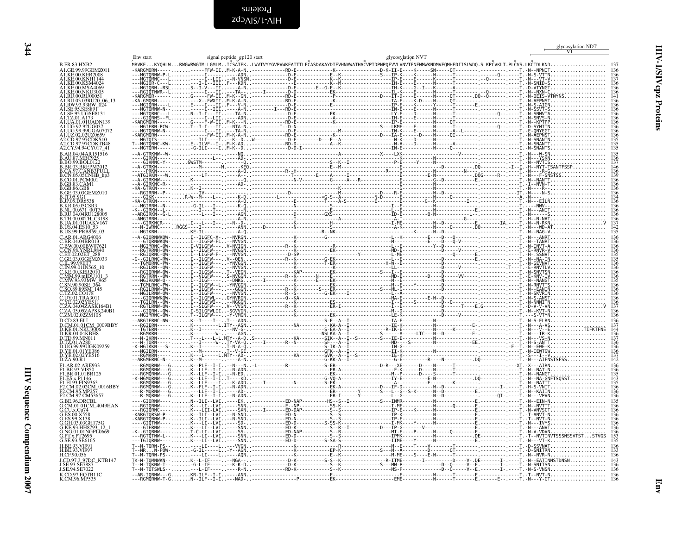signal peptide gp120 start

<span id="page-43-0"></span>

| B.FR.83.HXB2                                           |  |  |  | MRVKEKYQHLWRWGWRWGTMLLGMLMICSATEKLWVTVYYGVPVWKEATTTLFČASDAKAYDTEVHNVWATHAČVPTDPNPQEVVLVNVTENFNMWKNDMVEQMHEDIISLWDQ.SLKPČVKLT.PLČVS.LKČTDLKND |  |
|--------------------------------------------------------|--|--|--|----------------------------------------------------------------------------------------------------------------------------------------------|--|
| A1.GE.99.99GEMZ011<br>A1.KE.00.KER2008                 |  |  |  |                                                                                                                                              |  |
| A 1 KE 00 KSM4024                                      |  |  |  |                                                                                                                                              |  |
| A1.KE.00.MSA4069                                       |  |  |  |                                                                                                                                              |  |
| A1.KE.00.NKU3005<br>A1.RU.00.RU00051                   |  |  |  |                                                                                                                                              |  |
| 41.RU.03.03RU20 06 13                                  |  |  |  |                                                                                                                                              |  |
| A1.RW.93.93RW 024<br>A1.SE.95.SE8891                   |  |  |  |                                                                                                                                              |  |
| A1.SE.95.UGSE8131<br>A1 TZ 01 A17                      |  |  |  |                                                                                                                                              |  |
| A 1 HA 01 01HADN139                                    |  |  |  |                                                                                                                                              |  |
| A1 UG 99 99UGA070                                      |  |  |  |                                                                                                                                              |  |
| A1.UZ.02.02UZ0659<br>A2.CD.97.97CDKS10                 |  |  |  |                                                                                                                                              |  |
| A2.CD.97.97CDKTB48                                     |  |  |  |                                                                                                                                              |  |
| A <sub>2</sub> .CY.94.94CY017-41<br>B.AR.04.04AR151516 |  |  |  |                                                                                                                                              |  |
| B. AU. 87. MBC925                                      |  |  |  |                                                                                                                                              |  |
| .BR.03.BREPM20                                         |  |  |  |                                                                                                                                              |  |
| B.CA.97.CANB3FÜLL<br>CN.05.05CNHB hp3                  |  |  |  |                                                                                                                                              |  |
| B.CO.01.PCM001                                         |  |  |  |                                                                                                                                              |  |
| GB.83.CAM1<br>B GB 86 GB8                              |  |  |  |                                                                                                                                              |  |
| B.GE.03.03GEMZ010<br>R IT 05 SG1.                      |  |  |  |                                                                                                                                              |  |
| <b>B.JP.05.DR6538</b>                                  |  |  |  |                                                                                                                                              |  |
|                                                        |  |  |  |                                                                                                                                              |  |
| RU.04.04RU12800<br>B.TH.00.00TH C3198                  |  |  |  |                                                                                                                                              |  |
| <b>.UA.01.01UAKV167</b>                                |  |  |  |                                                                                                                                              |  |
| B.US.99.PRB959 03                                      |  |  |  |                                                                                                                                              |  |
| C.AR.01.ARG4006<br>C.BR.04.04BR013                     |  |  |  |                                                                                                                                              |  |
| C.BW.00.00BW07621                                      |  |  |  |                                                                                                                                              |  |
| CN 98 YNRI 9840<br>ET.02.02ET_288                      |  |  |  |                                                                                                                                              |  |
| C.GE.03.03GEMZ033<br>C.II99.99ET7                      |  |  |  |                                                                                                                                              |  |
| $C$ IN 99 01IN565                                      |  |  |  |                                                                                                                                              |  |
| C.KE.00.KER2010                                        |  |  |  |                                                                                                                                              |  |
|                                                        |  |  |  |                                                                                                                                              |  |
|                                                        |  |  |  |                                                                                                                                              |  |
| <b>LUY.01.TRA3011</b>                                  |  |  |  |                                                                                                                                              |  |
| C.YE.02.02YE511<br>C.ZA.04.04ZASK164B                  |  |  |  |                                                                                                                                              |  |
| C.ZA.05.05ZAPSK240B1<br>C.ZM.02.02ZM108                |  |  |  |                                                                                                                                              |  |
| D.CD.83.ELI                                            |  |  |  |                                                                                                                                              |  |
| D.CM.01.01CM 0009BBY                                   |  |  |  |                                                                                                                                              |  |
| D.KE.01.NKU3006<br>D.KR.04.04KBH8                      |  |  |  |                                                                                                                                              |  |
| D.TD.99.MN011                                          |  |  |  |                                                                                                                                              |  |
| D.UG.99.99UGK09259<br>D.YE.01.01YE386                  |  |  |  |                                                                                                                                              |  |
| D.YE.02.02YE516                                        |  |  |  |                                                                                                                                              |  |
| D.ZA.90.R1<br>F1.AR.02.ARE933                          |  |  |  |                                                                                                                                              |  |
| F1.BE.93.VI850                                         |  |  |  |                                                                                                                                              |  |
| F1.BR.01.01BR125<br>F1.ES.x.P1146                      |  |  |  |                                                                                                                                              |  |
| F2.CM.02.02CM_0016BBY                                  |  |  |  |                                                                                                                                              |  |
| F2.CM.95.MP25                                          |  |  |  |                                                                                                                                              |  |
| F2.CM.97.CM53657<br>G.BE.96.DRCBL                      |  |  |  |                                                                                                                                              |  |
| G.CM.01.01CM 4049HAN                                   |  |  |  |                                                                                                                                              |  |
|                                                        |  |  |  |                                                                                                                                              |  |
| G.GH.03.03GH175G                                       |  |  |  |                                                                                                                                              |  |
| G KE 93 HH8793 12<br>G.NG.01.01NGPL0669                |  |  |  |                                                                                                                                              |  |
| G.PT.x.PT2695                                          |  |  |  |                                                                                                                                              |  |
| G.SE.93.SE6165<br>H.BE.93.VI991                        |  |  |  |                                                                                                                                              |  |
| H.BE.93.VI997                                          |  |  |  |                                                                                                                                              |  |
| H.CF.90.056<br>J.CD.97.J 97DC KTB147                   |  |  |  |                                                                                                                                              |  |
|                                                        |  |  |  |                                                                                                                                              |  |
| J.SE.94.SE7022                                         |  |  |  |                                                                                                                                              |  |
| K.CD.97.EQTB11C<br>K.CM.96.MP535                       |  |  |  |                                                                                                                                              |  |

glycosylation NVT

Env start

<span id="page-43-1"></span>glycosylation NDT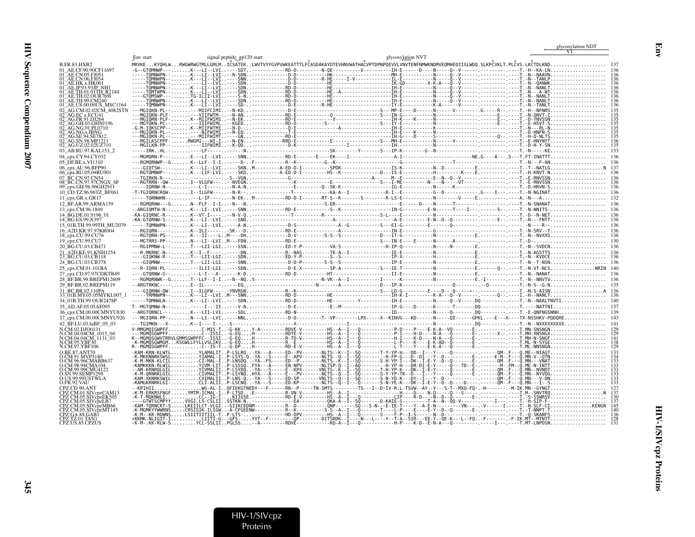|                                                                |                     |                                                                                                                                                   |                                                                                                         |                   |                                                                                                                          | glycosylation NDT                                        |
|----------------------------------------------------------------|---------------------|---------------------------------------------------------------------------------------------------------------------------------------------------|---------------------------------------------------------------------------------------------------------|-------------------|--------------------------------------------------------------------------------------------------------------------------|----------------------------------------------------------|
|                                                                | Env start           | signal peptide gp120 start                                                                                                                        |                                                                                                         | glycosylation NVT |                                                                                                                          |                                                          |
| <b>B.FR.83.HXB2</b>                                            |                     | MRVKEKYQHLWRWGWRWGTMLLGMLMICSATEKLWVTVYYGVPVWKEATTTLFCASDAKAYDTEVHNVWATHACVPTDPNPQEVVLVNVTENFNMWKNDMVEQMHEDIISLWDQ.SLKPCVKLT.PLCVS.LKCTDLKND      |                                                                                                         |                   |                                                                                                                          |                                                          |
| 01 AE.CE.90.90CF11697<br>01 AE.CN.05.FJ051                     |                     | -G--GTOMNWP---K---LI--LVI----SDT----------RD-D--------N-OE---------V---------IH-E------D---N-----Q--V------,-------------T.-H--KA-LN              |                                                                                                         |                   |                                                                                                                          |                                                          |
|                                                                |                     |                                                                                                                                                   |                                                                                                         |                   |                                                                                                                          |                                                          |
|                                                                |                     |                                                                                                                                                   |                                                                                                         |                   |                                                                                                                          |                                                          |
|                                                                |                     |                                                                                                                                                   |                                                                                                         |                   |                                                                                                                          |                                                          |
|                                                                |                     |                                                                                                                                                   |                                                                                                         |                   |                                                                                                                          |                                                          |
|                                                                |                     |                                                                                                                                                   |                                                                                                         |                   |                                                                                                                          |                                                          |
|                                                                |                     |                                                                                                                                                   |                                                                                                         |                   |                                                                                                                          |                                                          |
|                                                                |                     |                                                                                                                                                   |                                                                                                         |                   |                                                                                                                          | $\text{YNVSSN}$                                          |
|                                                                |                     |                                                                                                                                                   |                                                                                                         |                   |                                                                                                                          |                                                          |
|                                                                |                     |                                                                                                                                                   |                                                                                                         |                   |                                                                                                                          |                                                          |
|                                                                |                     |                                                                                                                                                   |                                                                                                         |                   |                                                                                                                          |                                                          |
| 02 AG.UZ.02.02UZ710<br>03 AB.RU.97.KAL153 2                    |                     |                                                                                                                                                   |                                                                                                         |                   |                                                                                                                          |                                                          |
| 04 cpx.CY.94.CY032                                             |                     |                                                                                                                                                   |                                                                                                         |                   |                                                                                                                          |                                                          |
| 05 DF.BE.x.VI1310                                              |                     |                                                                                                                                                   |                                                                                                         |                   |                                                                                                                          |                                                          |
| 06 cpx.AU.96.BFP90<br>06_cpx.RU.05.04RU001                     |                     |                                                                                                                                                   |                                                                                                         |                   |                                                                                                                          |                                                          |
|                                                                |                     |                                                                                                                                                   |                                                                                                         |                   |                                                                                                                          |                                                          |
| 08 BC.CN.97.97CNGX<br>09_cpx.GH.96.96GH29П                     |                     |                                                                                                                                                   |                                                                                                         |                   |                                                                                                                          |                                                          |
| 10 CD.TZ.96.96TZ BF061                                         |                     |                                                                                                                                                   |                                                                                                         |                   |                                                                                                                          |                                                          |
| 11 cpx.GR.x.GR17                                               |                     |                                                                                                                                                   |                                                                                                         |                   |                                                                                                                          |                                                          |
| 12 BF.AR.99.ARMA159                                            |                     |                                                                                                                                                   |                                                                                                         |                   |                                                                                                                          |                                                          |
| 13_cpx.CM.96.1849<br>14 BG.DE.01.9196 01                       |                     |                                                                                                                                                   |                                                                                                         |                   |                                                                                                                          |                                                          |
| 14_BG.ES.99.X397                                               |                     |                                                                                                                                                   |                                                                                                         |                   |                                                                                                                          |                                                          |
| 15_01B.TH.99.99TH_MU2079                                       |                     |                                                                                                                                                   |                                                                                                         |                   |                                                                                                                          |                                                          |
| 16 A2D.KR.97.97KR004<br>18_cpx.CU.99.CU76                      |                     |                                                                                                                                                   |                                                                                                         |                   |                                                                                                                          |                                                          |
| 19_cpx.CU.99.CU7                                               |                     |                                                                                                                                                   |                                                                                                         |                   |                                                                                                                          |                                                          |
| 20 BG.CU.03.CB471                                              | $--$ RGIPMNW-L--T-- |                                                                                                                                                   |                                                                                                         |                   |                                                                                                                          |                                                          |
| 21_A2D.KE.91.KNH1254<br>23_BG.CU.03.CB118                      |                     |                                                                                                                                                   |                                                                                                         |                   |                                                                                                                          |                                                          |
| 24 BG.CU.03.CB378                                              |                     |                                                                                                                                                   |                                                                                                         |                   |                                                                                                                          |                                                          |
| 25_cpx.CM.01.101BA                                             |                     | ---R-IORN-PL-----ILII-LGI----SDN-------------D-E-X----------SP-A-----------S---IE-T--------------N-----------E.-------O--.----T.-N-VT-NCSNRIN 140 |                                                                                                         |                   |                                                                                                                          |                                                          |
| 27_cpx.CD.97.97CDKTB49<br>28 BF.BR.99.BREPM12609               |                     |                                                                                                                                                   |                                                                                                         |                   |                                                                                                                          |                                                          |
| 29 BF.BR.02.BREPM119                                           |                     |                                                                                                                                                   |                                                                                                         |                   |                                                                                                                          |                                                          |
| 31 BC.BR.02.110PA                                              |                     |                                                                                                                                                   |                                                                                                         |                   |                                                                                                                          |                                                          |
| 33 <sup>–</sup> 01B.MY.05.05MYKL007–1<br>34_01B.TH.99.OUR2478P |                     |                                                                                                                                                   |                                                                                                         |                   |                                                                                                                          |                                                          |
| 35 AD.AF.05.05AF095                                            |                     |                                                                                                                                                   |                                                                                                         |                   |                                                                                                                          |                                                          |
| 36 cpx.CM.00.00CMNYU830                                        |                     |                                                                                                                                                   |                                                                                                         |                   |                                                                                                                          |                                                          |
| 37 cpx.CM.00.00CMNYU926                                        |                     |                                                                                                                                                   |                                                                                                         |                   |                                                                                                                          |                                                          |
| 42_BF.LU.03.luBF_05_03<br>N.CM.02.DJO0131                      |                     | V-MMGMOIGWPFFC-MIS-T-G-KKY-A---------RDVE-V---------HS--A--I---O--------------P-D----P-D----F-K-A--VO--------E-,-------------------T.MN-SNSNGN    |                                                                                                         |                   |                                                                                                                          |                                                          |
| N.CM.04.04CM 1015 04                                           |                     |                                                                                                                                                   |                                                                                                         |                   |                                                                                                                          |                                                          |
| N.CM.04.04CM_1131_03<br>CM.95.YBF30                            |                     |                                                                                                                                                   |                                                                                                         |                   |                                                                                                                          |                                                          |
|                                                                |                     |                                                                                                                                                   | - G-DP H- - - - - - - - - - - RD- E- V- - - - - - - - - HS- - A- - I - - - 0- - - - - - - - - - - - - I |                   |                                                                                                                          |                                                          |
| O BE 87 ANT70                                                  |                     | IRKSWSLYIAMA                                                                                                                                      |                                                                                                         |                   | -IP-LSYS-Q.-YA---S-----E--APV-------NLTS--Q--I--SQ----------H-FP-G---D--DI---Y--D-----------E-------E-M-.F---Q.MN-V--QTN |                                                          |
|                                                                | -M-MKN-KLCILCI-MAL  |                                                                                                                                                   |                                                                                                         |                   |                                                                                                                          |                                                          |
| CM.99.99CMU4122                                                |                     |                                                                                                                                                   |                                                                                                         |                   |                                                                                                                          |                                                          |
| <b>N 99 SEMP1299</b><br>O.US.99.99USTWLA                       |                     |                                                                                                                                                   |                                                                                                         |                   |                                                                                                                          |                                                          |
| O.FR.92.VAU                                                    |                     | WG-AL-I0FIEKGTNEDY---F------RN--P-----TN-SMTS--------TS---I--D-IV-R.L-TSVW--AY--Y--S-T--MX0-F0-.-H-------M-IK.MN--GYNGT                           |                                                                                                         |                   |                                                                                                                          |                                                          |
|                                                                |                     |                                                                                                                                                   |                                                                                                         |                   |                                                                                                                          |                                                          |
| Z.CM.05.SIVcpzEK505<br>CPZ.CM.05.SIVcpzLB7                     | -K-T-MOKNWLI        | .CC--IG-IKIĪGSE.------------RD-E-V---------HS--A--I---0------------LIP----R-D----N--D--O--------E                                                 |                                                                                                         |                   |                                                                                                                          | $SSWRSV\ldots\ldots\ldots\ldots\ldots\ldots\ldots\ldots$ |
| PZ.CM.05.SIVcpzMB66                                            |                     |                                                                                                                                                   |                                                                                                         |                   |                                                                                                                          |                                                          |
| Z.CM.05.SIVcpzMT145                                            |                     |                                                                                                                                                   |                                                                                                         |                   |                                                                                                                          |                                                          |
| CPZ.US.85.CPZUS                                                | -K-M-.KK-RLW-S.     |                                                                                                                                                   |                                                                                                         |                   |                                                                                                                          |                                                          |
|                                                                |                     |                                                                                                                                                   |                                                                                                         |                   |                                                                                                                          |                                                          |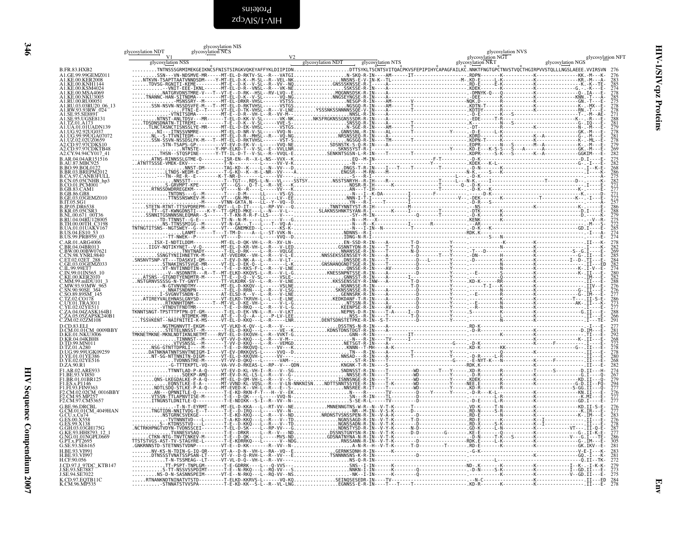<span id="page-45-0"></span>zdɔʌɪs/t-ʌɪH Proteins

|                                                                                                                                                          | glycosylation NDT | glycosylation NIS<br>glycosylation NCS |  | glycosylation NVS |                   |
|----------------------------------------------------------------------------------------------------------------------------------------------------------|-------------------|----------------------------------------|--|-------------------|-------------------|
|                                                                                                                                                          |                   |                                        |  | glycosylation NGT | glycosylation NFT |
| <b>B.FR.83.HXB2</b>                                                                                                                                      |                   |                                        |  |                   |                   |
| A1.GE.99.99GEMZ011<br>A1.KE.00.KER2008                                                                                                                   |                   |                                        |  |                   |                   |
| <b>ALKE.00.KNH1144</b><br>KE.00.KSM4024.                                                                                                                 |                   |                                        |  |                   |                   |
| 41.KE.00.MSA4069<br>41.KE.00.MKU3005<br>41.KE.00.NKU3005<br>41.RU.03.03RU20_06_13<br>41.RW.93.93RW_024                                                   |                   |                                        |  |                   |                   |
|                                                                                                                                                          |                   |                                        |  |                   |                   |
| 1.SE.95.SE8891                                                                                                                                           |                   |                                        |  |                   |                   |
| A1.SE.95.UGSE8131<br>41.TZ.01.A173<br>41.TZ.01.A173<br>41.UA.01.01UADN139                                                                                |                   |                                        |  |                   |                   |
| ALUG.92.92UG037<br>ALUG.99.99UGA07072<br>ALUZ.02.02UZ0659                                                                                                |                   |                                        |  |                   |                   |
| A2.CD.97.97CDKS10                                                                                                                                        |                   |                                        |  |                   |                   |
| A2.CD.97.97CDKTB48<br>A2.CY.94.94CY017 41                                                                                                                |                   |                                        |  |                   |                   |
| B.AR.04.04AR151516                                                                                                                                       |                   |                                        |  |                   |                   |
| B.AU.87.MBC925<br>B.BO.99.BOL0122<br><b>B.BR.03.BREPM2012</b>                                                                                            |                   |                                        |  |                   |                   |
|                                                                                                                                                          |                   |                                        |  |                   |                   |
|                                                                                                                                                          |                   |                                        |  |                   |                   |
|                                                                                                                                                          |                   |                                        |  |                   |                   |
| B.BR.03.BREPM2012<br>B.CA.97.CANB3FULL<br>B.CN.05.05CNHB_hp3<br>B.CO.01.PCM01<br>B.GB.83.CAM1<br>B.GB.83.CAM1<br>B.CB.85.CB8<br>B.P.05.SG1<br>B.P.05.SG1 |                   |                                        |  |                   |                   |
| <b>B.KR.05.05CSR3</b>                                                                                                                                    |                   |                                        |  |                   |                   |
| B.KR.09.05125K3<br>B.RU.00.671_00T36<br>B.RU.04.04RU128005<br>B.TH.00.00TH_C3198<br>B.UA.01.01UAKV167<br>B.US.04.ES10_53<br>B.US.99.PRB959_03            |                   |                                        |  |                   |                   |
|                                                                                                                                                          |                   |                                        |  |                   |                   |
| C.AR.01.ARG4006                                                                                                                                          |                   |                                        |  |                   |                   |
| C.BR.04.04BR013<br>C.BW.00.00BW07621                                                                                                                     |                   |                                        |  |                   |                   |
| C.EW.98.YNRL9840<br>C.ET.02.02ET_288<br>C.ET.02.02ET_288<br>C.GE.03.03GEMZ033<br>C.IL.99.99ET7<br>C.IN.99.01IN565_10                                     |                   |                                        |  |                   |                   |
|                                                                                                                                                          |                   |                                        |  |                   |                   |
| .KE.00.KER2010<br>MM.99.mIDU101_3                                                                                                                        |                   |                                        |  |                   |                   |
|                                                                                                                                                          |                   |                                        |  |                   |                   |
|                                                                                                                                                          |                   |                                        |  |                   |                   |
| C.MM.93.93MW-965<br>C.SN.90.90SE_364<br>C.SN.90.90SE_364<br>C.SO.89.89SM_145<br>C.U.Y.01.TRA7811<br>C.U.Y.01.TRA7811                                     |                   |                                        |  |                   |                   |
| C.YE.02.02YE511<br>C.ZA.04.04ZASK164B1                                                                                                                   |                   |                                        |  |                   |                   |
| C.ZA.05.05ZAPSK240B1<br>C.ZM.02.02ZM108                                                                                                                  |                   |                                        |  |                   |                   |
| D.CD.83.ELI<br>D.CD.83.ELI<br>D.CM.01.01CM_0009BBY<br>D.KR.04.04KBH8                                                                                     |                   |                                        |  |                   |                   |
|                                                                                                                                                          |                   |                                        |  |                   |                   |
| D.TD.99.MN011<br>D.TZ.01.A280                                                                                                                            |                   |                                        |  |                   |                   |
| 15:16:99:99006K09259<br>D.YE.01.01YE386<br>D.YE.02.02YE516<br>D.ZA.90.R1                                                                                 |                   |                                        |  |                   |                   |
|                                                                                                                                                          |                   |                                        |  |                   |                   |
| F1.AR.02.ARE933<br>F1.BE.93.VI850                                                                                                                        |                   |                                        |  |                   |                   |
| F1.BR.01.01BR125                                                                                                                                         |                   |                                        |  |                   |                   |
|                                                                                                                                                          |                   |                                        |  |                   |                   |
| FLES.x.P1146<br>FLES.x.P1146<br>FLFL93.FIN9363<br>F2.CM.95.MP257<br>F2.CM.95.MP257<br>F2.CM.97.CM53657                                                   |                   |                                        |  |                   |                   |
| G.BE.96.DRCBL<br>G.CM.01.01CM_4049HAN                                                                                                                    |                   |                                        |  |                   |                   |
| G.CU.x.Cu74<br><b>ES.00.X558</b>                                                                                                                         |                   |                                        |  |                   |                   |
| G.ES.99.X138                                                                                                                                             |                   |                                        |  |                   |                   |
| G.GH.03.03GH175G<br>G.KE.93.HH8793_12_1<br>G.NG.01.01NGPL0669                                                                                            |                   |                                        |  |                   |                   |
| G.PT.x.PT2695<br>G.SE.93.SE6165                                                                                                                          |                   |                                        |  |                   |                   |
| H.BE.93.VI991<br>H.BE.93.VI997                                                                                                                           |                   |                                        |  |                   |                   |
| H.CF.90.056<br>J.CD.97.J_97DC_KTB147                                                                                                                     |                   |                                        |  |                   |                   |
| J.SE.93.SE7887<br>J.SE.94.SE7022                                                                                                                         |                   |                                        |  |                   |                   |
| K.CD.97.EQTB11C<br>K.CM.96.MP535                                                                                                                         |                   |                                        |  |                   |                   |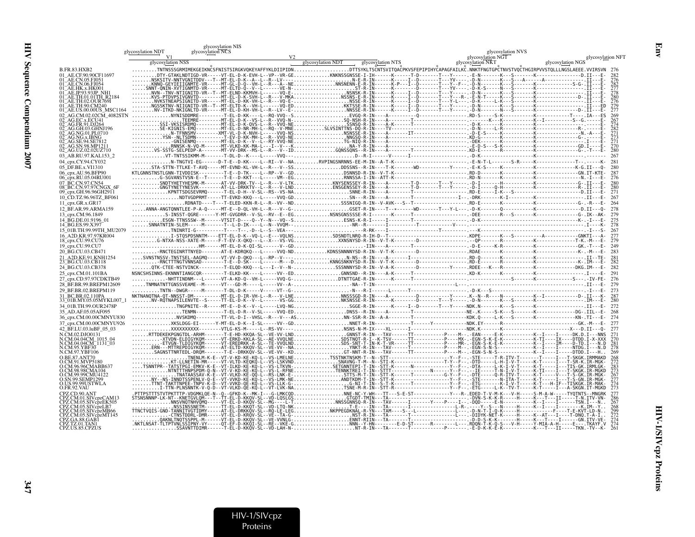|                                                    | glycosylation NDT                   | glycosylation NIS<br>glycosylation NCS |                   |                   | glycosylation NVS                      |                                                                                                                                                                                                                                                                                                                                                                                                                                                           |
|----------------------------------------------------|-------------------------------------|----------------------------------------|-------------------|-------------------|----------------------------------------|-----------------------------------------------------------------------------------------------------------------------------------------------------------------------------------------------------------------------------------------------------------------------------------------------------------------------------------------------------------------------------------------------------------------------------------------------------------|
|                                                    | V <sub>1</sub><br>glycosylation NSS |                                        | glycosylation NDT | glycosylation NTS | glycosylation NGT<br>glycosylation NKT | glycosylation NFT<br>glycosylation NGS                                                                                                                                                                                                                                                                                                                                                                                                                    |
| B.FR.83.HXB2                                       |                                     |                                        |                   |                   |                                        |                                                                                                                                                                                                                                                                                                                                                                                                                                                           |
| AE.CE.90.90CF11697                                 |                                     |                                        |                   |                   |                                        |                                                                                                                                                                                                                                                                                                                                                                                                                                                           |
|                                                    |                                     |                                        |                   |                   |                                        |                                                                                                                                                                                                                                                                                                                                                                                                                                                           |
|                                                    |                                     |                                        |                   |                   |                                        |                                                                                                                                                                                                                                                                                                                                                                                                                                                           |
| 01.01TH R2184                                      |                                     |                                        |                   |                   |                                        |                                                                                                                                                                                                                                                                                                                                                                                                                                                           |
|                                                    |                                     |                                        |                   |                   |                                        |                                                                                                                                                                                                                                                                                                                                                                                                                                                           |
|                                                    |                                     |                                        |                   |                   |                                        |                                                                                                                                                                                                                                                                                                                                                                                                                                                           |
|                                                    |                                     |                                        |                   |                   |                                        |                                                                                                                                                                                                                                                                                                                                                                                                                                                           |
|                                                    |                                     |                                        |                   |                   |                                        |                                                                                                                                                                                                                                                                                                                                                                                                                                                           |
|                                                    |                                     |                                        |                   |                   |                                        |                                                                                                                                                                                                                                                                                                                                                                                                                                                           |
|                                                    |                                     |                                        |                   |                   |                                        |                                                                                                                                                                                                                                                                                                                                                                                                                                                           |
|                                                    |                                     |                                        |                   |                   |                                        |                                                                                                                                                                                                                                                                                                                                                                                                                                                           |
| AG.UZ.02.02UZ710<br>03 AB.RU.97.KAL153 2           |                                     |                                        |                   |                   |                                        |                                                                                                                                                                                                                                                                                                                                                                                                                                                           |
| 04 cpx.CY.94.CY032                                 |                                     |                                        |                   |                   |                                        |                                                                                                                                                                                                                                                                                                                                                                                                                                                           |
| 05 DF.BE.x.VI1310                                  |                                     |                                        |                   |                   |                                        |                                                                                                                                                                                                                                                                                                                                                                                                                                                           |
| 06 cpx.AU.96.BFP90<br>06_cpx.RU.05.04RU001         |                                     |                                        |                   |                   |                                        |                                                                                                                                                                                                                                                                                                                                                                                                                                                           |
|                                                    |                                     |                                        |                   |                   |                                        |                                                                                                                                                                                                                                                                                                                                                                                                                                                           |
| 08 BC.CN.97.97CNGX<br>09_cpx.GH.96.96GH29П         |                                     |                                        |                   |                   |                                        |                                                                                                                                                                                                                                                                                                                                                                                                                                                           |
| 10 CD.TZ.96.96TZ BF061                             |                                     |                                        |                   |                   |                                        | 267                                                                                                                                                                                                                                                                                                                                                                                                                                                       |
| 11 cpx.GR.x.GR17                                   |                                     |                                        |                   |                   |                                        |                                                                                                                                                                                                                                                                                                                                                                                                                                                           |
| 12_BF.AR.99.ARMA159                                |                                     |                                        |                   |                   |                                        |                                                                                                                                                                                                                                                                                                                                                                                                                                                           |
| 13_cpx.CM.96.1849<br>14 BG.DE.01.9196 01           |                                     |                                        |                   |                   |                                        |                                                                                                                                                                                                                                                                                                                                                                                                                                                           |
| 14 BG.ES.99.X397                                   |                                     |                                        |                   |                   |                                        | $\frac{1}{1} \cdot \frac{1}{1} \cdot \frac{1}{1} \cdot \frac{1}{1} \cdot \frac{1}{1} \cdot \frac{1}{1} \cdot \frac{1}{1} \cdot \frac{1}{1} \cdot \frac{1}{1} \cdot \frac{1}{1} \cdot \frac{1}{1} \cdot \frac{1}{1} \cdot \frac{1}{1} \cdot \frac{1}{1} \cdot \frac{1}{1} \cdot \frac{1}{1} \cdot \frac{1}{1} \cdot \frac{1}{1} \cdot \frac{1}{1} \cdot \frac{1}{1} \cdot \frac{1}{1} \cdot \frac{1}{1} \cdot \frac{1}{1} \cdot \frac{1}{1} \cdot \frac{1$ |
| 5 01B.TH.99.99TH MU2079<br>16 A2D.KR.97.97KR004    |                                     |                                        |                   |                   |                                        |                                                                                                                                                                                                                                                                                                                                                                                                                                                           |
| 18_cpx.CU.99.CU76                                  |                                     |                                        |                   |                   |                                        |                                                                                                                                                                                                                                                                                                                                                                                                                                                           |
| 19_cpx.CU.99.CU7                                   |                                     |                                        |                   |                   |                                        | 249                                                                                                                                                                                                                                                                                                                                                                                                                                                       |
| 20 BG.CU.03.CB471<br>A2D.KE.91.KNH1254             |                                     |                                        |                   |                   |                                        |                                                                                                                                                                                                                                                                                                                                                                                                                                                           |
| BG.CU.03.CB118                                     |                                     |                                        |                   |                   |                                        |                                                                                                                                                                                                                                                                                                                                                                                                                                                           |
| 4 BG.CU.03.CB378                                   |                                     |                                        |                   |                   |                                        |                                                                                                                                                                                                                                                                                                                                                                                                                                                           |
| cpx.CM.01.101BA<br>cpx.CD.97.97CDKTB49             |                                     |                                        |                   |                   |                                        |                                                                                                                                                                                                                                                                                                                                                                                                                                                           |
| BF.BR.99.BREPM12609                                |                                     |                                        |                   |                   |                                        |                                                                                                                                                                                                                                                                                                                                                                                                                                                           |
| BF.BR.02.BREPM119                                  |                                     |                                        |                   |                   |                                        | 273                                                                                                                                                                                                                                                                                                                                                                                                                                                       |
| BC.BR.02.110PA<br>01B.MY.05.05MYKL007              |                                     |                                        |                   |                   |                                        |                                                                                                                                                                                                                                                                                                                                                                                                                                                           |
| 34 01B.TH.99.OUR2478P                              |                                     |                                        |                   |                   |                                        |                                                                                                                                                                                                                                                                                                                                                                                                                                                           |
| 5 AD.AF.05.05AF095                                 |                                     |                                        |                   |                   |                                        |                                                                                                                                                                                                                                                                                                                                                                                                                                                           |
| 36_cpx.CM.00.00CMNYU830<br>37 cpx.CM.00.00CMNYU926 |                                     |                                        |                   |                   |                                        | 274                                                                                                                                                                                                                                                                                                                                                                                                                                                       |
| 42 BF.LU.03.luBF 05 03                             |                                     |                                        |                   |                   |                                        |                                                                                                                                                                                                                                                                                                                                                                                                                                                           |
|                                                    |                                     |                                        |                   |                   |                                        |                                                                                                                                                                                                                                                                                                                                                                                                                                                           |
| CM.04.04CM 1015 04<br>CM.04.04CM_1131_03           |                                     |                                        |                   |                   |                                        |                                                                                                                                                                                                                                                                                                                                                                                                                                                           |
| `M.97.YBF106                                       |                                     |                                        |                   |                   |                                        |                                                                                                                                                                                                                                                                                                                                                                                                                                                           |
|                                                    |                                     |                                        |                   |                   |                                        |                                                                                                                                                                                                                                                                                                                                                                                                                                                           |
|                                                    |                                     |                                        |                   |                   |                                        |                                                                                                                                                                                                                                                                                                                                                                                                                                                           |
|                                                    |                                     |                                        |                   |                   |                                        |                                                                                                                                                                                                                                                                                                                                                                                                                                                           |
| CM.99.99CMU4122                                    |                                     |                                        |                   |                   |                                        |                                                                                                                                                                                                                                                                                                                                                                                                                                                           |
| US.99.99USTWLA<br>ER.92.VAU                        |                                     |                                        |                   |                   |                                        |                                                                                                                                                                                                                                                                                                                                                                                                                                                           |
|                                                    |                                     |                                        |                   |                   |                                        |                                                                                                                                                                                                                                                                                                                                                                                                                                                           |
|                                                    |                                     |                                        |                   |                   |                                        |                                                                                                                                                                                                                                                                                                                                                                                                                                                           |
|                                                    |                                     |                                        |                   |                   |                                        |                                                                                                                                                                                                                                                                                                                                                                                                                                                           |
| .CM.05.SIVcpzMB66<br>Z.CM.05.SIVcpzMT145           |                                     |                                        |                   |                   |                                        |                                                                                                                                                                                                                                                                                                                                                                                                                                                           |
|                                                    |                                     |                                        |                   |                   |                                        |                                                                                                                                                                                                                                                                                                                                                                                                                                                           |
|                                                    |                                     |                                        |                   |                   |                                        |                                                                                                                                                                                                                                                                                                                                                                                                                                                           |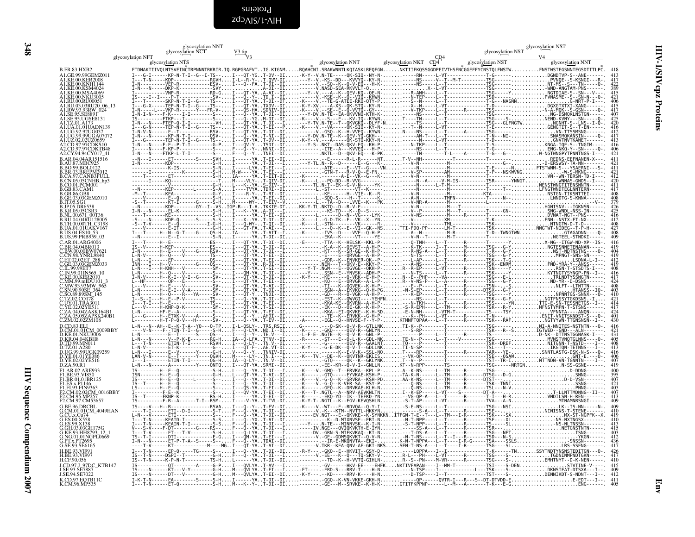<span id="page-47-0"></span>zdɔʌɪs/t-ʌɪH Proteins

|                                                                                                                                                      | glycosylation NNT<br>glycosy <u>lation</u> NCT |                                                                                                                                                         |                       | glycosylation NST | glycosylation NST |
|------------------------------------------------------------------------------------------------------------------------------------------------------|------------------------------------------------|---------------------------------------------------------------------------------------------------------------------------------------------------------|-----------------------|-------------------|-------------------|
|                                                                                                                                                      | glycosylation NFT<br>glycosylation NTS         | glycosylation NNT                                                                                                                                       | glycosylation NKT CD4 | glycosylation NST | glycosylation NNT |
| B.FR.83.HXB2                                                                                                                                         |                                                | FTDNAKTIIVQLNTSVEINČTRPNNNTRKRIR.IQ.RGPGRAFVTIG.KIGNMRQAHČNI.SRAKWNNTLKQIASKLREQFGNNKTIIFKQSSGGDPEIVTHSFNČGGEFFYCNSTQLFNSTWFNSTWSTEGSNNTEGSDTITLPC. 418 |                       |                   |                   |
| A1.GE.99.99GEMZ011<br>A1.KE.00.KER2008<br>KE.00.KNH1144                                                                                              |                                                |                                                                                                                                                         |                       |                   |                   |
| KE.00.KSM4024<br>.KE.00.MSA4069                                                                                                                      |                                                |                                                                                                                                                         |                       |                   |                   |
| \1.KE.00.NKU3005<br>\1.RU.00.RU00051<br>\1.RU.03.03RU20_06_13                                                                                        |                                                |                                                                                                                                                         |                       |                   |                   |
| 11.RW.93.93RW_024                                                                                                                                    |                                                |                                                                                                                                                         |                       |                   |                   |
| A1.SE.95.SE8891<br>A1.SE.95.UGSE8131<br>1.TZ.01.A173                                                                                                 |                                                |                                                                                                                                                         |                       |                   |                   |
| 11.UA.01.01UADN139<br>.UG.92.92UG037                                                                                                                 |                                                |                                                                                                                                                         |                       |                   |                   |
| A1.UG.99.99UGA07072<br>A1.UZ.02.02UZ0659<br>A2.CD.97.97CDKS10                                                                                        |                                                |                                                                                                                                                         |                       |                   |                   |
| A2.CD.97.97CDKTB48<br>A2.CD.97.97CDKTB48                                                                                                             |                                                |                                                                                                                                                         |                       |                   |                   |
| 3.AR.04.04AR151516                                                                                                                                   |                                                |                                                                                                                                                         |                       |                   |                   |
|                                                                                                                                                      |                                                |                                                                                                                                                         |                       |                   |                   |
|                                                                                                                                                      |                                                |                                                                                                                                                         |                       |                   |                   |
| B.AR.04.04AAAAA<br>B.AU.87.MBC925<br>B.BO.99.BOL0122<br>B.BO.93.BREPM2012<br>B.CA.97.CANB3FULL<br>B.CO.01.PCM001<br>B.CO.01.PCM001<br>B.CO.01.PCM001 |                                                |                                                                                                                                                         |                       |                   |                   |
| 3.GB.86.GB8<br>3.GE.03.03GEMZ010                                                                                                                     |                                                |                                                                                                                                                         |                       |                   |                   |
| 3.IT.05.SG1<br>B.11.05.5G1<br>B.JP.05.DR6538<br>B.KR.05.05CSR3<br>B.RU.04.04RU128005                                                                 |                                                |                                                                                                                                                         |                       |                   |                   |
|                                                                                                                                                      |                                                |                                                                                                                                                         |                       |                   |                   |
| B.TH.00.00TH_C3198<br>B.TH.00.00TH_C3198                                                                                                             |                                                |                                                                                                                                                         |                       |                   |                   |
| B.US.04.ES10 53<br>B.US.99.PRB959 03                                                                                                                 |                                                |                                                                                                                                                         |                       |                   |                   |
| C.AR.01.ARG4006<br>' BR 04 04BR013                                                                                                                   |                                                |                                                                                                                                                         |                       |                   |                   |
| C.BW.00.00BW07621<br>.CN.98.YNRL9840                                                                                                                 |                                                |                                                                                                                                                         |                       |                   |                   |
| C.ET.02.02ET_288<br>C.GE.03.03GEMZ033<br>.IL.99.99ET7<br>.IL.99.99ET7<br>.IN.99.01IN565_10                                                           |                                                |                                                                                                                                                         |                       |                   |                   |
|                                                                                                                                                      |                                                |                                                                                                                                                         |                       |                   |                   |
| :KE.00.KER2010<br>.MM.99.mIDU101_3<br>.MW.93.93MW_965                                                                                                |                                                |                                                                                                                                                         |                       |                   |                   |
| SN.90.90SE_364<br>SO.89.89SM_145                                                                                                                     |                                                |                                                                                                                                                         |                       |                   |                   |
| .YE.02.02YE511                                                                                                                                       |                                                |                                                                                                                                                         |                       |                   |                   |
| C.ZA.04.04ZASK164B1<br>C.ZA.05.05ZAPSK240B1<br>C.ZM.02.02ZM108                                                                                       |                                                |                                                                                                                                                         |                       |                   |                   |
| D.CD.83.ELI                                                                                                                                          |                                                |                                                                                                                                                         |                       |                   |                   |
| D.CM.01.01CM 0009BBY<br><b>D.KE.01.NKU3006</b>                                                                                                       |                                                |                                                                                                                                                         |                       |                   |                   |
| D.KR.04.04KBH8<br>D.TD.99.MN011                                                                                                                      |                                                |                                                                                                                                                         |                       |                   |                   |
| D.12.01.A280<br>D.UG.99.99UGK09259<br>D.VE.01.01YE386<br>D.YE.02.02YE516                                                                             |                                                |                                                                                                                                                         |                       |                   |                   |
| D.ZA.90.R1                                                                                                                                           |                                                |                                                                                                                                                         |                       |                   |                   |
| F1.AR.02.ARE933<br>F1.BE.93.VI850                                                                                                                    |                                                |                                                                                                                                                         |                       |                   |                   |
| F1.BR.01.01BR125<br>F1.ES.x.P1146<br>F1.F1.93.FIN9363                                                                                                |                                                |                                                                                                                                                         |                       |                   |                   |
| F2.CM.02.02CM 0016BBY<br>F2.CM.95.MP257                                                                                                              |                                                |                                                                                                                                                         |                       |                   |                   |
| F2.CM.97.CM53657<br>G.BE.96.DRCBL                                                                                                                    |                                                |                                                                                                                                                         |                       |                   |                   |
| G.CM.01.01CM_4049HAN<br>G.CU.x.Cu74                                                                                                                  |                                                |                                                                                                                                                         |                       |                   |                   |
| G.ES.00.X558<br>G.ES.99.X138                                                                                                                         |                                                |                                                                                                                                                         |                       |                   |                   |
| G.GH.03.03GH175G<br>G.KE.93.HH8793_12                                                                                                                |                                                |                                                                                                                                                         |                       |                   |                   |
| G.NG.01.01NGPL0669<br>G.P.T.x.PT2695<br>G.SE.93.SE6165                                                                                               |                                                |                                                                                                                                                         |                       |                   |                   |
| H.BE.93.VI991<br>H.BE.93.VI997                                                                                                                       |                                                |                                                                                                                                                         |                       |                   |                   |
| H.CF.90.056<br>J.CD.97.J_97DC_KTB147                                                                                                                 |                                                |                                                                                                                                                         |                       |                   |                   |
| J.SE.93.SĒ7887<br>J.SE.94.SE7022                                                                                                                     |                                                |                                                                                                                                                         |                       |                   |                   |
| K.CD.97.EQTB11C<br>K.CM.96.MP535                                                                                                                     |                                                |                                                                                                                                                         |                       |                   |                   |

HIV Sequence Compendium 2007 HIV Sequence Compendium 2007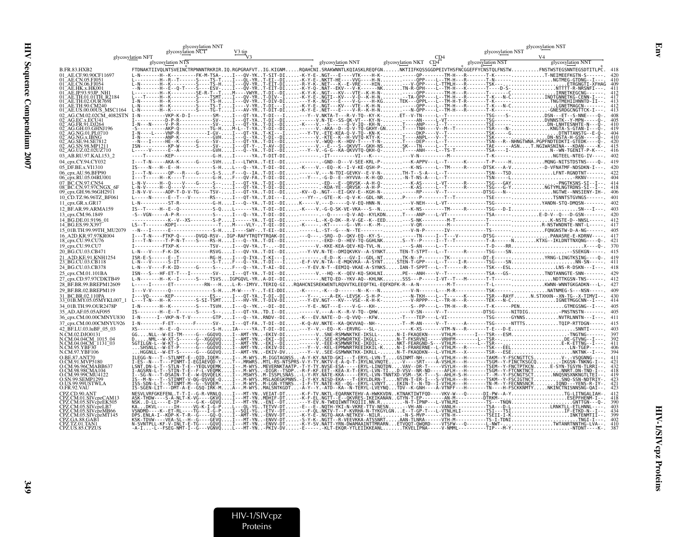|                                              | glycosylation NNT<br>glycosy <u>lation</u> NCT                                                                                                                                                   |                                       |                                                                                                 |                                                                                                                                                                                                                                                       |                                                           |                                                                  |                                                                                       | glycosylation NST                                                                                                               |  |
|----------------------------------------------|--------------------------------------------------------------------------------------------------------------------------------------------------------------------------------------------------|---------------------------------------|-------------------------------------------------------------------------------------------------|-------------------------------------------------------------------------------------------------------------------------------------------------------------------------------------------------------------------------------------------------------|-----------------------------------------------------------|------------------------------------------------------------------|---------------------------------------------------------------------------------------|---------------------------------------------------------------------------------------------------------------------------------|--|
|                                              | glycosylation NFT                                                                                                                                                                                | V3 tip                                |                                                                                                 |                                                                                                                                                                                                                                                       |                                                           | CD4                                                              | glycosylation NST                                                                     |                                                                                                                                 |  |
|                                              | glycosylation NTS                                                                                                                                                                                |                                       |                                                                                                 | glycosylation NNT                                                                                                                                                                                                                                     | glycosylation NKT CD4                                     |                                                                  | glycosylation NST                                                                     | glycosylation NNT                                                                                                               |  |
| B.FR.83.HXB2                                 | FTDNAKTIIVOLNTSVEINCTRPNNNTRKRIR.IO.RGPGRAFVTIG.KIGNM                                                                                                                                            |                                       |                                                                                                 | $\ldots$ RQAHCNI.SRAKWNNTLKQIASKLREQFGN $\ldots\ldots$ NKTIIFKQSSGGDPEIVTHSFNCGGEFFYCNSTQLFNSTW $\ldots\ldots\ldots$ FNSTWSTEGSNNTEGSDTI                                                                                                              |                                                           |                                                                  |                                                                                       |                                                                                                                                 |  |
| AE.CE.90.90CF11697                           | L-N-------H--K---------FK-M-TSA-                                                                                                                                                                 |                                       |                                                                                                 | - K - Y - E - . NGT - - - E - - - - VTK - - - - H - K - - - - -                                                                                                                                                                                       |                                                           |                                                                  |                                                                                       |                                                                                                                                 |  |
|                                              |                                                                                                                                                                                                  |                                       |                                                                                                 |                                                                                                                                                                                                                                                       | $- - - H - N -  -  - - - - -$                             |                                                                  |                                                                                       |                                                                                                                                 |  |
| AE CN 06 FI054                               | ----H--E--Q-T----S----ESV-I---QV-YRT                                                                                                                                                             |                                       |                                                                                                 |                                                                                                                                                                                                                                                       |                                                           |                                                                  |                                                                                       |                                                                                                                                 |  |
| 93IP NH                                      |                                                                                                                                                                                                  |                                       |                                                                                                 |                                                                                                                                                                                                                                                       |                                                           |                                                                  |                                                                                       |                                                                                                                                 |  |
|                                              |                                                                                                                                                                                                  |                                       |                                                                                                 |                                                                                                                                                                                                                                                       |                                                           |                                                                  |                                                                                       |                                                                                                                                 |  |
|                                              |                                                                                                                                                                                                  |                                       |                                                                                                 |                                                                                                                                                                                                                                                       |                                                           |                                                                  |                                                                                       |                                                                                                                                 |  |
|                                              |                                                                                                                                                                                                  |                                       |                                                                                                 |                                                                                                                                                                                                                                                       |                                                           |                                                                  | ----------TSG----S-DSN---ET--S-NNE                                                    |                                                                                                                                 |  |
|                                              |                                                                                                                                                                                                  |                                       |                                                                                                 |                                                                                                                                                                                                                                                       |                                                           |                                                                  |                                                                                       |                                                                                                                                 |  |
|                                              |                                                                                                                                                                                                  |                                       |                                                                                                 |                                                                                                                                                                                                                                                       |                                                           |                                                                  |                                                                                       |                                                                                                                                 |  |
|                                              |                                                                                                                                                                                                  |                                       |                                                                                                 |                                                                                                                                                                                                                                                       |                                                           |                                                                  |                                                                                       |                                                                                                                                 |  |
|                                              |                                                                                                                                                                                                  |                                       |                                                                                                 |                                                                                                                                                                                                                                                       |                                                           |                                                                  |                                                                                       |                                                                                                                                 |  |
|                                              |                                                                                                                                                                                                  |                                       |                                                                                                 |                                                                                                                                                                                                                                                       |                                                           |                                                                  |                                                                                       |                                                                                                                                 |  |
|                                              |                                                                                                                                                                                                  |                                       |                                                                                                 |                                                                                                                                                                                                                                                       |                                                           |                                                                  |                                                                                       |                                                                                                                                 |  |
| 03 AB.RU.97.KAL153 2                         |                                                                                                                                                                                                  |                                       |                                                                                                 |                                                                                                                                                                                                                                                       |                                                           |                                                                  |                                                                                       |                                                                                                                                 |  |
| 04 cpx.CY.94.CY032                           |                                                                                                                                                                                                  |                                       |                                                                                                 | ---AKA-K------G-----SVHI---LTWYAT-EI--DI-------. -GND--D---V-SEE-KRL-P---K-APPV---L--T------K-------T-P-----HMONG-NITSTDSTNS<br>-H--E--H------------S-HL---Q--YAT-DI--DI-K----V.--EQ--K--I-V-KE-QSH-P----K-NS----L--TM-----R-----DTSK---A-V-D-VFNATMF |                                                           |                                                                  |                                                                                       |                                                                                                                                 |  |
| 05 DF.BE.x.VI1310                            | $0P - -R - - -G - - -S$                                                                                                                                                                          |                                       |                                                                                                 | TAT-DI--DI------V.---N-TDI-GEVKV--E-V-N-TH-T--S-A---L--T--------------TSN---TSDLENT                                                                                                                                                                   |                                                           |                                                                  |                                                                                       |                                                                                                                                 |  |
| cpx.RU.05.04RU00                             |                                                                                                                                                                                                  |                                       |                                                                                                 | . T-DĪ--DĪ---Y--- .G-D--Ē--HYVVA--K-H-OD-N-T-NS-A---L--T-------------                                                                                                                                                                                 |                                                           |                                                                  |                                                                                       |                                                                                                                                 |  |
|                                              |                                                                                                                                                                                                  |                                       |                                                                                                 |                                                                                                                                                                                                                                                       |                                                           |                                                                  |                                                                                       |                                                                                                                                 |  |
| 09_cpx.GH.96.96GH2911                        |                                                                                                                                                                                                  |                                       |                                                                                                 |                                                                                                                                                                                                                                                       |                                                           |                                                                  |                                                                                       |                                                                                                                                 |  |
| 10_CD.TZ.96.96TZ_BF061                       | L-----N------E--T---V-------RS--I---QT-YAT.DI---I---YY--.-GTE--K--Q-V-K--GDL-NRP----P-------T--T--------------TSE------TSNNTSTGVNGS------                                                        |                                       |                                                                                                 |                                                                                                                                                                                                                                                       |                                                           |                                                                  |                                                                                       |                                                                                                                                 |  |
| 11 cpx.GR.x.GR17                             |                                                                                                                                                                                                  |                                       |                                                                                                 | -------ST-R-----------G-HI---Q--YAT-DI--DIK-----V.---D-----Q-V-EQ-HNN-N---V-NEH----L-VT-------------------TSG-------YANDN-STO-DMOSN                                                                                                                   |                                                           |                                                                  |                                                                                       |                                                                                                                                 |  |
| 12 BF.AR.99.ARMA159                          | $-H - E - 0 - - - - - - - - - - S - 0 - -$                                                                                                                                                       |                                       |                                                                                                 |                                                                                                                                                                                                                                                       |                                                           |                                                                  |                                                                                       |                                                                                                                                 |  |
| 13 cpx.CM.96.1849                            |                                                                                                                                                                                                  |                                       |                                                                                                 |                                                                                                                                                                                                                                                       |                                                           |                                                                  | $0-V-AO - KYLKDN$ , T----ANP----L-VT-------------TSA------,,,,,,,,,,E-D-V--O---D-GSN- |                                                                                                                                 |  |
| 4 BG.DE.01.9196 01                           |                                                                                                                                                                                                  |                                       |                                                                                                 |                                                                                                                                                                                                                                                       |                                                           |                                                                  |                                                                                       |                                                                                                                                 |  |
| 14_BG.ES.99.X397<br>15 01B.TH.99.99TH MU2079 |                                                                                                                                                                                                  |                                       | -VLY-T-ğī--bī-K------KT---<br>- SWY - T - EI - - DI - - - - - - L . - ST - - G - - - N - - TE - |                                                                                                                                                                                                                                                       | $-K - M - \ldots$ - - - V - QR -<br>. V - N - P           |                                                                  |                                                                                       |                                                                                                                                 |  |
|                                              |                                                                                                                                                                                                  | $0 - - - -$ - DVGO - RSV - IGP - RAFY |                                                                                                 | YTRQAK-DI---Q---.-SRQ--D--QKV-EQ--KY-S------TN----I--T--V--------DTSG------PANASRE-E-KDRNV                                                                                                                                                            |                                                           |                                                                  |                                                                                       |                                                                                                                                 |  |
| 8_cpx.CU.99.CU76                             | -N-T----S----RS-HI                                                                                                                                                                               |                                       | .DI - -DI - - - - - - - - - EKD -                                                               | - D- - HEV-TQ - GGHLNK S-- Y-                                                                                                                                                                                                                         |                                                           |                                                                  | ----I--T--T------------T-A------NKTXG--IKLDNTTNXONG--                                 |                                                                                                                                 |  |
| 19_cpx.CU.99.CU7                             |                                                                                                                                                                                                  |                                       |                                                                                                 |                                                                                                                                                                                                                                                       |                                                           |                                                                  |                                                                                       |                                                                                                                                 |  |
| 20 BG.CU.03.CB471                            |                                                                                                                                                                                                  |                                       |                                                                                                 | .T-DI--DI---Y-VV.N-TE--DMIOKVKV--A-SYNKTTEN-T-STPT---L--T------R------TSG----SN-SSEKGN                                                                                                                                                                |                                                           |                                                                  |                                                                                       |                                                                                                                                 |  |
| A2D.KE.91.KNH1254<br><b>BG.CU.03.CB118</b>   |                                                                                                                                                                                                  | $---C.$                               |                                                                                                 | .T-KI---I---------F-D--K---GV-I--GDL-NTTK-N--P--------TK-------------DT-E------YRNG-LINGTKSING----                                                                                                                                                    |                                                           |                                                                  |                                                                                       |                                                                                                                                 |  |
| 24 BG.CU.03.CB378                            |                                                                                                                                                                                                  |                                       |                                                                                                 |                                                                                                                                                                                                                                                       |                                                           |                                                                  |                                                                                       | -----G-----S--F---Q--YAT-AI--DI---Y-EV.N-T--EEMIQ-VKAE-A-SYNKSIAN-T-SPPT---L--T------R------TSK---ESLLNS-R-DSKN---I---.         |  |
| 25 cpx.CM.01.101BA                           |                                                                                                                                                                                                  |                                       |                                                                                                 | -HF-ET-T---I--------SV-I---OT-YAT-DI--DI------V.--HO--K--OEV-KO-SKHLNIPE---ANH----V--T---------------TSA---GS-TNDTANNGTE-SNN-----                                                                                                                     |                                                           |                                                                  |                                                                                       |                                                                                                                                 |  |
| cpx.CD.97.97CDKTB49                          |                                                                                                                                                                                                  |                                       |                                                                                                 | .K--I------S----TSVSIGPG0VL-YRA-DI--DI-------.NETO-ED--YKV-AO--KHLNKSSS---P----I-VT--T---M-------T-T------NDTTKGSN-TNS                                                                                                                                |                                                           |                                                                  |                                                                                       |                                                                                                                                 |  |
| 28_BF.BR.99.BREPM12609                       |                                                                                                                                                                                                  |                                       |                                                                                                 |                                                                                                                                                                                                                                                       |                                                           |                                                                  |                                                                                       |                                                                                                                                 |  |
| 9_BF.BR.02.BREPM119                          |                                                                                                                                                                                                  |                                       |                                                                                                 | -------S-HM-W----Y-T-EI-DDI-K------ -K---D-------N--K---N---V-N------L---M-R------------TSK------NATNMEG-S---NSN                                                                                                                                      |                                                           |                                                                  |                                                                                       |                                                                                                                                 |  |
| 3C.BR.02.110PA                               |                                                                                                                                                                                                  |                                       |                                                                                                 |                                                                                                                                                                                                                                                       |                                                           |                                                                  |                                                                                       |                                                                                                                                 |  |
|                                              |                                                                                                                                                                                                  |                                       |                                                                                                 |                                                                                                                                                                                                                                                       |                                                           |                                                                  |                                                                                       | -----S----TSVHI---Q--YK--DI--DI---Y-E-.NGT---E----V-G---KH-----S--PP----L--TM-H---R--------T-K------PENGTMEGSNG--I---.          |  |
|                                              |                                                                                                                                                                                                  |                                       |                                                                                                 | -T------S-----S--I---0T-YATD.I--DI------V.---A--K--R-V-TO--OHW-----V-SN-----V-T--------------DTSG------NITDIGPNSTNSTN-                                                                                                                                |                                                           |                                                                  |                                                                                       |                                                                                                                                 |  |
| 36 cpx.CM.00.00CMNYU830                      |                                                                                                                                                                                                  |                                       |                                                                                                 |                                                                                                                                                                                                                                                       |                                                           |                                                                  |                                                                                       | ---I--VKP-N-T-V--------GTPI---Q--YARNDV--DI-K---EV.NATE--D--Q-VVQ---KFWT---TEP----L-VI--------------------SYNNSNVTRLNNTN---I--- |  |
| _cpx.CM.00.00CMNYU926                        |                                                                                                                                                                                                  |                                       |                                                                                                 | T-DI--DI-K-Q-AV.NKTE--KA-QKVVAQ--NH---T--M-AN-----V--T------A-------TSG------NTTTSTQIP-RTTDGN                                                                                                                                                         |                                                           |                                                                  |                                                                                       |                                                                                                                                 |  |
| BF.LU.03.luBF 05 03                          |                                                                                                                                                                                                  |                                       | YAT-DI--DI---Y--V.-<br>$-$ EKIV-DI $$                                                           | - E0 - - K - - ERVRG - - - SL - - - .<br>-VSNE-RSMWNKTKE-IKSLL-N-I-FKAQEKN-----VTHLM-------I---TSR---ESMTNGTNG                                                                                                                                        |                                                           |                                                                  | ----VTM-N---R-------T-E---D-E                                                         |                                                                                                                                 |  |
|                                              |                                                                                                                                                                                                  |                                       | .YN-EKI--DI------VSEE                                                                           |                                                                                                                                                                                                                                                       |                                                           |                                                                  | KSMWDRTKE-IKGLL-N-T-FKSRVNI-----VRHFM--------L--TSR--                                 |                                                                                                                                 |  |
| M.04.04CM <sup>-1131-03</sup>                |                                                                                                                                                                                                  |                                       |                                                                                                 |                                                                                                                                                                                                                                                       |                                                           |                                                                  |                                                                                       |                                                                                                                                 |  |
|                                              |                                                                                                                                                                                                  |                                       |                                                                                                 | i-AMT-VN::-EXI--B1::------V.:2EE-RSMMNRRE-IRBIL-NKT-FEARGND-S---VTHIN--------L---SR---------------<br>I--AMT-YN::-EXI--B1:---Y--V.-KEL-EPMMNRREEIRKIL-KN-I-FRARERNE--L-VTHIM--R------SY---EELLN-T                                                     |                                                           |                                                                  |                                                                                       |                                                                                                                                 |  |
|                                              |                                                                                                                                                                                                  |                                       |                                                                                                 | .M-IGGTAGNSS-A-Y-KY.NATD-GKI---T-ERYL-LVN-TGSINMT-NH-----L-VTHLH---H-------TAKM--Y-FSCNGTTCSV-.-VSOGNNG                                                                                                                                               |                                                           |                                                                  |                                                                                       |                                                                                                                                 |  |
|                                              |                                                                                                                                                                                                  |                                       | MEVERNKTAATP. - T-Y-TY                                                                          | MTL-RS-NTSPRS-V-Y-TY.NKTV-E-A-Q-T-IRYLNLVNQTE-V----SRT----A-VSHLH---H-------TSGM--Y-FINCTKSGCQ                                                                                                                                                        | RYL-LINQTDNVAV--DR-T-----VSYLH---H-------                 |                                                                  |                                                                                       |                                                                                                                                 |  |
|                                              |                                                                                                                                                                                                  |                                       |                                                                                                 |                                                                                                                                                                                                                                                       | ERYL-LVN-TID-VSV--NR-ND-----AFLH---                       |                                                                  | $H - - - - -$ TSGM - - Y - FTCNKTNCT                                                  |                                                                                                                                 |  |
|                                              |                                                                                                                                                                                                  |                                       |                                                                                                 |                                                                                                                                                                                                                                                       |                                                           |                                                                  |                                                                                       |                                                                                                                                 |  |
|                                              |                                                                                                                                                                                                  |                                       |                                                                                                 |                                                                                                                                                                                                                                                       | EKIN-T--N-TD--I-VTHLH-                                    |                                                                  | Y-FECNNSNCR                                                                           |                                                                                                                                 |  |
|                                              |                                                                                                                                                                                                  |                                       |                                                                                                 |                                                                                                                                                                                                                                                       |                                                           | TDV - - K - GNH - - - - A - VTNFF - - - H - - - - - - - TN - - - |                                                                                       |                                                                                                                                 |  |
|                                              |                                                                                                                                                                                                  |                                       |                                                                                                 |                                                                                                                                                                                                                                                       | EOARNKTEHV-A-HWKKVDNKTNAKTIWTFOD----VKV-W---O------DI-PW- |                                                                  |                                                                                       |                                                                                                                                 |  |
|                                              |                                                                                                                                                                                                  |                                       |                                                                                                 |                                                                                                                                                                                                                                                       |                                                           |                                                                  |                                                                                       | .<br>SA---TNONGNTTGN<br>SA---D-LRNKTLL-ETLHNNL                                                                                  |  |
| VcpzMB66                                     | KADKVL------IH-                                                                                                                                                                                  |                                       | .                                                                                               |                                                                                                                                                                                                                                                       | KVRHA-N-TYKGÝLGNE--T-GP                                   |                                                                  |                                                                                       |                                                                                                                                 |  |
| IVcpzMT145                                   |                                                                                                                                                                                                  |                                       |                                                                                                 |                                                                                                                                                                                                                                                       |                                                           |                                                                  | TSEII-I-K                                                                             |                                                                                                                                 |  |
|                                              |                                                                                                                                                                                                  |                                       |                                                                                                 | GTT - - R - VEEVKKA - ATSSNRT AAN - TLNRA - - - - - - VTH - M - - - - - - - - - -                                                                                                                                                                     |                                                           |                                                                  |                                                                                       |                                                                                                                                 |  |
|                                              | N-SVNTPLL-KF-V-INLT-E-TĞ----ĞQVQI---MT-YN-ENVV-DTK-Y-SV.NATT-YRN-DWAMAAINTTMRARNETVQQT-QWQRD----VTSFW---Q-------<br>-A-I-L--FSEG-NMT-I--G---VGNVQL---MT-YN-PKIV-DV-E-----.-KLT-EKQR-YTLEIIKKEANL |                                       |                                                                                                 |                                                                                                                                                                                                                                                       |                                                           |                                                                  |                                                                                       |                                                                                                                                 |  |
|                                              |                                                                                                                                                                                                  |                                       |                                                                                                 |                                                                                                                                                                                                                                                       |                                                           |                                                                  |                                                                                       |                                                                                                                                 |  |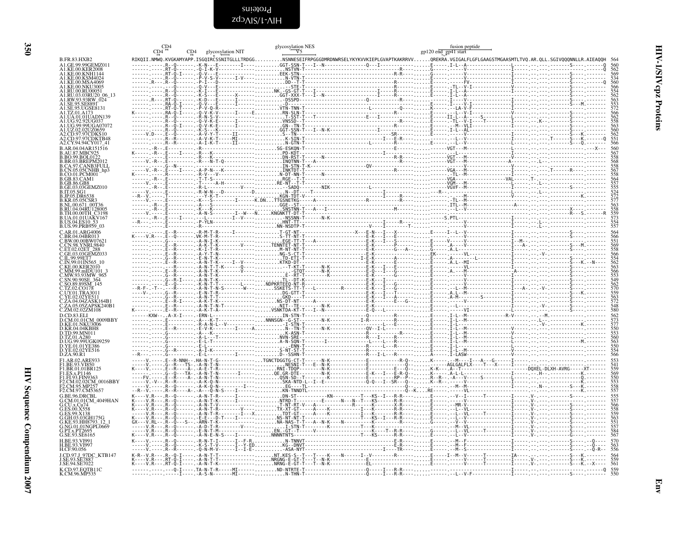<span id="page-49-0"></span>Proteins<br>SilV-1/SIVcpz

|                                              | CD4 | glycosylation NIT | glycosylation NES | fusion peptide<br>gp120 end_gp41 start | $\begin{small} \textbf{111.11} \end{smallmatrix} \begin{smallmatrix} \textbf{11.2} \end{smallmatrix} \begin{smallmatrix} \textbf{11.2} \end{smallmatrix} \begin{smallmatrix} \textbf{11.2} \end{smallmatrix} \begin{smallmatrix} \textbf{11.2} \end{smallmatrix} \begin{smallmatrix} \textbf{11.2} \end{smallmatrix} \begin{smallmatrix} \textbf{11.2} \end{smallmatrix} \begin{smallmatrix} \textbf{11.2} \end{smallmatrix} \begin{smallmatrix} \textbf{11.2} \end{smallmatrix} \begin{smallmatrix} \textbf{11.2} \end{smallmatrix} \begin{smallmatrix} \textbf$ |
|----------------------------------------------|-----|-------------------|-------------------|----------------------------------------|-------------------------------------------------------------------------------------------------------------------------------------------------------------------------------------------------------------------------------------------------------------------------------------------------------------------------------------------------------------------------------------------------------------------------------------------------------------------------------------------------------------------------------------------------------------------|
| <b>B.FR.83.HXB2</b>                          |     |                   |                   |                                        |                                                                                                                                                                                                                                                                                                                                                                                                                                                                                                                                                                   |
| A1.GE.99.99GEMZ011<br>A1.KE.00.KER2008       |     |                   |                   |                                        |                                                                                                                                                                                                                                                                                                                                                                                                                                                                                                                                                                   |
|                                              |     |                   |                   |                                        |                                                                                                                                                                                                                                                                                                                                                                                                                                                                                                                                                                   |
| A1.KE.00.KSM4024<br>A1.KE.00.MSA4069         |     |                   |                   |                                        |                                                                                                                                                                                                                                                                                                                                                                                                                                                                                                                                                                   |
|                                              |     |                   |                   |                                        |                                                                                                                                                                                                                                                                                                                                                                                                                                                                                                                                                                   |
| A1.RU.03.03RU20 06 13                        |     |                   |                   |                                        |                                                                                                                                                                                                                                                                                                                                                                                                                                                                                                                                                                   |
| A1.SE.95.UGSE8131                            |     |                   |                   |                                        |                                                                                                                                                                                                                                                                                                                                                                                                                                                                                                                                                                   |
| A1.TZ.01.A17                                 |     |                   |                   |                                        |                                                                                                                                                                                                                                                                                                                                                                                                                                                                                                                                                                   |
|                                              |     |                   |                   |                                        |                                                                                                                                                                                                                                                                                                                                                                                                                                                                                                                                                                   |
|                                              |     |                   |                   |                                        |                                                                                                                                                                                                                                                                                                                                                                                                                                                                                                                                                                   |
| 2.CD.97.97CDKTB48                            |     |                   |                   |                                        |                                                                                                                                                                                                                                                                                                                                                                                                                                                                                                                                                                   |
|                                              |     |                   |                   |                                        |                                                                                                                                                                                                                                                                                                                                                                                                                                                                                                                                                                   |
|                                              |     |                   |                   |                                        |                                                                                                                                                                                                                                                                                                                                                                                                                                                                                                                                                                   |
|                                              |     |                   |                   |                                        |                                                                                                                                                                                                                                                                                                                                                                                                                                                                                                                                                                   |
| CA.97.CANB3FULL<br>N.05.05CNHB_hp3           |     |                   |                   |                                        |                                                                                                                                                                                                                                                                                                                                                                                                                                                                                                                                                                   |
| CO.01.PCM001<br>GB.83.CAM1                   |     |                   |                   |                                        |                                                                                                                                                                                                                                                                                                                                                                                                                                                                                                                                                                   |
| GE.03.03GEMZ010                              |     |                   |                   |                                        |                                                                                                                                                                                                                                                                                                                                                                                                                                                                                                                                                                   |
| IP05.DR65                                    |     |                   |                   |                                        |                                                                                                                                                                                                                                                                                                                                                                                                                                                                                                                                                                   |
|                                              |     |                   |                   |                                        |                                                                                                                                                                                                                                                                                                                                                                                                                                                                                                                                                                   |
|                                              |     |                   |                   |                                        |                                                                                                                                                                                                                                                                                                                                                                                                                                                                                                                                                                   |
| UA.01.01UAKV167                              |     |                   |                   |                                        |                                                                                                                                                                                                                                                                                                                                                                                                                                                                                                                                                                   |
| B.US.99.PRB959-03                            |     |                   |                   |                                        |                                                                                                                                                                                                                                                                                                                                                                                                                                                                                                                                                                   |
|                                              |     |                   |                   |                                        |                                                                                                                                                                                                                                                                                                                                                                                                                                                                                                                                                                   |
| C.BR.04.04BR013<br>C.BW.00.00BW07621         |     |                   |                   |                                        |                                                                                                                                                                                                                                                                                                                                                                                                                                                                                                                                                                   |
| CN.98.YNRL9840<br>ET0202ET                   |     |                   |                   |                                        |                                                                                                                                                                                                                                                                                                                                                                                                                                                                                                                                                                   |
| C.II99.99ET7                                 |     |                   |                   |                                        |                                                                                                                                                                                                                                                                                                                                                                                                                                                                                                                                                                   |
| C.IN.99.01IN565                              |     |                   |                   |                                        |                                                                                                                                                                                                                                                                                                                                                                                                                                                                                                                                                                   |
| MW.93.93MW 965                               |     |                   |                   |                                        |                                                                                                                                                                                                                                                                                                                                                                                                                                                                                                                                                                   |
| SN.90.90SE 364<br>SO.89.89SM 145             |     |                   |                   |                                        |                                                                                                                                                                                                                                                                                                                                                                                                                                                                                                                                                                   |
| C TZ 02 CO178<br>UY.01.TRA3011               |     |                   |                   |                                        |                                                                                                                                                                                                                                                                                                                                                                                                                                                                                                                                                                   |
|                                              |     |                   |                   |                                        |                                                                                                                                                                                                                                                                                                                                                                                                                                                                                                                                                                   |
| .<br>2A.04.042ASK164B1<br>2A.05.05ZAPSK240B1 |     |                   |                   |                                        |                                                                                                                                                                                                                                                                                                                                                                                                                                                                                                                                                                   |
| C.ZM.02.02ZM108<br>D.CD.83.ELI               |     |                   |                   |                                        |                                                                                                                                                                                                                                                                                                                                                                                                                                                                                                                                                                   |
|                                              |     |                   |                   |                                        |                                                                                                                                                                                                                                                                                                                                                                                                                                                                                                                                                                   |
| ) KR 04 04KBH8<br>TD.99.MN011.               |     |                   |                   |                                        |                                                                                                                                                                                                                                                                                                                                                                                                                                                                                                                                                                   |
| D.TZ.01.A280<br>D.UG.99.99UGK09259           |     |                   |                   |                                        |                                                                                                                                                                                                                                                                                                                                                                                                                                                                                                                                                                   |
| D.YE.01.01YE386<br>D.YE.02.02YE516           |     |                   |                   |                                        |                                                                                                                                                                                                                                                                                                                                                                                                                                                                                                                                                                   |
| D.ZA.90.R1                                   |     |                   |                   |                                        |                                                                                                                                                                                                                                                                                                                                                                                                                                                                                                                                                                   |
| F1.AR.02.ARE933                              |     |                   |                   |                                        |                                                                                                                                                                                                                                                                                                                                                                                                                                                                                                                                                                   |
| F1.BR.01.01BR125<br>71.ES.x.P1146            |     |                   |                   |                                        |                                                                                                                                                                                                                                                                                                                                                                                                                                                                                                                                                                   |
| F <sub>2</sub> .CM.02.02CM_0016BBY           |     |                   |                   |                                        |                                                                                                                                                                                                                                                                                                                                                                                                                                                                                                                                                                   |
|                                              |     |                   |                   |                                        |                                                                                                                                                                                                                                                                                                                                                                                                                                                                                                                                                                   |
| F2.CM.97.CM53657<br>G.BE.96.DRCBL            |     |                   |                   |                                        |                                                                                                                                                                                                                                                                                                                                                                                                                                                                                                                                                                   |
| G.CM.01.01CM 4049HAN                         |     |                   |                   |                                        |                                                                                                                                                                                                                                                                                                                                                                                                                                                                                                                                                                   |
|                                              |     |                   |                   |                                        |                                                                                                                                                                                                                                                                                                                                                                                                                                                                                                                                                                   |
|                                              |     |                   |                   |                                        |                                                                                                                                                                                                                                                                                                                                                                                                                                                                                                                                                                   |
| .NG.01.01NGPL0669                            |     |                   |                   |                                        |                                                                                                                                                                                                                                                                                                                                                                                                                                                                                                                                                                   |
| SE.93.SE6165                                 |     |                   |                   |                                        |                                                                                                                                                                                                                                                                                                                                                                                                                                                                                                                                                                   |
| <b>H RE 93 VI991</b><br>H.BE.93.VI997        |     |                   |                   |                                        |                                                                                                                                                                                                                                                                                                                                                                                                                                                                                                                                                                   |
| H.CF.90.056                                  |     |                   |                   |                                        |                                                                                                                                                                                                                                                                                                                                                                                                                                                                                                                                                                   |
| J.CD.97.J 97DC KTB147                        |     |                   |                   |                                        | 564<br>559<br>561                                                                                                                                                                                                                                                                                                                                                                                                                                                                                                                                                 |
| J.SE.94.SE7022                               |     |                   |                   |                                        |                                                                                                                                                                                                                                                                                                                                                                                                                                                                                                                                                                   |
| K.CD.97.EQTB11C<br>K.CM.96.MP535             |     |                   |                   |                                        |                                                                                                                                                                                                                                                                                                                                                                                                                                                                                                                                                                   |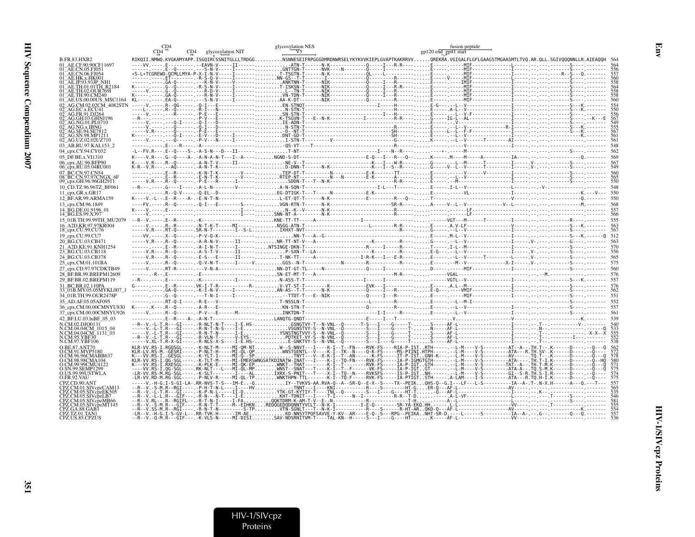|                                                 | CD4 glycosylation NIT | glycosylation NES                                                                                  | fusion peptide<br>gp120 end_gp41 start                                                                                                                                                                                                                                                                                                               |
|-------------------------------------------------|-----------------------|----------------------------------------------------------------------------------------------------|------------------------------------------------------------------------------------------------------------------------------------------------------------------------------------------------------------------------------------------------------------------------------------------------------------------------------------------------------|
| B.FR.83.HXB2                                    |                       |                                                                                                    | RIKQII.NMWQ.KVGKAMYAPP.ISGQIRCSSNITGLLLTRDGGNSNNESEIFRPGGGDMRDNWRSELYKYKVVKIEPLGVAPTKAKRRVVQREKRA.VGIGALFLGFLGAAGSTMGAASMTLTVQ.AR.QLL.SGIVQQQNNLLR.AIEAQQH 56                                                                                                                                                                                        |
| 01 AE.CE.90.90CF11697                           |                       | .II------,ATN-T------N-K-------------Q-----I---R-R----E-----.----MIF-------------L---------------- |                                                                                                                                                                                                                                                                                                                                                      |
| 01 AE.CN.05.FJ051<br>AE.CN.06.FJ054             |                       |                                                                                                    | $\frac{1}{1}$<br>$\frac{1}{1}$<br>$\frac{1}{1}$<br>$\frac{1}{1}$<br>$\frac{1}{1}$<br>$\frac{1}{1}$<br>$\frac{1}{1}$<br>$\frac{1}{1}$<br>$\frac{1}{1}$<br>$\frac{1}{1}$<br>$\frac{1}{1}$<br>$\frac{1}{1}$<br>$\frac{1}{1}$<br>$\frac{1}{1}$<br>$\frac{1}{1}$<br>$\frac{1}{1}$<br>$\frac{1}{1}$<br>$\frac{1}{1}$<br>$\frac{1}{1}$<br>$\frac{1}{1}$<br> |
| )1 AE.HK.x.HK001                                |                       |                                                                                                    |                                                                                                                                                                                                                                                                                                                                                      |
| AE.TH.01.01TH R2184                             |                       |                                                                                                    |                                                                                                                                                                                                                                                                                                                                                      |
| AE.TH.02.OUR769I                                |                       |                                                                                                    |                                                                                                                                                                                                                                                                                                                                                      |
| 01 AE.TH.90.CM240<br>01 AE.US.00.00US MSC1164   |                       |                                                                                                    |                                                                                                                                                                                                                                                                                                                                                      |
|                                                 |                       |                                                                                                    |                                                                                                                                                                                                                                                                                                                                                      |
|                                                 |                       |                                                                                                    |                                                                                                                                                                                                                                                                                                                                                      |
| 02 - AG GH 03 GHNI196                           |                       |                                                                                                    |                                                                                                                                                                                                                                                                                                                                                      |
| 2 AG.NG.01.PL0710                               |                       |                                                                                                    |                                                                                                                                                                                                                                                                                                                                                      |
| AG NG x IRNG<br>AG.SE.94.SE781                  |                       |                                                                                                    |                                                                                                                                                                                                                                                                                                                                                      |
| <sup>-</sup> AG.SN.98.MP1211                    |                       |                                                                                                    |                                                                                                                                                                                                                                                                                                                                                      |
| 02_AG.UZ.02.02UZ710                             |                       |                                                                                                    |                                                                                                                                                                                                                                                                                                                                                      |
| 03 AB.RU.97.KAL153 2                            |                       |                                                                                                    |                                                                                                                                                                                                                                                                                                                                                      |
| 04 cpx.CY.94.CY032                              |                       |                                                                                                    |                                                                                                                                                                                                                                                                                                                                                      |
| 05 DF.BE.x.VI1310<br>06_cpx.AU.96.BFP90         |                       |                                                                                                    |                                                                                                                                                                                                                                                                                                                                                      |
| 06_cpx.RU.05.04RU001                            |                       |                                                                                                    |                                                                                                                                                                                                                                                                                                                                                      |
| 07 BC.CN.97.CN54                                |                       |                                                                                                    |                                                                                                                                                                                                                                                                                                                                                      |
| 08 BC.CN.97.97CNG<br>09 срх.GH.96.96GH29 П      |                       |                                                                                                    |                                                                                                                                                                                                                                                                                                                                                      |
| 10 CD.TZ.96.96TZ BF061                          |                       |                                                                                                    |                                                                                                                                                                                                                                                                                                                                                      |
| 11_cpx.GR.x.GR17                                |                       |                                                                                                    |                                                                                                                                                                                                                                                                                                                                                      |
| 12_BF.AR.99.ARMA159                             |                       |                                                                                                    |                                                                                                                                                                                                                                                                                                                                                      |
| 13 cpx.CM.96.1849                               |                       |                                                                                                    |                                                                                                                                                                                                                                                                                                                                                      |
| 14 BG.DE.01.9196 01                             |                       |                                                                                                    |                                                                                                                                                                                                                                                                                                                                                      |
| 14_BG.ES.99.X397<br>15 01B.TH.99.99TH MU2079    |                       |                                                                                                    |                                                                                                                                                                                                                                                                                                                                                      |
| 16 A2D.KR.97.97KR004                            |                       |                                                                                                    |                                                                                                                                                                                                                                                                                                                                                      |
| 18_cpx.CU.99.CU76                               |                       |                                                                                                    |                                                                                                                                                                                                                                                                                                                                                      |
| 19_cpx.CU.99.CU7                                |                       |                                                                                                    |                                                                                                                                                                                                                                                                                                                                                      |
| 20 BG.CU.03.CB471                               |                       |                                                                                                    |                                                                                                                                                                                                                                                                                                                                                      |
| 21_A2D.KE.91.KNH1254<br>23_BG.CU.03.CB118       |                       |                                                                                                    |                                                                                                                                                                                                                                                                                                                                                      |
| 24 BG.CU.03.CB378                               |                       |                                                                                                    |                                                                                                                                                                                                                                                                                                                                                      |
| 25_cpx.CM.01.101BA                              |                       |                                                                                                    |                                                                                                                                                                                                                                                                                                                                                      |
| 27 cpx.CD.97.97CDKTB49                          |                       |                                                                                                    |                                                                                                                                                                                                                                                                                                                                                      |
| 28 BF.BR.99.BREPM12609                          |                       |                                                                                                    |                                                                                                                                                                                                                                                                                                                                                      |
| 29 BF.BR.02.BREPM119                            |                       |                                                                                                    |                                                                                                                                                                                                                                                                                                                                                      |
| 31 BC.BR.02.110PA                               |                       |                                                                                                    |                                                                                                                                                                                                                                                                                                                                                      |
| 33 01B.MY.05.05MYKL007<br>34 01B.TH.99.OUR2478P |                       |                                                                                                    |                                                                                                                                                                                                                                                                                                                                                      |
| 35 AD.AF.05.05AF095                             |                       |                                                                                                    |                                                                                                                                                                                                                                                                                                                                                      |
| 36 cpx.CM.00.00CMNYU830                         |                       |                                                                                                    |                                                                                                                                                                                                                                                                                                                                                      |
| 37_cpx.CM.00.00CMNYU926                         |                       |                                                                                                    |                                                                                                                                                                                                                                                                                                                                                      |
| 42 BF.LU.03.luBF 05 03                          |                       |                                                                                                    |                                                                                                                                                                                                                                                                                                                                                      |
| N.CM.02.DJO0131                                 |                       |                                                                                                    |                                                                                                                                                                                                                                                                                                                                                      |
| N.CM.04.04CM 1015 04<br>N.CM.04.04CM 1131 03    |                       |                                                                                                    |                                                                                                                                                                                                                                                                                                                                                      |
| N.CM.95.YBF30                                   |                       |                                                                                                    |                                                                                                                                                                                                                                                                                                                                                      |
| N.CM.97.YBF106<br>O BE 87 ANT70                 |                       |                                                                                                    | RS-I.RGOSGL----.-K-NLT-M-----MI-OM-NTW--S-NNVT---I----K-I--T--FN----RVK-FS----RIA-P-ISTRTH-----. --L-M---V-S---------AT--A--.TH.T--.K-------D----. --Q---O                                                                                                                                                                                           |
| O CM.91.MVP5180                                 |                       |                                                                                                    |                                                                                                                                                                                                                                                                                                                                                      |
|                                                 |                       |                                                                                                    | KLR-LV.RS-M.:GESRI----.-P-NLT-H-----MI-QL-OP.::::::::"WNSTGENTL--V----K-I--TK--N---O-K-FS-----MS-PIINI.HTPH----.-L-M---V-S-------ATA---ATA--R.TH.SV-.K------D----.-O---3<br>K---VV.RS-I.-GESGL----.-K-YLI-I-----MI-Q--SP                                                                                                                             |
| CM 98.98CMA104<br>O.CM.99.99CMU4122             |                       |                                                                                                    |                                                                                                                                                                                                                                                                                                                                                      |
| <b>O.SN.99.SEMP1299</b>                         |                       |                                                                                                    |                                                                                                                                                                                                                                                                                                                                                      |
| O.US.99.99USTWLA<br>O.FR.92.VAU                 |                       |                                                                                                    | -LR-VV.RS-M.RG-SGL------K-SLT--------I----ALIXRX-S-PNIT---T----X-I--TQ--N----RVKSFS-----IS-P-IGTNH---------L-M----V-S---------GI--S-R.TH.S-I.R------D-----<br>-LR-VV.RD-M.RG-SGL----.-P-NLV-R-----MI-QL-TPWNKTHPN-TTL-------K-I--TQ-F-----RVK-FS-----IA-PTIGTSTH-----.A-LAM----I-S---------ATA---R.TQ.H-I.K------D---- -                             |
| CPZ CD 90 ANT                                   |                       |                                                                                                    | -G.I-S-GI-LA-.RR-NVS-T-S---IM-E-QIY--TVKVS-AA.RVA-Q--A--SR-Q--E-X--S----TX--PEIKQHS-Q--G.I---LF---L-S----------IA--A-.T-.N-X.H------A---Q.---T---                                                                                                                                                                                                    |
| CPZ.CM.01.SIVcpzCAM13                           |                       |                                                                                                    |                                                                                                                                                                                                                                                                                                                                                      |
| CPZ.CM.05.SIVcbzEK505<br>PZ.CM.05.SIVcpzLB7     |                       |                                                                                                    |                                                                                                                                                                                                                                                                                                                                                      |
| PZ.CM.05.SIVcpzMB66                             |                       |                                                                                                    |                                                                                                                                                                                                                                                                                                                                                      |
| CM 05.SIVcîzMT145                               |                       |                                                                                                    |                                                                                                                                                                                                                                                                                                                                                      |
|                                                 |                       |                                                                                                    |                                                                                                                                                                                                                                                                                                                                                      |
|                                                 |                       |                                                                                                    |                                                                                                                                                                                                                                                                                                                                                      |

Emv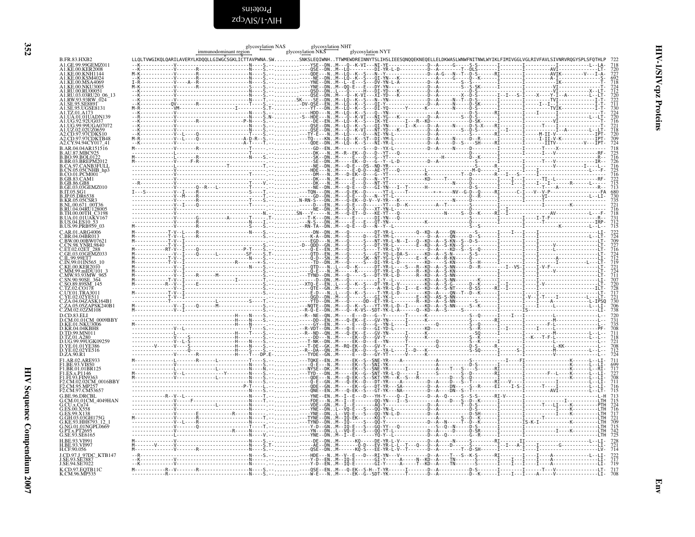<span id="page-51-0"></span>

|                                                                          | immunodominant region | glycosylation NAS | glycosylation NHT<br>glycosylation NKS | glycosylation NYT                                                                                                                                              |                                                                           |
|--------------------------------------------------------------------------|-----------------------|-------------------|----------------------------------------|----------------------------------------------------------------------------------------------------------------------------------------------------------------|---------------------------------------------------------------------------|
| <b>B.FR.83.HXB2</b>                                                      |                       |                   |                                        | LLQLTVWGIKQLQARILAVERYLKDQQLLGIWGČSGKLIČTTAVPWNA.SWSNKSLEQIWNHTTWMEWDREINNYTSLIHSLIEESQNQQEKNEQELLELDKWASLWNWFNITNWLWYIKLFIMIVGGLVGLRIVFAVLSIVNRVRQGYSPLSFQTHL |                                                                           |
| A1.GE.99.99GEMZ011                                                       |                       |                   |                                        |                                                                                                                                                                |                                                                           |
| A1.KE.00.KER2008<br>A1.KE.00.KNH114                                      |                       |                   |                                        |                                                                                                                                                                |                                                                           |
| A1.KE.00.KSM4024<br>A1.KE.00.MSA4069                                     |                       |                   |                                        |                                                                                                                                                                |                                                                           |
| A1.KE.00.NKU3005<br>A1.RU.00.RU00051                                     |                       |                   |                                        |                                                                                                                                                                |                                                                           |
| A1.RU.03.03RU20 06 13                                                    |                       |                   |                                        |                                                                                                                                                                |                                                                           |
| A1.SE.95.SE8891<br>A1.SE.95.UGSE8131                                     |                       |                   |                                        |                                                                                                                                                                |                                                                           |
| A1.TZ.01.A173                                                            |                       |                   |                                        |                                                                                                                                                                |                                                                           |
| A1.UA.01.01UADN139<br>A1.UG.92.92UG037                                   |                       |                   |                                        |                                                                                                                                                                |                                                                           |
| A1.UG.99.99UGA07072<br>A1.UZ.02.02UZ0659                                 |                       |                   |                                        |                                                                                                                                                                |                                                                           |
| A2.CD.97.97CDKS10<br>A2.CD.97.97CDKTB48                                  |                       |                   |                                        |                                                                                                                                                                |                                                                           |
| A2.CY.94.94CY017 41<br>B.AR.04.04AR151516                                |                       |                   |                                        |                                                                                                                                                                |                                                                           |
| <b>B.AU.87.MBC925</b><br>B.BO.99.BOL0122                                 |                       |                   |                                        |                                                                                                                                                                |                                                                           |
| B.BR.03.BREPM2012<br>B.CA.97.CANB3FULL                                   |                       |                   |                                        |                                                                                                                                                                |                                                                           |
| B.CN.05.05CNHB_hp3                                                       |                       |                   |                                        |                                                                                                                                                                |                                                                           |
| <b>B.CO.01.PCM001</b><br><b>B.GB.83.CAM1</b>                             |                       |                   |                                        |                                                                                                                                                                |                                                                           |
| <b>B.GB.86.GB8</b><br>B.GE.03.03GEMZ010                                  |                       |                   |                                        |                                                                                                                                                                |                                                                           |
| B.IT.05.SG1                                                              |                       |                   |                                        |                                                                                                                                                                |                                                                           |
| <b>B.JP.05.DR653</b><br><b>B.KR.05.05CSR</b>                             |                       |                   |                                        |                                                                                                                                                                | 718<br>725<br>716<br>726<br>716<br>725<br>715<br>713<br>735<br>735<br>721 |
| B.NL.00.671_00T36<br>B.RU.04.04RU128005                                  |                       |                   |                                        |                                                                                                                                                                | $\frac{716}{718}$                                                         |
| B.TH.00.00TH_C3198<br><b>B.UA.01.01UAKV167</b><br><b>B.US.04.ES10</b> 53 |                       |                   |                                        |                                                                                                                                                                |                                                                           |
| B.US.99.PRB959_03                                                        |                       |                   |                                        |                                                                                                                                                                | $\frac{731}{712}$<br>712                                                  |
| C.AR.01.ARG4006                                                          |                       |                   |                                        |                                                                                                                                                                |                                                                           |
| C.BR.04.04BR013<br>C.BW.00.00BW07621                                     |                       |                   |                                        |                                                                                                                                                                |                                                                           |
| .CN.98.YNRL9840<br>C.ET.02.02ET                                          |                       |                   |                                        |                                                                                                                                                                |                                                                           |
| C.IL.99.99ET7                                                            |                       |                   |                                        |                                                                                                                                                                |                                                                           |
| C.IN.99.01IN565                                                          |                       |                   |                                        |                                                                                                                                                                | 7224709727164229121272241177028272272306738                               |
| C.KE.00.KER2010<br>C.MM.99.mIDU101<br>C.MW.93.93MW 965                   |                       |                   |                                        |                                                                                                                                                                |                                                                           |
| SN.90.90SE 364                                                           |                       |                   |                                        |                                                                                                                                                                |                                                                           |
| C.TZ.02.CO178                                                            |                       |                   |                                        |                                                                                                                                                                |                                                                           |
| C.UY.01.TRA3011                                                          |                       |                   |                                        |                                                                                                                                                                |                                                                           |
| C.ZA.04.04ZASK164B1<br>C.ZA.05.05ZAPSK240B1                              |                       |                   |                                        |                                                                                                                                                                |                                                                           |
| C.ZM.02.02ZM108<br>D.CD.83.ELI                                           |                       |                   |                                        |                                                                                                                                                                |                                                                           |
| D.CM.01.01CM 0009BBY                                                     |                       |                   |                                        |                                                                                                                                                                |                                                                           |
| <b>D.KE.01.NKU3006</b>                                                   |                       |                   |                                        |                                                                                                                                                                |                                                                           |
| TD.99.MN011.<br>D.TZ.01.A280                                             |                       |                   |                                        |                                                                                                                                                                |                                                                           |
| D.UG.99.99UGK09259<br>D.YE.01.01YE386                                    |                       |                   |                                        |                                                                                                                                                                | 720<br>731<br>735<br>708<br>711<br>718<br>721<br>708<br>712<br>724        |
| D.YE.02.02YE516<br>D.ZA.90.R1                                            |                       |                   |                                        |                                                                                                                                                                |                                                                           |
| F1.AR.02.ARE933                                                          |                       |                   |                                        |                                                                                                                                                                | $711\n\n699\n\n717\n\n727\n\n708\n\n711\n\n716\n\n716\n\n8$               |
| F1.BE.93.VI850<br>F1.BR.01.01BR125                                       |                       |                   |                                        |                                                                                                                                                                |                                                                           |
| F1.ES.x.P1146<br>F1.FI.93.FIN9363                                        |                       |                   |                                        |                                                                                                                                                                |                                                                           |
| F2.CM.02.02CM 0016BBY<br>F2.CM.95.MP257                                  |                       |                   |                                        |                                                                                                                                                                |                                                                           |
| F2.CM.97.CM53657<br>G.BE.96.DRCBL                                        |                       |                   |                                        |                                                                                                                                                                |                                                                           |
|                                                                          |                       |                   |                                        |                                                                                                                                                                |                                                                           |
| G.CM.01.01CM_4049HAN<br>G.CU.x.Cu74<br>G.ES.00.X558                      |                       |                   |                                        |                                                                                                                                                                |                                                                           |
| G.ES.99.X138<br>G.GH.03.03GH175G<br>G.KE.93.HH8793_12_                   |                       |                   |                                        |                                                                                                                                                                |                                                                           |
| G.NG.01.01NGPL0669                                                       |                       |                   |                                        |                                                                                                                                                                |                                                                           |
| G.PT.x.PT2695<br>G.SE.93.SE6165                                          |                       |                   |                                        |                                                                                                                                                                |                                                                           |
|                                                                          |                       |                   |                                        |                                                                                                                                                                |                                                                           |
| <b>H.BE.93.VI997</b><br>H.CF.90.056                                      |                       |                   |                                        |                                                                                                                                                                |                                                                           |
| J.CD.97.J 97DC KTB147<br>J.SE.93.SE7887                                  |                       |                   |                                        |                                                                                                                                                                |                                                                           |
| J.SE.94.SE7022                                                           |                       |                   |                                        |                                                                                                                                                                |                                                                           |
| K.CD.97.EQTB11C<br>K.CM.96.MP535                                         |                       |                   |                                        |                                                                                                                                                                |                                                                           |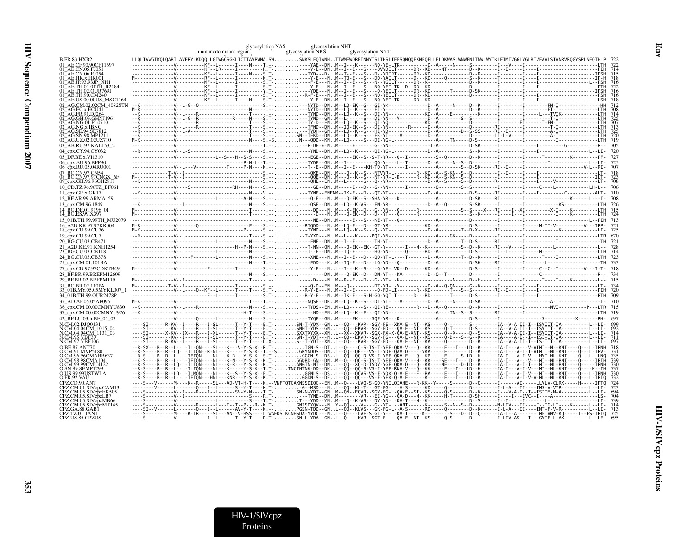|                                                     | immunodominant region                                                                                                                                                                                                                                                         | glycosylation NAS | glycosylation NKS | glycosylation NHT |  | glycosylation NYT |  |  |                                                                                      |  |
|-----------------------------------------------------|-------------------------------------------------------------------------------------------------------------------------------------------------------------------------------------------------------------------------------------------------------------------------------|-------------------|-------------------|-------------------|--|-------------------|--|--|--------------------------------------------------------------------------------------|--|
| <b>B.FR.83.HXB2</b>                                 | LLQLTVWGIKQLQARILAVERYLKDQQLLGIWGCSGKLICTTAVPWNA.SWSNKSLEQIWNHTTWMEWDREINNYTSLIHSLIEESQNQQEKNEQELLELDKWASLWNWFNITNWLWYIKLFIMIVGGLVGLRIVFAVLSIVNRVRQGYSPLSFQTHLP 722                                                                                                           |                   |                   |                   |  |                   |  |  |                                                                                      |  |
| 01 AE.CF.90.90CF11697                               | ---------KF--L------I----R----T.------YAE--DNM--I---K------NO-YE-LTK----------D--A-----N-----S-------                                                                                                                                                                         |                   |                   |                   |  |                   |  |  |                                                                                      |  |
|                                                     |                                                                                                                                                                                                                                                                               |                   |                   |                   |  |                   |  |  |                                                                                      |  |
| 01 AE.CN.06.FJ054<br>01_AE.HK.x.HK001               |                                                                                                                                                                                                                                                                               |                   |                   |                   |  |                   |  |  |                                                                                      |  |
|                                                     |                                                                                                                                                                                                                                                                               |                   |                   |                   |  |                   |  |  |                                                                                      |  |
|                                                     |                                                                                                                                                                                                                                                                               |                   |                   |                   |  |                   |  |  |                                                                                      |  |
| 01 AE.TH.90.CM240                                   |                                                                                                                                                                                                                                                                               |                   |                   |                   |  |                   |  |  |                                                                                      |  |
|                                                     |                                                                                                                                                                                                                                                                               |                   |                   |                   |  |                   |  |  |                                                                                      |  |
|                                                     |                                                                                                                                                                                                                                                                               |                   |                   |                   |  |                   |  |  |                                                                                      |  |
|                                                     |                                                                                                                                                                                                                                                                               |                   |                   |                   |  |                   |  |  |                                                                                      |  |
|                                                     |                                                                                                                                                                                                                                                                               |                   |                   |                   |  |                   |  |  |                                                                                      |  |
|                                                     |                                                                                                                                                                                                                                                                               |                   |                   |                   |  |                   |  |  |                                                                                      |  |
|                                                     |                                                                                                                                                                                                                                                                               |                   |                   |                   |  |                   |  |  |                                                                                      |  |
| 02 <sup>-</sup> AG.UZ.02.02UZ710                    |                                                                                                                                                                                                                                                                               |                   |                   |                   |  |                   |  |  |                                                                                      |  |
| 03 AB.RU.97.KAL153 2                                |                                                                                                                                                                                                                                                                               |                   |                   |                   |  |                   |  |  |                                                                                      |  |
| 04_cpx.CY.94.CY032                                  |                                                                                                                                                                                                                                                                               |                   |                   |                   |  |                   |  |  |                                                                                      |  |
| 05 DF.BE.x.VI1310                                   |                                                                                                                                                                                                                                                                               |                   |                   |                   |  |                   |  |  |                                                                                      |  |
| 06 cpx.AU.96.BFP90                                  |                                                                                                                                                                                                                                                                               |                   |                   |                   |  |                   |  |  |                                                                                      |  |
| 06_cpx.RU.05.04RU001                                |                                                                                                                                                                                                                                                                               |                   |                   |                   |  |                   |  |  |                                                                                      |  |
| 07 BC.CN.97.CN54<br>08 <sup>-</sup> BC.CN.97.97CNG. |                                                                                                                                                                                                                                                                               |                   |                   |                   |  |                   |  |  |                                                                                      |  |
| 09_cpx.GH.96.96GH291                                |                                                                                                                                                                                                                                                                               |                   |                   |                   |  |                   |  |  |                                                                                      |  |
| 10 CD.TZ.96.96TZ BF061                              |                                                                                                                                                                                                                                                                               |                   |                   |                   |  |                   |  |  |                                                                                      |  |
| 11 cpx.GR.x.GR17                                    |                                                                                                                                                                                                                                                                               |                   |                   |                   |  |                   |  |  |                                                                                      |  |
| 12 BF.AR.99.ARMA159                                 |                                                                                                                                                                                                                                                                               |                   |                   |                   |  |                   |  |  |                                                                                      |  |
| 13 cpx.CM.96.1849                                   |                                                                                                                                                                                                                                                                               |                   |                   |                   |  |                   |  |  |                                                                                      |  |
| 14 BG.DE.01.9196 01                                 |                                                                                                                                                                                                                                                                               |                   |                   |                   |  |                   |  |  |                                                                                      |  |
| 14_BG.ES.99.X397<br>15 01B.TH.99.99TH MU2079        |                                                                                                                                                                                                                                                                               |                   |                   |                   |  |                   |  |  |                                                                                      |  |
| 16 A2D.KR.97.97KR004                                |                                                                                                                                                                                                                                                                               |                   |                   |                   |  |                   |  |  |                                                                                      |  |
| 18_cpx.CU.99.CU76                                   |                                                                                                                                                                                                                                                                               |                   |                   |                   |  |                   |  |  |                                                                                      |  |
| 19_cpx.CU.99.CU7                                    |                                                                                                                                                                                                                                                                               |                   |                   |                   |  |                   |  |  |                                                                                      |  |
| 20 BG.CU.03.CB471                                   |                                                                                                                                                                                                                                                                               |                   |                   |                   |  |                   |  |  |                                                                                      |  |
| 21 A2D.KE.91.KNH1254                                |                                                                                                                                                                                                                                                                               |                   |                   |                   |  |                   |  |  |                                                                                      |  |
| 23_BG.CU.03.CB118                                   |                                                                                                                                                                                                                                                                               |                   |                   |                   |  |                   |  |  |                                                                                      |  |
| 24 BG.CU.03.CB378<br>25_cpx.CM.01.101BA             |                                                                                                                                                                                                                                                                               |                   |                   |                   |  |                   |  |  |                                                                                      |  |
| 27 cpx.CD.97.97CDKTB49                              |                                                                                                                                                                                                                                                                               |                   |                   |                   |  |                   |  |  |                                                                                      |  |
| 28 BF.BR.99.BREPM12609                              |                                                                                                                                                                                                                                                                               |                   |                   |                   |  |                   |  |  |                                                                                      |  |
| 29 BF.BR.02.BREPM119                                |                                                                                                                                                                                                                                                                               |                   |                   |                   |  |                   |  |  |                                                                                      |  |
| 31 BC.BR.02.110PA                                   | WORDONG TO A CONTROL CONTROL CONTROL CONTROL CONTROL CONTROL CONTROL CONTROL CONTROL CONTROL CONTROL CONTROL C<br>- CONTROL CONTROL CONTROL CONTROL CONTROL CONTROL CONTROL CONTROL CONTROL CONTROL CONTROL CONTROL CONTROL CONT<br>                                          |                   |                   |                   |  |                   |  |  |                                                                                      |  |
| 33 <sup>–</sup> 01B.MY.05.05MYKL007–1               |                                                                                                                                                                                                                                                                               |                   |                   |                   |  |                   |  |  |                                                                                      |  |
| 34 01B.TH.99.OUR2478P                               |                                                                                                                                                                                                                                                                               |                   |                   |                   |  |                   |  |  |                                                                                      |  |
| 35 AD.AF.05.05AF095                                 |                                                                                                                                                                                                                                                                               |                   |                   |                   |  |                   |  |  |                                                                                      |  |
| 36 cpx.CM.00.00CMNYU830<br>37 cpx.CM.00.00CMNYU926  |                                                                                                                                                                                                                                                                               |                   |                   |                   |  |                   |  |  |                                                                                      |  |
| 42 BF.LU.03.luBF 05 03                              |                                                                                                                                                                                                                                                                               |                   |                   |                   |  |                   |  |  |                                                                                      |  |
| N CM 02 DIO0131                                     | R-KV--I----R---I-SL------T--Y-T----E.T-SN-T-YDX--GNL--QQ---KVR--SGV-FE--XKA-E--NT--KS-----Q--------                                                                                                                                                                           |                   |                   |                   |  |                   |  |  |                                                                                      |  |
| N.CM.04.04CM 1015 04                                |                                                                                                                                                                                                                                                                               |                   |                   |                   |  |                   |  |  |                                                                                      |  |
| N.CM.04.04CM_1131_03<br>CM.95.YBF30                 |                                                                                                                                                                                                                                                                               |                   |                   |                   |  |                   |  |  |                                                                                      |  |
|                                                     |                                                                                                                                                                                                                                                                               |                   |                   |                   |  |                   |  |  |                                                                                      |  |
|                                                     | R--L--L-TL-QN----SL---K---V-Y-S-K--R.T-IGN-S--DTL--Q----Q-S-IS-T-YEE-QKA-V---Q--KK-----E---I---LD--K-------IA-I---A---V-VIMI--N--KNI----Q---L-IPNH                                                                                                                            |                   |                   |                   |  |                   |  |  |                                                                                      |  |
|                                                     | -R--LQ-L-TLIQN--R-NL---K-----Y-S-K--T.--SGRYNDDS--DNL--QQ--QH---VS-I-YDE-QAA-D-----VKA-----E-------D--K------IA-<br>-R--L--L-TFIQN----NL---X-R---Y-5-K--S.T-GGGN-S--DSL--QQ--QQ-D-VS-I-YEE-QKA-E---Q--KR-----E----S-LD--K-------IA-I---A-I-V--A-I-V--MVI-NL-KNI----Q---L-LLNQ |                   |                   |                   |  |                   |  |  |                                                                                      |  |
|                                                     |                                                                                                                                                                                                                                                                               |                   |                   |                   |  |                   |  |  |                                                                                      |  |
| <b>D.CM.99.99CMU4122</b>                            |                                                                                                                                                                                                                                                                               |                   |                   |                   |  |                   |  |  |                                                                                      |  |
| O.SN.99.SEMP1299<br>O.US.99.99USTWLA                | R--R--LO-L-TLMON----NL---K--S--Y-S-K--E.T-GGNLS--DSL--QQ--QQVS-VS-F-YDK-Q-A-E---È--RA-----E---L---L---L---L----A-I---A-I-V---MI--NL-KNI----Q---L-IPNH                                                                                                                         |                   |                   |                   |  |                   |  |  |                                                                                      |  |
| O.FR.92.VAU                                         | -R--L--L-TFIÖN---HNL---KNR---Y-S-K--K.T-GGDN-S--DEL--ÖÖ--ÖÖ--ÖÖ--VS-F-YEK-Ö-A-E-----K------E---E---I--LD--K-----IA-I--A-I-V-V-ML--KNI----Ö---L-IPIO                                                                                                                           |                   |                   |                   |  |                   |  |  |                                                                                      |  |
|                                                     | ----S---V------M----K--R-----SL---AD-VT-H-T----N.--VNFTOTCAKNSSDIOC--ENM--O----LVO-S-GO-YNILOIAHE---R-KK--Y----S-----D--O-----D--O------AI-----LLVLV-CLRK-----H-----IPTO                                                                                                      |                   |                   |                   |  |                   |  |  |                                                                                      |  |
|                                                     |                                                                                                                                                                                                                                                                               |                   |                   |                   |  |                   |  |  |                                                                                      |  |
| 2Z.CM.05.SIVcpzLB7                                  |                                                                                                                                                                                                                                                                               |                   |                   |                   |  |                   |  |  |                                                                                      |  |
| SIVcpzMT145                                         | ---------V--------R-----L--T--T--P---R--K.T-GNISDYQV---NY--QQ---Y---G--YT-E--ANT------K-----S--N--S--D----------M-LĪV---IĪ---                                                                                                                                                 |                   |                   |                   |  |                   |  |  |                                                                                      |  |
|                                                     |                                                                                                                                                                                                                                                                               |                   |                   |                   |  |                   |  |  |                                                                                      |  |
|                                                     |                                                                                                                                                                                                                                                                               |                   |                   |                   |  |                   |  |  |                                                                                      |  |
|                                                     |                                                                                                                                                                                                                                                                               |                   |                   |                   |  |                   |  |  | -KVR--SGT-F----QA-E--NT--KS-----Q-S------D----------I-LIV-AS---I---GVIF-L-AK-------- |  |

HIV-1/SIVcpz<br>Proteins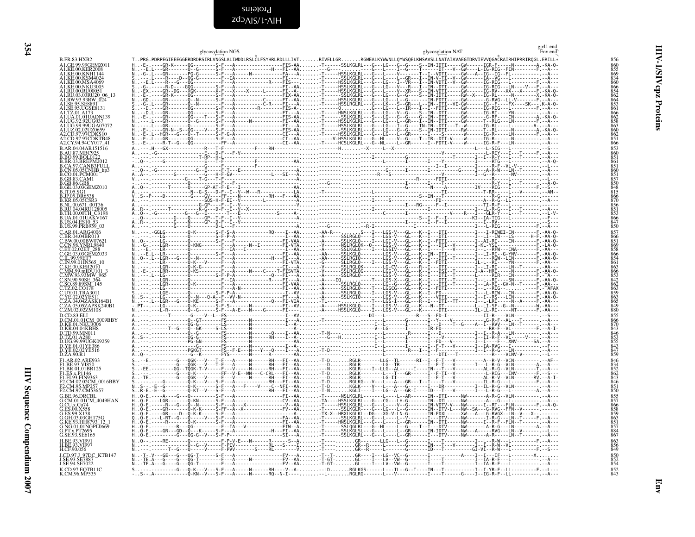<span id="page-53-0"></span>zdɔʌɪs/t-ʌɪH Proteins

| B.AR.37, MBC925<br>B.BO.99, BOLOU2, MBC925<br>B.BR.03, BREPM2<br>B.CA.05, OSCNHBB<br>B.CA.05, OSCNHBB<br>B.CO.01, PCM01<br>B.GB.83, CAM1<br>B.GB.83, CAM1<br>B.GB.83, CAM1<br>B.CB.83, CAM1<br>B.TO.5, OSC1<br>B.RR.05, OSCSR3<br>B.RR.05, OSCSR3<br>B.RR.05, OSCSR3<br> |
|--------------------------------------------------------------------------------------------------------------------------------------------------------------------------------------------------------------------------------------------------------------------------|
|                                                                                                                                                                                                                                                                          |
|                                                                                                                                                                                                                                                                          |
|                                                                                                                                                                                                                                                                          |
|                                                                                                                                                                                                                                                                          |
|                                                                                                                                                                                                                                                                          |
|                                                                                                                                                                                                                                                                          |
|                                                                                                                                                                                                                                                                          |
|                                                                                                                                                                                                                                                                          |
|                                                                                                                                                                                                                                                                          |
|                                                                                                                                                                                                                                                                          |
|                                                                                                                                                                                                                                                                          |
|                                                                                                                                                                                                                                                                          |
|                                                                                                                                                                                                                                                                          |
| Ċ,                                                                                                                                                                                                                                                                       |
| KV<br>53                                                                                                                                                                                                                                                                 |
|                                                                                                                                                                                                                                                                          |
| <b>B.RU.04.04RU128</b><br>B.TH.00.00TH_C:<br>B.UA.01.01UAKV<br>B.US.04.ES10_53<br>B.US.09.PRB959                                                                                                                                                                         |
|                                                                                                                                                                                                                                                                          |
| .AR.01.ARG400                                                                                                                                                                                                                                                            |
|                                                                                                                                                                                                                                                                          |
|                                                                                                                                                                                                                                                                          |
|                                                                                                                                                                                                                                                                          |
|                                                                                                                                                                                                                                                                          |
|                                                                                                                                                                                                                                                                          |
| (                                                                                                                                                                                                                                                                        |
| AK.01.ARG400<br>C.BR.04.04BR013<br>C.BW.00.00BW07<br>C.CN.98.YNRL98<br>C.ET.02.02ET_288<br>C.IL.99.90IIN565<br>C.KE.00.KFR?017<br>Ó                                                                                                                                      |
| (                                                                                                                                                                                                                                                                        |
|                                                                                                                                                                                                                                                                          |
| (                                                                                                                                                                                                                                                                        |
| $\frac{3}{5}$                                                                                                                                                                                                                                                            |
|                                                                                                                                                                                                                                                                          |
|                                                                                                                                                                                                                                                                          |
|                                                                                                                                                                                                                                                                          |
| Ó                                                                                                                                                                                                                                                                        |
| í                                                                                                                                                                                                                                                                        |
|                                                                                                                                                                                                                                                                          |
|                                                                                                                                                                                                                                                                          |
| 2. IN 99.01 IN565<br>2. KE.00.KER20 IT<br>2. MW. 99.mIDU10<br>2. SN 90.90SE 36<br>2. SN 90.90SE 36<br>2. SN 90.90SE 36<br>2. SN 90.00SE 36<br>2. VY.01.TRA301<br>2. YE.02.02YE511<br>2. ZA 05.05ZAPSI<br>2. ZA 05.05ZAPSI<br>2. ZA 05.05ZAPSI<br>I<br>D.83.EL<br>J       |
| э.<br>3. CM.01.01 CM_0<br>0.KE.01.NKU300<br>0.KR.04.04KBH8<br>0.TD.99.MN011<br>0.TZ.01.A280<br>I                                                                                                                                                                         |
|                                                                                                                                                                                                                                                                          |
| I                                                                                                                                                                                                                                                                        |
| ı<br>$\vec{p}$                                                                                                                                                                                                                                                           |
|                                                                                                                                                                                                                                                                          |
| 5.TZ<br>D.UG                                                                                                                                                                                                                                                             |
|                                                                                                                                                                                                                                                                          |
|                                                                                                                                                                                                                                                                          |
|                                                                                                                                                                                                                                                                          |
| D.UG.99.99UGK0<br>D.UG.99.99UGK0<br>D.YE.01.01YE386<br>D.YE.02.02YE516<br>D.ZA.90.R1                                                                                                                                                                                     |
| <b>D.ZA.90.K1</b><br>F1.AR.02.ARE933<br>F1.BE.93.VI850<br>F1.BE.93.VI850<br>F1.ES.x.P1146<br>F2.CM.02.02CM<br>F2.CM.95.MP257<br>F2.CM.95.MP257<br>F2.CM.97.CM5368<br>F2.CM.97.CM536                                                                                      |
|                                                                                                                                                                                                                                                                          |
|                                                                                                                                                                                                                                                                          |
|                                                                                                                                                                                                                                                                          |
|                                                                                                                                                                                                                                                                          |
|                                                                                                                                                                                                                                                                          |
|                                                                                                                                                                                                                                                                          |
|                                                                                                                                                                                                                                                                          |
|                                                                                                                                                                                                                                                                          |
|                                                                                                                                                                                                                                                                          |
|                                                                                                                                                                                                                                                                          |
|                                                                                                                                                                                                                                                                          |
|                                                                                                                                                                                                                                                                          |
|                                                                                                                                                                                                                                                                          |
|                                                                                                                                                                                                                                                                          |
|                                                                                                                                                                                                                                                                          |
|                                                                                                                                                                                                                                                                          |
|                                                                                                                                                                                                                                                                          |
|                                                                                                                                                                                                                                                                          |
|                                                                                                                                                                                                                                                                          |
| r 2.C.W.397.C.W.356<br>G.C.W.301.01CM_4<br>G.C.U.x.Cu74<br>G.ES.99.X138<br>G.ES.99.X138<br>G.GH.03.03GH17<br>G.NE.93.HH8793<br>G.NE.4712695<br>G.NE.x.PT2695<br>G.NE.x.PT2695<br>G.RE.93.SE6165<br>G.RE.93.HH8793                                                        |
|                                                                                                                                                                                                                                                                          |
| H.BE.93.VI991<br>H.BE.93.VI997<br>H.BE.93.VI997                                                                                                                                                                                                                          |
| H.CF.90.056                                                                                                                                                                                                                                                              |
| J                                                                                                                                                                                                                                                                        |
|                                                                                                                                                                                                                                                                          |
| J.CD.97.J_97DC<br>J.SE.93.SE7887<br>J.SE.94.SE7022                                                                                                                                                                                                                       |
| 1                                                                                                                                                                                                                                                                        |
| K.C                                                                                                                                                                                                                                                                      |
| K.CD.97.EQTB1<br>K.CM.96.MP535                                                                                                                                                                                                                                           |
|                                                                                                                                                                                                                                                                          |
|                                                                                                                                                                                                                                                                          |
|                                                                                                                                                                                                                                                                          |

| <b>B.FR.83.HXB2</b>                                                                                                                                      | glycosylation NGS<br>TPRG.PDRPEGIEEEGGERDRDRSIRLVNGSLALIWDDLRSLČLFSYHRLRDLLLIVTRIVELLGRRGWEALKYWWNLLQYWSQELKNSAVSLLNATAIAVAEGTDRVIEVVQGAČRAIRHIPRRIRQGL.ERILL* | glycosylation NAT | Env end | 856                                                                              |
|----------------------------------------------------------------------------------------------------------------------------------------------------------|----------------------------------------------------------------------------------------------------------------------------------------------------------------|-------------------|---------|----------------------------------------------------------------------------------|
| A1.GE.99.99GEMZ011<br>A1.KE.00.KER2008                                                                                                                   |                                                                                                                                                                |                   |         | 860                                                                              |
| A1.KE.00.KNH1144<br>A1.KE.00.KSM4024                                                                                                                     |                                                                                                                                                                |                   |         |                                                                                  |
| A1.KE.00.MSA4069<br>A1.KE.00.NKU3005<br>A1.RU.00.RU00051                                                                                                 |                                                                                                                                                                |                   |         |                                                                                  |
| A1.RU.03.03RU20_06_13                                                                                                                                    |                                                                                                                                                                |                   |         |                                                                                  |
| 41.RW.93.93RW 024<br>A1.SE.95.SE8891<br>A1. <u>SE.95.UGS</u> E8131                                                                                       |                                                                                                                                                                |                   |         |                                                                                  |
|                                                                                                                                                          |                                                                                                                                                                |                   |         |                                                                                  |
| A1.TZ.01.A173<br>A1.UA.01.01UADN139<br>A1.UG.92.92UG037<br>A1.UG.99.99UGA07072                                                                           |                                                                                                                                                                |                   |         |                                                                                  |
| A1.UZ.02.02UZ0659                                                                                                                                        |                                                                                                                                                                |                   |         |                                                                                  |
| A2.CD.97.97CDKS10<br>A2.CD.97.97CDKTB48<br>A2.CY.94.94CY017_41                                                                                           |                                                                                                                                                                |                   |         | 855<br>869<br>866 866 866 866<br>866 862<br>866 862<br>863 863<br>863 863<br>863 |
| B.AR.04.04AR151516                                                                                                                                       |                                                                                                                                                                |                   |         |                                                                                  |
| <b>B.AU.87.MBC925<br/>B.BO.99.BOL0122</b>                                                                                                                |                                                                                                                                                                |                   |         |                                                                                  |
|                                                                                                                                                          |                                                                                                                                                                |                   |         |                                                                                  |
|                                                                                                                                                          |                                                                                                                                                                |                   |         |                                                                                  |
| B.BO.99.BOL0122<br>B.BR.03.BREPM2012<br>B.CA.97.CANB3FULL<br>B.CN.05.05CNHB_hp3<br>B.GB.83.CAM1<br>B.GB.86.GB8<br>B.GB.86.GB8<br>B.GE.03.03GEMZ010       |                                                                                                                                                                |                   |         |                                                                                  |
| <b>B.IT.05.SG1</b><br><b>B.JP.05.DR6538</b>                                                                                                              |                                                                                                                                                                |                   |         |                                                                                  |
| B.KR.05.05CSR3                                                                                                                                           |                                                                                                                                                                |                   |         |                                                                                  |
|                                                                                                                                                          |                                                                                                                                                                |                   |         |                                                                                  |
| B.KR.09.05CSK3<br>B.RU.00.671_00T36<br>B.RU.04.04RU128005<br>B.TH.00.00TH_C3198<br>B.US.04.ES10_53<br>B.US.04.ES10_53<br>B.US.04.ES10_53                 |                                                                                                                                                                |                   |         |                                                                                  |
| <b>E.O.3.997-KB959-05<br/>C.BR.04.04BR013<br/>C.BR.04.04BR013<br/>C.EW.00.00BW07621<br/>C.CN.98.YNRL9840<br/>C.GE.02.02ET_288<br/>C.GE.03.03GEMZ033</b>  |                                                                                                                                                                |                   |         | 857                                                                              |
|                                                                                                                                                          |                                                                                                                                                                |                   |         | 866<br>851<br>869<br>858<br>866<br>854                                           |
|                                                                                                                                                          |                                                                                                                                                                |                   |         |                                                                                  |
| C.IL.99.99ET7                                                                                                                                            |                                                                                                                                                                |                   |         |                                                                                  |
| C.IL.99.99E17<br>C.IN.99.01IN565_10<br>C.KE.00.KER2010<br>C.MM.99.mIDU101_3<br>C.SN.90.908E_364<br>C.SN.90.908E_364<br>C.SO.89.89SM_145<br>C.TZ.02.CO178 |                                                                                                                                                                |                   |         |                                                                                  |
|                                                                                                                                                          |                                                                                                                                                                |                   |         |                                                                                  |
|                                                                                                                                                          |                                                                                                                                                                |                   |         |                                                                                  |
| C.12.02.CO176<br>C.UY.01.TRA3011<br>C.YE.02.02YE511<br>C.ZA.04.04ZASK164B1<br>C.ZA.05.05ZAPSK240B1<br>C.ZM.02.02ZM108                                    |                                                                                                                                                                |                   |         |                                                                                  |
|                                                                                                                                                          |                                                                                                                                                                |                   |         | 861<br>863<br>866<br>853<br>842<br>863<br>863<br>863<br>863<br>865<br>868        |
| D.CD.83.ELI<br>D.CM.01.01CM 0009BBY                                                                                                                      |                                                                                                                                                                |                   |         |                                                                                  |
| D.KE.01.NKU3006                                                                                                                                          |                                                                                                                                                                |                   |         | 855<br>866<br>870<br>843<br>846<br>853<br>855                                    |
| D.KR.04.04KBH8<br>D.KR.04.04KBH8<br>D.TD.99.MN011<br>D.UG.99.99UGK09259                                                                                  |                                                                                                                                                                |                   |         |                                                                                  |
| D.YE.01.01YE386                                                                                                                                          |                                                                                                                                                                |                   |         |                                                                                  |
| D.YE.02.02YE516<br>D.ZA.90.R1                                                                                                                            |                                                                                                                                                                |                   |         | 843<br>843<br>859                                                                |
| F1.AR.02.ARE933<br>F1.BE.93.VI850                                                                                                                        |                                                                                                                                                                |                   |         | 846<br>834<br>852<br>862<br>843<br>846<br>851<br>850                             |
| F1.BR.01.01BR125<br>F1.ES.x.P1146<br>F1.FI.93.FIN9363                                                                                                    |                                                                                                                                                                |                   |         |                                                                                  |
| F2.CM.02.02CM_0016BBY<br>F2.CM.95.MP257                                                                                                                  |                                                                                                                                                                |                   |         |                                                                                  |
| F2.CM.97.CM53657                                                                                                                                         |                                                                                                                                                                |                   |         |                                                                                  |
| G.BE.96.DRCBL<br>G.CM.01.01CM_4049HAN<br>G.CU.x.Cu74                                                                                                     |                                                                                                                                                                |                   |         | 855<br>857<br>866<br>858<br>858                                                  |
| G.ES.00.X558<br><b>J.ES.99.X13</b>                                                                                                                       |                                                                                                                                                                |                   |         |                                                                                  |
| G.E.3.99.21.18<br>G.GH.03.03GH175G<br>G.KE.93.HH8793_12_1<br>G.PT.x.PT2695<br>G.SE.93.SE6165                                                             |                                                                                                                                                                |                   |         |                                                                                  |
|                                                                                                                                                          |                                                                                                                                                                |                   |         | 863<br>863<br>851<br>857<br>884                                                  |
| H.BE.93.VI991                                                                                                                                            |                                                                                                                                                                |                   |         |                                                                                  |
| <b>H.BE.93.VI997</b><br>H.CF.90.056                                                                                                                      |                                                                                                                                                                |                   |         | 863<br>856<br>849                                                                |
| J.CD.97.J_97DC_KTB147                                                                                                                                    |                                                                                                                                                                |                   |         | $\frac{850}{852}$<br>852                                                         |
| J.SE.93.SE7887<br>J.SE.94.SE7022                                                                                                                         |                                                                                                                                                                |                   |         |                                                                                  |
| K.CD.97.EQTB11C<br>K.CM.96.MP535                                                                                                                         |                                                                                                                                                                |                   |         | 852<br>843                                                                       |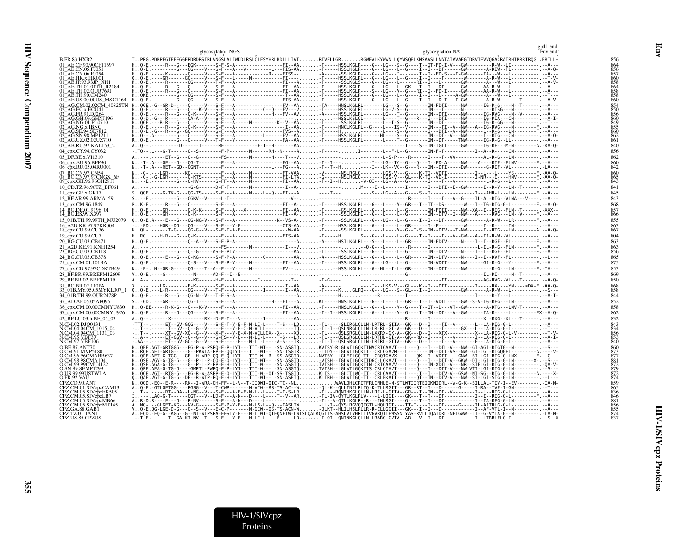|                                                              | glycosylation NAT<br>glycosylation NGS                                                                                                                                                                                                                                                                                                                                                                         |            |
|--------------------------------------------------------------|----------------------------------------------------------------------------------------------------------------------------------------------------------------------------------------------------------------------------------------------------------------------------------------------------------------------------------------------------------------------------------------------------------------|------------|
| <b>B.FR.83.HXB2</b>                                          | TPRG.PDRPEGIEEEGGERDRDRSIRLVNGSLALIWDDLRSLCLFSYHRLRDLLLIVTRIVELLGRRGWEALKYWWNLLQYWSQELKNSAVSLLNATAIAVAEGTDRVIEVVQGACRAIRHIPRRIRQGL.ERILL*                                                                                                                                                                                                                                                                      |            |
| 01 AE.CF.90.90CF11697                                        | HO-E.-----R---G---EGK-------S-F-S-A----------------FI--AAT-----HSSLKGLR----G---LG---S--G---T--IT-FD-I-V---GW--------R-W--LI------------A---                                                                                                                                                                                                                                                                    |            |
| 01 AE.CN.05.FJ051                                            |                                                                                                                                                                                                                                                                                                                                                                                                                |            |
| 01_AE.CN.06.FJ054<br>01_AE.HK.x.HK001                        |                                                                                                                                                                                                                                                                                                                                                                                                                |            |
| 01 <sup>-</sup> AE.JP.93.93JP NH1<br>01 AE TH 01 01 TH R2184 |                                                                                                                                                                                                                                                                                                                                                                                                                |            |
| 01 AE.TH.02.OUR769I                                          |                                                                                                                                                                                                                                                                                                                                                                                                                |            |
| 01 AE.TH.90.CM240<br>01 AE.US.00.00US MSC1164                |                                                                                                                                                                                                                                                                                                                                                                                                                |            |
| 02 AG.CM.02.02CM 4082STN                                     |                                                                                                                                                                                                                                                                                                                                                                                                                |            |
| )2 AG.EC.x.ECU41<br>02 AG.FR.91.DJ264                        | $\begin{array}{l} \mbox{\bf H. .06E.-6--6--6--6--0---}\\ \mbox{\bf H. .06E.-6--6--6--0---}\\ \mbox{\bf H. .06E,-1---}\\ \mbox{\bf H. .06E,-1---}\\ \mbox{\bf H. .06E,-1---}\\ \mbox{\bf H. .06E,-1---}\\ \mbox{\bf H. .06E,-1---}\\ \mbox{\bf H. .06E,-1---}\\ \mbox{\bf H. .06E,-1---}\\ \mbox{\bf H. .06E,-1---}\\ \mbox{\bf H. .06E,-1---}\\ \mbox{\bf H. .06E,-1---}\\ \mbox{\bf H. .06E,-1---}\\ \mbox{\$ |            |
| 02 AG.GH.03.GHNJ196<br>02 AG.NG.01.PL0710                    |                                                                                                                                                                                                                                                                                                                                                                                                                |            |
| AG.NG.x.IBNG                                                 |                                                                                                                                                                                                                                                                                                                                                                                                                |            |
| _AG.SE.94.SE7812<br>02 AG.SN.98.MP1211                       |                                                                                                                                                                                                                                                                                                                                                                                                                |            |
| 02 AG.UZ.02.02UZ710                                          |                                                                                                                                                                                                                                                                                                                                                                                                                |            |
| 03 AB.RU.97.KAL153 2                                         |                                                                                                                                                                                                                                                                                                                                                                                                                |            |
| 04_cpx.CY.94.CY032                                           |                                                                                                                                                                                                                                                                                                                                                                                                                | 856        |
| 05 DF.BE.x.VI1310<br>06_cpx.AU.96.BFP90                      |                                                                                                                                                                                                                                                                                                                                                                                                                | 862        |
| 06_cpx.RU.05.04RU001                                         |                                                                                                                                                                                                                                                                                                                                                                                                                |            |
| 07 BC.CN.97.CN54                                             |                                                                                                                                                                                                                                                                                                                                                                                                                |            |
| 08 BC.CN.97.97CNGX 6F<br>09 cpx.GH.96.96GH2911               |                                                                                                                                                                                                                                                                                                                                                                                                                |            |
| 10 CD.TZ.96.96TZ BF061                                       |                                                                                                                                                                                                                                                                                                                                                                                                                | 841        |
| 11 cpx.GR.x.GR17                                             |                                                                                                                                                                                                                                                                                                                                                                                                                | 845        |
| 12_BF.AR.99.ARMA159                                          | PK-E.-----R---G---O---------S-F---A-----------------FI--A--T----HSSLKGLRL---G---L----V--GR---I--IT--DS--------V---I--TG-RIG-G-L----------F.--A-O-                                                                                                                                                                                                                                                              | 843        |
| 13 cpx.CM.96.1849<br>14 BG.DE.01.9196 01                     |                                                                                                                                                                                                                                                                                                                                                                                                                |            |
| 14 BG.ES.99.X397                                             |                                                                                                                                                                                                                                                                                                                                                                                                                |            |
| 15 01B.TH.99.99TH MU2079                                     | 00-E.A----E---G---QG-NG-V---S-F---A--------------K--VS-A--T------SSLKGLRL---G---LG---L--G----I--I---DT------GW-------A-R-W---LR---------F.--A---                                                                                                                                                                                                                                                               | 855        |
| 16 A2D.KR.97.97KR004<br>18_cpx.CU.99.CU76                    | NQL-.------T-G----QG-G--V---S-F-T-A-E-------------------W-AA-T-------SSLKGLRL-------L---V--G--I-S--IN--DTV---T-NW------I--RTG---LN-----------A.--A-Q-                                                                                                                                                                                                                                                          | 867        |
| 19 cpx.CU.99.CU7                                             | H. .RG. .---H-R---G---O-K---------F---A----------------FIS-AAT-----HS---G---L--G----T--I--G---T--I---V--GW---A--II-R-W--VL------------------------                                                                                                                                                                                                                                                             | 804        |
| 20 BG.CU.03.CB471                                            |                                                                                                                                                                                                                                                                                                                                                                                                                | 863        |
| 21 A2D.KE.91.KNH1254<br>23 BG.CU.03.CB118                    | H. Q-E.---------G---Q--G-----AS-F-PIV-------------------------AA-TL-----SSLKGLRL---G----L--G------F-G--------RN---IT-T--RGF--FL------------F.--A---                                                                                                                                                                                                                                                            |            |
| 24 BG.CU.03.CB378                                            | RQ-E.-----E---G---Q-KG------S-F-P-A----------C---------AA-A-----HSSLKGLRL---G---L---L--GR-----IN--DTV-----N----I--I--RVF--FL---------------L---                                                                                                                                                                                                                                                                |            |
| 25 cpx.CM.01.101BA                                           | HQ-E.------------Q-S---V---S-F-P-V-----N----------FI--AA-T-----HSSLKGLRL---G---L-G---L-G--------TN-VDTI-----NW------GI-R-G---Y----------F.--A---                                                                                                                                                                                                                                                               | 875        |
| 27_cpx.CD.97.97CDKTB49                                       | NE-.LN--GR-G-----QG----T--A--F---V-----N-----------FV----HSSLKGLKL---G--HL--I-L--GR------IN--DTI-----NW-----------R-G---LN---------F.-IA---                                                                                                                                                                                                                                                                    | 853        |
| 28 BF.BR.99.BREPM12609                                       |                                                                                                                                                                                                                                                                                                                                                                                                                | 869        |
| 29 BF.BR.02.BREPM119<br>31 BC.BR.02.110PA                    |                                                                                                                                                                                                                                                                                                                                                                                                                | 850        |
| 33 01B.MY.05.05MYKL007 1                                     |                                                                                                                                                                                                                                                                                                                                                                                                                |            |
| 34 01B.TH.99.OUR2478P                                        |                                                                                                                                                                                                                                                                                                                                                                                                                | 844        |
| 35 AD.AF.05.05AF095                                          | S-GD.L---GR-------QG-T------S-F---A--------------H---FI---AKT-----HNSLKGLRL---G---L---GR---T--T--VDTL-----GW--S-V-IG-RFG---LN--------------------A---                                                                                                                                                                                                                                                          | 852        |
| 36 cpx.CM.00.00CMNYU830<br>37 cpx.CM.00.00CMNYU926           | H. .Q-EE-----R-K-G---Q---K-V-----F---A-----------------FI--AA-T-----HNSLKGLRL---G---L----V--G----T--IT--D---VT--GW--------A-RTG---LNV-T------ .--A---<br>HQ-E.-----R---G---QG----V---S-F---A---------------FI--AAT--I--HSSLKGLRL---G---L----V--G----I--IN--DT---V--GW------IA-R-----L-----------FX--A-Q-                                                                                                       | 858<br>862 |
| 42 BF.LU.03.luBF 05 03                                       |                                                                                                                                                                                                                                                                                                                                                                                                                |            |
| N.CM.02.DJO0131                                              |                                                                                                                                                                                                                                                                                                                                                                                                                |            |
| N.CM.04.04CM_1015_04<br>N.CM.04.04CM_1131_03                 |                                                                                                                                                                                                                                                                                                                                                                                                                |            |
| N.CM.95.YBF30                                                |                                                                                                                                                                                                                                                                                                                                                                                                                |            |
| N.CM.97.YBF106<br>O.BE.87.ANT70                              | HQEE.AGT-GRTGGG---EG-P-W-PSPQ-F-P-LYT---TII-WT--L-SN-ASGIQKVISY-RLGLWILGQKIINVCRICAAVT---L---Q---T--DTL-V---NW--GI-AGI-RIGTG--N----------S---                                                                                                                                                                                                                                                                  |            |
| O.CM.91.MVP5180                                              | H::RdE:REF-GRIS"----G--PKWTA-PP-F-GOLYT---II-WT--L-SN-TSGIR::::NISN--LGLWILGQRII"-CRLCGAVA---L------------<br>H::QE:AET-GRIG---GE--H-WRP-00-F-0-LYT---TII-W--RL-SS-ASGIR:.::NVTSY--LGLELLGO-TI--CROTGAVX---L-------------<br>                                                                                                                                                                                  |            |
| O.CM.96.96CMABB637<br>O.CM.98.98CMA104                       |                                                                                                                                                                                                                                                                                                                                                                                                                |            |
| O.CM.99.99CMU4122                                            | H. QSE.AGA-G-TG-----G--P-L-P-PP-F-H-LYT---TII-W---L-SN-ASGIQTVISH--LGLWILGOKIIN-CRICAAVV---L----Q---TH-XDTL-V---NR--SIFLGI-RIG-G-LN---------- -QA-V-<br>H. QPE-AEA-G-IG-G----GMPTL-PWPQ-F-P-LYI---III-W---L-SN-ASGIQ                                                                                                                                                                                           |            |
| O.SN.99.SEMP1299<br>O.US.99.99USTWLA                         |                                                                                                                                                                                                                                                                                                                                                                                                                |            |
| O.FR.92.VAU                                                  | HQOE.VGT--RTG-G---EG-R-W-ASPP-F-Q-LYT---TII-W--QI-SS-TSGIQKLIS:--LGLCTLWQ-IT--CRLCAAVT---L----I--T--T---DTV-V--GSW--NI-SG--RTG-G-LN--------A.----X-<br>QQAE.VGT-G-TG-G--DE--R-WTP-PQ-F-H-LYT---TII-WI--L-SN-ASEIQ                                                                                                                                                                                              |            |
| CPZ.CD.90.ANT<br>PZ.CM.01.SIVcpzCAM13                        |                                                                                                                                                                                                                                                                                                                                                                                                                |            |
| CPZ.CM.05.SIVcpzEK505                                        |                                                                                                                                                                                                                                                                                                                                                                                                                |            |
| CPZ.CM.05.SIVcpzLB7<br>PZ.CM.05.SIVcpzMB66                   |                                                                                                                                                                                                                                                                                                                                                                                                                |            |
| PZ.CM.05.SIVcpzMT145<br>PZ.GA.88.GAB1                        |                                                                                                                                                                                                                                                                                                                                                                                                                |            |
| CPZ.TZ.01.TAN1                                               |                                                                                                                                                                                                                                                                                                                                                                                                                |            |
| CPZ.US.85.CPZUS                                              |                                                                                                                                                                                                                                                                                                                                                                                                                |            |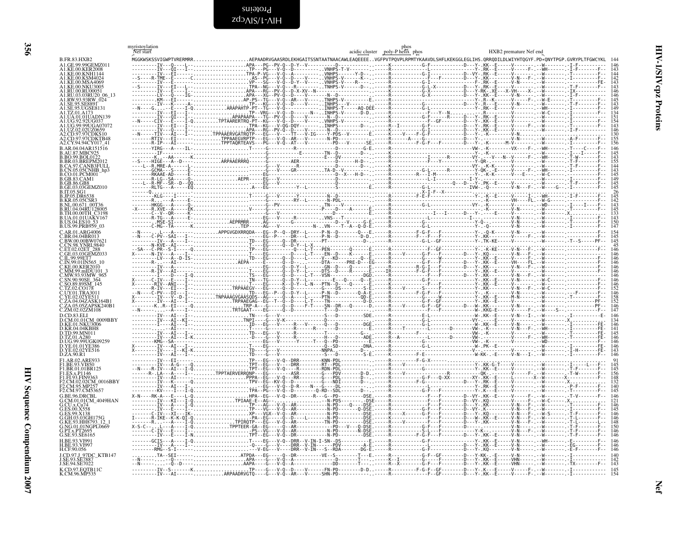<span id="page-55-1"></span>Proteins<br>HIV-1\SIVcpz

<span id="page-55-0"></span>

|                                            | myristoylation<br>Nef start |                        |  |                                                                                                                                                                                                 | acidic cluster poly-Phelix phos |  | HXB2 premature Nef end |  |
|--------------------------------------------|-----------------------------|------------------------|--|-------------------------------------------------------------------------------------------------------------------------------------------------------------------------------------------------|---------------------------------|--|------------------------|--|
| <b>B.FR.83.HXB2</b>                        |                             | MGGKWSKSSVIGWPTVRERMRR |  | .<br>SKWSKSSVIGWPTVRERMRRAEPAADRVGAASRDLEKHGAITSSNTAATNAACAWLEAQEEEEVGFPVTPQVPLRPMTYKAAVDLSHFLKEKGGLEGLIHS.QRRQDILDLWIYHTQGYF.PD∗QNYTPGP.GVRYPLTFGWCYKL<br>··-----IV---Q----L--APA---PG--PV-Q-- |                                 |  |                        |  |
| A1 GE 99 99GEMZ01                          |                             |                        |  |                                                                                                                                                                                                 |                                 |  |                        |  |
| .1.KE.00.KSM402                            |                             |                        |  |                                                                                                                                                                                                 |                                 |  |                        |  |
| A1.KE.00.MSA4069<br>A1.KE.00.NKU3005       |                             |                        |  |                                                                                                                                                                                                 |                                 |  |                        |  |
| A1.RU.00.RU00051                           |                             |                        |  |                                                                                                                                                                                                 |                                 |  |                        |  |
| A1.RU.03.03RU20 06 13<br>A1.RW.93.93RW 024 |                             |                        |  |                                                                                                                                                                                                 |                                 |  |                        |  |
| SE.95.UGSE8131                             |                             |                        |  |                                                                                                                                                                                                 |                                 |  |                        |  |
| TZ 01 A 17                                 |                             |                        |  |                                                                                                                                                                                                 |                                 |  |                        |  |
|                                            |                             |                        |  |                                                                                                                                                                                                 |                                 |  |                        |  |
|                                            |                             |                        |  |                                                                                                                                                                                                 |                                 |  |                        |  |
|                                            |                             |                        |  |                                                                                                                                                                                                 |                                 |  |                        |  |
| A2.CY.94.94CY017_41                        |                             |                        |  |                                                                                                                                                                                                 |                                 |  |                        |  |
|                                            |                             |                        |  |                                                                                                                                                                                                 |                                 |  |                        |  |
|                                            |                             |                        |  |                                                                                                                                                                                                 |                                 |  |                        |  |
|                                            |                             |                        |  |                                                                                                                                                                                                 |                                 |  |                        |  |
|                                            |                             |                        |  |                                                                                                                                                                                                 |                                 |  |                        |  |
|                                            |                             |                        |  |                                                                                                                                                                                                 |                                 |  |                        |  |
|                                            |                             |                        |  |                                                                                                                                                                                                 |                                 |  |                        |  |
|                                            |                             |                        |  |                                                                                                                                                                                                 |                                 |  |                        |  |
|                                            |                             |                        |  |                                                                                                                                                                                                 |                                 |  |                        |  |
| H.00.00TH C3198                            |                             |                        |  |                                                                                                                                                                                                 |                                 |  |                        |  |
|                                            |                             |                        |  |                                                                                                                                                                                                 |                                 |  |                        |  |
| C AR 01 ARG4006                            |                             |                        |  |                                                                                                                                                                                                 |                                 |  |                        |  |
| BW.00.00BW076                              |                             |                        |  |                                                                                                                                                                                                 |                                 |  |                        |  |
|                                            |                             |                        |  |                                                                                                                                                                                                 |                                 |  |                        |  |
|                                            |                             |                        |  |                                                                                                                                                                                                 |                                 |  |                        |  |
|                                            |                             |                        |  |                                                                                                                                                                                                 |                                 |  |                        |  |
|                                            |                             |                        |  |                                                                                                                                                                                                 |                                 |  |                        |  |
|                                            |                             |                        |  |                                                                                                                                                                                                 |                                 |  |                        |  |
|                                            |                             |                        |  |                                                                                                                                                                                                 |                                 |  |                        |  |
|                                            |                             |                        |  |                                                                                                                                                                                                 |                                 |  |                        |  |
|                                            |                             |                        |  |                                                                                                                                                                                                 |                                 |  |                        |  |
|                                            |                             |                        |  |                                                                                                                                                                                                 |                                 |  |                        |  |
|                                            |                             |                        |  |                                                                                                                                                                                                 |                                 |  |                        |  |
|                                            |                             |                        |  |                                                                                                                                                                                                 |                                 |  |                        |  |
|                                            |                             |                        |  |                                                                                                                                                                                                 |                                 |  |                        |  |
|                                            |                             |                        |  |                                                                                                                                                                                                 |                                 |  |                        |  |
| D.UG.99.99UGK09259<br>YE 01 01YE386        |                             |                        |  |                                                                                                                                                                                                 |                                 |  |                        |  |
| YE 02.02YE516<br>D.ZA.90.R1                |                             |                        |  |                                                                                                                                                                                                 |                                 |  |                        |  |
| F1.AR.02.ARE933<br><b>BE 93 VI850</b>      |                             |                        |  |                                                                                                                                                                                                 |                                 |  |                        |  |
| F1.BR.01.01BR125                           |                             |                        |  |                                                                                                                                                                                                 |                                 |  |                        |  |
| F1.ES.x.P1146<br>F1.FI.93.FIN9363          |                             |                        |  |                                                                                                                                                                                                 |                                 |  |                        |  |
| F2.CM.02.02CM 0016BBY                      |                             |                        |  |                                                                                                                                                                                                 |                                 |  |                        |  |
| F2.CM.97.CM53657                           |                             |                        |  |                                                                                                                                                                                                 |                                 |  |                        |  |
| G.BE.96.DRCBL<br>.CM.01.01CM 4049HAN       |                             |                        |  |                                                                                                                                                                                                 |                                 |  |                        |  |
| .CU.x.Cu74                                 |                             |                        |  |                                                                                                                                                                                                 |                                 |  |                        |  |
|                                            |                             |                        |  |                                                                                                                                                                                                 |                                 |  |                        |  |
|                                            |                             |                        |  |                                                                                                                                                                                                 |                                 |  |                        |  |
| .NG.01.01NGPL0669<br>Fx PT2695             |                             |                        |  |                                                                                                                                                                                                 |                                 |  |                        |  |
| SE 93.SE6165                               |                             |                        |  |                                                                                                                                                                                                 |                                 |  |                        |  |
|                                            |                             |                        |  |                                                                                                                                                                                                 |                                 |  |                        |  |
| H.CF.90.056<br>LCD 97 L 97DC, KTR147       |                             |                        |  |                                                                                                                                                                                                 |                                 |  |                        |  |
| J.SE.94.SE7022                             |                             |                        |  |                                                                                                                                                                                                 |                                 |  |                        |  |
| K.CD.97.EQTB11C<br>K.CM.96.MP535           |                             |                        |  | TP----G---V-Q--D----V------FN-PD--------D-D----R---------F-G-F--GF-------D--                                                                                                                    |                                 |  |                        |  |
|                                            |                             |                        |  | ARPAADRVGTQ----G---V-Q--AR---V-----SHN-PD-----------.                                                                                                                                           |                                 |  |                        |  |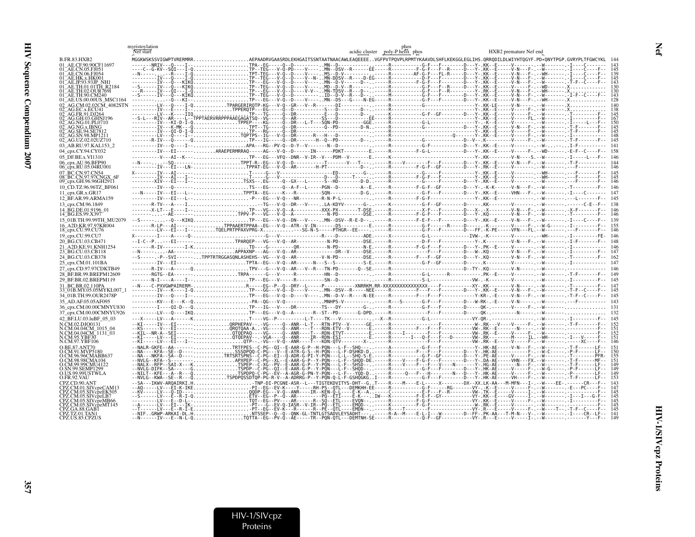|                                              | myristoylation<br>Nef start                                                                                                                                                                    |                                                                 | phos<br>acidic cluster poly-P helix phos          | HXB2 premature Nef end |
|----------------------------------------------|------------------------------------------------------------------------------------------------------------------------------------------------------------------------------------------------|-----------------------------------------------------------------|---------------------------------------------------|------------------------|
| <b>B.FR.83.HXB2</b>                          | MGGKWSKSSVIGWPTVRERMRRAEPAADRVGAASRDLEKHGAITSSNTAATNAACAWLEAQEEEEVGFPVTPQVPLRPMTYKAAVDLSHFLKEKGGLEGLIHS.QRRQDILDLWIYHTQGYF.PD*QNYTPGP.GVRYPLTFGWCYKL 144                                       |                                                                 |                                                   |                        |
| 01 AE.CE.90.90CF11697                        |                                                                                                                                                                                                |                                                                 |                                                   |                        |
| 01 AE.CN.05.EI051<br>01 AE CN 06 FI054       |                                                                                                                                                                                                |                                                                 |                                                   |                        |
| AE.HK.x.HK001                                |                                                                                                                                                                                                |                                                                 |                                                   |                        |
|                                              |                                                                                                                                                                                                |                                                                 |                                                   |                        |
|                                              |                                                                                                                                                                                                |                                                                 |                                                   |                        |
| AE.TH.90.CM240                               |                                                                                                                                                                                                |                                                                 |                                                   |                        |
|                                              |                                                                                                                                                                                                |                                                                 |                                                   |                        |
|                                              |                                                                                                                                                                                                |                                                                 |                                                   |                        |
|                                              |                                                                                                                                                                                                |                                                                 |                                                   |                        |
|                                              |                                                                                                                                                                                                |                                                                 |                                                   |                        |
|                                              |                                                                                                                                                                                                |                                                                 |                                                   |                        |
|                                              |                                                                                                                                                                                                |                                                                 |                                                   |                        |
| 02 AG.UZ.02.02UZ710                          |                                                                                                                                                                                                |                                                                 |                                                   |                        |
| 03 AB.RU.97.KAL153 2                         |                                                                                                                                                                                                |                                                                 |                                                   |                        |
| 04 cpx.CY.94.CY032                           | ---------IV---EI------,ARAEPERMRRAO-----AG---V-Ò--D------IN------PDKT---------E.-----R-------F-G-L-----------D---Y-.KK--E----V---F-.--WD-------. -E-F--C---                                    |                                                                 |                                                   |                        |
| 05 DF.BE.x.VI1310                            |                                                                                                                                                                                                |                                                                 |                                                   |                        |
| 06_cpx.AU.96.BFP90                           |                                                                                                                                                                                                |                                                                 |                                                   |                        |
| 06_cpx.RU.05.04RU001                         |                                                                                                                                                                                                |                                                                 |                                                   |                        |
| 07 BC.CN.97.CN54<br>08 BC.CN.97.97CNGX       |                                                                                                                                                                                                |                                                                 |                                                   |                        |
| $09$ <sup>-</sup> cpx.GH.96.96GH29 $\Pi$     | --------XIV--EI---I--TSXS-- EG-----0--GX---L------S--HD-------D-D---R---------G----F-----D---Y-.KK--E-----V-------- --W------- --F-------F-- 146                                               |                                                                 |                                                   |                        |
| 10 CD.TZ.96.96TZ BF061                       |                                                                                                                                                                                                |                                                                 |                                                   |                        |
| 11 cpx.GR.x.GR17                             | ---N-----IV---EI---L--TPPTA--EG-----K---R---------SON-----------D-G----R-----------G-F---F-------D---Y-.KK--E-----VHN---F-.--W+--------I---C-------- 147                                       |                                                                 |                                                   |                        |
| 12 BF.AR.99.ARMA159                          |                                                                                                                                                                                                |                                                                 |                                                   | $-F - - 145$           |
| 13 cpx.CM.96.1849                            |                                                                                                                                                                                                |                                                                 |                                                   |                        |
| 14 BG.DE.01.9196 01<br>14_BG.ES.99.X397      |                                                                                                                                                                                                |                                                                 |                                                   |                        |
| 15 01B.TH.99.99TH MU2079                     | --S-----,--O---KIKOTP---EG---V-O--DN---V----MN--DSV--R-E-D--,----R--------F-E-F---F-----D---Y-.KK--E-----V-N---F----V-N----F--------I-I---C----F-- 139                                         |                                                                 |                                                   |                        |
| 16 A2D.KR.97.97KR004                         |                                                                                                                                                                                                |                                                                 |                                                   |                        |
| 18 cpx.CU.99.CU76                            |                                                                                                                                                                                                |                                                                 |                                                   |                        |
| 19_cpx.CU.99.CU7                             |                                                                                                                                                                                                |                                                                 |                                                   |                        |
| 20 BG.CU.03.CB471                            |                                                                                                                                                                                                |                                                                 |                                                   |                        |
| 21 A2D.KE.91.KNH1254<br>23_BG.CU.03.CB118    |                                                                                                                                                                                                |                                                                 |                                                   |                        |
| 24 BG.CU.03.CB378                            | --S------,-P--SVI------,TPPTRTRGGASONLASHEHS--VG---V-0--AR---------V-N-PD--------DSE.----R-------F---F--GF-----F----P---V-.KO--------V-N---F-.--W-N---F-.--V-T-------F-----F----162            |                                                                 |                                                   |                        |
| 25 cpx.CM.01.101BA                           |                                                                                                                                                                                                |                                                                 |                                                   |                        |
| 27_cpx.CD.97.97CDKTB49                       |                                                                                                                                                                                                |                                                                 |                                                   |                        |
| 28 BF.BR.99.BREPM12609                       |                                                                                                                                                                                                |                                                                 |                                                   |                        |
| 29 BF.BR.02.BREPM119                         |                                                                                                                                                                                                |                                                                 |                                                   |                        |
| 31 BC.BR.02.110PA                            | --N----C-PXVGWPAIRERM-R----EG--P--Q--DRY--L----P----------XNRRKM.RR-XXXXXXXXXXXXXXXXXXXXX---F------XY-.KK-------V-N------V-N------.F------F--- 147<br>---------IV---K---I-QTP---GG---V-Q--D--- |                                                                 |                                                   |                        |
| 33 01B.MY.05.05MYKL007 1                     |                                                                                                                                                                                                |                                                                 |                                                   |                        |
| 34 01B.TH.99.OUR2478P<br>35 AD.AF.05.05AF095 |                                                                                                                                                                                                |                                                                 |                                                   |                        |
| 36 cpx.CM.00.00CMNYU830                      |                                                                                                                                                                                                |                                                                 |                                                   |                        |
| 37 cpx.CM.00.00CMNYU926                      |                                                                                                                                                                                                |                                                                 |                                                   |                        |
| 42_BF.LU.03.luBF_05_03                       |                                                                                                                                                                                                |                                                                 |                                                   |                        |
| N.CM.02.DJO0131                              |                                                                                                                                                                                                |                                                                 |                                                   |                        |
| .CM.04.04CM 1015 04<br>N.CM.04.04CM_1131_03  |                                                                                                                                                                                                |                                                                 |                                                   |                        |
| N.CM.95.YBF30                                |                                                                                                                                                                                                |                                                                 |                                                   | 151                    |
| .CM.97.YBF106                                |                                                                                                                                                                                                |                                                                 |                                                   |                        |
|                                              |                                                                                                                                                                                                |                                                                 |                                                   |                        |
|                                              |                                                                                                                                                                                                |                                                                 |                                                   |                        |
|                                              |                                                                                                                                                                                                |                                                                 |                                                   |                        |
| SN.99.SEMP1299                               |                                                                                                                                                                                                |                                                                 |                                                   |                        |
| O US 99 99HSTWLA                             |                                                                                                                                                                                                |                                                                 |                                                   |                        |
| O FR 92 VALI                                 |                                                                                                                                                                                                |                                                                 |                                                   |                        |
|                                              |                                                                                                                                                                                                |                                                                 |                                                   |                        |
|                                              |                                                                                                                                                                                                |                                                                 |                                                   |                        |
|                                              |                                                                                                                                                                                                |                                                                 |                                                   |                        |
|                                              |                                                                                                                                                                                                |                                                                 | IASR--V-IR--PQ--ETL----EMQD-------K----------F-G- |                        |
|                                              |                                                                                                                                                                                                |                                                                 |                                                   |                        |
|                                              |                                                                                                                                                                                                | . TQTTA--EG--PV-Q--AE-----TR--PQN-QTL---DEMTNH-SE-----R-------- |                                                   |                        |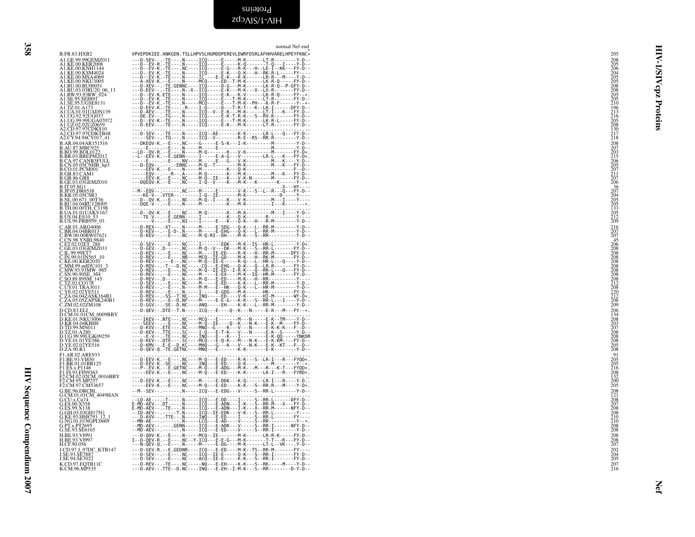## <span id="page-57-0"></span>Proteins

zdo<sub>AIS/I</sub>-AIH

358

|                                                                                                                                                                 | normal Nef end                                                                                                                                                                                                                                                                                                                                                                                                                                                                                                         |                                                                              |
|-----------------------------------------------------------------------------------------------------------------------------------------------------------------|------------------------------------------------------------------------------------------------------------------------------------------------------------------------------------------------------------------------------------------------------------------------------------------------------------------------------------------------------------------------------------------------------------------------------------------------------------------------------------------------------------------------|------------------------------------------------------------------------------|
| B.FR.83.HXB2<br>A1.GE.99.99GEMZ011<br>A1.KE.00.KER2008<br>A1.KE.00.KNH1144                                                                                      | VPVEPDKIEE.ANKGEN.TSLLHPVSLHGMDDPEREVLEWRFDSRLAFHHVARELHPEYFKNC*<br>$\begin{matrix} \textbf{VPVE}-\textbf{DSEV-1}, \textbf{FSE-1}, \textbf{FSE-1}, \textbf{FSE-1}, \textbf{FSE-1}, \textbf{FSE-1}, \textbf{FSE-1}, \textbf{FSE-1}, \textbf{FSE-1}, \textbf{FSE-1}, \textbf{FSE-1}, \textbf{FSE-1}, \textbf{FSE-1}, \textbf{FSE-1}, \textbf{FSE-1}, \textbf{FSE-1}, \textbf{FSE-1}, \textbf{FSE-1}, \textbf{FSE-1}, \textbf{FSE-1}, \textbf{FSE-1}, \textbf{FSE-1}, \textbf{FSE-1},$                                    | <b>HIV-</b><br>205<br>$\frac{208}{205}$<br>$\overline{\mathbf{s}}$           |
| A1.KE.00.KSM4024<br>A1.KE.00.MSA4069<br>A1.KE.00.NKU3005                                                                                                        |                                                                                                                                                                                                                                                                                                                                                                                                                                                                                                                        | 206<br>204<br>205<br>205<br>208<br>208<br>205<br>205<br>₹                    |
| A1.RU.00.RU00051<br>A1.RU.03.03RU20_06_13<br>A1.RW.93.93RW_024<br>A1.SE.95.SE8891<br>A1.SE.95.UGSE8131                                                          |                                                                                                                                                                                                                                                                                                                                                                                                                                                                                                                        | cpz<br>$\frac{210}{196}$                                                     |
| A1.TZ.01.A173<br>A1.UA.01.01UADN139                                                                                                                             |                                                                                                                                                                                                                                                                                                                                                                                                                                                                                                                        | Proteins<br>213<br>216<br>205<br>208<br>208<br>130                           |
| A1.UG.92.92UG037<br>A1.UG.99.99UGA07072<br>A1.UZ.02.02UZ0659<br>A2.CD.97.97CDKS10<br>A2.CD.97.97CDKTB48<br>A2.CY.94.94CY017 41                                  |                                                                                                                                                                                                                                                                                                                                                                                                                                                                                                                        | $^{217}_{218}$                                                               |
| B.AR.04.04AR151516                                                                                                                                              |                                                                                                                                                                                                                                                                                                                                                                                                                                                                                                                        | $\begin{array}{c} 208 \\ 207 \\ 203 \\ 215 \\ 206 \\ 206 \\ 205 \end{array}$ |
| B.AU.87.MBC925<br>B.BO.99.BOL0122<br>B.BO.99.BOL0122<br>B.CA.97.CANB3FULL<br>B.CN.05.05CNHB_hp3<br>B.CN.05.05CNHB_hp3<br><b>B.CO.01.PCM001<br/>B.GB.83.CAM1</b> |                                                                                                                                                                                                                                                                                                                                                                                                                                                                                                                        |                                                                              |
| <b>B.GB.86.GB8</b><br>B.GE.03.03GEMZ010                                                                                                                         |                                                                                                                                                                                                                                                                                                                                                                                                                                                                                                                        | $\frac{207}{211}$<br>$\frac{207}{206}$                                       |
| <b>B.IT.05.SG1<br/>B.IT.05.SG1<br/>B.JP.05.DR6538<br/>B.KR.05.05CSR3<br/>B.RU.04.04RU128005.</b>                                                                | $\begin{minipage}{0.9\textwidth} \begin{minipage}{0.9\textwidth} \begin{minipage}{0.9\textwidth} \begin{minipage}{0.9\textwidth} \begin{minipage}{0.9\textwidth} \begin{minipage}{0.9\textwidth} \begin{minipage}{0.9\textwidth} \begin{minipage}{0.9\textwidth} \begin{minipage}{0.9\textwidth} \begin{minipage}{0.9\textwidth} \begin{minipage}{0.9\textwidth} \begin{minipage}{0.9\textwidth} \begin{minipage}{0.9\textwidth} \begin{minipage}{0.9\textwidth} \begin{minipage}{0.9\textwidth} \begin{minipage}{0.9$ | 36<br>207<br>204<br>205<br>205<br>205<br>212<br>209                          |
| <b>B.TH.00.00TH C3198</b><br>B.UA.01.01UAKV167<br>B.US.04.ES10_53<br>B.US.99.PRB959_03                                                                          |                                                                                                                                                                                                                                                                                                                                                                                                                                                                                                                        |                                                                              |
| <b>C.AR.01.ARG4006<br/>C.AR.01.ARG4006<br/>C.BR.04.04BR013<br/>C.ET.02.02ET_288<br/>C.ET.02.02ET_288</b>                                                        |                                                                                                                                                                                                                                                                                                                                                                                                                                                                                                                        | $\begin{array}{c} 216 \\ 207 \\ 207 \\ 45 \\ 206 \\ 208 \end{array}$         |
| C.GE.03.03GEMZ033                                                                                                                                               |                                                                                                                                                                                                                                                                                                                                                                                                                                                                                                                        |                                                                              |
| C.U.9.995E7<br>C.IL.99.99E77<br>C.IN.99.01IN565_10<br>C.KE.00.KER2010<br>C.MM.99.mIDU101_3<br>C.SN.90.90SE_364<br>C.SN.90.90SE_364<br>C.SO.89.89SM_145          |                                                                                                                                                                                                                                                                                                                                                                                                                                                                                                                        | 208<br>208<br>208<br>208<br>208<br>208<br>208<br>208                         |
| C.SO.89.89SM_145<br>C.TZ.02.CO178<br>C.UY.01.TRA3011<br>C.YE.02.02YE511<br>C.ZA.04.04ZAPSK164B1<br>C.ZA.05.05ZAPSK240B1<br>C.ZM.02.02ZM108                      |                                                                                                                                                                                                                                                                                                                                                                                                                                                                                                                        | 208<br>212<br>208<br>220<br>212<br>208<br>209                                |
|                                                                                                                                                                 | ---D-QEV--.DTE--T.N-----ICQ---E----Q--K---N-----E-K---M---FY--*.                                                                                                                                                                                                                                                                                                                                                                                                                                                       |                                                                              |
| D.C.D.83.ELI<br>D.C.D.83.ELI<br>D.C.M.01.01CM_0009BBY<br>D.K.R.04.04KBH8<br>D.K.R.04.04KM11                                                                     |                                                                                                                                                                                                                                                                                                                                                                                                                                                                                                                        | 206<br>134<br>208<br>203<br>207<br>208<br>208                                |
| D.TD.99.MN011<br>D.TD.99.MN011<br>D.UG.99.99UGK09259<br>D.VE.01.01YE386<br>D.YE.01.01YE386<br>D.YE.02.02YE516<br>D.ZA.90.R1                                     |                                                                                                                                                                                                                                                                                                                                                                                                                                                                                                                        | 208                                                                          |
| F1.AR.02.ARE933<br>F1.BE.93.VI850<br>F1.BR.01.01BR125                                                                                                           |                                                                                                                                                                                                                                                                                                                                                                                                                                                                                                                        | $\frac{205}{208}$<br>91<br>$\frac{205}{205}$                                 |
| F1.B8.01.01BK123<br>F1.E8.x.P1146<br>F1.F1.93.FIN9363<br>F2.CM.95.MP257<br>F2.CM.95.MP257<br>F2.CM.97.CM53657                                                   |                                                                                                                                                                                                                                                                                                                                                                                                                                                                                                                        | $\frac{216}{208}$<br>$\frac{132}{132}$                                       |
| G.BE.96.DRCBL<br>G.CM.01.01CM_4049HAN<br>G.CU.x.Cu74                                                                                                            | --M--SEV--.------.N-----ICQ---E-EDG---V-----S--RR-L--------Y-D--                                                                                                                                                                                                                                                                                                                                                                                                                                                       | $\frac{200}{205}$                                                            |
| G.ES.00.X558<br>G.ES.99.X138                                                                                                                                    |                                                                                                                                                                                                                                                                                                                                                                                                                                                                                                                        | 208<br>121<br>208<br>207<br>208                                              |
| G.E3: 97.37.136<br>G.GH.03.03GH175G<br>G.KE.93.HH8793_12_1<br>G.PT.x.PT2695<br>G.SE.93.SE6165                                                                   |                                                                                                                                                                                                                                                                                                                                                                                                                                                                                                                        | 208<br>208<br>210<br>208<br>208<br>208                                       |
| H.BE.93.VI991<br>H.BE.93.VI997<br>H.CF.90.056<br>J.CD.97.J_97DC_KTB147                                                                                          |                                                                                                                                                                                                                                                                                                                                                                                                                                                                                                                        | 208<br>208                                                                   |
| J.SE.93.SE7887<br>J.SE.94.SE7022<br>K.CD.97.EQTB11C<br>K.CM.96.MP535                                                                                            | ---D-GEV-R.--E.GEDNR----ICO---E-ED----M-K--TS--RR-M-------FY----<br>---D-SEV-R.--E.GEDNR----ICO--IE-E-----O-K---S--RR-I-------FY-D--<br>---D-SEV--.--E---.NC----ACQ--IE-E-----R-K---S--RR-I--------FY-D--<br>---D-REV--.-TE---.NC-----NQ---E-EH----K-K---S--RK-----M----Y-D--<br>---D-AEV--.TTE--D.NC----INQ---E-EH--I-M-K---S--RR--------D-Y-D--                                                                                                                                                                      | $\frac{202}{204}$<br>$^{207}_{216}$                                          |
|                                                                                                                                                                 |                                                                                                                                                                                                                                                                                                                                                                                                                                                                                                                        |                                                                              |
|                                                                                                                                                                 |                                                                                                                                                                                                                                                                                                                                                                                                                                                                                                                        | Ke                                                                           |